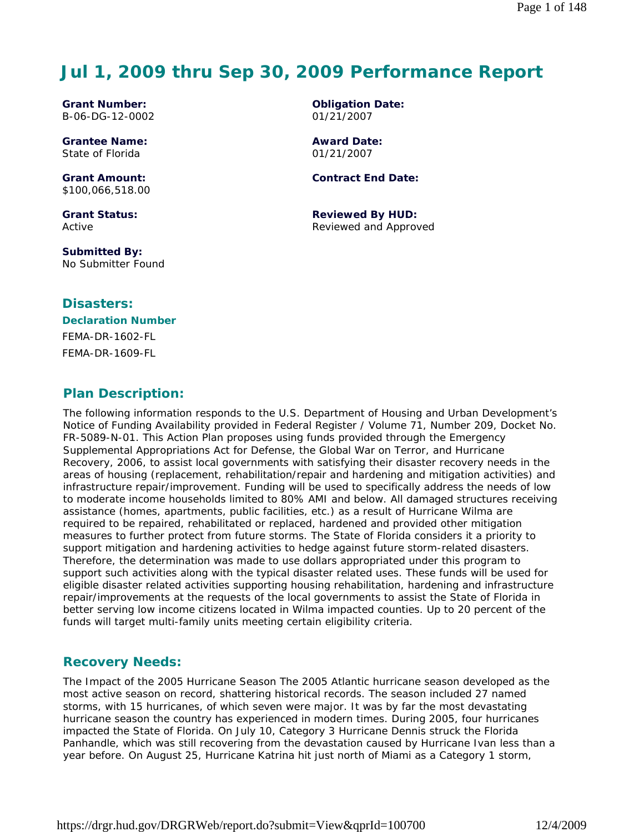# **Jul 1, 2009 thru Sep 30, 2009 Performance Report**

**Grant Number:** B-06-DG-12-0002

**Grantee Name:** State of Florida

**Grant Amount:** \$100,066,518.00

**Grant Status:** Active

**Submitted By:**  No Submitter Found

### **Disasters:**

# **Declaration Number** FEMA-DR-1602-FL FEMA-DR-1609-FL

**Plan Description:** 

The following information responds to the U.S. Department of Housing and Urban Development's Notice of Funding Availability provided in Federal Register / Volume 71, Number 209, Docket No. FR-5089-N-01. This Action Plan proposes using funds provided through the Emergency Supplemental Appropriations Act for Defense, the Global War on Terror, and Hurricane Recovery, 2006, to assist local governments with satisfying their disaster recovery needs in the areas of housing (replacement, rehabilitation/repair and hardening and mitigation activities) and infrastructure repair/improvement. Funding will be used to specifically address the needs of low to moderate income households limited to 80% AMI and below. All damaged structures receiving assistance (homes, apartments, public facilities, etc.) as a result of Hurricane Wilma are required to be repaired, rehabilitated or replaced, hardened and provided other mitigation measures to further protect from future storms. The State of Florida considers it a priority to support mitigation and hardening activities to hedge against future storm-related disasters. Therefore, the determination was made to use dollars appropriated under this program to support such activities along with the typical disaster related uses. These funds will be used for eligible disaster related activities supporting housing rehabilitation, hardening and infrastructure repair/improvements at the requests of the local governments to assist the State of Florida in better serving low income citizens located in Wilma impacted counties. Up to 20 percent of the funds will target multi-family units meeting certain eligibility criteria.

# **Recovery Needs:**

The Impact of the 2005 Hurricane Season The 2005 Atlantic hurricane season developed as the most active season on record, shattering historical records. The season included 27 named storms, with 15 hurricanes, of which seven were major. It was by far the most devastating hurricane season the country has experienced in modern times. During 2005, four hurricanes impacted the State of Florida. On July 10, Category 3 Hurricane Dennis struck the Florida Panhandle, which was still recovering from the devastation caused by Hurricane Ivan less than a year before. On August 25, Hurricane Katrina hit just north of Miami as a Category 1 storm,

**Award Date:** 01/21/2007

**Contract End Date:**

**Reviewed By HUD:** Reviewed and Approved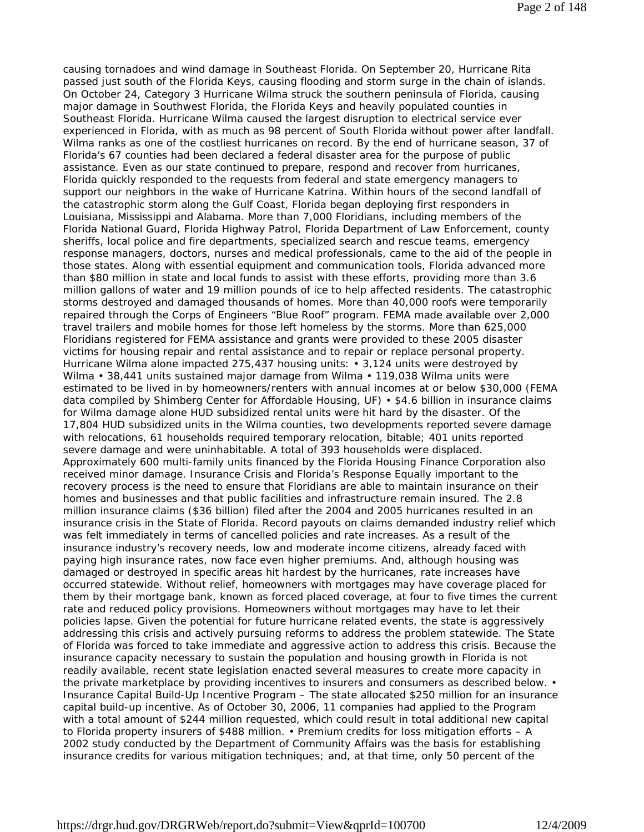causing tornadoes and wind damage in Southeast Florida. On September 20, Hurricane Rita passed just south of the Florida Keys, causing flooding and storm surge in the chain of islands. On October 24, Category 3 Hurricane Wilma struck the southern peninsula of Florida, causing major damage in Southwest Florida, the Florida Keys and heavily populated counties in Southeast Florida. Hurricane Wilma caused the largest disruption to electrical service ever experienced in Florida, with as much as 98 percent of South Florida without power after landfall. Wilma ranks as one of the costliest hurricanes on record. By the end of hurricane season, 37 of Florida's 67 counties had been declared a federal disaster area for the purpose of public assistance. Even as our state continued to prepare, respond and recover from hurricanes, Florida quickly responded to the requests from federal and state emergency managers to support our neighbors in the wake of Hurricane Katrina. Within hours of the second landfall of the catastrophic storm along the Gulf Coast, Florida began deploying first responders in Louisiana, Mississippi and Alabama. More than 7,000 Floridians, including members of the Florida National Guard, Florida Highway Patrol, Florida Department of Law Enforcement, county sheriffs, local police and fire departments, specialized search and rescue teams, emergency response managers, doctors, nurses and medical professionals, came to the aid of the people in those states. Along with essential equipment and communication tools, Florida advanced more than \$80 million in state and local funds to assist with these efforts, providing more than 3.6 million gallons of water and 19 million pounds of ice to help affected residents. The catastrophic storms destroyed and damaged thousands of homes. More than 40,000 roofs were temporarily repaired through the Corps of Engineers "Blue Roof" program. FEMA made available over 2,000 travel trailers and mobile homes for those left homeless by the storms. More than 625,000 Floridians registered for FEMA assistance and grants were provided to these 2005 disaster victims for housing repair and rental assistance and to repair or replace personal property. Hurricane Wilma alone impacted 275,437 housing units: • 3,124 units were destroyed by Wilma • 38,441 units sustained major damage from Wilma • 119,038 Wilma units were estimated to be lived in by homeowners/renters with annual incomes at or below \$30,000 (FEMA data compiled by Shimberg Center for Affordable Housing, UF) • \$4.6 billion in insurance claims for Wilma damage alone HUD subsidized rental units were hit hard by the disaster. Of the 17,804 HUD subsidized units in the Wilma counties, two developments reported severe damage with relocations, 61 households required temporary relocation, bitable; 401 units reported severe damage and were uninhabitable. A total of 393 households were displaced. Approximately 600 multi-family units financed by the Florida Housing Finance Corporation also received minor damage. Insurance Crisis and Florida's Response Equally important to the recovery process is the need to ensure that Floridians are able to maintain insurance on their homes and businesses and that public facilities and infrastructure remain insured. The 2.8 million insurance claims (\$36 billion) filed after the 2004 and 2005 hurricanes resulted in an insurance crisis in the State of Florida. Record payouts on claims demanded industry relief which was felt immediately in terms of cancelled policies and rate increases. As a result of the insurance industry's recovery needs, low and moderate income citizens, already faced with paying high insurance rates, now face even higher premiums. And, although housing was damaged or destroyed in specific areas hit hardest by the hurricanes, rate increases have occurred statewide. Without relief, homeowners with mortgages may have coverage placed for them by their mortgage bank, known as forced placed coverage, at four to five times the current rate and reduced policy provisions. Homeowners without mortgages may have to let their policies lapse. Given the potential for future hurricane related events, the state is aggressively addressing this crisis and actively pursuing reforms to address the problem statewide. The State of Florida was forced to take immediate and aggressive action to address this crisis. Because the insurance capacity necessary to sustain the population and housing growth in Florida is not readily available, recent state legislation enacted several measures to create more capacity in the private marketplace by providing incentives to insurers and consumers as described below. • Insurance Capital Build-Up Incentive Program – The state allocated \$250 million for an insurance capital build-up incentive. As of October 30, 2006, 11 companies had applied to the Program with a total amount of \$244 million requested, which could result in total additional new capital to Florida property insurers of \$488 million. • Premium credits for loss mitigation efforts – A 2002 study conducted by the Department of Community Affairs was the basis for establishing insurance credits for various mitigation techniques; and, at that time, only 50 percent of the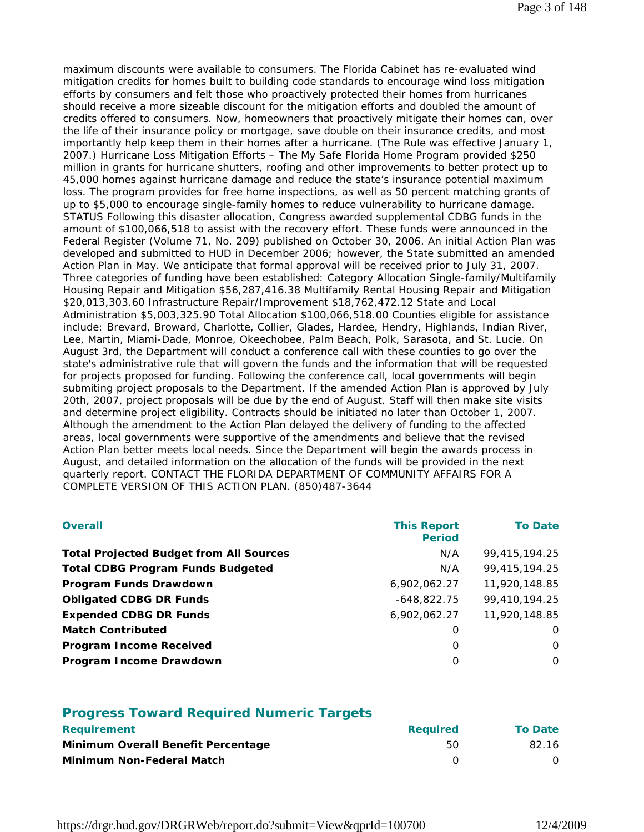maximum discounts were available to consumers. The Florida Cabinet has re-evaluated wind mitigation credits for homes built to building code standards to encourage wind loss mitigation efforts by consumers and felt those who proactively protected their homes from hurricanes should receive a more sizeable discount for the mitigation efforts and doubled the amount of credits offered to consumers. Now, homeowners that proactively mitigate their homes can, over the life of their insurance policy or mortgage, save double on their insurance credits, and most importantly help keep them in their homes after a hurricane. (The Rule was effective January 1, 2007.) Hurricane Loss Mitigation Efforts – The My Safe Florida Home Program provided \$250 million in grants for hurricane shutters, roofing and other improvements to better protect up to 45,000 homes against hurricane damage and reduce the state's insurance potential maximum loss. The program provides for free home inspections, as well as 50 percent matching grants of up to \$5,000 to encourage single-family homes to reduce vulnerability to hurricane damage. STATUS Following this disaster allocation, Congress awarded supplemental CDBG funds in the amount of \$100,066,518 to assist with the recovery effort. These funds were announced in the Federal Register (Volume 71, No. 209) published on October 30, 2006. An initial Action Plan was developed and submitted to HUD in December 2006; however, the State submitted an amended Action Plan in May. We anticipate that formal approval will be received prior to July 31, 2007. Three categories of funding have been established: Category Allocation Single-family/Multifamily Housing Repair and Mitigation \$56,287,416.38 Multifamily Rental Housing Repair and Mitigation \$20,013,303.60 Infrastructure Repair/Improvement \$18,762,472.12 State and Local Administration \$5,003,325.90 Total Allocation \$100,066,518.00 Counties eligible for assistance include: Brevard, Broward, Charlotte, Collier, Glades, Hardee, Hendry, Highlands, Indian River, Lee, Martin, Miami-Dade, Monroe, Okeechobee, Palm Beach, Polk, Sarasota, and St. Lucie. On August 3rd, the Department will conduct a conference call with these counties to go over the state's administrative rule that will govern the funds and the information that will be requested for projects proposed for funding. Following the conference call, local governments will begin submiting project proposals to the Department. If the amended Action Plan is approved by July 20th, 2007, project proposals will be due by the end of August. Staff will then make site visits and determine project eligibility. Contracts should be initiated no later than October 1, 2007. Although the amendment to the Action Plan delayed the delivery of funding to the affected areas, local governments were supportive of the amendments and believe that the revised Action Plan better meets local needs. Since the Department will begin the awards process in August, and detailed information on the allocation of the funds will be provided in the next quarterly report. CONTACT THE FLORIDA DEPARTMENT OF COMMUNITY AFFAIRS FOR A COMPLETE VERSION OF THIS ACTION PLAN. (850)487-3644

| <b>Overall</b>                                 | <b>This Report</b><br><b>Period</b> | <b>To Date</b> |
|------------------------------------------------|-------------------------------------|----------------|
| <b>Total Projected Budget from All Sources</b> | N/A                                 | 99,415,194.25  |
| <b>Total CDBG Program Funds Budgeted</b>       | N/A                                 | 99,415,194.25  |
| Program Funds Drawdown                         | 6,902,062.27                        | 11,920,148.85  |
| <b>Obligated CDBG DR Funds</b>                 | $-648,822.75$                       | 99,410,194.25  |
| <b>Expended CDBG DR Funds</b>                  | 6,902,062.27                        | 11,920,148.85  |
| <b>Match Contributed</b>                       | O                                   | O              |
| <b>Program Income Received</b>                 | O                                   | O              |
| Program Income Drawdown                        | O                                   | $\Omega$       |

#### **Progress Toward Required Numeric Targets**

| <b>Requirement</b>                 | <b>Reauired</b> | <b>To Date</b> |
|------------------------------------|-----------------|----------------|
| Minimum Overall Benefit Percentage | 50              | 82.16          |
| Minimum Non-Federal Match          |                 |                |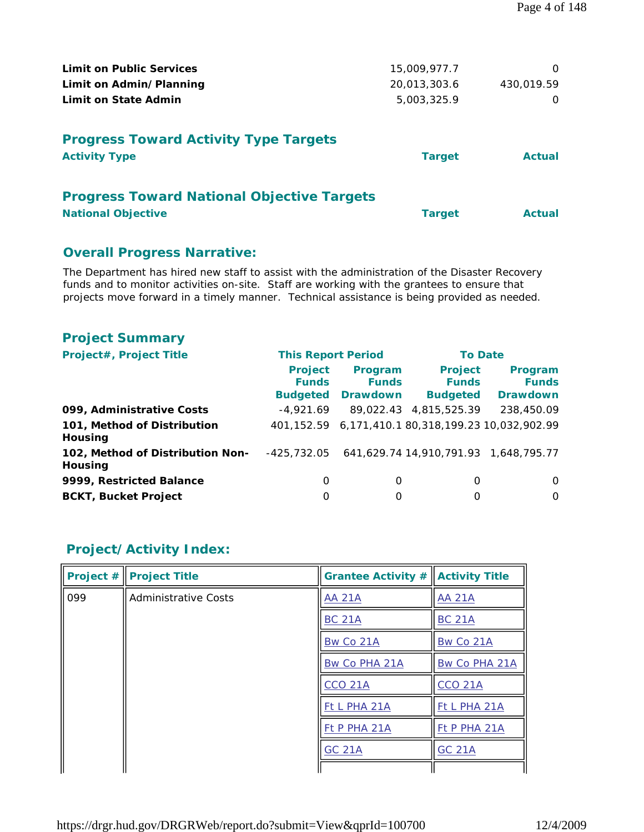| <b>Limit on Public Services</b>                                      | 15,009,977.7  | $\Omega$      |
|----------------------------------------------------------------------|---------------|---------------|
| Limit on Admin/Planning                                              | 20,013,303.6  | 430,019.59    |
| Limit on State Admin                                                 | 5,003,325.9   | O             |
| <b>Progress Toward Activity Type Targets</b><br><b>Activity Type</b> | <b>Target</b> | <b>Actual</b> |
| <b>Progress Toward National Objective Targets</b>                    |               |               |
| <b>National Objective</b>                                            | <b>Target</b> | <b>Actual</b> |

# **Overall Progress Narrative:**

The Department has hired new staff to assist with the administration of the Disaster Recovery funds and to monitor activities on-site. Staff are working with the grantees to ensure that projects move forward in a timely manner. Technical assistance is being provided as needed.

# **Project Summary**

| Project#, Project Title                     | <b>This Report Period</b>                         |                                            | <b>To Date</b>                                    |                                                    |
|---------------------------------------------|---------------------------------------------------|--------------------------------------------|---------------------------------------------------|----------------------------------------------------|
|                                             | <b>Project</b><br><b>Funds</b><br><b>Budgeted</b> | Program<br><b>Funds</b><br><b>Drawdown</b> | <b>Project</b><br><b>Funds</b><br><b>Budgeted</b> | Program<br><b>Funds</b><br><b>Drawdown</b>         |
| 099, Administrative Costs                   | $-4.921.69$                                       |                                            | 89,022.43 4,815,525.39                            | 238,450.09                                         |
| 101, Method of Distribution<br>Housing      |                                                   |                                            |                                                   | 401,152.59 6,171,410.1 80,318,199.23 10,032,902.99 |
| 102, Method of Distribution Non-<br>Housing | -425,732.05                                       |                                            | 641,629.74 14,910,791.93 1,648,795.77             |                                                    |
| 9999, Restricted Balance                    | 0                                                 | 0                                          | 0                                                 | $\Omega$                                           |
| <b>BCKT, Bucket Project</b>                 | O                                                 | 0                                          | 0                                                 | $\Omega$                                           |

# **Project/Activity Index:**

| Project $#$ | <b>Project Title</b>        | Grantee Activity $\#\ $ Activity Title |                |
|-------------|-----------------------------|----------------------------------------|----------------|
| 099         | <b>Administrative Costs</b> | <b>AA 21A</b>                          | <b>AA 21A</b>  |
|             |                             | <b>BC 21A</b>                          | <b>BC 21A</b>  |
|             |                             | Bw Co 21A                              | Bw Co 21A      |
|             |                             | Bw Co PHA 21A                          | Bw Co PHA 21A  |
|             |                             | <b>CCO 21A</b>                         | <b>CCO 21A</b> |
|             |                             | Ft L PHA 21A                           | Ft L PHA 21A   |
|             |                             | Ft P PHA 21A                           | Ft P PHA 21A   |
|             |                             | <b>GC 21A</b>                          | <b>GC 21A</b>  |
|             |                             |                                        |                |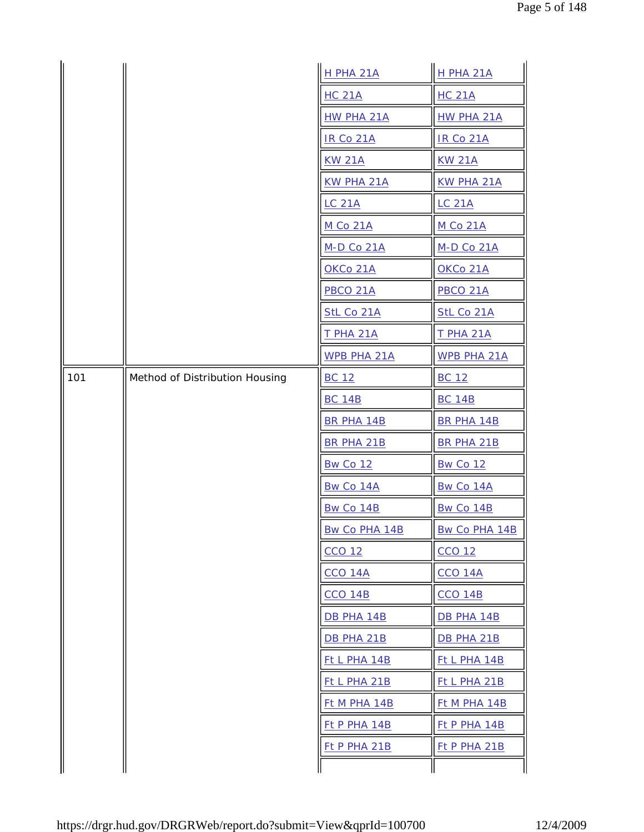|     |                                | <b>H PHA 21A</b>    | <b>H PHA 21A</b>     |
|-----|--------------------------------|---------------------|----------------------|
|     |                                | <b>HC 21A</b>       | <b>HC 21A</b>        |
|     |                                | HW PHA 21A          | HW PHA 21A           |
|     |                                | <b>IR Co 21A</b>    | <b>IR Co 21A</b>     |
|     |                                | <b>KW 21A</b>       | <b>KW 21A</b>        |
|     |                                | <b>KW PHA 21A</b>   | <b>KW PHA 21A</b>    |
|     |                                | <b>LC 21A</b>       | <b>LC 21A</b>        |
|     |                                | <b>M Co 21A</b>     | <b>M Co 21A</b>      |
|     |                                | <b>M-D Co 21A</b>   | <b>M-D Co 21A</b>    |
|     |                                | OKCo 21A            | OKCo 21A             |
|     |                                | <b>PBCO 21A</b>     | <b>PBCO 21A</b>      |
|     |                                | StL Co 21A          | StL Co 21A           |
|     |                                | <b>T PHA 21A</b>    | <b>T PHA 21A</b>     |
|     |                                | <b>WPB PHA 21A</b>  | WPB PHA 21A          |
| 101 | Method of Distribution Housing | <b>BC 12</b>        | <b>BC 12</b>         |
|     |                                | <b>BC 14B</b>       | <b>BC 14B</b>        |
|     |                                | <b>BR PHA 14B</b>   | BR PHA 14B           |
|     |                                | <b>BR PHA 21B</b>   | BR PHA 21B           |
|     |                                | <b>Bw Co 12</b>     | <b>Bw Co 12</b>      |
|     |                                | Bw Co 14A           | Bw Co 14A            |
|     |                                | Bw Co 14B           | Bw Co 14B            |
|     |                                | Bw Co PHA 14B       | <b>Bw Co PHA 14B</b> |
|     |                                | CCO 12              | CCO 12               |
|     |                                | CCO 14A             | <b>CCO 14A</b>       |
|     |                                | <b>CCO 14B</b>      | <b>CCO 14B</b>       |
|     |                                | DB PHA 14B          | DB PHA 14B           |
|     |                                | DB PHA 21B          | DB PHA 21B           |
|     |                                | Ft L PHA 14B        | Ft L PHA 14B         |
|     |                                | <u>Ft L PHA 21B</u> | <u>Ft L PHA 21B</u>  |
|     |                                | <b>Ft M PHA 14B</b> | <b>Ft M PHA 14B</b>  |
|     |                                | Ft P PHA 14B        | $Et$ P PHA 14B       |
|     |                                | Ft P PHA 21B        | Ft P PHA 21B         |
|     |                                |                     |                      |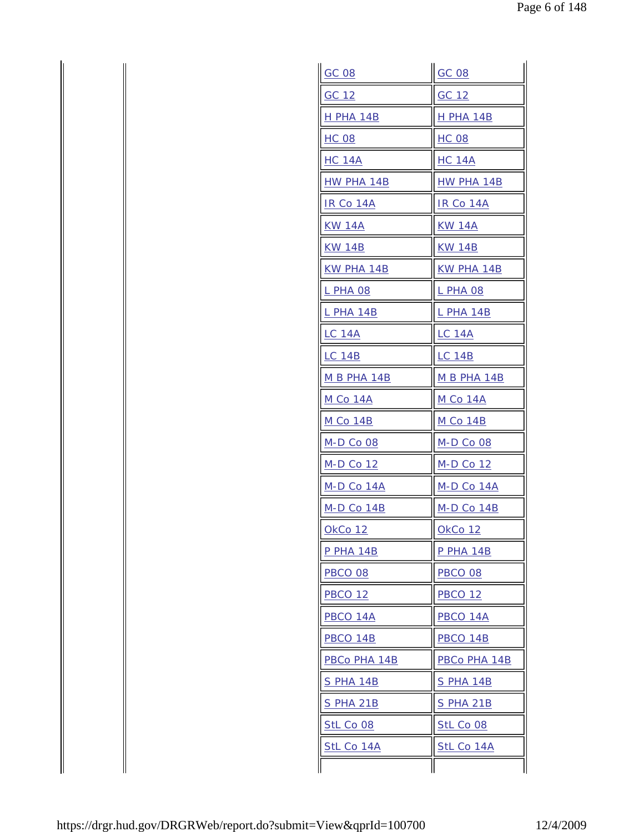| GC 08            | <b>GC 08</b>       |  |
|------------------|--------------------|--|
| GC 12            | GC 12              |  |
| <b>H PHA 14B</b> | H PHA 14B          |  |
| <b>HC 08</b>     | <b>HC 08</b>       |  |
| <b>HC 14A</b>    | <b>HC 14A</b>      |  |
| HW PHA 14B       | HW PHA 14B         |  |
| IR Co 14A        | IR Co 14A          |  |
| KW 14A           | <u>KW 14A</u>      |  |
| <b>KW 14B</b>    | <b>KW 14B</b>      |  |
| KW PHA 14B       | KW PHA 14B         |  |
| L PHA 08         | <b>L PHA 08</b>    |  |
| L PHA 14B        | L PHA 14B          |  |
| <b>LC 14A</b>    | <b>LC_14A</b>      |  |
| <b>LC 14B</b>    | <b>LC 14B</b>      |  |
| M B PHA 14B      | <b>M B PHA 14B</b> |  |
| <u>M Co 14A</u>  | <u>M Co 14A</u>    |  |
| <u>M Co 14B</u>  | <u>M Co 14B</u>    |  |
| <b>M-D Co 08</b> | M-D Co 08          |  |
| M-D Co 12        | M-D Co 12          |  |
| M-D Co 14A       | M-D Co 14A         |  |
| M-D Co 14B       | M-D Co 14B         |  |
| OkCo 12          | OkCo 12            |  |
| <b>P PHA 14B</b> | <b>P PHA 14B</b>   |  |
| PBCO 08          | <b>PBCO 08</b>     |  |
| <b>PBCO 12</b>   | <b>PBCO 12</b>     |  |
| PBCO 14A         | PBCO 14A           |  |
| PBCO 14B         | PBCO 14B           |  |
| PBCo PHA 14B     | PBCo PHA 14B       |  |
| <b>S PHA 14B</b> | <b>S PHA 14B</b>   |  |
| <b>S PHA 21B</b> | <u>S PHA 21B</u>   |  |
| <b>StL Co 08</b> | StL Co 08          |  |
| StL Co 14A       | StL Co 14A         |  |
|                  |                    |  |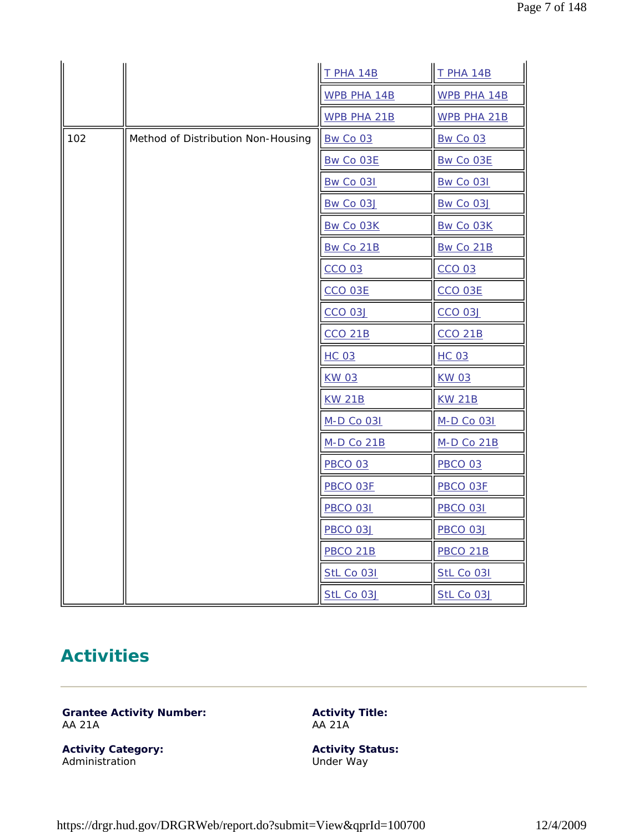|     |                                    | <b>T PHA 14B</b>   | <b>T PHA 14B</b>   |
|-----|------------------------------------|--------------------|--------------------|
|     |                                    | <b>WPB PHA 14B</b> | WPB PHA 14B        |
|     |                                    | WPB PHA 21B        | <b>WPB PHA 21B</b> |
| 102 | Method of Distribution Non-Housing | Bw Co 03           | Bw Co 03           |
|     |                                    | Bw Co O3E          | Bw Co 03E          |
|     |                                    | <b>Bw Co 031</b>   | <b>Bw Co 031</b>   |
|     |                                    | Bw Co 03J          | Bw Co 03J          |
|     |                                    | Bw Co 03K          | Bw Co 03K          |
|     |                                    | Bw Co 21B          | Bw Co 21B          |
|     |                                    | <b>CCO 03</b>      | <b>CCO 03</b>      |
|     |                                    | <b>CCO 03E</b>     | CCO 03E            |
|     |                                    | <b>CCO 03J</b>     | <b>CCO 03J</b>     |
|     |                                    | <b>CCO 21B</b>     | <b>CCO 21B</b>     |
|     |                                    | <b>HC 03</b>       | <b>HC 03</b>       |
|     |                                    | <b>KW 03</b>       | <b>KW03</b>        |
|     |                                    | <b>KW 21B</b>      | <b>KW 21B</b>      |
|     |                                    | M-D Co 031         | M-D Co 031         |
|     |                                    | <b>M-D Co 21B</b>  | <b>M-D Co 21B</b>  |
|     |                                    | <b>PBCO 03</b>     | <b>PBCO 03</b>     |
|     |                                    | PBCO 03F           | PBCO 03F           |
|     |                                    | <b>PBCO 031</b>    | <b>PBCO 031</b>    |
|     |                                    | <b>PBCO 03J</b>    | <b>PBCO 03J</b>    |
|     |                                    | <b>PBCO 21B</b>    | <b>PBCO 21B</b>    |
|     |                                    | StL Co 031         | <b>StL Co 031</b>  |
|     |                                    | StL Co 03J         | StL Co 03J         |

# **Activities**

**Grantee Activity Number:** AA 21A

**Activity Title:** AA 21A

**Activity Category:** Administration

**Activity Status:** Under Way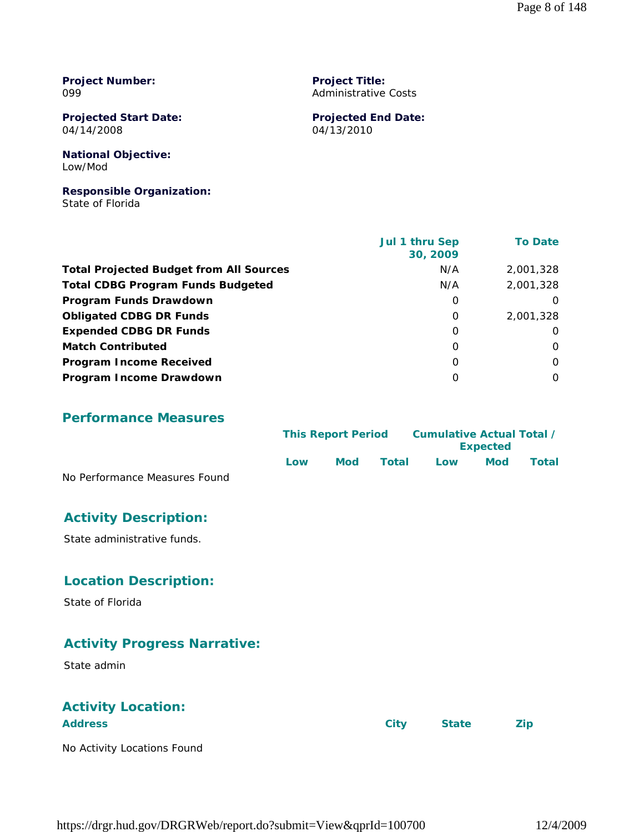**Project Number:** 099

**Projected Start Date:** 04/14/2008

**National Objective:** Low/Mod

**Responsible Organization:** State of Florida

 **Jul 1 thru Sep 30, 2009 To Date Total Projected Budget from All Sources** M/A 2,001,328 **Total CDBG Program Funds Budgeted N/A 2,001,328 Program Funds Drawdown** and the contract of the contract of the contract of the contract of the contract of the contract of the contract of the contract of the contract of the contract of the contract of the contract of t **Obligated CDBG DR Funds** 0 2,001,328 **Expended CDBG DR Funds** 0 0 **Match Contributed** 0 0 **Program Income Received** 0 0 **Program Income Drawdown** 0 0

**Project Title:** Administrative Costs

04/13/2010

**Projected End Date:**

**Performance Measures**

|                               | <b>This Report Period</b> |            | Cumulative Actual Total / |     |                 |       |
|-------------------------------|---------------------------|------------|---------------------------|-----|-----------------|-------|
|                               |                           |            |                           |     | <b>Expected</b> |       |
|                               | l ow                      | <b>Mod</b> | Total                     | Low | Mod             | Total |
| No Performance Measures Found |                           |            |                           |     |                 |       |

# **Activity Description:**

State administrative funds.

# **Location Description:**

State of Florida

# **Activity Progress Narrative:**

State admin

# **Activity Location:**

| <b>Address</b>              | City | <b>State</b> | <b>Zip</b> |
|-----------------------------|------|--------------|------------|
| No Activity Locations Found |      |              |            |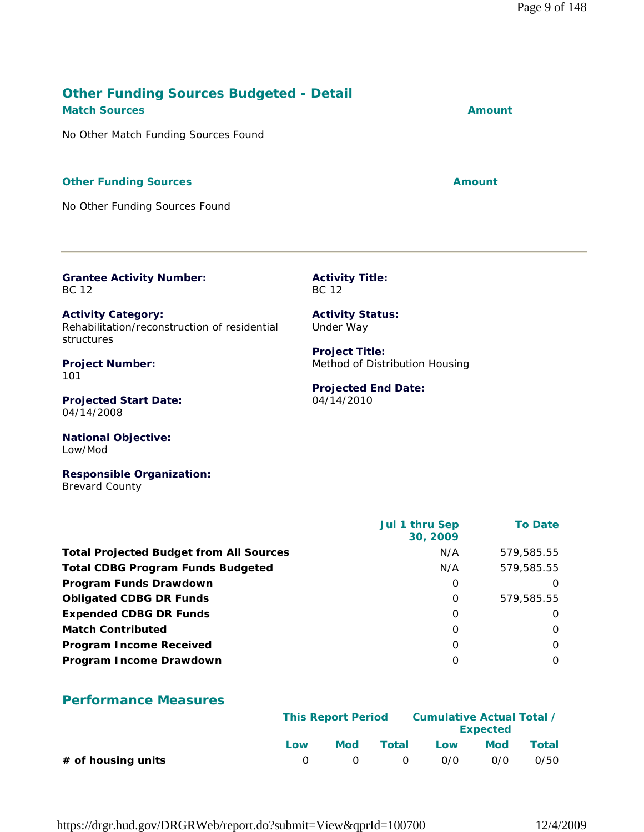# **Other Funding Sources Budgeted - Detail Match Sources Amount**

No Other Match Funding Sources Found

#### **Other Funding Sources Amount Amount Amount**

No Other Funding Sources Found

**Grantee Activity Number:** BC 12

**Activity Category:** Rehabilitation/reconstruction of residential structures

**Project Number:** 101

**Projected Start Date:** 04/14/2008

**National Objective:** Low/Mod

**Responsible Organization:** Brevard County

 **Jul 1 thru Sep 30, 2009 To Date Total Projected Budget from All Sources** M/A 579,585.55 **Total CDBG Program Funds Budgeted Network COBG Program Funds Budgeted Network COBG Program N/A** 579,585.55 **Program Funds Drawdown** and the contract of the contract of the contract of the contract of the contract of the contract of the contract of the contract of the contract of the contract of the contract of the contract of t **Obligated CDBG DR Funds** 0 579,585.55 **Expended CDBG DR Funds** 0 0 **Match Contributed** 0 0 **Program Income Received** 0 0 **Program Income Drawdown** 0 0

# **Performance Measures**

|                      |              | <b>This Report Period</b> |       |     | Cumulative Actual Total /<br><b>Expected</b> |       |
|----------------------|--------------|---------------------------|-------|-----|----------------------------------------------|-------|
|                      | Low          | Mod                       | Total | Low | <b>Mod</b>                                   | Total |
| $#$ of housing units | $\mathbf{U}$ | $\cap$                    | . വ   | 0/0 | 0/0                                          | 0/50  |

https://drgr.hud.gov/DRGRWeb/report.do?submit=View&qprId=100700 12/4/2009

**Activity Title:** BC 12

**Activity Status:** Under Way

**Project Title:** Method of Distribution Housing

#### **Projected End Date:** 04/14/2010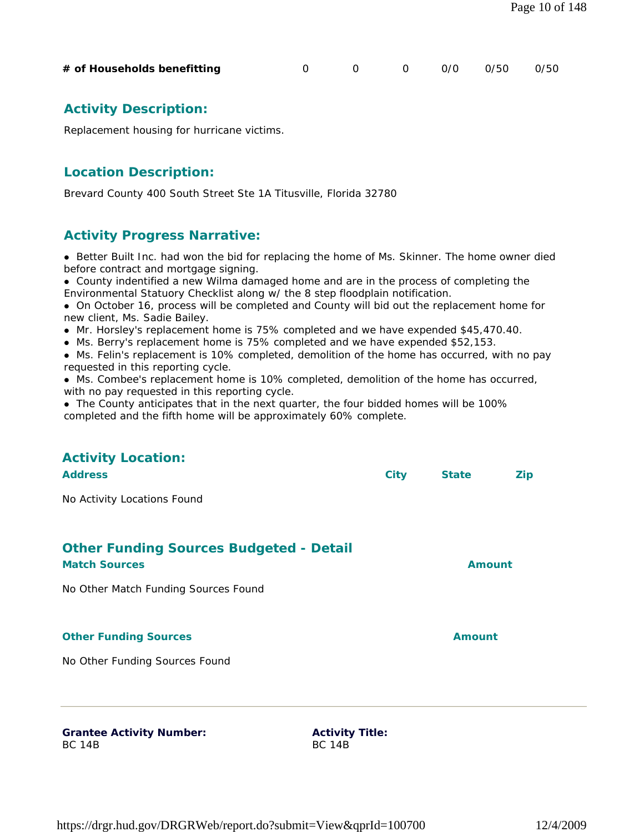| https://drgr.hud.gov/DRGRWeb/report.do?submit=View&qprId=100700 | 12/4/2009 |
|-----------------------------------------------------------------|-----------|
|                                                                 |           |

# **Activity Description:**

Replacement housing for hurricane victims.

# **Location Description:**

Brevard County 400 South Street Ste 1A Titusville, Florida 32780

# **Activity Progress Narrative:**

**Better Built Inc. had won the bid for replacing the home of Ms. Skinner. The home owner died** before contract and mortgage signing.

**# of Households benefitting** 0 0 0 0/0 0/50 0/50

 County indentified a new Wilma damaged home and are in the process of completing the Environmental Statuory Checklist along w/ the 8 step floodplain notification.

- On October 16, process will be completed and County will bid out the replacement home for new client, Ms. Sadie Bailey.
- Mr. Horsley's replacement home is 75% completed and we have expended \$45,470.40.
- Ms. Berry's replacement home is 75% completed and we have expended \$52,153.

 Ms. Felin's replacement is 10% completed, demolition of the home has occurred, with no pay requested in this reporting cycle.

 Ms. Combee's replacement home is 10% completed, demolition of the home has occurred, with no pay requested in this reporting cycle.

• The County anticipates that in the next quarter, the four bidded homes will be 100% completed and the fifth home will be approximately 60% complete.

# **Address City State Zip** No Activity Locations Found **Other Funding Sources Budgeted - Detail Match Sources Amount**

No Other Match Funding Sources Found

#### **Other Funding Sources Amount Amount Amount**

**Activity Location:** 

No Other Funding Sources Found

**Grantee Activity Number:** BC 14B

**Activity Title:** BC 14B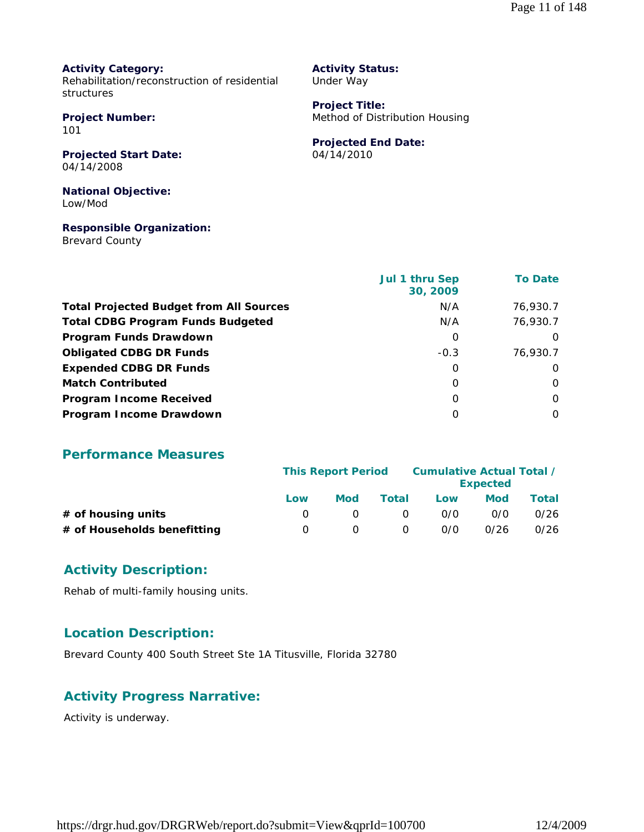**Activity Category:** Rehabilitation/reconstruction of residential structures

**Project Number:** 101

**Projected Start Date:** 04/14/2008

**National Objective:** Low/Mod

**Responsible Organization:**

Brevard County

**Activity Status:** Under Way

**Project Title:** Method of Distribution Housing

**Projected End Date:**

04/14/2010

|                                                | <b>Jul 1 thru Sep</b><br>30, 2009 | <b>To Date</b> |
|------------------------------------------------|-----------------------------------|----------------|
| <b>Total Projected Budget from All Sources</b> | N/A                               | 76,930.7       |
| <b>Total CDBG Program Funds Budgeted</b>       | N/A                               | 76,930.7       |
| Program Funds Drawdown                         | 0                                 | $\Omega$       |
| <b>Obligated CDBG DR Funds</b>                 | $-0.3$                            | 76.930.7       |
| <b>Expended CDBG DR Funds</b>                  | 0                                 | $\Omega$       |
| <b>Match Contributed</b>                       | O                                 | $\Omega$       |
| <b>Program Income Received</b>                 | O                                 | $\Omega$       |
| Program Income Drawdown                        | O                                 | $\Omega$       |

### **Performance Measures**

|                             |     | Cumulative Actual Total /<br><b>This Report Period</b><br><b>Expected</b> |          |     |      |       |
|-----------------------------|-----|---------------------------------------------------------------------------|----------|-----|------|-------|
|                             | Low | <b>Mod</b>                                                                | Total    | Low | Mod  | Total |
| $#$ of housing units        |     |                                                                           | $\Omega$ | 0/0 | 0/0  | 0/26  |
| # of Households benefitting | n   |                                                                           | $\Omega$ | 0/0 | 0/26 | 0/26  |

# **Activity Description:**

Rehab of multi-family housing units.

# **Location Description:**

Brevard County 400 South Street Ste 1A Titusville, Florida 32780

# **Activity Progress Narrative:**

Activity is underway.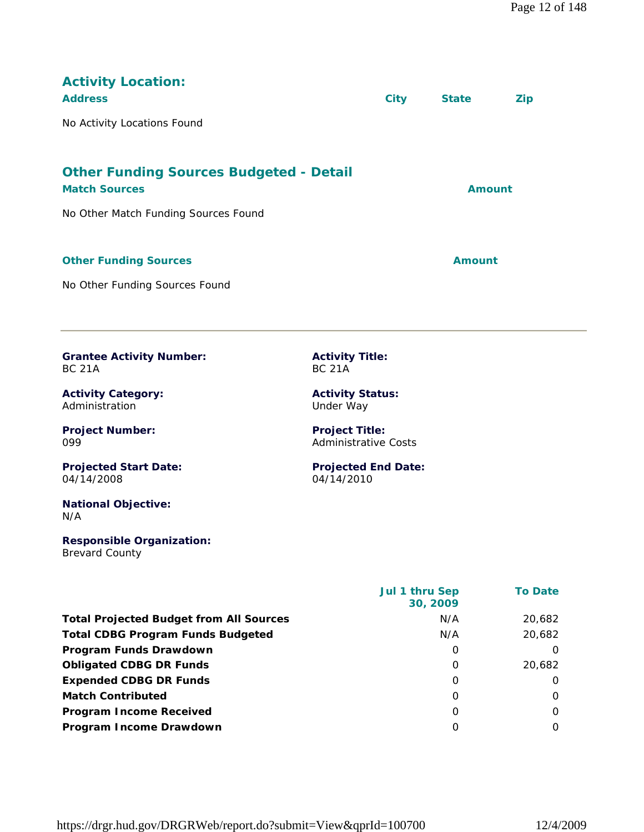| <b>Activity Location:</b><br><b>Address</b>                                                                    | <b>City</b> | <b>State</b>  | <b>Zip</b> |
|----------------------------------------------------------------------------------------------------------------|-------------|---------------|------------|
| No Activity Locations Found                                                                                    |             |               |            |
| <b>Other Funding Sources Budgeted - Detail</b><br><b>Match Sources</b><br>No Other Match Funding Sources Found |             | <b>Amount</b> |            |
| <b>Other Funding Sources</b><br>No Other Funding Sources Found                                                 |             | <b>Amount</b> |            |

**Grantee Activity Number:** BC 21A

**Activity Category:** Administration

**Project Number:** 099

**Projected Start Date:** 04/14/2008

**National Objective:** N/A

#### **Responsible Organization:** Brevard County

**Activity Title:** BC 21A

**Activity Status:** Under Way

**Project Title:** Administrative Costs

**Projected End Date:** 04/14/2010

|                                                | <b>Jul 1 thru Sep</b><br>30, 2009 | <b>To Date</b> |
|------------------------------------------------|-----------------------------------|----------------|
| <b>Total Projected Budget from All Sources</b> | N/A                               | 20,682         |
| <b>Total CDBG Program Funds Budgeted</b>       | N/A                               | 20,682         |
| Program Funds Drawdown                         | O                                 | $\Omega$       |
| <b>Obligated CDBG DR Funds</b>                 | $\Omega$                          | 20,682         |
| <b>Expended CDBG DR Funds</b>                  | 0                                 | $\Omega$       |
| <b>Match Contributed</b>                       | 0                                 | $\Omega$       |
| <b>Program Income Received</b>                 | 0                                 | $\Omega$       |
| Program Income Drawdown                        | O                                 | $\Omega$       |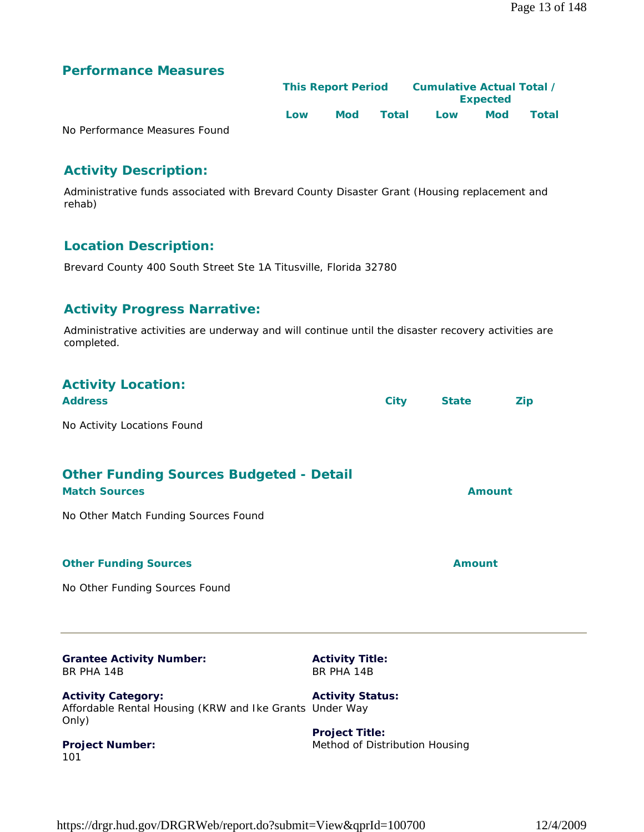# **Performance Measures**

|                               |     | <b>This Report Period</b> |       | Cumulative Actual Total /<br><b>Expected</b> |     |       |  |
|-------------------------------|-----|---------------------------|-------|----------------------------------------------|-----|-------|--|
|                               | Low | <b>Mod</b>                | Total | Low                                          | Mod | Total |  |
| No Performance Measures Found |     |                           |       |                                              |     |       |  |

# **Activity Description:**

Administrative funds associated with Brevard County Disaster Grant (Housing replacement and rehab)

# **Location Description:**

Brevard County 400 South Street Ste 1A Titusville, Florida 32780

# **Activity Progress Narrative:**

Administrative activities are underway and will continue until the disaster recovery activities are completed.

| <b>Grantee Activity Number:</b><br>BR PHA 14B                          | <b>Activity Title:</b><br>BR PHA 14B |               |     |
|------------------------------------------------------------------------|--------------------------------------|---------------|-----|
| No Other Funding Sources Found                                         |                                      |               |     |
| <b>Other Funding Sources</b>                                           |                                      | <b>Amount</b> |     |
| No Other Match Funding Sources Found                                   |                                      |               |     |
| <b>Other Funding Sources Budgeted - Detail</b><br><b>Match Sources</b> |                                      | <b>Amount</b> |     |
| No Activity Locations Found                                            |                                      |               |     |
| <b>Activity Location:</b><br><b>Address</b>                            | <b>City</b>                          | <b>State</b>  | Zip |

**Activity Category:** Affordable Rental Housing (KRW and Ike Grants Under Way Only) **Activity Status:**

**Project Number:** 101

**Project Title:** Method of Distribution Housing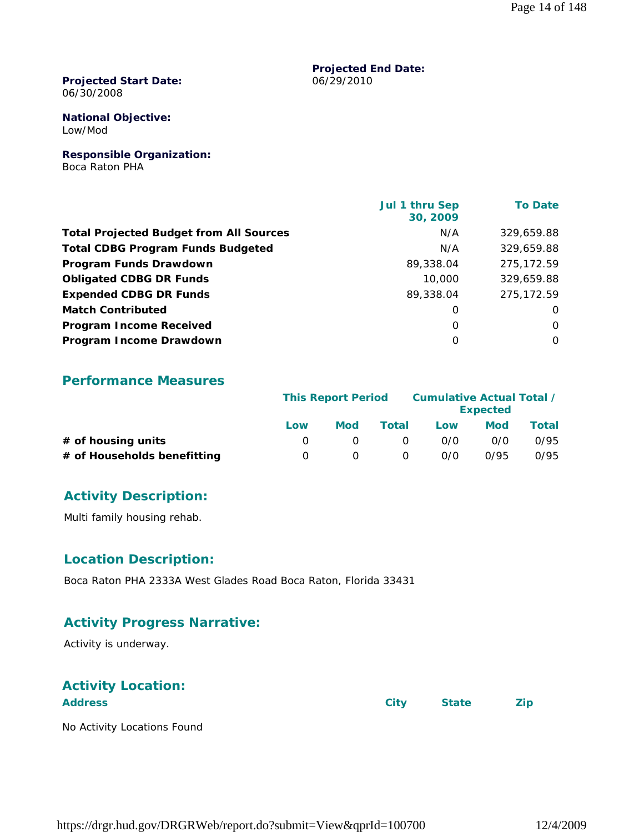#### **Projected Start Date:** 06/30/2008

#### **National Objective:** Low/Mod

**Responsible Organization:** Boca Raton PHA

|                                                | Jul 1 thru Sep<br>30, 2009 | <b>To Date</b> |
|------------------------------------------------|----------------------------|----------------|
| <b>Total Projected Budget from All Sources</b> | N/A                        | 329,659.88     |
| <b>Total CDBG Program Funds Budgeted</b>       | N/A                        | 329,659.88     |
| Program Funds Drawdown                         | 89,338.04                  | 275,172.59     |
| <b>Obligated CDBG DR Funds</b>                 | 10,000                     | 329,659.88     |
| <b>Expended CDBG DR Funds</b>                  | 89,338.04                  | 275,172.59     |
| <b>Match Contributed</b>                       | 0                          | O              |
| <b>Program Income Received</b>                 | $\Omega$                   | $\Omega$       |
| Program Income Drawdown                        | $\Omega$                   | $\Omega$       |

**Projected End Date:**

06/29/2010

# **Performance Measures**

|                             | <b>This Report Period</b> |     |          | Cumulative Actual Total / | <b>Expected</b> |       |
|-----------------------------|---------------------------|-----|----------|---------------------------|-----------------|-------|
|                             | Low                       | Mod | Total    | Low                       | Mod             | Total |
| # of housing units          |                           |     | $\Omega$ | 0/0                       | 0/0             | 0/95  |
| # of Households benefitting |                           |     | $\Omega$ | 0/0                       | 0/95            | 0/95  |

# **Activity Description:**

Multi family housing rehab.

# **Location Description:**

Boca Raton PHA 2333A West Glades Road Boca Raton, Florida 33431

# **Activity Progress Narrative:**

Activity is underway.

# **Activity Location:**

**Address City State Zip**

No Activity Locations Found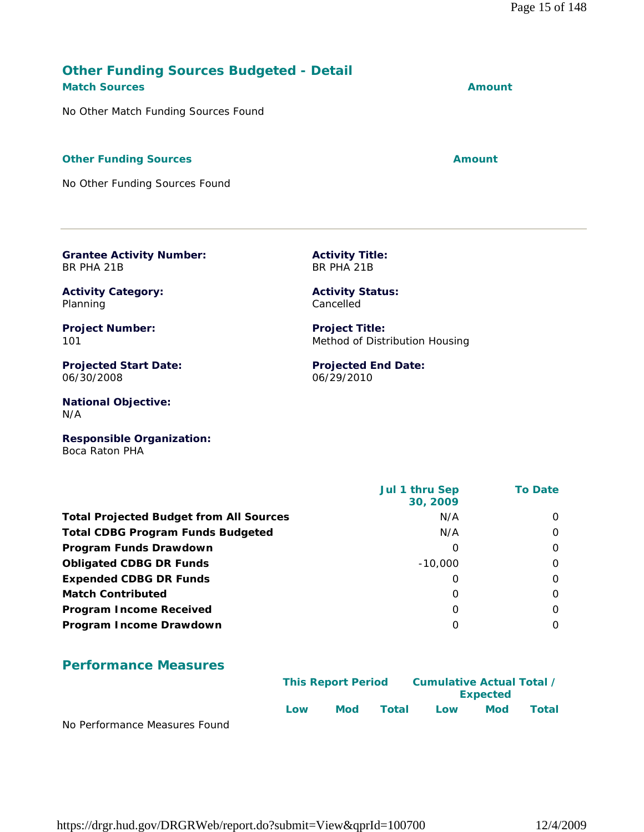# https://drgr.hud.gov/DRGRWeb/report.do?submit=View&qprId=100700 12/4/2009

# **Other Funding Sources Budgeted - Detail Match Sources Amount**

No Other Match Funding Sources Found

#### **Other Funding Sources Amount**

No Other Funding Sources Found

**Grantee Activity Number:**

BR PHA 21B

06/30/2008

Planning

101

N/A

**Activity Category:**

**Project Number:**

**Projected Start Date:**

**National Objective:**

**Activity Title:** BR PHA 21B

> **Activity Status:** Cancelled

**Project Title:** Method of Distribution Housing

**Projected End Date:** 06/29/2010

**Responsible Organization:** Boca Raton PHA

| <b>Total Projected Budget from All Sources</b><br>N/A<br><b>Total CDBG Program Funds Budgeted</b><br>N/A<br>Program Funds Drawdown<br>Ω<br><b>Obligated CDBG DR Funds</b><br>$-10,000$<br><b>Expended CDBG DR Funds</b><br>Ω |                          | Jul 1 thru Sep<br>30, 2009 | <b>To Date</b> |
|------------------------------------------------------------------------------------------------------------------------------------------------------------------------------------------------------------------------------|--------------------------|----------------------------|----------------|
|                                                                                                                                                                                                                              |                          |                            | $\Omega$       |
|                                                                                                                                                                                                                              |                          |                            | $\Omega$       |
|                                                                                                                                                                                                                              |                          |                            | $\Omega$       |
|                                                                                                                                                                                                                              |                          |                            | $\Omega$       |
|                                                                                                                                                                                                                              |                          |                            | $\Omega$       |
|                                                                                                                                                                                                                              | <b>Match Contributed</b> | 0                          | $\Omega$       |
| <b>Program Income Received</b><br>0                                                                                                                                                                                          |                          |                            | $\Omega$       |
| Program Income Drawdown<br>O                                                                                                                                                                                                 |                          |                            | $\Omega$       |

# **Performance Measures**

|                               |     | <b>This Report Period</b> |       | Cumulative Actual Total / | <b>Expected</b> |       |
|-------------------------------|-----|---------------------------|-------|---------------------------|-----------------|-------|
| No Dorformance Moncures Found | Low | Mod                       | Total | Low                       | Mod             | Total |

No Performance Measures Found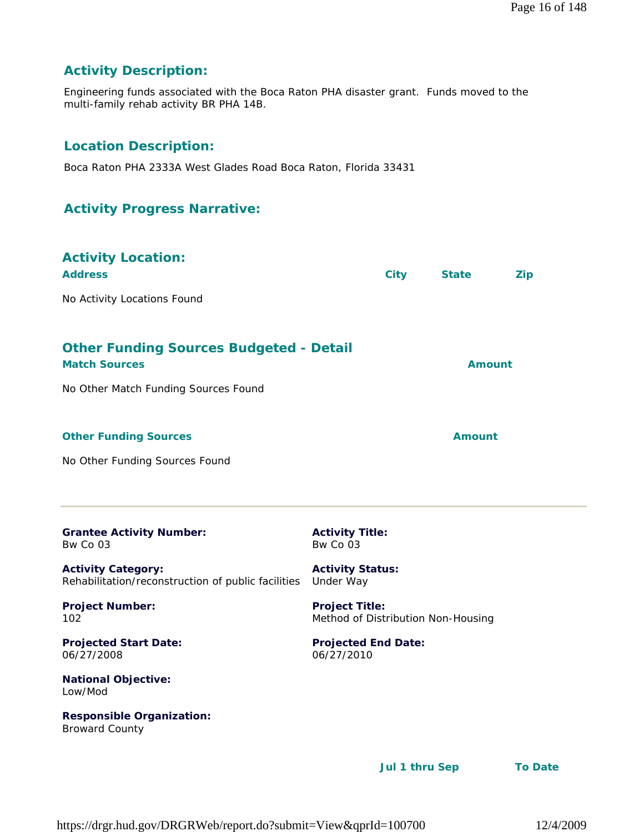Page 16 of 148

# **Activity Description:**

Engineering funds associated with the Boca Raton PHA disaster grant. Funds moved to the multi-family rehab activity BR PHA 14B.

# **Location Description:**

Boca Raton PHA 2333A West Glades Road Boca Raton, Florida 33431

# **Activity Progress Narrative:**

| <b>Activity Location:</b><br><b>Address</b>                                                                    |                                                             | <b>City</b> | <b>State</b>  | <b>Zip</b> |
|----------------------------------------------------------------------------------------------------------------|-------------------------------------------------------------|-------------|---------------|------------|
| No Activity Locations Found                                                                                    |                                                             |             |               |            |
| <b>Other Funding Sources Budgeted - Detail</b><br><b>Match Sources</b><br>No Other Match Funding Sources Found |                                                             |             | <b>Amount</b> |            |
| <b>Other Funding Sources</b>                                                                                   |                                                             |             | Amount        |            |
| No Other Funding Sources Found                                                                                 |                                                             |             |               |            |
| <b>Grantee Activity Number:</b><br>Bw Co 03                                                                    | <b>Activity Title:</b><br>Bw Co 03                          |             |               |            |
| <b>Activity Category:</b><br>Rehabilitation/reconstruction of public facilities                                | <b>Activity Status:</b><br>Under Way                        |             |               |            |
| <b>Project Number:</b><br>102                                                                                  | <b>Project Title:</b><br>Method of Distribution Non-Housing |             |               |            |
| <b>Projected Start Date:</b><br>06/27/2008                                                                     | <b>Projected End Date:</b><br>06/27/2010                    |             |               |            |
| <b>National Objective:</b><br>Low/Mod                                                                          |                                                             |             |               |            |
| <b>Responsible Organization:</b><br><b>Broward County</b>                                                      |                                                             |             |               |            |

 **Jul 1 thru Sep To Date**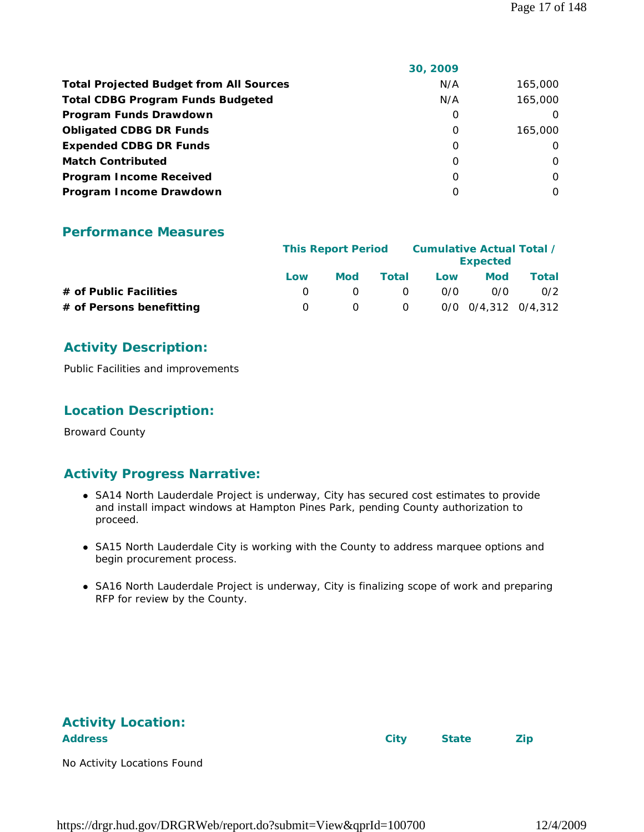|                                                | 30, 2009 |          |
|------------------------------------------------|----------|----------|
| <b>Total Projected Budget from All Sources</b> | N/A      | 165,000  |
| <b>Total CDBG Program Funds Budgeted</b>       | N/A      | 165,000  |
| Program Funds Drawdown                         | 0        |          |
| <b>Obligated CDBG DR Funds</b>                 | 0        | 165,000  |
| <b>Expended CDBG DR Funds</b>                  | 0        | $\Omega$ |
| <b>Match Contributed</b>                       | 0        | $\Omega$ |
| <b>Program Income Received</b>                 | $\Omega$ | $\Omega$ |
| Program Income Drawdown                        | Ω        | $\Omega$ |
|                                                |          |          |

# **Performance Measures**

|                          |     | <b>This Report Period</b> |          |     | Cumulative Actual Total /<br><b>Expected</b> |       |
|--------------------------|-----|---------------------------|----------|-----|----------------------------------------------|-------|
|                          | Low | <b>Mod</b>                | Total    | Low | <b>Mod</b>                                   | Total |
| # of Public Facilities   |     |                           | $\Omega$ | 0/0 | 0/0                                          | 0/2   |
| # of Persons benefitting |     |                           | $\Omega$ |     | 0/0 0/4,312 0/4,312                          |       |

# **Activity Description:**

Public Facilities and improvements

# **Location Description:**

Broward County

# **Activity Progress Narrative:**

- SA14 North Lauderdale Project is underway, City has secured cost estimates to provide and install impact windows at Hampton Pines Park, pending County authorization to proceed.
- SA15 North Lauderdale City is working with the County to address marquee options and begin procurement process.
- SA16 North Lauderdale Project is underway, City is finalizing scope of work and preparing RFP for review by the County.

| <b>Activity Location:</b>   |      |              |            |
|-----------------------------|------|--------------|------------|
| <b>Address</b>              | City | <b>State</b> | <b>Zip</b> |
| No Activity Locations Found |      |              |            |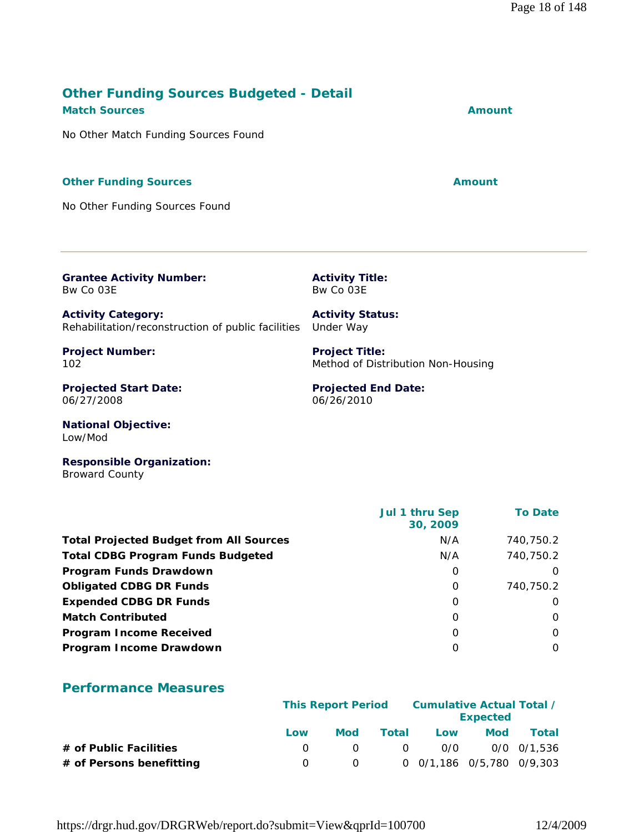# https://drgr.hud.gov/DRGRWeb/report.do?submit=View&qprId=100700 12/4/2009

# **Other Funding Sources Budgeted - Detail Match Sources Amount**

No Other Match Funding Sources Found

#### **Other Funding Sources Amount**

No Other Funding Sources Found

**Grantee Activity Number:** Bw Co 03E

**Activity Category:** Rehabilitation/reconstruction of public facilities Under Way

**Project Number:** 102

**Projected Start Date:** 06/27/2008

**National Objective:** Low/Mod

**Responsible Organization:** Broward County

|                                                | Jul 1 thru Sep<br>30, 2009 | <b>To Date</b> |
|------------------------------------------------|----------------------------|----------------|
| <b>Total Projected Budget from All Sources</b> | N/A                        | 740,750.2      |
| <b>Total CDBG Program Funds Budgeted</b>       | N/A                        | 740,750.2      |
| Program Funds Drawdown                         | O                          | 0              |
| <b>Obligated CDBG DR Funds</b>                 | $\Omega$                   | 740,750.2      |
| <b>Expended CDBG DR Funds</b>                  | 0                          | O              |
| <b>Match Contributed</b>                       | O                          | 0              |
| <b>Program Income Received</b>                 | O                          | O              |
| Program Income Drawdown                        | Ω                          | O              |

# **Performance Measures**

|                          |     | <b>This Report Period</b> |       |                 | Cumulative Actual Total /<br><b>Expected</b> |             |
|--------------------------|-----|---------------------------|-------|-----------------|----------------------------------------------|-------------|
|                          | Low | Mod                       | Total | Low             | <b>Mod</b>                                   | Total       |
| # of Public Facilities   |     |                           |       | O/O<br>$\Omega$ |                                              | 0/0 0/1,536 |
| # of Persons benefitting |     |                           |       |                 | 0 0/1,186 0/5,780 0/9,303                    |             |

**Projected End Date:** 06/26/2010

Method of Distribution Non-Housing

**Activity Title:** Bw Co 03E

**Activity Status:**

**Project Title:**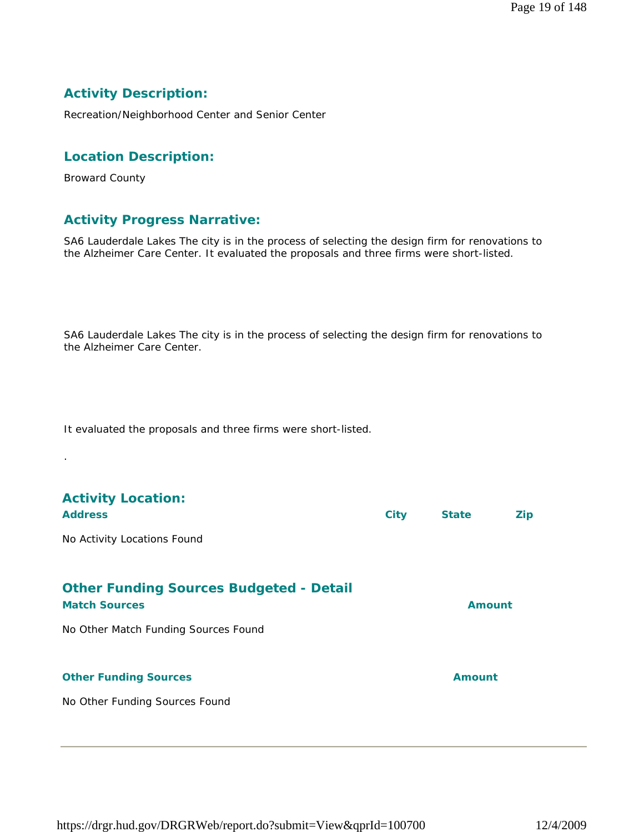# **Activity Description:**

Recreation/Neighborhood Center and Senior Center

# **Location Description:**

Broward County

.

# **Activity Progress Narrative:**

SA6 Lauderdale Lakes The city is in the process of selecting the design firm for renovations to the Alzheimer Care Center. It evaluated the proposals and three firms were short-listed.

SA6 Lauderdale Lakes The city is in the process of selecting the design firm for renovations to the Alzheimer Care Center.

It evaluated the proposals and three firms were short-listed.

| <b>Activity Location:</b><br><b>Address</b>                            | <b>City</b> | <b>State</b>  | <b>Zip</b> |
|------------------------------------------------------------------------|-------------|---------------|------------|
| No Activity Locations Found                                            |             |               |            |
| <b>Other Funding Sources Budgeted - Detail</b><br><b>Match Sources</b> |             | Amount        |            |
| No Other Match Funding Sources Found                                   |             |               |            |
| <b>Other Funding Sources</b>                                           |             | <b>Amount</b> |            |
| No Other Funding Sources Found                                         |             |               |            |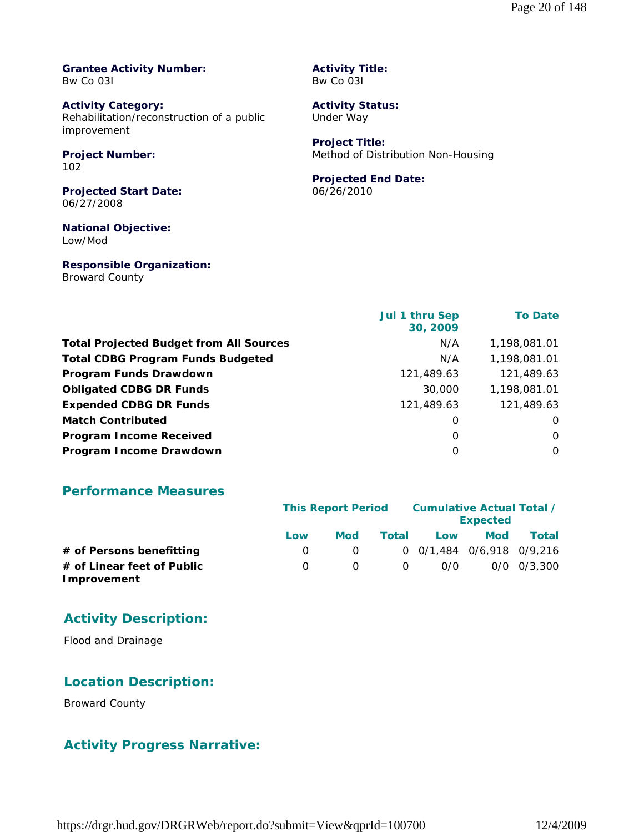**Grantee Activity Number:** Bw Co 03I

**Activity Category:** Rehabilitation/reconstruction of a public improvement

**Project Number:** 102

**Projected Start Date:** 06/27/2008

**National Objective:** Low/Mod

**Responsible Organization:** Broward County

**Activity Title:** Bw Co 03I

**Activity Status:** Under Way

**Project Title:** Method of Distribution Non-Housing

# **Projected End Date:**

06/26/2010

|                                                | Jul 1 thru Sep<br>30, 2009 | <b>To Date</b> |
|------------------------------------------------|----------------------------|----------------|
| <b>Total Projected Budget from All Sources</b> | N/A                        | 1,198,081.01   |
| <b>Total CDBG Program Funds Budgeted</b>       | N/A                        | 1,198,081.01   |
| Program Funds Drawdown                         | 121,489.63                 | 121,489.63     |
| <b>Obligated CDBG DR Funds</b>                 | 30,000                     | 1,198,081.01   |
| <b>Expended CDBG DR Funds</b>                  | 121,489.63                 | 121,489.63     |
| <b>Match Contributed</b>                       | 0                          | O              |
| <b>Program Income Received</b>                 | O                          | 0              |
| Program Income Drawdown                        | 0                          | $\Omega$       |

# **Performance Measures**

|                                           |     | <b>This Report Period</b> |              |                             | Cumulative Actual Total /<br><b>Expected</b> |                 |
|-------------------------------------------|-----|---------------------------|--------------|-----------------------------|----------------------------------------------|-----------------|
|                                           | Low | <b>Mod</b>                | <b>Total</b> | Low                         | <b>Mod</b>                                   | Total           |
| # of Persons benefitting                  |     | $\Omega$                  |              | $0$ 0/1,484 0/6,918 0/9,216 |                                              |                 |
| # of Linear feet of Public<br>Improvement |     | $\Omega$                  | $\Omega$     | 0/0                         |                                              | $0/0$ $0/3.300$ |

# **Activity Description:**

Flood and Drainage

# **Location Description:**

Broward County

# **Activity Progress Narrative:**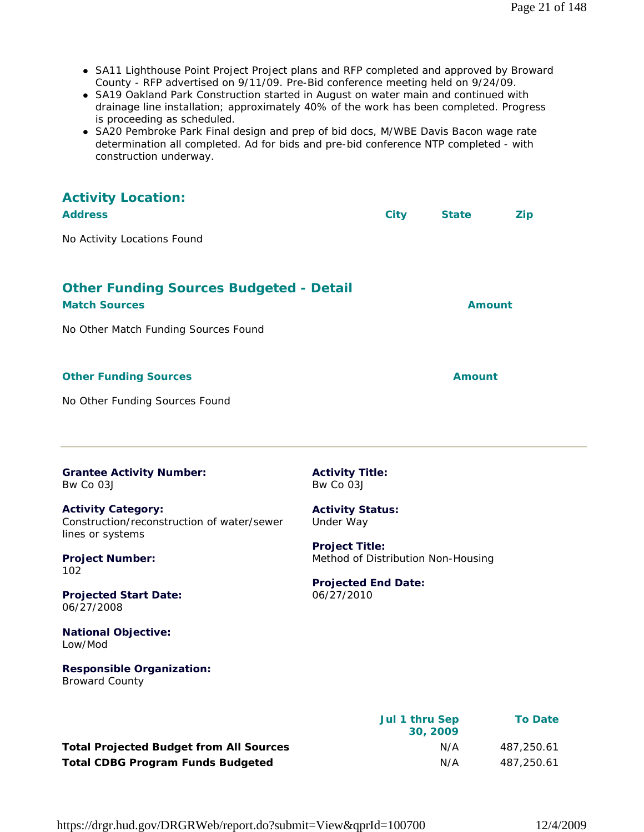- SA11 Lighthouse Point Project Project plans and RFP completed and approved by Broward County - RFP advertised on 9/11/09. Pre-Bid conference meeting held on 9/24/09.
- SA19 Oakland Park Construction started in August on water main and continued with drainage line installation; approximately 40% of the work has been completed. Progress is proceeding as scheduled.
- SA20 Pembroke Park Final design and prep of bid docs, M/WBE Davis Bacon wage rate determination all completed. Ad for bids and pre-bid conference NTP completed - with construction underway.

| <b>Activity Location:</b><br><b>Address</b>                                                                             | <b>City</b><br><b>Zip</b><br><b>State</b>                                                 |  |
|-------------------------------------------------------------------------------------------------------------------------|-------------------------------------------------------------------------------------------|--|
| No Activity Locations Found                                                                                             |                                                                                           |  |
| <b>Other Funding Sources Budgeted - Detail</b><br><b>Match Sources</b><br>No Other Match Funding Sources Found          | <b>Amount</b>                                                                             |  |
| <b>Other Funding Sources</b><br>No Other Funding Sources Found                                                          | <b>Amount</b>                                                                             |  |
| <b>Grantee Activity Number:</b><br>Bw Co 03J<br><b>Activity Category:</b><br>Construction/reconstruction of water/sewer | <b>Activity Title:</b><br>Bw Co 03J<br><b>Activity Status:</b><br>Under Way               |  |
| lines or systems<br><b>Project Number:</b><br>102                                                                       | <b>Project Title:</b><br>Method of Distribution Non-Housing<br><b>Projected End Date:</b> |  |
| <b>Projected Start Date:</b><br>06/27/2008<br><b>National Objective:</b><br>Low/Mod                                     | 06/27/2010                                                                                |  |
| <b>Responsible Organization:</b><br><b>Broward County</b>                                                               |                                                                                           |  |
|                                                                                                                         | Jul 1 thru Sep<br><b>To Date</b>                                                          |  |

|                                                | <b>JUIT TIME SEP</b><br>30, 2009 | To Date    |
|------------------------------------------------|----------------------------------|------------|
| <b>Total Projected Budget from All Sources</b> | N/A                              | 487.250.61 |
| <b>Total CDBG Program Funds Budgeted</b>       | N/A                              | 487.250.61 |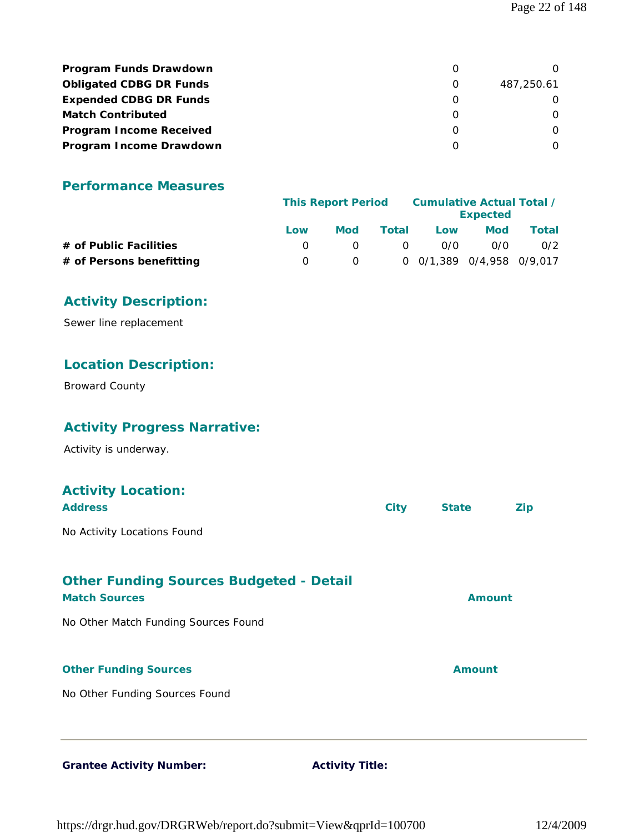| Program Funds Drawdown         |            |
|--------------------------------|------------|
| <b>Obligated CDBG DR Funds</b> | 487.250.61 |
| <b>Expended CDBG DR Funds</b>  |            |
| <b>Match Contributed</b>       |            |
| <b>Program Income Received</b> |            |
| Program Income Drawdown        |            |

# **Performance Measures**

|                          | <b>This Report Period</b> |     | Cumulative Actual Total / | <b>Expected</b>           |            |       |
|--------------------------|---------------------------|-----|---------------------------|---------------------------|------------|-------|
|                          | Low                       | Mod | Total                     | Low                       | <b>Mod</b> | Total |
| # of Public Facilities   |                           |     | $\Omega$                  | 0/0                       | 0/0        | 0/2   |
| # of Persons benefitting |                           |     |                           | 0 0/1.389 0/4.958 0/9.017 |            |       |

# **Activity Description:**

Sewer line replacement

# **Location Description:**

Broward County

# **Activity Progress Narrative:**

Activity is underway.

# **Activity Location: Address City State Zip** No Activity Locations Found **Other Funding Sources Budgeted - Detail Match Sources Amount** No Other Match Funding Sources Found

### **Other Funding Sources Amount**

No Other Funding Sources Found

#### Grantee Activity Number: **Activity Title:**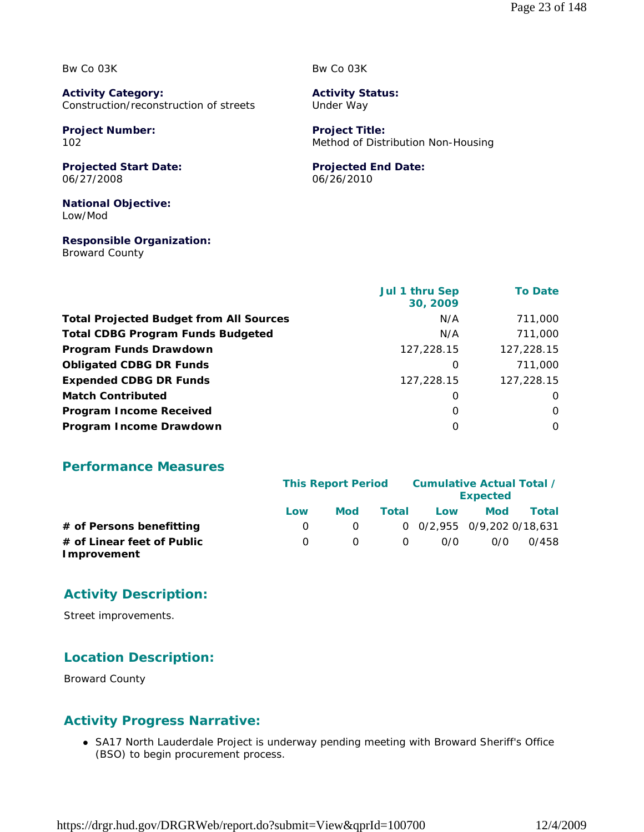Bw Co 03K

**Activity Category:** Construction/reconstruction of streets

**Project Number:** 102

**Projected Start Date:** 06/27/2008

**National Objective:** Low/Mod

**Responsible Organization:** Broward County

Bw Co 03K

**Activity Status:** Under Way

**Project Title:** Method of Distribution Non-Housing

### **Projected End Date:**

06/26/2010

|                                                | Jul 1 thru Sep<br>30, 2009 | <b>To Date</b> |
|------------------------------------------------|----------------------------|----------------|
| <b>Total Projected Budget from All Sources</b> | N/A                        | 711,000        |
| <b>Total CDBG Program Funds Budgeted</b>       | N/A                        | 711,000        |
| Program Funds Drawdown                         | 127,228.15                 | 127,228.15     |
| <b>Obligated CDBG DR Funds</b>                 | 0                          | 711,000        |
| <b>Expended CDBG DR Funds</b>                  | 127,228.15                 | 127,228.15     |
| <b>Match Contributed</b>                       | 0                          | O              |
| <b>Program Income Received</b>                 | O                          | 0              |
| Program Income Drawdown                        | O                          | 0              |

# **Performance Measures**

|                                           |                  | <b>This Report Period</b> |          |                                    | Cumulative Actual Total /<br><b>Expected</b> |       |  |
|-------------------------------------------|------------------|---------------------------|----------|------------------------------------|----------------------------------------------|-------|--|
|                                           | Low              | Mod                       | Total    | Low                                | <b>Mod</b>                                   | Total |  |
| # of Persons benefitting                  | $\left( \right)$ | $\Omega$                  |          | $0$ $0/2.955$ $0/9.202$ $0/18.631$ |                                              |       |  |
| # of Linear feet of Public<br>Improvement | $\Omega$         |                           | $\Omega$ | 0/0                                | 0/0                                          | 0/458 |  |

# **Activity Description:**

Street improvements.

# **Location Description:**

Broward County

# **Activity Progress Narrative:**

• SA17 North Lauderdale Project is underway pending meeting with Broward Sheriff's Office (BSO) to begin procurement process.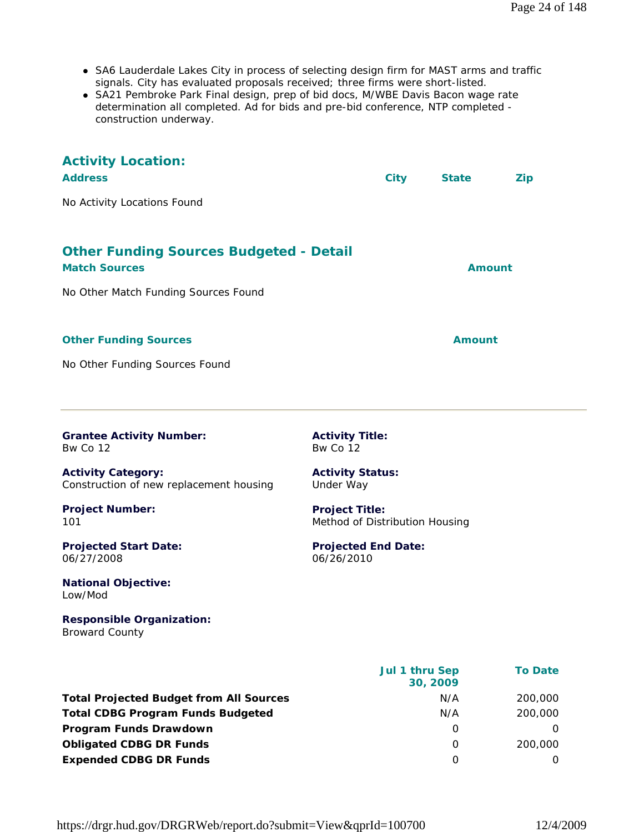- SA6 Lauderdale Lakes City in process of selecting design firm for MAST arms and traffic signals. City has evaluated proposals received; three firms were short-listed.
- SA21 Pembroke Park Final design, prep of bid docs, M/WBE Davis Bacon wage rate determination all completed. Ad for bids and pre-bid conference, NTP completed construction underway.

| <b>Activity Location:</b><br><b>Address</b><br>No Activity Locations Found | <b>City</b>                                             | <b>State</b>               | <b>Zip</b>     |
|----------------------------------------------------------------------------|---------------------------------------------------------|----------------------------|----------------|
| <b>Other Funding Sources Budgeted - Detail</b><br><b>Match Sources</b>     |                                                         | Amount                     |                |
| No Other Match Funding Sources Found                                       |                                                         |                            |                |
| <b>Other Funding Sources</b>                                               |                                                         | Amount                     |                |
| No Other Funding Sources Found                                             |                                                         |                            |                |
| <b>Grantee Activity Number:</b><br>Bw Co 12                                | <b>Activity Title:</b><br><b>Bw Co 12</b>               |                            |                |
| <b>Activity Category:</b><br>Construction of new replacement housing       | <b>Activity Status:</b><br>Under Way                    |                            |                |
| <b>Project Number:</b><br>101                                              | <b>Project Title:</b><br>Method of Distribution Housing |                            |                |
| <b>Projected Start Date:</b><br>06/27/2008                                 | <b>Projected End Date:</b><br>06/26/2010                |                            |                |
| <b>National Objective:</b><br>Low/Mod                                      |                                                         |                            |                |
| <b>Responsible Organization:</b><br><b>Broward County</b>                  |                                                         |                            |                |
|                                                                            |                                                         | Jul 1 thru Sep<br>30, 2009 | <b>To Date</b> |
| <b>Total Projected Budget from All Sources</b>                             |                                                         | N/A                        | 200,000        |
| <b>Total CDBG Program Funds Budgeted</b>                                   |                                                         | N/A                        | 200,000        |
| Program Funds Drawdown                                                     |                                                         | $\mathbf 0$                | 0              |
| <b>Obligated CDBG DR Funds</b>                                             |                                                         | 0                          | 200,000        |

**Expended CDBG DR Funds** 0 0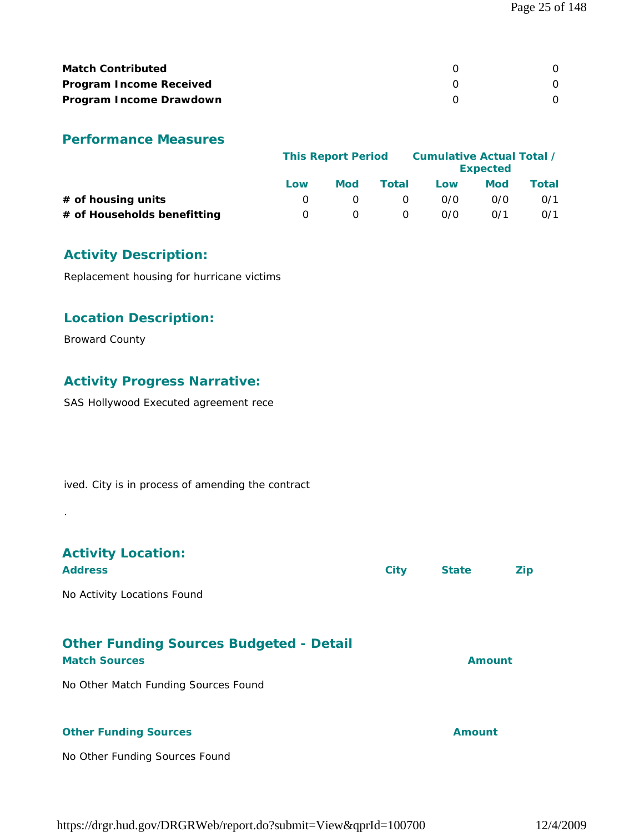| <b>Match Contributed</b>       |  |
|--------------------------------|--|
| <b>Program Income Received</b> |  |
| Program Income Drawdown        |  |

# **Performance Measures**

|                             | <b>This Report Period</b> |            |       | Cumulative Actual Total /<br><b>Expected</b> |     |       |
|-----------------------------|---------------------------|------------|-------|----------------------------------------------|-----|-------|
|                             | Low                       | <b>Mod</b> | Total | Low                                          | Mod | Total |
| $#$ of housing units        |                           |            | 0     | 0/0                                          | 0/0 | 0/1   |
| # of Households benefitting | $\left( \right)$          |            | O     | 0/0                                          | 0/1 | 0/1   |

# **Activity Description:**

Replacement housing for hurricane victims

# **Location Description:**

Broward County

.

# **Activity Progress Narrative:**

SAS Hollywood Executed agreement rece

ived. City is in process of amending the contract

| <b>Activity Location:</b><br><b>Address</b>                            | <b>City</b> | <b>State</b>  | <b>Zip</b> |
|------------------------------------------------------------------------|-------------|---------------|------------|
| No Activity Locations Found                                            |             |               |            |
| <b>Other Funding Sources Budgeted - Detail</b><br><b>Match Sources</b> |             | <b>Amount</b> |            |
| No Other Match Funding Sources Found                                   |             |               |            |
| <b>Other Funding Sources</b>                                           |             | Amount        |            |

# No Other Funding Sources Found

https://drgr.hud.gov/DRGRWeb/report.do?submit=View&qprId=100700 12/4/2009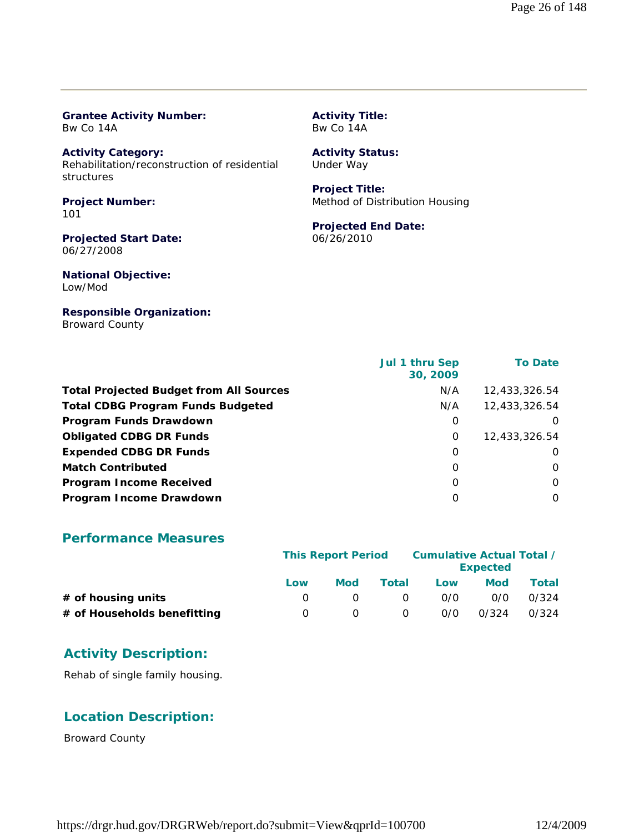#### **Grantee Activity Number:** Bw Co 14A

**Activity Category:** Rehabilitation/reconstruction of residential structures

**Project Number:** 101

**Projected Start Date:** 06/27/2008

**National Objective:** Low/Mod

# **Responsible Organization:**

Broward County

#### **Activity Title:** Bw Co 14A

# **Activity Status:**

Under Way

#### **Project Title:** Method of Distribution Housing

# **Projected End Date:**

06/26/2010

|                                                | Jul 1 thru Sep<br>30, 2009 | <b>To Date</b> |
|------------------------------------------------|----------------------------|----------------|
| <b>Total Projected Budget from All Sources</b> | N/A                        | 12,433,326.54  |
| <b>Total CDBG Program Funds Budgeted</b>       | N/A                        | 12,433,326.54  |
| <b>Program Funds Drawdown</b>                  | O                          | $\Omega$       |
| <b>Obligated CDBG DR Funds</b>                 | 0                          | 12,433,326.54  |
| <b>Expended CDBG DR Funds</b>                  | 0                          | O              |
| <b>Match Contributed</b>                       | 0                          | O              |
| <b>Program Income Received</b>                 | $\Omega$                   | $\Omega$       |
| Program Income Drawdown                        | O                          | $\Omega$       |

# **Performance Measures**

|                             | <b>This Report Period</b> |            |          | Cumulative Actual Total /<br><b>Expected</b> |            |       |
|-----------------------------|---------------------------|------------|----------|----------------------------------------------|------------|-------|
|                             | Low                       | <b>Mod</b> | Total    | Low                                          | <b>Mod</b> | Total |
| $#$ of housing units        |                           |            | $\Omega$ | 0/0                                          | 0/0        | 0/324 |
| # of Households benefitting |                           |            | 0        | 0/0                                          | 0/324      | 0/324 |

# **Activity Description:**

Rehab of single family housing.

# **Location Description:**

Broward County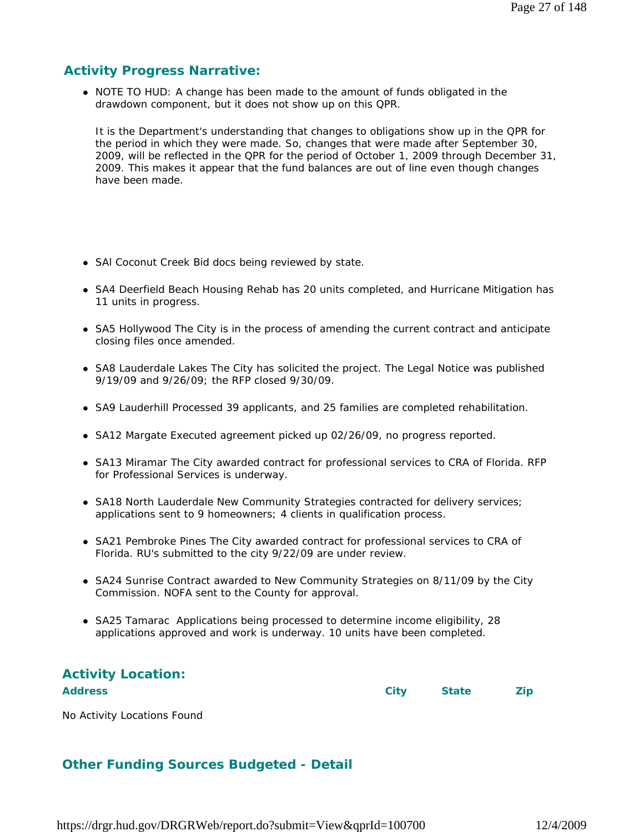# **Activity Progress Narrative:**

• NOTE TO HUD: A change has been made to the amount of funds obligated in the drawdown component, but it does not show up on this QPR.

It is the Department's understanding that changes to obligations show up in the QPR for the period in which they were made. So, changes that were made after September 30, 2009, will be reflected in the QPR for the period of October 1, 2009 through December 31, 2009. This makes it appear that the fund balances are out of line even though changes have been made.

- SAI Coconut Creek Bid docs being reviewed by state.
- SA4 Deerfield Beach Housing Rehab has 20 units completed, and Hurricane Mitigation has 11 units in progress.
- SA5 Hollywood The City is in the process of amending the current contract and anticipate closing files once amended.
- SA8 Lauderdale Lakes The City has solicited the project. The Legal Notice was published 9/19/09 and 9/26/09; the RFP closed 9/30/09.
- SA9 Lauderhill Processed 39 applicants, and 25 families are completed rehabilitation.
- SA12 Margate Executed agreement picked up 02/26/09, no progress reported.
- SA13 Miramar The City awarded contract for professional services to CRA of Florida. RFP for Professional Services is underway.
- SA18 North Lauderdale New Community Strategies contracted for delivery services; applications sent to 9 homeowners; 4 clients in qualification process.
- SA21 Pembroke Pines The City awarded contract for professional services to CRA of Florida. RU's submitted to the city 9/22/09 are under review.
- SA24 Sunrise Contract awarded to New Community Strategies on 8/11/09 by the City Commission. NOFA sent to the County for approval.
- SA25 Tamarac Applications being processed to determine income eligibility, 28 applications approved and work is underway. 10 units have been completed.

# **Activity Location:**

**Address City State Zip**

No Activity Locations Found

# **Other Funding Sources Budgeted - Detail**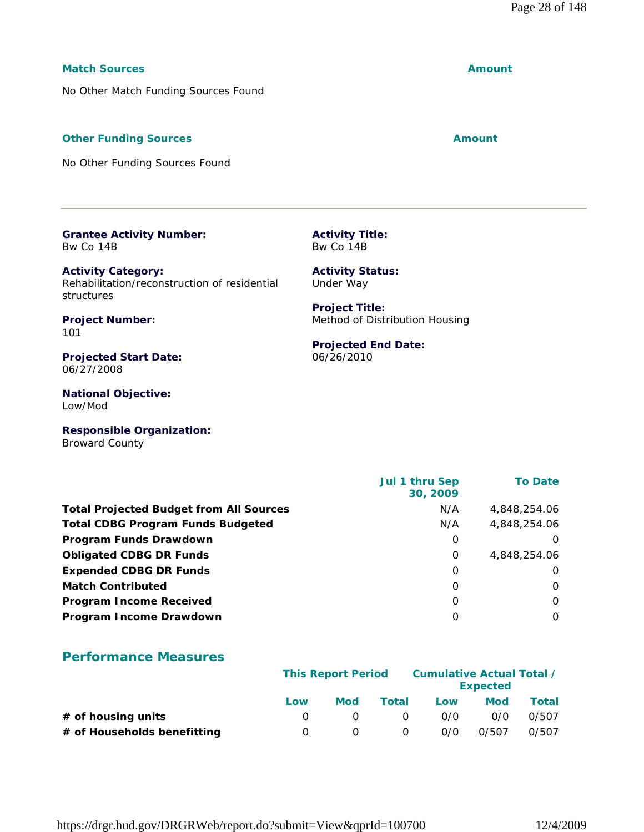# **Match Sources Amount**

No Other Match Funding Sources Found

# **Other Funding Sources Amount Amount Amount**

No Other Funding Sources Found

**Grantee Activity Number:** Bw Co 14B

**Activity Category:** Rehabilitation/reconstruction of residential structures

**Project Number:** 101

**Projected Start Date:** 06/27/2008

**National Objective:** Low/Mod

**Responsible Organization:** Broward County

 **Jul 1 thru Sep 30, 2009 To Date Total Projected Budget from All Sources** N/A 4,848,254.06 **Total CDBG Program Funds Budgeted NA 2,848,254.06 Program Funds Drawdown** 0 0 **Obligated CDBG DR Funds** 0 4,848,254.06 **Expended CDBG DR Funds** 0 0 **Match Contributed** 0 0 **Program Income Received** 0 0 **Program Income Drawdown** 0 0

**Activity Title:** Bw Co 14B

**Activity Status:** Under Way

**Projected End Date:**

Method of Distribution Housing

**Project Title:**

06/26/2010

# **Performance Measures**

|                             |     | <b>This Report Period</b> |          |     | Cumulative Actual Total /<br><b>Expected</b> |       |  |
|-----------------------------|-----|---------------------------|----------|-----|----------------------------------------------|-------|--|
|                             | Low | Mod                       | Total    | Low | Mod                                          | Total |  |
| $#$ of housing units        |     |                           | $\Omega$ | 0/0 | 0/0                                          | 0/507 |  |
| # of Households benefitting |     |                           | 0        | 0/0 | 0/507                                        | 0/507 |  |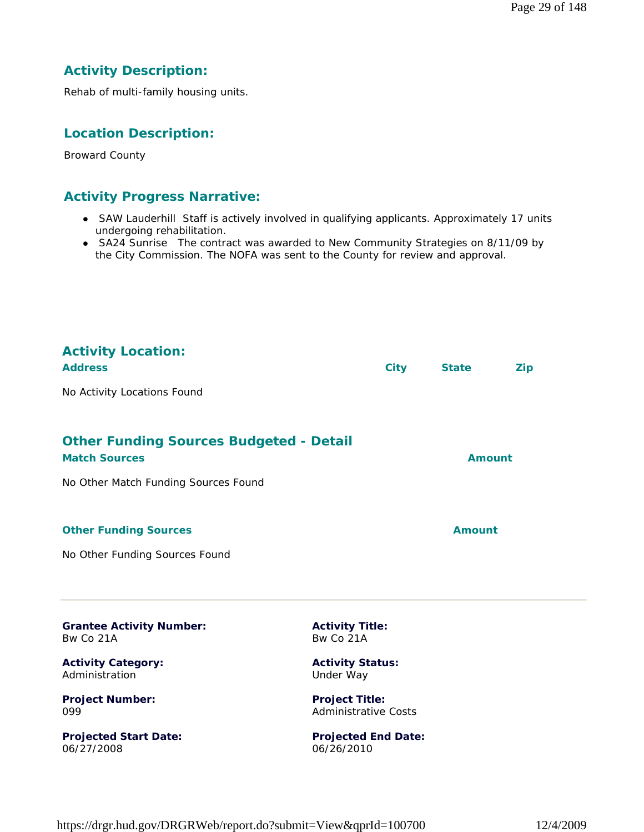# **Activity Description:**

Rehab of multi-family housing units.

# **Location Description:**

Broward County

# **Activity Progress Narrative:**

- SAW Lauderhill Staff is actively involved in qualifying applicants. Approximately 17 units undergoing rehabilitation.
- SA24 Sunrise The contract was awarded to New Community Strategies on 8/11/09 by the City Commission. The NOFA was sent to the County for review and approval.

| <b>Activity Location:</b><br><b>Address</b>                            |                                                      | <b>City</b> | <b>State</b>  | Zip |
|------------------------------------------------------------------------|------------------------------------------------------|-------------|---------------|-----|
| No Activity Locations Found                                            |                                                      |             |               |     |
| <b>Other Funding Sources Budgeted - Detail</b><br><b>Match Sources</b> |                                                      |             | <b>Amount</b> |     |
| No Other Match Funding Sources Found                                   |                                                      |             |               |     |
| <b>Other Funding Sources</b>                                           |                                                      |             | <b>Amount</b> |     |
| No Other Funding Sources Found                                         |                                                      |             |               |     |
| <b>Grantee Activity Number:</b><br>Bw Co 21A                           | <b>Activity Title:</b><br>Bw Co 21A                  |             |               |     |
| <b>Activity Category:</b><br>Administration                            | <b>Activity Status:</b><br>Under Way                 |             |               |     |
| <b>Project Number:</b><br>099                                          | <b>Project Title:</b><br><b>Administrative Costs</b> |             |               |     |

**Projected Start Date:** 06/27/2008

**Projected End Date:** 06/26/2010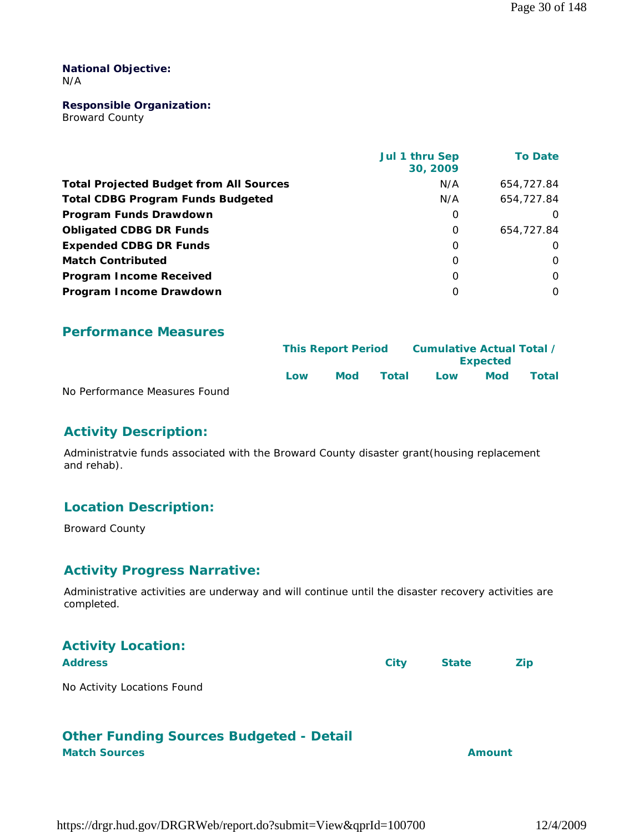#### **National Objective:** N/A

#### **Responsible Organization:**

Broward County

|                                                | Jul 1 thru Sep<br>30, 2009 | <b>To Date</b> |
|------------------------------------------------|----------------------------|----------------|
| <b>Total Projected Budget from All Sources</b> | N/A                        | 654,727.84     |
| <b>Total CDBG Program Funds Budgeted</b>       | N/A                        | 654,727.84     |
| Program Funds Drawdown                         | 0                          | $\Omega$       |
| <b>Obligated CDBG DR Funds</b>                 | $\Omega$                   | 654,727.84     |
| <b>Expended CDBG DR Funds</b>                  | $\Omega$                   | $\Omega$       |
| <b>Match Contributed</b>                       | $\Omega$                   | $\Omega$       |
| <b>Program Income Received</b>                 | $\Omega$                   | $\Omega$       |
| Program Income Drawdown                        | O                          | $\Omega$       |

# **Performance Measures**

|                               |     | <b>This Report Period</b> |       | Cumulative Actual Total /<br><b>Expected</b> |            |       |
|-------------------------------|-----|---------------------------|-------|----------------------------------------------|------------|-------|
|                               | Low | Mod                       | Total | Low                                          | <b>Mod</b> | Total |
| No Performance Measures Found |     |                           |       |                                              |            |       |

No Performance Measures Found

# **Activity Description:**

Administratvie funds associated with the Broward County disaster grant(housing replacement and rehab).

# **Location Description:**

Broward County

# **Activity Progress Narrative:**

Administrative activities are underway and will continue until the disaster recovery activities are completed.

| <b>Activity Location:</b>   |      |              |            |
|-----------------------------|------|--------------|------------|
| <b>Address</b>              | City | <b>State</b> | <b>Zip</b> |
| No Activity Locations Found |      |              |            |

#### No Activity Locations Found

# **Other Funding Sources Budgeted - Detail Match Sources Amount**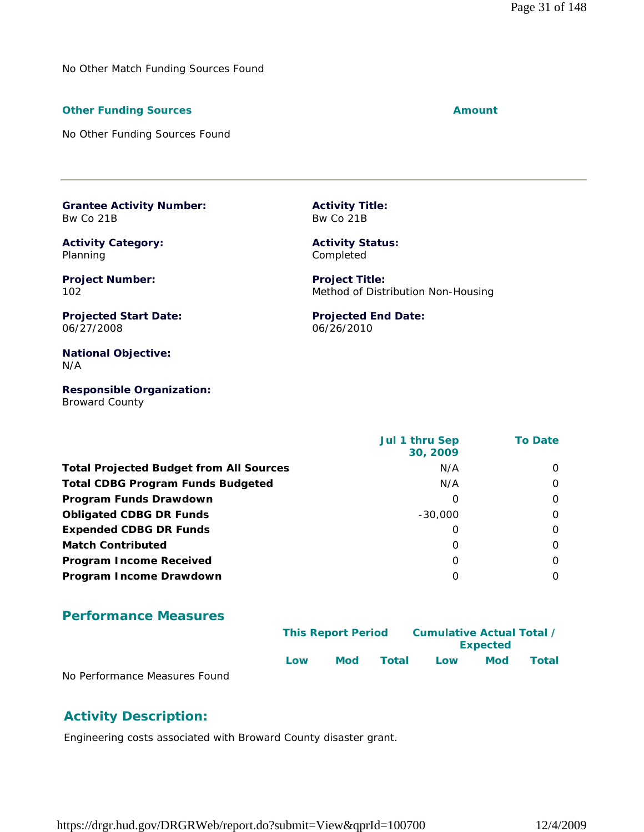No Other Match Funding Sources Found

#### **Other Funding Sources Amount Amount Amount**

No Other Funding Sources Found

**Grantee Activity Number:** Bw Co 21B

**Activity Category:** Planning

**Project Number:** 102

**Projected Start Date:** 06/27/2008

**National Objective:** N/A

**Responsible Organization:** Broward County

 **Jul 1 thru Sep 30, 2009 To Date Total Projected Budget from All Sources** N/A 00 **Total CDBG Program Funds Budgeted N/A 0011 11 12 12 13 14 14 15 16 17 17 18 18 18 18 18 18 18 18 18 18 18 18 1 Program Funds Drawdown** 0 0 **Obligated CDBG DR Funds**  $-30,000$  0 **Expended CDBG DR Funds** 0 0 **Match Contributed** 0 0 **Program Income Received and Second Community Community Community Community Community Community Community Community Program Income Drawdown** 0 0

### **Performance Measures**

|                               |     | <b>This Report Period</b> |       | Cumulative Actual Total /<br><b>Expected</b> |            |              |  |
|-------------------------------|-----|---------------------------|-------|----------------------------------------------|------------|--------------|--|
|                               | Low | Mod                       | Total | Low                                          | <b>Mod</b> | <b>Total</b> |  |
| No Performance Measures Found |     |                           |       |                                              |            |              |  |

nance Measures

# **Activity Description:**

Engineering costs associated with Broward County disaster grant.

https://drgr.hud.gov/DRGRWeb/report.do?submit=View&qprId=100700 12/4/2009

**Activity Title:** Bw Co 21B

**Activity Status:** Completed

**Project Title:** Method of Distribution Non-Housing

**Projected End Date:** 06/26/2010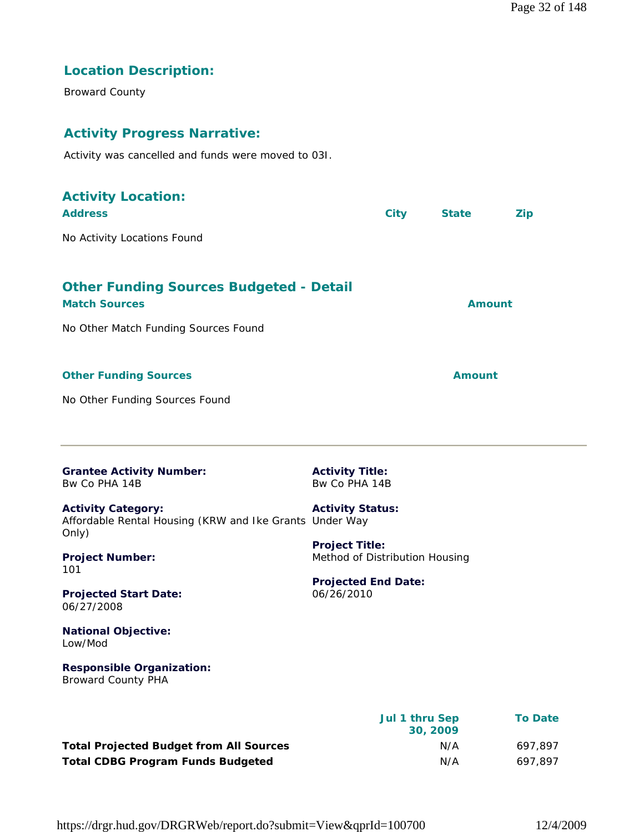# **Location Description:**

Broward County

# **Activity Progress Narrative:**

Activity was cancelled and funds were moved to 03I.

| <b>Activity Location:</b><br><b>Address</b>                                                   | <b>City</b>                                             | <b>State</b>               |               | <b>Zip</b>     |
|-----------------------------------------------------------------------------------------------|---------------------------------------------------------|----------------------------|---------------|----------------|
| No Activity Locations Found                                                                   |                                                         |                            |               |                |
|                                                                                               |                                                         |                            |               |                |
| <b>Other Funding Sources Budgeted - Detail</b><br><b>Match Sources</b>                        |                                                         |                            | <b>Amount</b> |                |
| No Other Match Funding Sources Found                                                          |                                                         |                            |               |                |
|                                                                                               |                                                         |                            |               |                |
| <b>Other Funding Sources</b>                                                                  |                                                         |                            | <b>Amount</b> |                |
| No Other Funding Sources Found                                                                |                                                         |                            |               |                |
|                                                                                               |                                                         |                            |               |                |
|                                                                                               |                                                         |                            |               |                |
| <b>Grantee Activity Number:</b><br>Bw Co PHA 14B                                              | <b>Activity Title:</b><br>Bw Co PHA 14B                 |                            |               |                |
| <b>Activity Category:</b><br>Affordable Rental Housing (KRW and Ike Grants Under Way<br>Only) | <b>Activity Status:</b>                                 |                            |               |                |
| <b>Project Number:</b><br>101                                                                 | <b>Project Title:</b><br>Method of Distribution Housing |                            |               |                |
| <b>Projected Start Date:</b><br>06/27/2008                                                    | <b>Projected End Date:</b><br>06/26/2010                |                            |               |                |
| <b>National Objective:</b><br>Low/Mod                                                         |                                                         |                            |               |                |
| <b>Responsible Organization:</b><br><b>Broward County PHA</b>                                 |                                                         |                            |               |                |
|                                                                                               |                                                         | Jul 1 thru Sep<br>30, 2009 |               | <b>To Date</b> |
| <b>Total Projected Budget from All Sources</b>                                                |                                                         | N/A                        |               | 697,897        |

**Total CDBG Program Funds Budgeted** N/A 697,897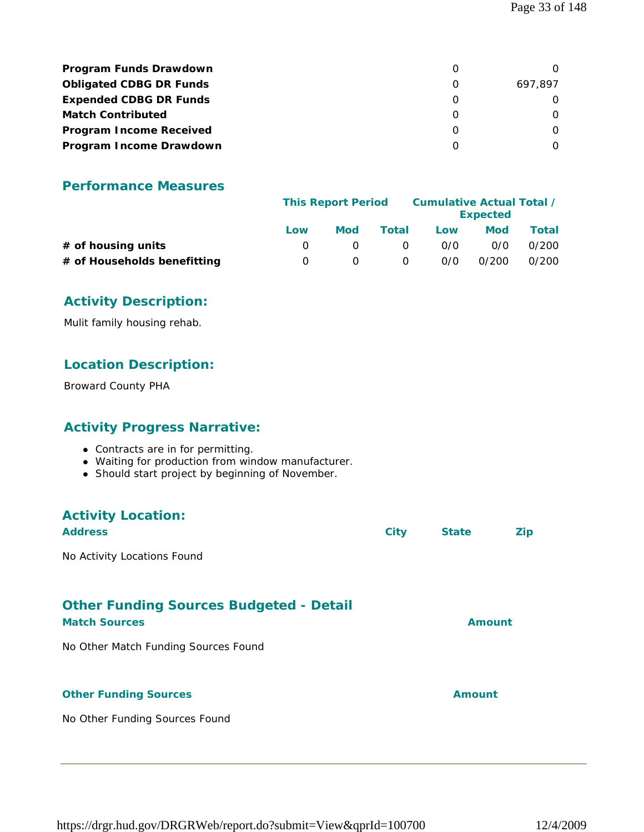| <b>Program Funds Drawdown</b>  |         |
|--------------------------------|---------|
| <b>Obligated CDBG DR Funds</b> | 697.897 |
| <b>Expended CDBG DR Funds</b>  |         |
| <b>Match Contributed</b>       |         |
| <b>Program Income Received</b> |         |
| Program Income Drawdown        |         |

# **Performance Measures**

|                             | <b>This Report Period</b> |     |          | Cumulative Actual Total / | <b>Expected</b> |       |
|-----------------------------|---------------------------|-----|----------|---------------------------|-----------------|-------|
|                             | Low                       | Mod | Total    | Low                       | Mod             | Total |
| # of housing units          |                           |     | $\Omega$ | 0/0                       | 0/0             | 0/200 |
| # of Households benefitting |                           |     | 0        | 0/0                       | 0/200           | 0/200 |

# **Activity Description:**

Mulit family housing rehab.

# **Location Description:**

Broward County PHA

# **Activity Progress Narrative:**

- Contracts are in for permitting.
- Waiting for production from window manufacturer.
- Should start project by beginning of November.

# **Activity Location:**

| <b>Address</b>                                                         | <b>City</b> | <b>State</b>  | <b>Zip</b> |
|------------------------------------------------------------------------|-------------|---------------|------------|
| No Activity Locations Found                                            |             |               |            |
|                                                                        |             |               |            |
| <b>Other Funding Sources Budgeted - Detail</b><br><b>Match Sources</b> |             | Amount        |            |
| No Other Match Funding Sources Found                                   |             |               |            |
|                                                                        |             |               |            |
| <b>Other Funding Sources</b>                                           |             | <b>Amount</b> |            |
| No Other Funding Sources Found                                         |             |               |            |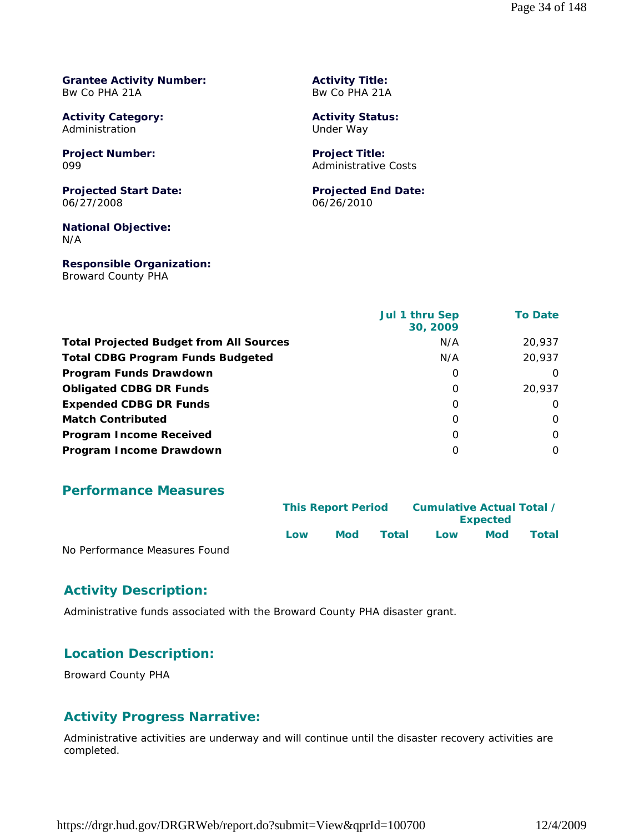#### **Grantee Activity Number:** Bw Co PHA 21A

**Activity Category:** Administration

**Project Number:** 099

**Projected Start Date:** 06/27/2008

**National Objective:** N/A

**Responsible Organization:** Broward County PHA

**Activity Title:** Bw Co PHA 21A

**Activity Status:** Under Way

**Project Title:** Administrative Costs

**Projected End Date:** 06/26/2010

|                                                | Jul 1 thru Sep<br>30, 2009 | <b>To Date</b> |
|------------------------------------------------|----------------------------|----------------|
| <b>Total Projected Budget from All Sources</b> | N/A                        | 20,937         |
| <b>Total CDBG Program Funds Budgeted</b>       | N/A                        | 20,937         |
| Program Funds Drawdown                         | 0                          | $\Omega$       |
| <b>Obligated CDBG DR Funds</b>                 | 0                          | 20,937         |
| <b>Expended CDBG DR Funds</b>                  | $\Omega$                   | $\Omega$       |
| <b>Match Contributed</b>                       | 0                          | $\Omega$       |
| <b>Program Income Received</b>                 | $\Omega$                   | $\Omega$       |
| Program Income Drawdown                        | $\Omega$                   | $\Omega$       |

### **Performance Measures**

|                               | <b>This Report Period</b> |            |       | Cumulative Actual Total /<br><b>Expected</b> |            |       |
|-------------------------------|---------------------------|------------|-------|----------------------------------------------|------------|-------|
|                               | l ow                      | <b>Mod</b> | Total | Low                                          | <b>Mod</b> | Total |
| No Performance Measures Found |                           |            |       |                                              |            |       |

# **Activity Description:**

Administrative funds associated with the Broward County PHA disaster grant.

# **Location Description:**

Broward County PHA

# **Activity Progress Narrative:**

Administrative activities are underway and will continue until the disaster recovery activities are completed.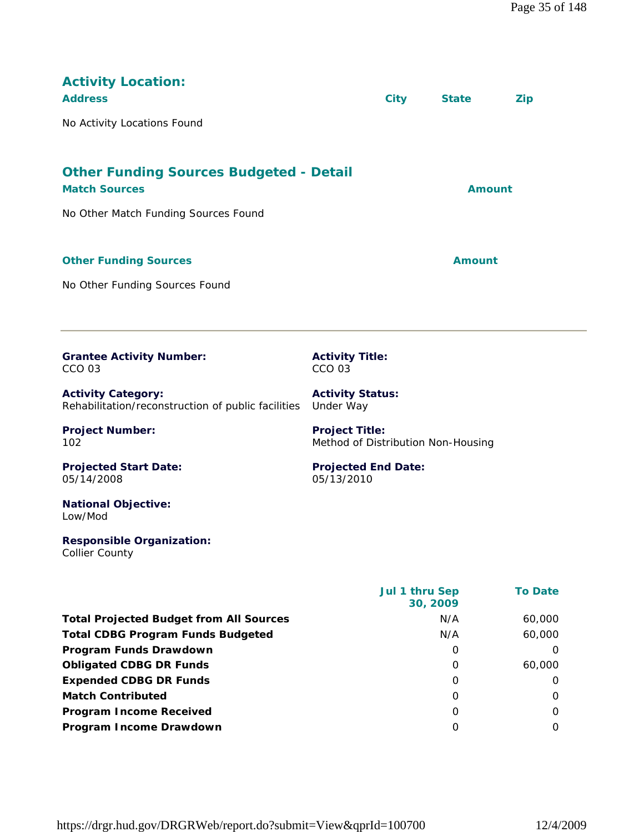| <b>Activity Location:</b><br><b>Address</b>                                     | <b>City</b>                                                 | <b>State</b>  | Zip |
|---------------------------------------------------------------------------------|-------------------------------------------------------------|---------------|-----|
| No Activity Locations Found                                                     |                                                             |               |     |
| <b>Other Funding Sources Budgeted - Detail</b><br><b>Match Sources</b>          |                                                             | <b>Amount</b> |     |
| No Other Match Funding Sources Found                                            |                                                             |               |     |
| <b>Other Funding Sources</b>                                                    |                                                             | <b>Amount</b> |     |
| No Other Funding Sources Found                                                  |                                                             |               |     |
|                                                                                 |                                                             |               |     |
| <b>Grantee Activity Number:</b><br><b>CCO 03</b>                                | <b>Activity Title:</b><br><b>CCO 03</b>                     |               |     |
| <b>Activity Category:</b><br>Rehabilitation/reconstruction of public facilities | <b>Activity Status:</b><br>Under Way                        |               |     |
| <b>Project Number:</b><br>102                                                   | <b>Project Title:</b><br>Method of Distribution Non-Housing |               |     |
| <b>Projected Start Date:</b><br>05/14/2008                                      | <b>Projected End Date:</b><br>05/13/2010                    |               |     |
| <b>National Objective:</b><br>Low/Mod                                           |                                                             |               |     |
| <b>Responsible Organization:</b><br><b>Collier County</b>                       |                                                             |               |     |

|                                                | <b>Jul 1 thru Sep</b><br>30, 2009 | <b>To Date</b> |
|------------------------------------------------|-----------------------------------|----------------|
| <b>Total Projected Budget from All Sources</b> | N/A                               | 60,000         |
| <b>Total CDBG Program Funds Budgeted</b>       | N/A                               | 60,000         |
| Program Funds Drawdown                         | 0                                 | O              |
| <b>Obligated CDBG DR Funds</b>                 | $\Omega$                          | 60,000         |
| <b>Expended CDBG DR Funds</b>                  | $\Omega$                          | O              |
| <b>Match Contributed</b>                       | $\Omega$                          | O              |
| <b>Program Income Received</b>                 | $\Omega$                          | 0              |
| Program Income Drawdown                        | O                                 | 0              |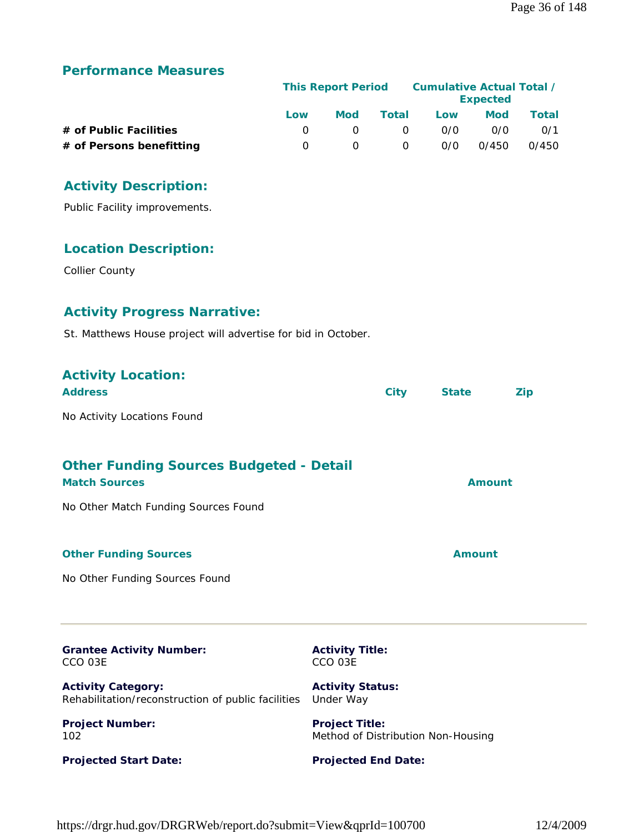# **Performance Measures**

|                          | <b>This Report Period</b> |            |          | <b>Cumulative Actual Total /</b><br><b>Expected</b> |            |       |
|--------------------------|---------------------------|------------|----------|-----------------------------------------------------|------------|-------|
|                          | Low                       | <b>Mod</b> | Total    | Low                                                 | <b>Mod</b> | Total |
| # of Public Facilities   |                           | $\cap$     | - 0      | 0/0                                                 | 0/0        | 0/1   |
| # of Persons benefitting |                           |            | $\Omega$ | 0/0                                                 | 0/450      | 0/450 |

# **Activity Description:**

Public Facility improvements.

# **Location Description:**

Collier County

# **Activity Progress Narrative:**

St. Matthews House project will advertise for bid in October.

| <b>Activity Location:</b><br><b>Address</b>                                                                    | <b>City</b>                                                 | <b>State</b>  | <b>Zip</b> |
|----------------------------------------------------------------------------------------------------------------|-------------------------------------------------------------|---------------|------------|
| No Activity Locations Found                                                                                    |                                                             |               |            |
| <b>Other Funding Sources Budgeted - Detail</b><br><b>Match Sources</b><br>No Other Match Funding Sources Found |                                                             | Amount        |            |
| <b>Other Funding Sources</b>                                                                                   |                                                             | <b>Amount</b> |            |
| No Other Funding Sources Found                                                                                 |                                                             |               |            |
| <b>Grantee Activity Number:</b><br>CCO 03E                                                                     | <b>Activity Title:</b><br>CCO 03E                           |               |            |
| <b>Activity Category:</b><br>Rehabilitation/reconstruction of public facilities                                | <b>Activity Status:</b><br>Under Way                        |               |            |
| <b>Project Number:</b><br>102                                                                                  | <b>Project Title:</b><br>Method of Distribution Non-Housing |               |            |
| <b>Projected Start Date:</b>                                                                                   | <b>Projected End Date:</b>                                  |               |            |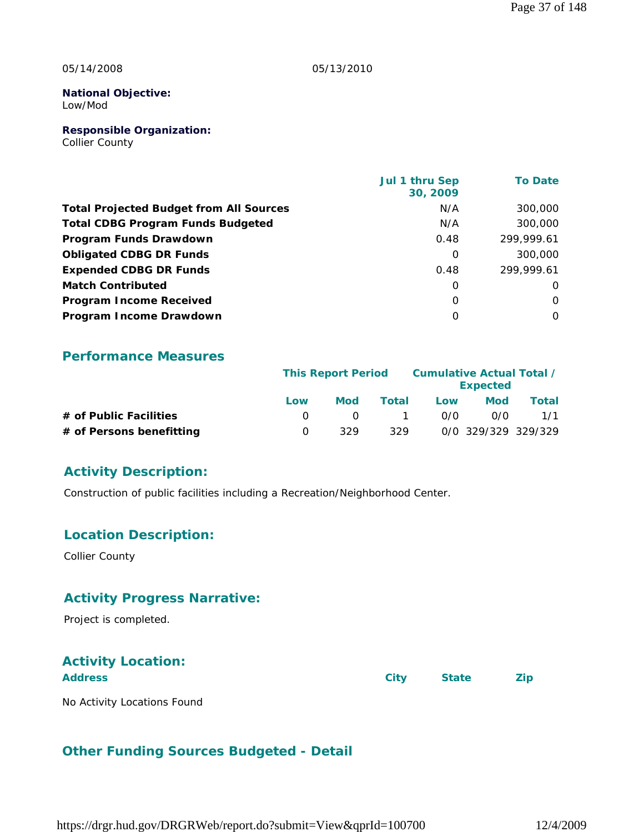#### 05/14/2008

#### 05/13/2010

#### **National Objective:** Low/Mod

**Responsible Organization:**

Collier County

|                                                | Jul 1 thru Sep<br>30, 2009 | <b>To Date</b> |
|------------------------------------------------|----------------------------|----------------|
| <b>Total Projected Budget from All Sources</b> | N/A                        | 300,000        |
| <b>Total CDBG Program Funds Budgeted</b>       | N/A                        | 300,000        |
| Program Funds Drawdown                         | 0.48                       | 299,999.61     |
| <b>Obligated CDBG DR Funds</b>                 | $\Omega$                   | 300,000        |
| <b>Expended CDBG DR Funds</b>                  | 0.48                       | 299,999.61     |
| <b>Match Contributed</b>                       | $\Omega$                   | $\Omega$       |
| <b>Program Income Received</b>                 | $\Omega$                   | $\Omega$       |
| Program Income Drawdown                        | $\Omega$                   | $\Omega$       |

## **Performance Measures**

|                          |          | <b>This Report Period</b> |       | Cumulative Actual Total / | <b>Expected</b>     |       |
|--------------------------|----------|---------------------------|-------|---------------------------|---------------------|-------|
|                          | Low      | <b>Mod</b>                | Total | Low                       | <b>Mod</b>          | Total |
| # of Public Facilities   |          | $\cap$                    |       | 0/0                       | 0/0                 | 1/1   |
| # of Persons benefitting | $\Omega$ | 329                       | 329   |                           | 0/0 329/329 329/329 |       |

## **Activity Description:**

Construction of public facilities including a Recreation/Neighborhood Center.

## **Location Description:**

Collier County

## **Activity Progress Narrative:**

Project is completed.

## **Activity Location:**

| <b>Address</b>              | City | <b>State</b> | <b>Zip</b> |
|-----------------------------|------|--------------|------------|
| No Activity Locations Found |      |              |            |

## **Other Funding Sources Budgeted - Detail**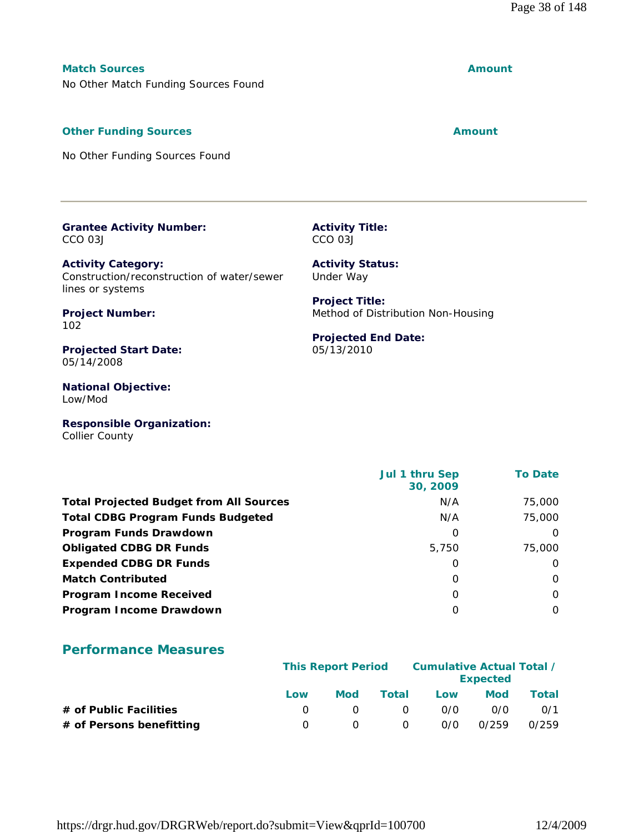## **Match Sources Amount**

No Other Match Funding Sources Found

#### **Other Funding Sources Amount** 2008 2012 12:30 Amount

No Other Funding Sources Found

#### **Grantee Activity Number:** CCO 03J

**Activity Category:** Construction/reconstruction of water/sewer lines or systems

**Activity Status:** Under Way **Project Title:**

**Projected End Date:**

05/13/2010

Method of Distribution Non-Housing

**Activity Title:** CCO 03J

**Project Number:** 102

**Projected Start Date:** 05/14/2008

**National Objective:** Low/Mod

**Responsible Organization:** Collier County

|                                                | Jul 1 thru Sep<br>30, 2009 | <b>To Date</b> |
|------------------------------------------------|----------------------------|----------------|
| <b>Total Projected Budget from All Sources</b> | N/A                        | 75,000         |
| <b>Total CDBG Program Funds Budgeted</b>       | N/A                        | 75,000         |
| Program Funds Drawdown                         | O                          | $\Omega$       |
| <b>Obligated CDBG DR Funds</b>                 | 5,750                      | 75,000         |
| <b>Expended CDBG DR Funds</b>                  | 0                          | $\Omega$       |
| <b>Match Contributed</b>                       | O                          | $\Omega$       |
| <b>Program Income Received</b>                 | O                          | $\Omega$       |
| Program Income Drawdown                        | 0                          | $\Omega$       |

## **Performance Measures**

|                          |     | <b>This Report Period</b> |          | Cumulative Actual Total / | <b>Expected</b> |       |
|--------------------------|-----|---------------------------|----------|---------------------------|-----------------|-------|
|                          | Low | Mod                       | Total    | Low                       | <b>Mod</b>      | Total |
| # of Public Facilities   |     |                           | - 0      | 0/0                       | 0/0             | 0/1   |
| # of Persons benefitting |     |                           | $\Omega$ | 0/0                       | 0/259           | 0/259 |

https://drgr.hud.gov/DRGRWeb/report.do?submit=View&qprId=100700 12/4/2009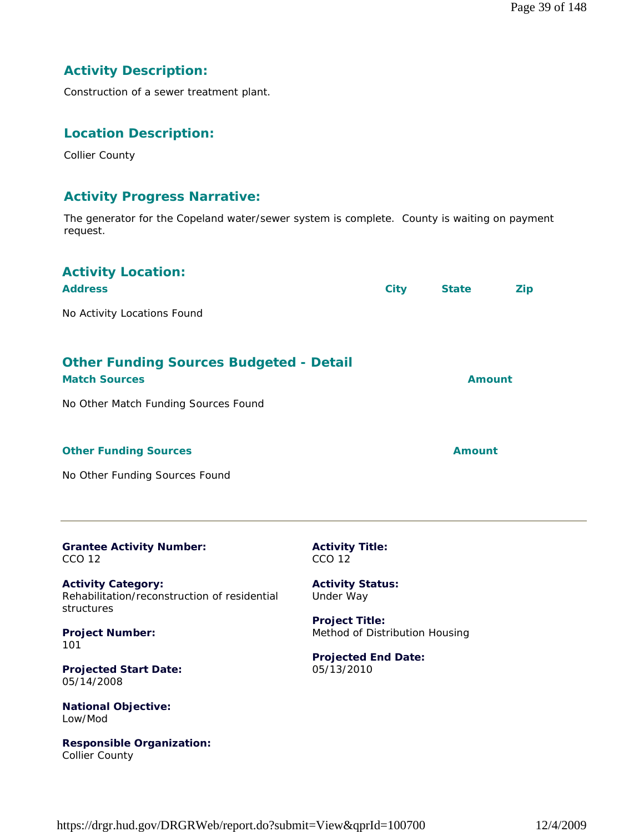## **Activity Description:**

Construction of a sewer treatment plant.

## **Location Description:**

Collier County

## **Activity Progress Narrative:**

The generator for the Copeland water/sewer system is complete. County is waiting on payment request.

| <b>Activity Location:</b><br><b>Address</b>                                                                    |                                                         | <b>City</b> | <b>State</b>  | Zip           |
|----------------------------------------------------------------------------------------------------------------|---------------------------------------------------------|-------------|---------------|---------------|
| No Activity Locations Found                                                                                    |                                                         |             |               |               |
| <b>Other Funding Sources Budgeted - Detail</b><br><b>Match Sources</b><br>No Other Match Funding Sources Found |                                                         |             |               | <b>Amount</b> |
| <b>Other Funding Sources</b>                                                                                   |                                                         |             | <b>Amount</b> |               |
| No Other Funding Sources Found                                                                                 |                                                         |             |               |               |
| <b>Grantee Activity Number:</b><br><b>CCO 12</b>                                                               | <b>Activity Title:</b><br><b>CCO 12</b>                 |             |               |               |
| <b>Activity Category:</b><br>Rehabilitation/reconstruction of residential<br>structures                        | <b>Activity Status:</b><br>Under Way                    |             |               |               |
| <b>Project Number:</b><br>101                                                                                  | <b>Project Title:</b><br>Method of Distribution Housing |             |               |               |
| <b>Projected Start Date:</b><br>05/14/2008                                                                     | <b>Projected End Date:</b><br>05/13/2010                |             |               |               |
| <b>National Objective:</b><br>Low/Mod                                                                          |                                                         |             |               |               |
| <b>Responsible Organization:</b><br><b>Collier County</b>                                                      |                                                         |             |               |               |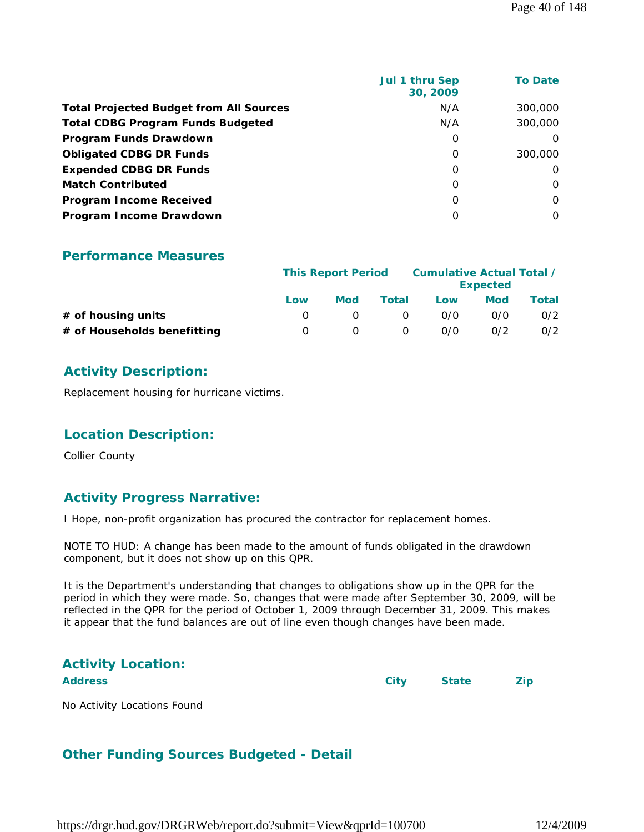|                                                | Jul 1 thru Sep<br>30, 2009 | <b>To Date</b> |
|------------------------------------------------|----------------------------|----------------|
| <b>Total Projected Budget from All Sources</b> | N/A                        | 300,000        |
| <b>Total CDBG Program Funds Budgeted</b>       | N/A                        | 300,000        |
| Program Funds Drawdown                         | 0                          | $\Omega$       |
| <b>Obligated CDBG DR Funds</b>                 | 0                          | 300,000        |
| <b>Expended CDBG DR Funds</b>                  | 0                          | $\Omega$       |
| <b>Match Contributed</b>                       | $\Omega$                   | $\Omega$       |
| <b>Program Income Received</b>                 | $\Omega$                   | $\Omega$       |
| Program Income Drawdown                        | O                          | $\Omega$       |

|                             | <b>This Report Period</b> |            | Cumulative Actual Total / | <b>Expected</b> |            |       |
|-----------------------------|---------------------------|------------|---------------------------|-----------------|------------|-------|
|                             | Low                       | <b>Mod</b> | Total                     | Low             | <b>Mod</b> | Total |
| $#$ of housing units        |                           |            |                           | 0/0             | 0/0        | 0/2   |
| # of Households benefitting | $\left( \right)$          |            |                           | 0/0             | 0/2        | 0/2   |

## **Activity Description:**

Replacement housing for hurricane victims.

### **Location Description:**

Collier County

## **Activity Progress Narrative:**

I Hope, non-profit organization has procured the contractor for replacement homes.

NOTE TO HUD: A change has been made to the amount of funds obligated in the drawdown component, but it does not show up on this QPR.

It is the Department's understanding that changes to obligations show up in the QPR for the period in which they were made. So, changes that were made after September 30, 2009, will be reflected in the QPR for the period of October 1, 2009 through December 31, 2009. This makes it appear that the fund balances are out of line even though changes have been made.

# **Activity Location:**

**Address City State Zip**

No Activity Locations Found

## **Other Funding Sources Budgeted - Detail**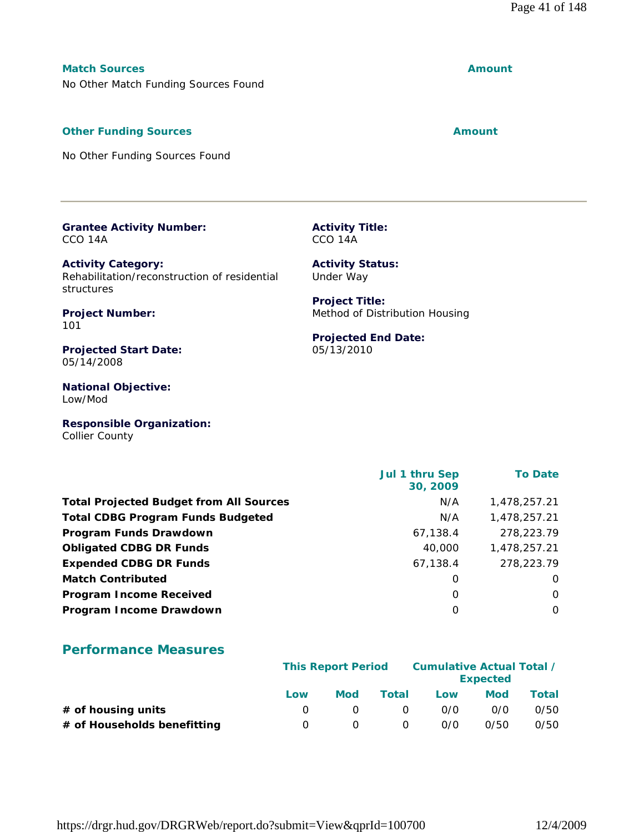## **Match Sources Amount**

No Other Match Funding Sources Found

## **Other Funding Sources Amount** 2008 2012 12:30 Amount

No Other Funding Sources Found

#### **Grantee Activity Number:** CCO 14A

**Activity Category:** Rehabilitation/reconstruction of residential structures

**Project Number:** 101

**Projected Start Date:** 05/14/2008

**National Objective:** Low/Mod

**Responsible Organization:** Collier County

|                                                | Jul 1 thru Sep<br>30, 2009 | <b>To Date</b> |
|------------------------------------------------|----------------------------|----------------|
| <b>Total Projected Budget from All Sources</b> | N/A                        | 1,478,257.21   |
| <b>Total CDBG Program Funds Budgeted</b>       | N/A                        | 1,478,257.21   |
| Program Funds Drawdown                         | 67,138.4                   | 278,223.79     |
| <b>Obligated CDBG DR Funds</b>                 | 40,000                     | 1,478,257.21   |
| <b>Expended CDBG DR Funds</b>                  | 67,138.4                   | 278,223.79     |
| <b>Match Contributed</b>                       | 0                          | 0              |
| <b>Program Income Received</b>                 | 0                          | $\Omega$       |
| Program Income Drawdown                        | 0                          | O              |

## **Performance Measures**

|                             | <b>This Report Period</b> |            | Cumulative Actual Total / | <b>Expected</b> |      |       |
|-----------------------------|---------------------------|------------|---------------------------|-----------------|------|-------|
|                             | Low                       | <b>Mod</b> | Total                     | Low             | Mod  | Total |
| # of housing units          |                           |            | $\left( \right)$          | 0/0             | 0/0  | 0/50  |
| # of Households benefitting | $\Omega$                  |            | O                         | 0/0             | 0/50 | 0/50  |

Under Way **Project Title:**

**Activity Status:**

**Activity Title:** CCO 14A

Method of Distribution Housing

**Projected End Date:** 05/13/2010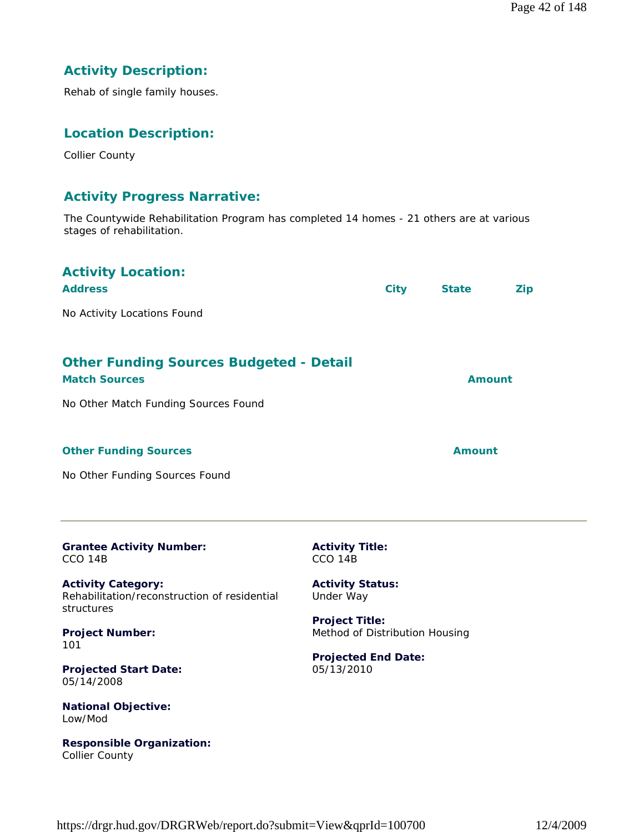## **Activity Description:**

Rehab of single family houses.

## **Location Description:**

Collier County

## **Activity Progress Narrative:**

The Countywide Rehabilitation Program has completed 14 homes - 21 others are at various stages of rehabilitation.

| <b>Activity Location:</b><br><b>Address</b><br>No Activity Locations Found                                     |                                                         | City | <b>State</b>  | <b>Zip</b> |
|----------------------------------------------------------------------------------------------------------------|---------------------------------------------------------|------|---------------|------------|
| <b>Other Funding Sources Budgeted - Detail</b><br><b>Match Sources</b><br>No Other Match Funding Sources Found |                                                         |      | <b>Amount</b> |            |
| <b>Other Funding Sources</b><br>No Other Funding Sources Found                                                 |                                                         |      | Amount        |            |
| <b>Grantee Activity Number:</b><br>CCO <sub>14B</sub>                                                          | <b>Activity Title:</b><br>CCO <sub>14B</sub>            |      |               |            |
| <b>Activity Category:</b><br>Rehabilitation/reconstruction of residential<br>structures                        | <b>Activity Status:</b><br>Under Way                    |      |               |            |
| <b>Project Number:</b><br>101                                                                                  | <b>Project Title:</b><br>Method of Distribution Housing |      |               |            |
| <b>Projected Start Date:</b><br>05/14/2008                                                                     | <b>Projected End Date:</b><br>05/13/2010                |      |               |            |
| <b>National Objective:</b><br>Low/Mod                                                                          |                                                         |      |               |            |

**Responsible Organization:** Collier County

https://drgr.hud.gov/DRGRWeb/report.do?submit=View&qprId=100700 12/4/2009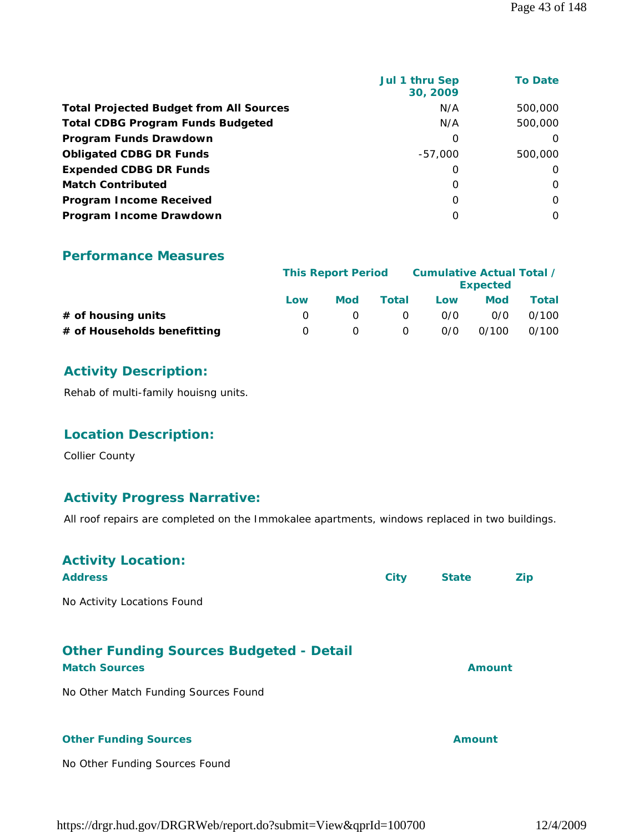| Jul 1 thru Sep<br>30, 2009 | <b>To Date</b> |
|----------------------------|----------------|
| N/A                        | 500,000        |
| N/A                        | 500,000        |
| 0                          | O              |
| $-57.000$                  | 500,000        |
| 0                          | $\Omega$       |
| $\Omega$                   | $\Omega$       |
| 0                          | $\Omega$       |
| 0                          | 0              |
|                            |                |

|                             |                  | <b>This Report Period</b> |          | Cumulative Actual Total / | <b>Expected</b> |       |
|-----------------------------|------------------|---------------------------|----------|---------------------------|-----------------|-------|
|                             | Low              | <b>Mod</b>                | Total    | Low                       | <b>Mod</b>      | Total |
| $#$ of housing units        |                  |                           | $\Omega$ | 0/0                       | 0/0             | 0/100 |
| # of Households benefitting | $\left( \right)$ |                           | 0        | 0/0                       | 0/100           | 0/100 |

## **Activity Description:**

Rehab of multi-family houisng units.

## **Location Description:**

Collier County

## **Activity Progress Narrative:**

All roof repairs are completed on the Immokalee apartments, windows replaced in two buildings.

| <b>Activity Location:</b><br><b>Address</b>                            | <b>City</b> | <b>State</b>  | <b>Zip</b> |
|------------------------------------------------------------------------|-------------|---------------|------------|
| No Activity Locations Found                                            |             |               |            |
| <b>Other Funding Sources Budgeted - Detail</b><br><b>Match Sources</b> |             | <b>Amount</b> |            |
| No Other Match Funding Sources Found                                   |             |               |            |
| <b>Other Funding Sources</b>                                           |             | Amount        |            |
| No Other Funding Sources Found                                         |             |               |            |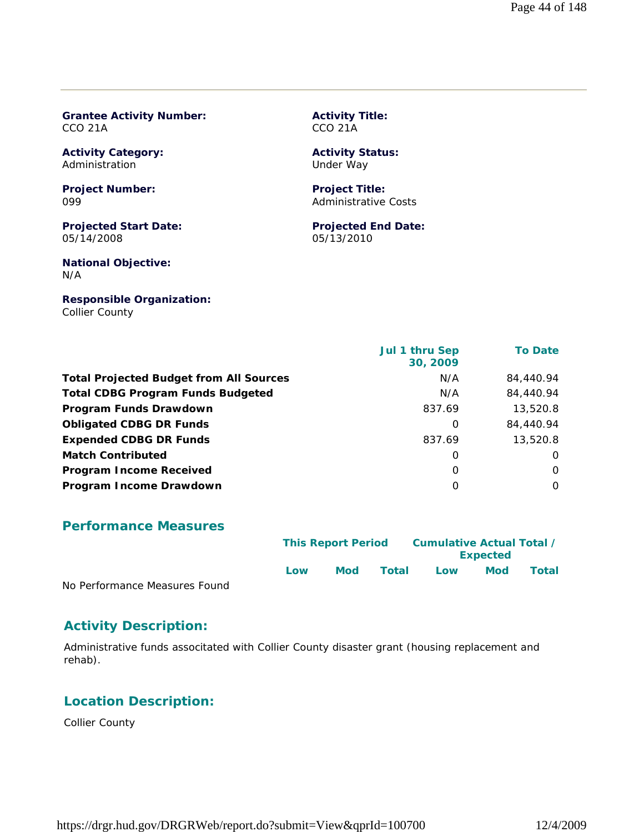#### **Grantee Activity Number:** CCO 21A

**Activity Category:** Administration

**Project Number:** 099

**Projected Start Date:** 05/14/2008

**National Objective:** N/A

**Responsible Organization:** Collier County

**Activity Title:** CCO 21A

#### **Activity Status:** Under Way

**Project Title:** Administrative Costs

**Projected End Date:** 05/13/2010

|                                                | Jul 1 thru Sep<br>30, 2009 | <b>To Date</b> |
|------------------------------------------------|----------------------------|----------------|
| <b>Total Projected Budget from All Sources</b> | N/A                        | 84,440.94      |
| <b>Total CDBG Program Funds Budgeted</b>       | N/A                        | 84,440.94      |
| Program Funds Drawdown                         | 837.69                     | 13,520.8       |
| <b>Obligated CDBG DR Funds</b>                 | $\Omega$                   | 84,440.94      |
| <b>Expended CDBG DR Funds</b>                  | 837.69                     | 13,520.8       |
| <b>Match Contributed</b>                       | 0                          | $\Omega$       |
| <b>Program Income Received</b>                 | $\Omega$                   | $\Omega$       |
| Program Income Drawdown                        | 0                          | $\Omega$       |

#### **Performance Measures**

|                               | Cumulative Actual Total /<br><b>This Report Period</b><br><b>Expected</b> |            |       |     |     |              |
|-------------------------------|---------------------------------------------------------------------------|------------|-------|-----|-----|--------------|
| No Dorformance Moasures Found | Low                                                                       | <b>Mod</b> | Total | Low | Mod | <b>Total</b> |

No Performance Measures Found

### **Activity Description:**

Administrative funds associtated with Collier County disaster grant (housing replacement and rehab).

## **Location Description:**

Collier County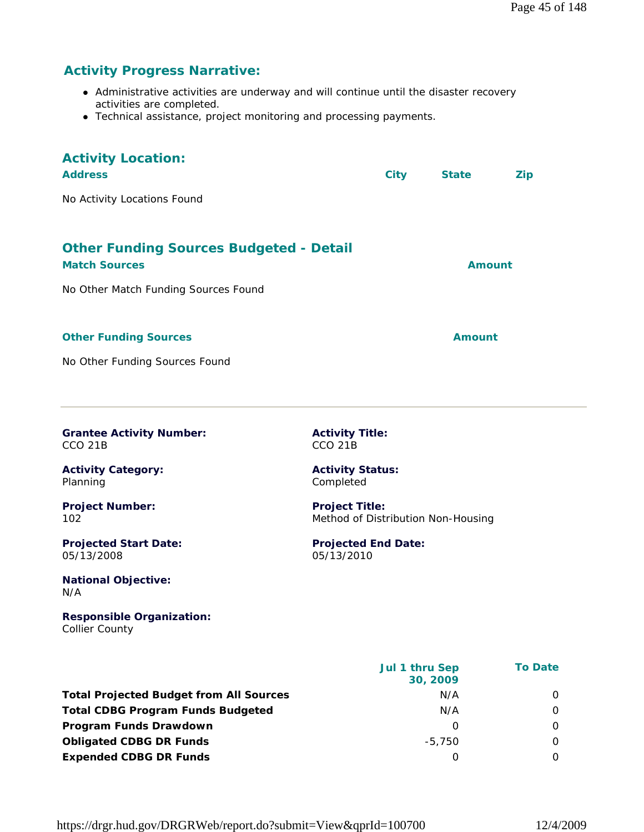## **Activity Progress Narrative:**

- Administrative activities are underway and will continue until the disaster recovery activities are completed.
- Technical assistance, project monitoring and processing payments.

| <b>Activity Location:</b><br><b>Address</b><br>No Activity Locations Found | City                                                        | <b>State</b>  | <b>Zip</b>     |
|----------------------------------------------------------------------------|-------------------------------------------------------------|---------------|----------------|
| <b>Other Funding Sources Budgeted - Detail</b><br><b>Match Sources</b>     |                                                             | <b>Amount</b> |                |
| No Other Match Funding Sources Found                                       |                                                             |               |                |
| <b>Other Funding Sources</b>                                               |                                                             | Amount        |                |
| No Other Funding Sources Found                                             |                                                             |               |                |
| <b>Grantee Activity Number:</b><br>CCO <sub>21B</sub>                      | <b>Activity Title:</b><br>CCO <sub>21B</sub>                |               |                |
| <b>Activity Category:</b><br>Planning                                      | <b>Activity Status:</b><br>Completed                        |               |                |
| <b>Project Number:</b><br>102                                              | <b>Project Title:</b><br>Method of Distribution Non-Housing |               |                |
| <b>Projected Start Date:</b><br>05/13/2008                                 | <b>Projected End Date:</b><br>05/13/2010                    |               |                |
| <b>National Objective:</b><br>N/A                                          |                                                             |               |                |
| <b>Responsible Organization:</b><br><b>Collier County</b>                  |                                                             |               |                |
|                                                                            | Jul 1 thru Sep                                              | 30, 2009      | <b>To Date</b> |
| <b>Total Projected Budget from All Sources</b>                             |                                                             | N/A           | 0              |
| <b>Total CDBG Program Funds Budgeted</b>                                   |                                                             | N/A           | 0              |
| Program Funds Drawdown                                                     |                                                             | 0             | 0              |
| <b>Obligated CDBG DR Funds</b>                                             |                                                             | $-5,750$      | 0              |
| <b>Expended CDBG DR Funds</b>                                              |                                                             | $\mathbf 0$   | 0              |

https://drgr.hud.gov/DRGRWeb/report.do?submit=View&qprId=100700 12/4/2009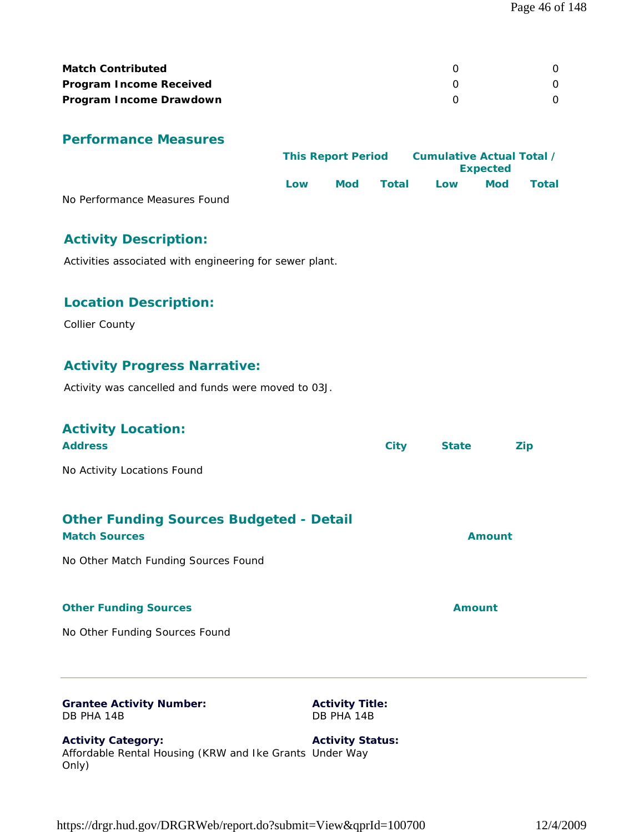| <b>Match Contributed</b>       |  |
|--------------------------------|--|
| <b>Program Income Received</b> |  |
| Program Income Drawdown        |  |

|                               | <b>This Report Period</b> |     | Cumulative Actual Total / |     |                 |       |
|-------------------------------|---------------------------|-----|---------------------------|-----|-----------------|-------|
|                               |                           |     |                           |     | <b>Expected</b> |       |
|                               | Low                       | Mod | Total                     | Low | <b>Mod</b>      | Total |
| No Performance Measures Found |                           |     |                           |     |                 |       |

## **Activity Description:**

Activities associated with engineering for sewer plant.

## **Location Description:**

Collier County

## **Activity Progress Narrative:**

Activity was cancelled and funds were moved to 03J.

| <b>Grantee Activity Number:</b><br><b>Activity Title:</b>              |             |               |            |
|------------------------------------------------------------------------|-------------|---------------|------------|
| No Other Funding Sources Found                                         |             |               |            |
|                                                                        |             |               |            |
| <b>Other Funding Sources</b>                                           |             | <b>Amount</b> |            |
| No Other Match Funding Sources Found                                   |             |               |            |
| <b>Other Funding Sources Budgeted - Detail</b><br><b>Match Sources</b> |             | <b>Amount</b> |            |
| No Activity Locations Found                                            |             |               |            |
| <b>Activity Location:</b><br><b>Address</b>                            | <b>City</b> | <b>State</b>  | <b>Zip</b> |

DB PHA 14B

**Activity Title:** DB PHA 14B

**Activity Category:** Affordable Rental Housing (KRW and Ike Grants Under Way Only) **Activity Status:**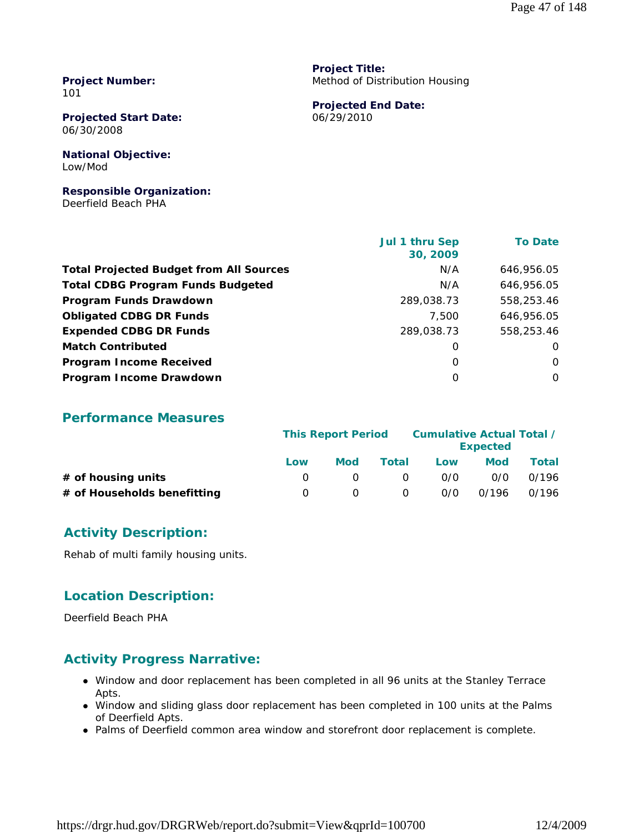**Project Number:** 101

**Projected Start Date:** 06/30/2008

**National Objective:** Low/Mod

**Responsible Organization:** Deerfield Beach PHA

**Project Title:** Method of Distribution Housing

**Projected End Date:** 06/29/2010

|                                                | Jul 1 thru Sep<br>30, 2009 | <b>To Date</b> |
|------------------------------------------------|----------------------------|----------------|
| <b>Total Projected Budget from All Sources</b> | N/A                        | 646,956.05     |
| <b>Total CDBG Program Funds Budgeted</b>       | N/A                        | 646,956.05     |
| Program Funds Drawdown                         | 289,038.73                 | 558,253.46     |
| <b>Obligated CDBG DR Funds</b>                 | 7.500                      | 646,956.05     |
| <b>Expended CDBG DR Funds</b>                  | 289,038.73                 | 558,253.46     |
| <b>Match Contributed</b>                       | O                          | O              |
| <b>Program Income Received</b>                 | $\Omega$                   | O              |
| Program Income Drawdown                        | $\Omega$                   | 0              |

#### **Performance Measures**

|                             |                  | <b>This Report Period</b> |          | <b>Cumulative Actual Total /</b> | <b>Expected</b> |       |
|-----------------------------|------------------|---------------------------|----------|----------------------------------|-----------------|-------|
|                             | Low              | Mod                       | Total    | Low                              | <b>Mod</b>      | Total |
| $#$ of housing units        |                  |                           | $\Omega$ | 0/0                              | 0/0             | 0/196 |
| # of Households benefitting | $\left( \right)$ |                           | 0        | 0/0                              | 0/196           | 0/196 |

## **Activity Description:**

Rehab of multi family housing units.

### **Location Description:**

Deerfield Beach PHA

### **Activity Progress Narrative:**

- Window and door replacement has been completed in all 96 units at the Stanley Terrace Apts.
- Window and sliding glass door replacement has been completed in 100 units at the Palms of Deerfield Apts.
- Palms of Deerfield common area window and storefront door replacement is complete.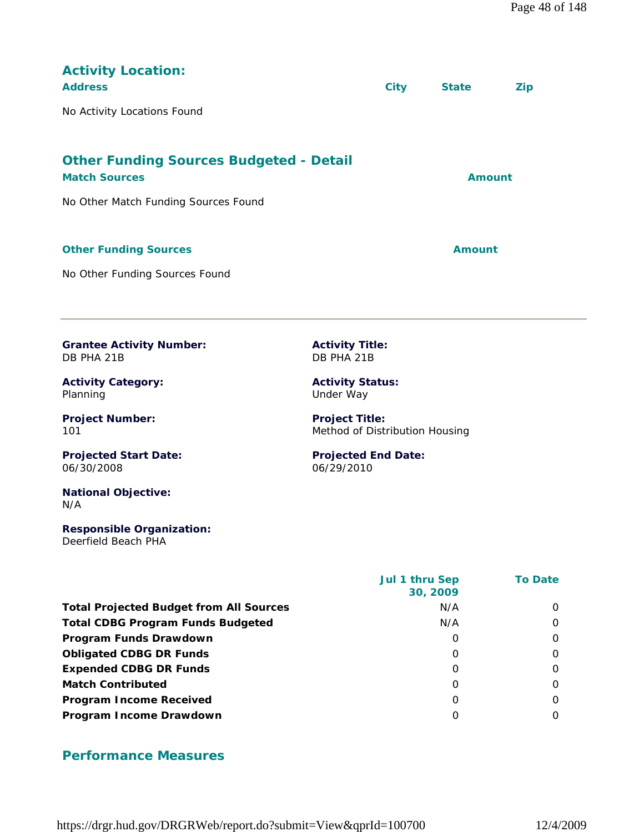| <b>Activity Location:</b><br><b>Address</b><br>No Activity Locations Found                                                                                                                                                                                            |                                                                                                                                                                                     | <b>City</b> | <b>State</b>  | <b>Zip</b> |
|-----------------------------------------------------------------------------------------------------------------------------------------------------------------------------------------------------------------------------------------------------------------------|-------------------------------------------------------------------------------------------------------------------------------------------------------------------------------------|-------------|---------------|------------|
| <b>Other Funding Sources Budgeted - Detail</b><br><b>Match Sources</b><br>No Other Match Funding Sources Found                                                                                                                                                        |                                                                                                                                                                                     |             | <b>Amount</b> |            |
| <b>Other Funding Sources</b><br>No Other Funding Sources Found                                                                                                                                                                                                        |                                                                                                                                                                                     |             | <b>Amount</b> |            |
| <b>Grantee Activity Number:</b><br>DB PHA 21B<br><b>Activity Category:</b><br>Planning<br><b>Project Number:</b><br>101<br><b>Projected Start Date:</b><br>06/30/2008<br><b>National Objective:</b><br>N/A<br><b>Responsible Organization:</b><br>Deerfield Beach PHA | <b>Activity Title:</b><br>DB PHA 21B<br><b>Activity Status:</b><br>Under Way<br><b>Project Title:</b><br>Method of Distribution Housing<br><b>Projected End Date:</b><br>06/29/2010 |             |               |            |

| Jul 1 thru Sep<br>30, 2009 | <b>To Date</b> |
|----------------------------|----------------|
| N/A                        | $\Omega$       |
| N/A                        | 0              |
| O                          | 0              |
| O                          | 0              |
| O                          | 0              |
| O                          | $\Omega$       |
| O                          | $\Omega$       |
| 0                          | $\Omega$       |
|                            |                |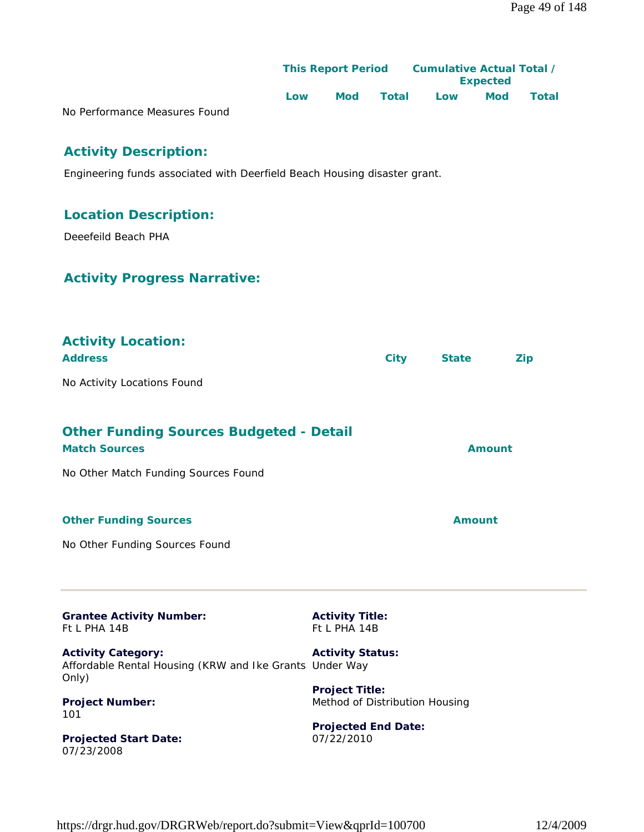|                               |     | <b>This Report Period</b> |       | Cumulative Actual Total /<br><b>Expected</b> |            |       |
|-------------------------------|-----|---------------------------|-------|----------------------------------------------|------------|-------|
|                               | Low | Mod                       | Total | Low                                          | <b>Mod</b> | Total |
| No Performance Measures Found |     |                           |       |                                              |            |       |

## **Activity Description:**

Engineering funds associated with Deerfield Beach Housing disaster grant.

## **Location Description:**

Deeefeild Beach PHA

## **Activity Progress Narrative:**

| <b>Activity Location:</b><br><b>Address</b>                                                   | <b>City</b>                                             | <b>State</b>  | <b>Zip</b> |
|-----------------------------------------------------------------------------------------------|---------------------------------------------------------|---------------|------------|
| No Activity Locations Found                                                                   |                                                         |               |            |
| <b>Other Funding Sources Budgeted - Detail</b><br><b>Match Sources</b>                        |                                                         | <b>Amount</b> |            |
| No Other Match Funding Sources Found                                                          |                                                         |               |            |
| <b>Other Funding Sources</b>                                                                  |                                                         | <b>Amount</b> |            |
| No Other Funding Sources Found                                                                |                                                         |               |            |
| <b>Grantee Activity Number:</b><br>Ft L PHA 14B                                               | <b>Activity Title:</b><br>Ft L PHA 14B                  |               |            |
| <b>Activity Category:</b><br>Affordable Rental Housing (KRW and Ike Grants Under Way<br>Only) | <b>Activity Status:</b>                                 |               |            |
| <b>Project Number:</b><br>101                                                                 | <b>Project Title:</b><br>Method of Distribution Housing |               |            |
| <b>Projected Start Date:</b><br>07/23/2008                                                    | <b>Projected End Date:</b><br>07/22/2010                |               |            |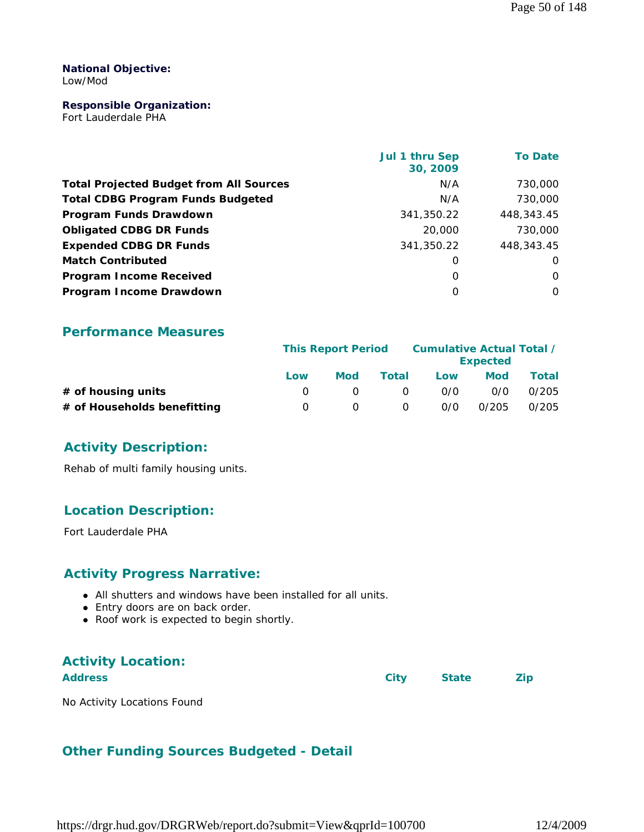#### **National Objective:** Low/Mod

#### **Responsible Organization:**

Fort Lauderdale PHA

|                                                | Jul 1 thru Sep<br>30, 2009 | <b>To Date</b> |
|------------------------------------------------|----------------------------|----------------|
| <b>Total Projected Budget from All Sources</b> | N/A                        | 730,000        |
| <b>Total CDBG Program Funds Budgeted</b>       | N/A                        | 730,000        |
| Program Funds Drawdown                         | 341,350.22                 | 448,343.45     |
| <b>Obligated CDBG DR Funds</b>                 | 20,000                     | 730,000        |
| <b>Expended CDBG DR Funds</b>                  | 341,350.22                 | 448,343.45     |
| <b>Match Contributed</b>                       | 0                          | 0              |
| <b>Program Income Received</b>                 | $\Omega$                   | $\Omega$       |
| Program Income Drawdown                        | $\Omega$                   | 0              |

#### **Performance Measures**

|                             | <b>This Report Period</b> |     |              | Cumulative Actual Total / | <b>Expected</b> |       |
|-----------------------------|---------------------------|-----|--------------|---------------------------|-----------------|-------|
|                             | Low                       | Mod | <b>Total</b> | Low                       | Mod             | Total |
| # of housing units          |                           |     | - 0          | 0/0                       | 0/0             | 0/205 |
| # of Households benefitting | $\left( \right)$          |     | 0            | 0/0                       | 0/205           | 0/205 |

### **Activity Description:**

Rehab of multi family housing units.

## **Location Description:**

Fort Lauderdale PHA

### **Activity Progress Narrative:**

- All shutters and windows have been installed for all units.
- Entry doors are on back order.
- Roof work is expected to begin shortly.

## **Activity Location: Address City State Zip**

No Activity Locations Found

## **Other Funding Sources Budgeted - Detail**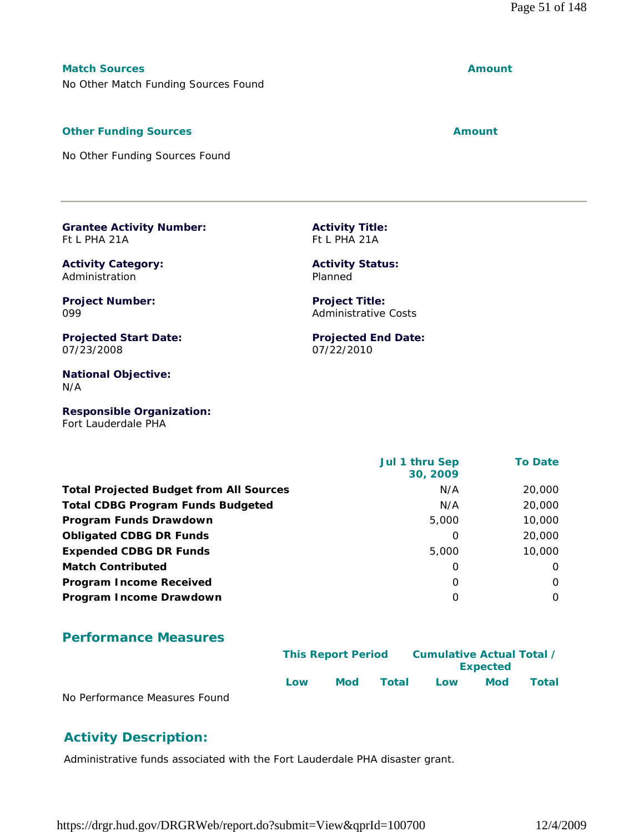## **Match Sources Amount**

No Other Match Funding Sources Found

## **Other Funding Sources Amount** 2008 2012 12:30 Amount

No Other Funding Sources Found

#### **Grantee Activity Number:** Ft L PHA 21A

**Activity Category:** Administration

**Project Number:** 099

**Projected Start Date:** 07/23/2008

**National Objective:** N/A

**Responsible Organization:** Fort Lauderdale PHA

|                                                | <b>Jul 1 thru Sep</b><br>30, 2009 | <b>To Date</b> |
|------------------------------------------------|-----------------------------------|----------------|
| <b>Total Projected Budget from All Sources</b> | N/A                               | 20,000         |
| <b>Total CDBG Program Funds Budgeted</b>       | N/A                               | 20,000         |
| Program Funds Drawdown                         | 5,000                             | 10,000         |
| <b>Obligated CDBG DR Funds</b>                 | 0                                 | 20,000         |
| <b>Expended CDBG DR Funds</b>                  | 5,000                             | 10,000         |
| <b>Match Contributed</b>                       | O                                 | $\Omega$       |
| <b>Program Income Received</b>                 | O                                 | O              |
| Program Income Drawdown                        | O                                 | $\Omega$       |

## **Performance Measures**

|                               |      | <b>This Report Period</b> |       | Cumulative Actual Total /<br><b>Expected</b> |            |              |
|-------------------------------|------|---------------------------|-------|----------------------------------------------|------------|--------------|
|                               | l ow | Mod                       | Total | Low                                          | <b>Mod</b> | <b>Total</b> |
| No Performance Measures Found |      |                           |       |                                              |            |              |

## **Activity Description:**

Administrative funds associated with the Fort Lauderdale PHA disaster grant.

**Activity Status:** Planned

**Activity Title:** Ft L PHA 21A

**Project Title:** Administrative Costs

**Projected End Date:** 07/22/2010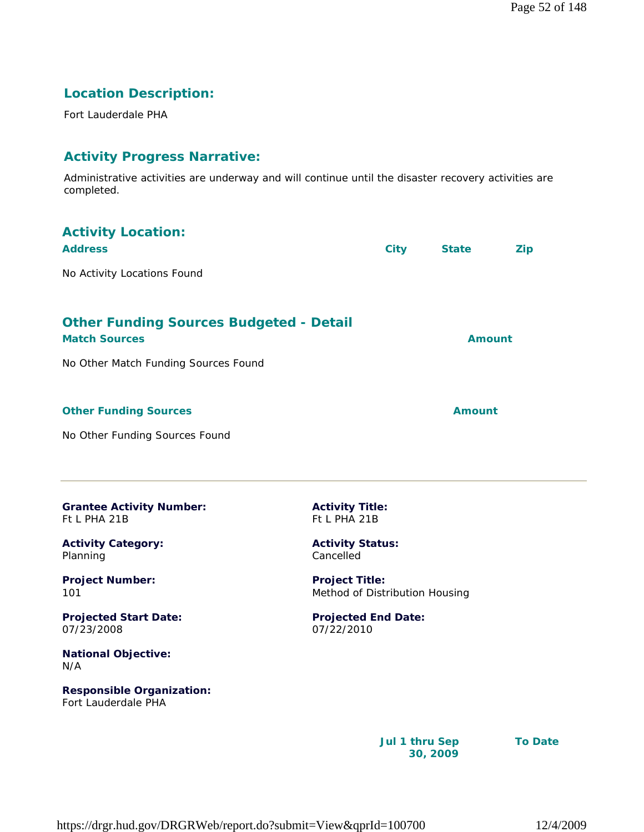## **Location Description:**

Fort Lauderdale PHA

## **Activity Progress Narrative:**

Administrative activities are underway and will continue until the disaster recovery activities are completed.

| <b>Activity Location:</b>                                              |                                                         |                |               |                |
|------------------------------------------------------------------------|---------------------------------------------------------|----------------|---------------|----------------|
| <b>Address</b>                                                         |                                                         | <b>City</b>    | <b>State</b>  | <b>Zip</b>     |
| No Activity Locations Found                                            |                                                         |                |               |                |
| <b>Other Funding Sources Budgeted - Detail</b><br><b>Match Sources</b> |                                                         |                | <b>Amount</b> |                |
| No Other Match Funding Sources Found                                   |                                                         |                |               |                |
| <b>Other Funding Sources</b>                                           |                                                         |                | <b>Amount</b> |                |
| No Other Funding Sources Found                                         |                                                         |                |               |                |
| <b>Grantee Activity Number:</b><br>Ft L PHA 21B                        | <b>Activity Title:</b><br>Ft L PHA 21B                  |                |               |                |
| <b>Activity Category:</b><br>Planning                                  | <b>Activity Status:</b><br>Cancelled                    |                |               |                |
| <b>Project Number:</b><br>101                                          | <b>Project Title:</b><br>Method of Distribution Housing |                |               |                |
| <b>Projected Start Date:</b><br>07/23/2008                             | <b>Projected End Date:</b><br>07/22/2010                |                |               |                |
| <b>National Objective:</b><br>N/A                                      |                                                         |                |               |                |
| <b>Responsible Organization:</b><br>Fort Lauderdale PHA                |                                                         |                |               |                |
|                                                                        |                                                         | Jul 1 thru Sep | 30, 2009      | <b>To Date</b> |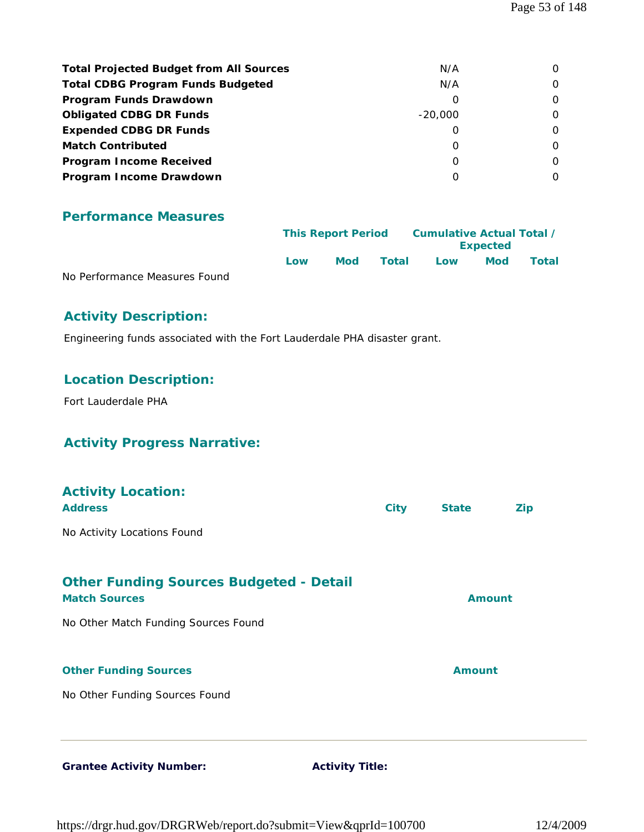| <b>Total Projected Budget from All Sources</b> | N/A       |          |
|------------------------------------------------|-----------|----------|
| <b>Total CDBG Program Funds Budgeted</b>       | N/A       | O        |
| Program Funds Drawdown                         | O         | $\Omega$ |
| <b>Obligated CDBG DR Funds</b>                 | $-20.000$ | O        |
| <b>Expended CDBG DR Funds</b>                  | O         | $\Omega$ |
| <b>Match Contributed</b>                       | O         | 0        |
| <b>Program Income Received</b>                 | O         |          |
| Program Income Drawdown                        | O         |          |

|                               |     | <b>This Report Period</b> |       | Cumulative Actual Total /<br><b>Expected</b> |            |              |
|-------------------------------|-----|---------------------------|-------|----------------------------------------------|------------|--------------|
|                               | Low | Mod                       | Total | Low                                          | <b>Mod</b> | <b>Total</b> |
| No Performance Measures Found |     |                           |       |                                              |            |              |

## **Activity Description:**

Engineering funds associated with the Fort Lauderdale PHA disaster grant.

## **Location Description:**

Fort Lauderdale PHA

## **Activity Progress Narrative:**

| <b>Activity Location:</b><br><b>Address</b>                            | <b>City</b> | <b>State</b>  | <b>Zip</b> |
|------------------------------------------------------------------------|-------------|---------------|------------|
| No Activity Locations Found                                            |             |               |            |
| <b>Other Funding Sources Budgeted - Detail</b><br><b>Match Sources</b> |             | Amount        |            |
| No Other Match Funding Sources Found                                   |             |               |            |
| <b>Other Funding Sources</b>                                           |             | <b>Amount</b> |            |
| No Other Funding Sources Found                                         |             |               |            |
|                                                                        |             |               |            |

Grantee Activity Number: **Activity Title:**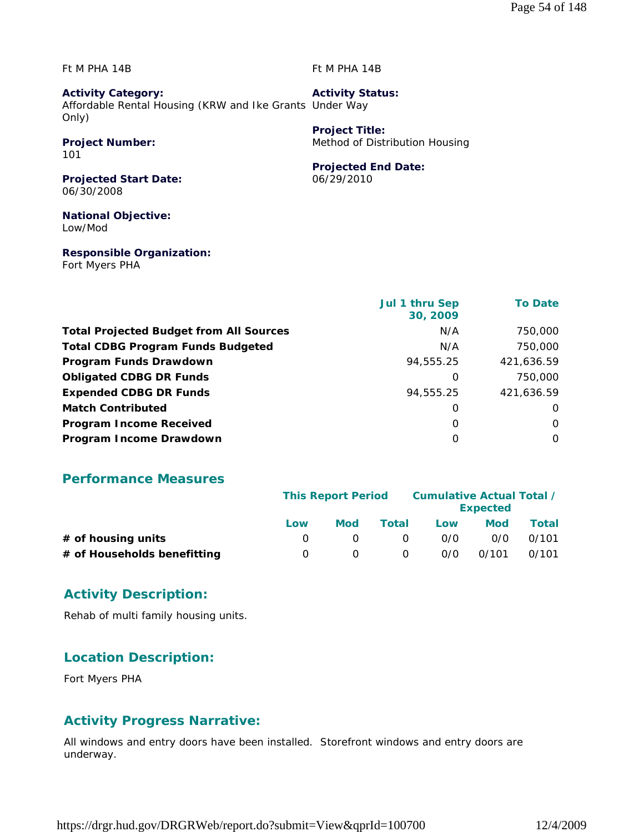Ft M PHA 14B

Ft M PHA 14B

**Project Title:**

**Activity Category:** Affordable Rental Housing (KRW and Ike Grants Under Way Only) **Activity Status:**

## **Project Number:**

101

**Projected End Date:** 06/29/2010

Method of Distribution Housing

**Projected Start Date:** 06/30/2008

**National Objective:** Low/Mod

**Responsible Organization:** Fort Myers PHA

|                                                | <b>Jul 1 thru Sep</b><br>30, 2009 | <b>To Date</b> |
|------------------------------------------------|-----------------------------------|----------------|
| <b>Total Projected Budget from All Sources</b> | N/A                               | 750,000        |
| <b>Total CDBG Program Funds Budgeted</b>       | N/A                               | 750,000        |
| Program Funds Drawdown                         | 94,555.25                         | 421,636.59     |
| <b>Obligated CDBG DR Funds</b>                 | 0                                 | 750,000        |
| <b>Expended CDBG DR Funds</b>                  | 94,555.25                         | 421,636.59     |
| <b>Match Contributed</b>                       | 0                                 | 0              |
| <b>Program Income Received</b>                 | $\Omega$                          | $\Omega$       |
| Program Income Drawdown                        | O                                 | 0              |

### **Performance Measures**

|                             |          | <b>This Report Period</b> |          | Cumulative Actual Total / | <b>Expected</b> |       |
|-----------------------------|----------|---------------------------|----------|---------------------------|-----------------|-------|
|                             | Low      | <b>Mod</b>                | Total    | Low                       | Mod             | Total |
| # of housing units          |          |                           | $\Omega$ | 0/0                       | 0/0             | 0/101 |
| # of Households benefitting | $\Omega$ |                           | 0        | 0/0                       | 0/101           | 0/101 |

## **Activity Description:**

Rehab of multi family housing units.

## **Location Description:**

Fort Myers PHA

## **Activity Progress Narrative:**

All windows and entry doors have been installed. Storefront windows and entry doors are underway.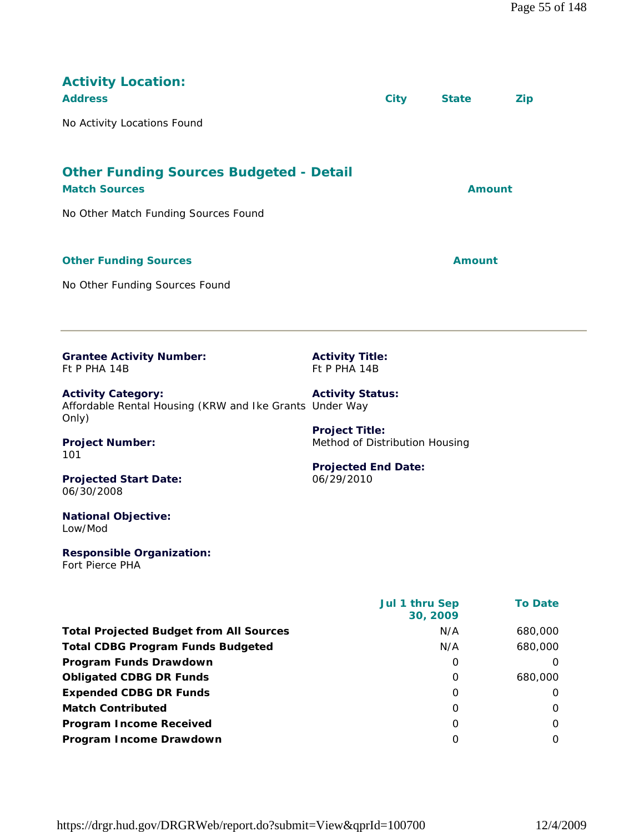| <b>Activity Location:</b><br><b>Address</b>                                                   |                                                         | <b>City</b> | <b>State</b>  | <b>Zip</b> |  |
|-----------------------------------------------------------------------------------------------|---------------------------------------------------------|-------------|---------------|------------|--|
| No Activity Locations Found                                                                   |                                                         |             |               |            |  |
| <b>Other Funding Sources Budgeted - Detail</b><br><b>Match Sources</b>                        |                                                         |             | <b>Amount</b> |            |  |
| No Other Match Funding Sources Found                                                          |                                                         |             |               |            |  |
| <b>Other Funding Sources</b>                                                                  |                                                         |             | <b>Amount</b> |            |  |
| No Other Funding Sources Found                                                                |                                                         |             |               |            |  |
| <b>Grantee Activity Number:</b><br>Ft P PHA 14B                                               | <b>Activity Title:</b><br>Ft P PHA 14B                  |             |               |            |  |
| <b>Activity Category:</b><br>Affordable Rental Housing (KRW and Ike Grants Under Way<br>Only) | <b>Activity Status:</b>                                 |             |               |            |  |
| <b>Project Number:</b><br>101                                                                 | <b>Project Title:</b><br>Method of Distribution Housing |             |               |            |  |
| <b>Projected Start Date:</b><br>06/30/2008                                                    | <b>Projected End Date:</b><br>06/29/2010                |             |               |            |  |

#### **National Objective:** Low/Mod

#### **Responsible Organization:** Fort Pierce PHA

 **Jul 1 thru Sep 30, 2009 To Date** Total Projected Budget from All Sources **N/A** 680,000 **Total CDBG Program Funds Budgeted N/A** 680,000 **Program Funds Drawdown** 0 0 **Obligated CDBG DR Funds 0 680,000 Expended CDBG DR Funds** 0 0 **Match Contributed** 0 0 **Program Income Received** 0 0 **Program Income Drawdown** 0 0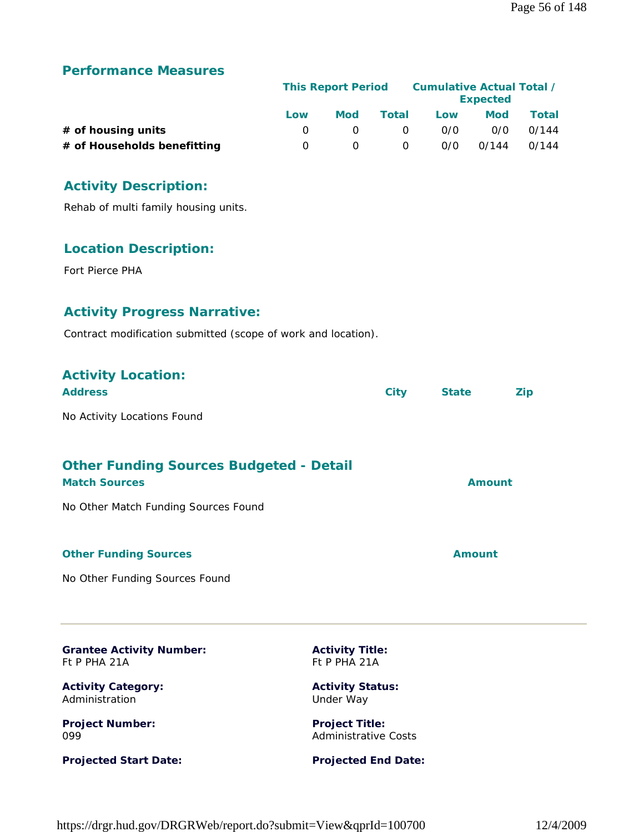|                             |     | <b>This Report Period</b> |          |     | Cumulative Actual Total /<br><b>Expected</b> |       |
|-----------------------------|-----|---------------------------|----------|-----|----------------------------------------------|-------|
|                             | Low | Mod                       | Total    | Low | Mod                                          | Total |
| $#$ of housing units        |     |                           | $\Omega$ | 0/0 | 0/0                                          | 0/144 |
| # of Households benefitting |     |                           | 0        | 0/0 | 0/144                                        | 0/144 |

## **Activity Description:**

Rehab of multi family housing units.

## **Location Description:**

Fort Pierce PHA

## **Activity Progress Narrative:**

Contract modification submitted (scope of work and location).

| <b>Activity Location:</b><br><b>Address</b>                            | <b>City</b>                                          | <b>State</b> | <b>Zip</b> |
|------------------------------------------------------------------------|------------------------------------------------------|--------------|------------|
| No Activity Locations Found                                            |                                                      |              |            |
| <b>Other Funding Sources Budgeted - Detail</b><br><b>Match Sources</b> |                                                      | Amount       |            |
| No Other Match Funding Sources Found                                   |                                                      |              |            |
| <b>Other Funding Sources</b>                                           |                                                      | Amount       |            |
| No Other Funding Sources Found                                         |                                                      |              |            |
| <b>Grantee Activity Number:</b><br>Ft P PHA 21A                        | <b>Activity Title:</b><br>Ft P PHA 21A               |              |            |
| <b>Activity Category:</b><br>Administration                            | <b>Activity Status:</b><br>Under Way                 |              |            |
| <b>Project Number:</b><br>099                                          | <b>Project Title:</b><br><b>Administrative Costs</b> |              |            |

**Projected Start Date:**

**Projected End Date:**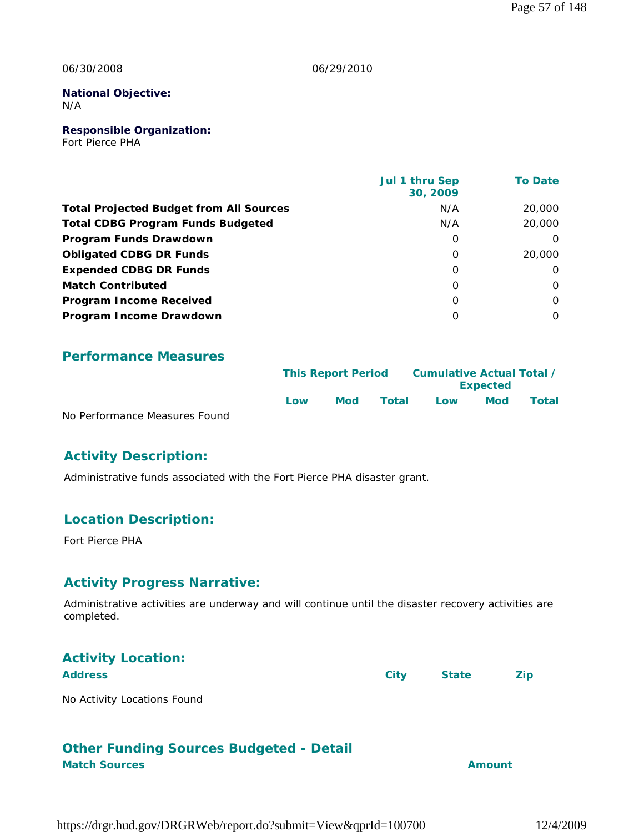#### 06/30/2008

#### 06/29/2010

#### **National Objective:** N/A

**Responsible Organization:** Fort Pierce PHA

|                                                | Jul 1 thru Sep<br>30, 2009 | <b>To Date</b> |
|------------------------------------------------|----------------------------|----------------|
| <b>Total Projected Budget from All Sources</b> | N/A                        | 20,000         |
| <b>Total CDBG Program Funds Budgeted</b>       | N/A                        | 20,000         |
| Program Funds Drawdown                         | 0                          | $\Omega$       |
| <b>Obligated CDBG DR Funds</b>                 | $\Omega$                   | 20,000         |
| <b>Expended CDBG DR Funds</b>                  | $\Omega$                   | 0              |
| <b>Match Contributed</b>                       | $\Omega$                   | $\Omega$       |
| <b>Program Income Received</b>                 | 0                          | $\Omega$       |
| Program Income Drawdown                        | $\Omega$                   | $\Omega$       |

### **Performance Measures**

|                               | <b>This Report Period</b> |     | Cumulative Actual Total / |     |                 |              |
|-------------------------------|---------------------------|-----|---------------------------|-----|-----------------|--------------|
|                               |                           |     |                           |     | <b>Expected</b> |              |
|                               | Low                       | Mod | Total                     | Low | <b>Mod</b>      | <b>Total</b> |
| No Performance Measures Found |                           |     |                           |     |                 |              |

## **Activity Description:**

Administrative funds associated with the Fort Pierce PHA disaster grant.

## **Location Description:**

Fort Pierce PHA

## **Activity Progress Narrative:**

Administrative activities are underway and will continue until the disaster recovery activities are completed.

| <b>Activity Location:</b>   |      |              |            |
|-----------------------------|------|--------------|------------|
| <b>Address</b>              | City | <b>State</b> | <b>Zip</b> |
| No Activity Locations Found |      |              |            |

## **Other Funding Sources Budgeted - Detail**

**Match Sources Amount**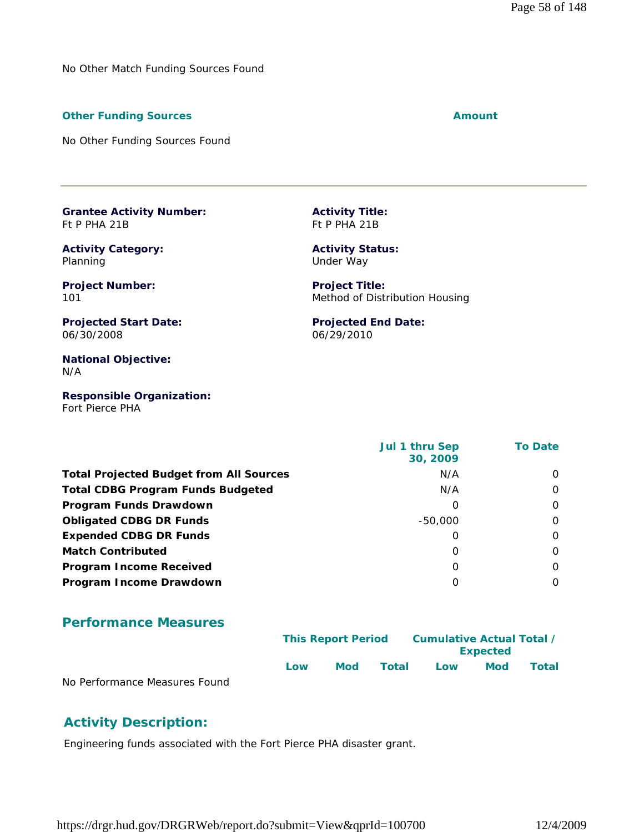No Other Match Funding Sources Found

#### **Other Funding Sources Amount Amount Amount**

No Other Funding Sources Found

**Grantee Activity Number:** Ft P PHA 21B

**Activity Category:** Planning

**Project Number:** 101

**Projected Start Date:** 06/30/2008

**National Objective:** N/A

**Responsible Organization:** Fort Pierce PHA

 **Jul 1 thru Sep 30, 2009 To Date Total Projected Budget from All Sources** N/A 0 **Total CDBG Program Funds Budgeted** N/A 0 **Program Funds Drawdown** 0 0 **Obligated CDBG DR Funds**  $-50,000$  0 **Expended CDBG DR Funds** 0 0 **Match Contributed** 0 0 **Program Income Received** 0 0 **Program Income Drawdown** 0 0

#### **Performance Measures**

|                               |     | <b>This Report Period</b> |       | Cumulative Actual Total / |                 |       |
|-------------------------------|-----|---------------------------|-------|---------------------------|-----------------|-------|
|                               |     |                           |       |                           | <b>Expected</b> |       |
|                               | Low | Mod                       | Total | Low                       | <b>Mod</b>      | Total |
| No Performance Measures Found |     |                           |       |                           |                 |       |

### **Activity Description:**

Engineering funds associated with the Fort Pierce PHA disaster grant.

https://drgr.hud.gov/DRGRWeb/report.do?submit=View&qprId=100700 12/4/2009

**Activity Title:** Ft P PHA 21B

**Activity Status:** Under Way

**Project Title:** Method of Distribution Housing

**Projected End Date:** 06/29/2010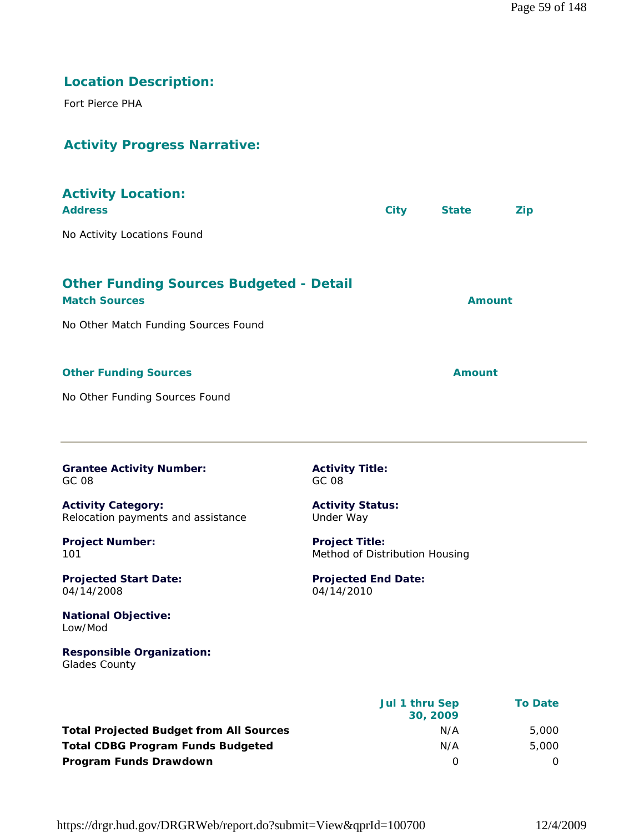## **Location Description:**

Fort Pierce PHA

## **Activity Progress Narrative:**

| <b>Activity Location:</b><br><b>Address</b>                                                                    |                                                         | <b>City</b> | <b>State</b>  | <b>Zip</b> |
|----------------------------------------------------------------------------------------------------------------|---------------------------------------------------------|-------------|---------------|------------|
| No Activity Locations Found                                                                                    |                                                         |             |               |            |
| <b>Other Funding Sources Budgeted - Detail</b><br><b>Match Sources</b><br>No Other Match Funding Sources Found |                                                         |             | <b>Amount</b> |            |
| <b>Other Funding Sources</b><br>No Other Funding Sources Found                                                 |                                                         |             | <b>Amount</b> |            |
|                                                                                                                |                                                         |             |               |            |
| <b>Grantee Activity Number:</b><br>GC 08                                                                       | <b>Activity Title:</b><br>GC 08                         |             |               |            |
| <b>Activity Category:</b><br>Relocation payments and assistance                                                | <b>Activity Status:</b><br>Under Way                    |             |               |            |
| <b>Project Number:</b><br>101                                                                                  | <b>Project Title:</b><br>Method of Distribution Housing |             |               |            |
| <b>Projected Start Date:</b><br>04/14/2008                                                                     | <b>Projected End Date:</b><br>04/14/2010                |             |               |            |

**National Objective:** Low/Mod

**Responsible Organization:** Glades County

 **Jul 1 thru Sep 30, 2009 To Date Total Projected Budget from All Sources** N/A 5,000 **Total CDBG Program Funds Budgeted N/A** 5,000 **Program Funds Drawdown** 0 0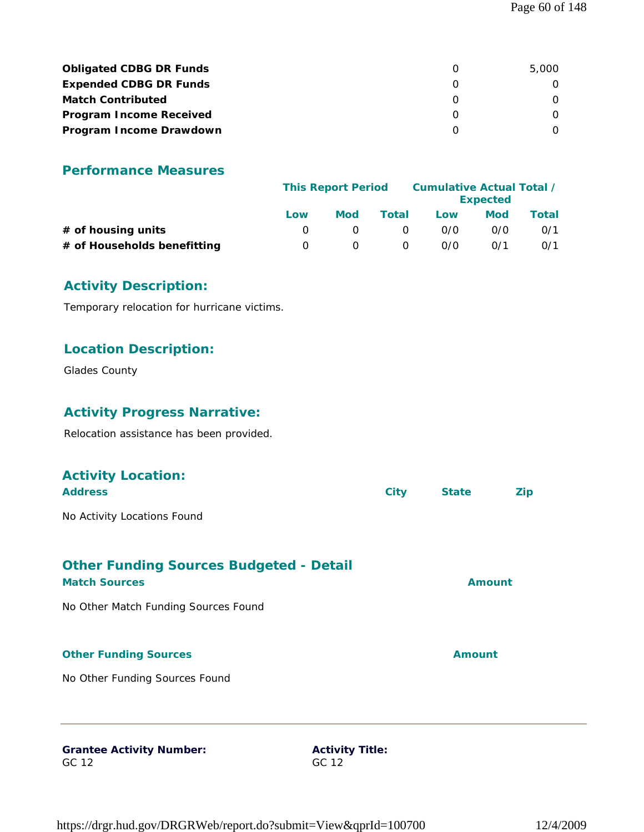| <b>Obligated CDBG DR Funds</b> | 5,000 |
|--------------------------------|-------|
| <b>Expended CDBG DR Funds</b>  |       |
| <b>Match Contributed</b>       |       |
| <b>Program Income Received</b> |       |
| Program Income Drawdown        |       |

|                             |     | <b>This Report Period</b> |          |     | Cumulative Actual Total /<br><b>Expected</b> |       |  |
|-----------------------------|-----|---------------------------|----------|-----|----------------------------------------------|-------|--|
|                             | Low | <b>Mod</b>                | Total    | Low | Mod                                          | Total |  |
| $#$ of housing units        |     |                           | $\Omega$ | 0/0 | 0/0                                          | 0/1   |  |
| # of Households benefitting |     |                           | O        | 0/0 | 0/1                                          | 0/1   |  |

## **Activity Description:**

Temporary relocation for hurricane victims.

## **Location Description:**

Glades County

## **Activity Progress Narrative:**

Relocation assistance has been provided.

| <b>Activity Location:</b>                                              |             |               |            |
|------------------------------------------------------------------------|-------------|---------------|------------|
| <b>Address</b>                                                         | <b>City</b> | <b>State</b>  | <b>Zip</b> |
| No Activity Locations Found                                            |             |               |            |
| <b>Other Funding Sources Budgeted - Detail</b><br><b>Match Sources</b> |             | <b>Amount</b> |            |
| No Other Match Funding Sources Found                                   |             |               |            |
| <b>Other Funding Sources</b>                                           |             | <b>Amount</b> |            |
| No Other Funding Sources Found                                         |             |               |            |
|                                                                        |             |               |            |
|                                                                        |             |               |            |

#### **Grantee Activity Number:** GC 12

**Activity Title:** GC 12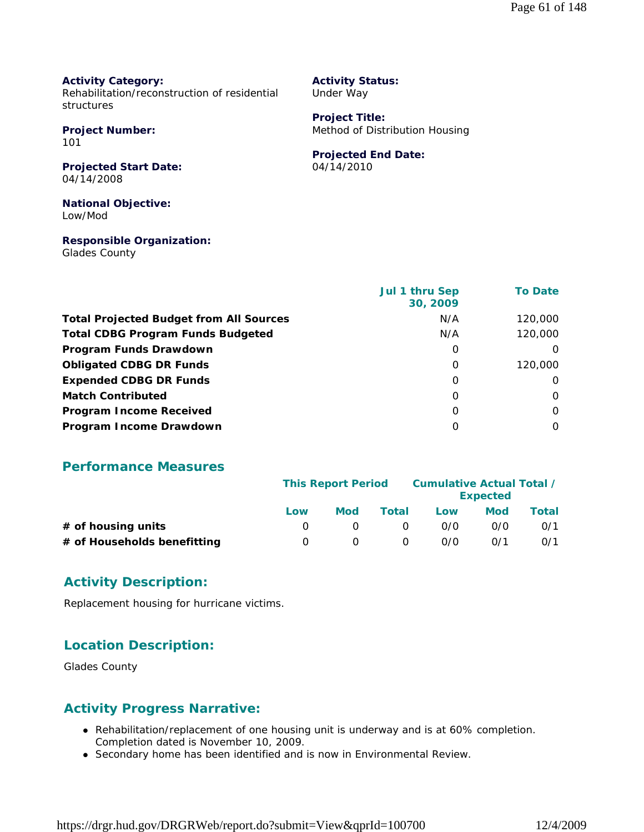#### **Activity Category:**

Rehabilitation/reconstruction of residential structures

**Project Number:** 101

**Projected Start Date:** 04/14/2008

**National Objective:** Low/Mod

### **Responsible Organization:**

Glades County

### **Activity Status:**

Under Way

**Project Title:** Method of Distribution Housing

## **Projected End Date:**

04/14/2010

|                                                | <b>Jul 1 thru Sep</b><br>30, 2009 | <b>To Date</b> |
|------------------------------------------------|-----------------------------------|----------------|
| <b>Total Projected Budget from All Sources</b> | N/A                               | 120,000        |
| <b>Total CDBG Program Funds Budgeted</b>       | N/A                               | 120,000        |
| Program Funds Drawdown                         | 0                                 | $\Omega$       |
| <b>Obligated CDBG DR Funds</b>                 | 0                                 | 120,000        |
| <b>Expended CDBG DR Funds</b>                  | O                                 | $\Omega$       |
| <b>Match Contributed</b>                       | O                                 | $\Omega$       |
| <b>Program Income Received</b>                 | O                                 | 0              |
| Program Income Drawdown                        | Ω                                 | 0              |

### **Performance Measures**

|                             | <b>This Report Period</b> |     |          | Cumulative Actual Total / |     |       |
|-----------------------------|---------------------------|-----|----------|---------------------------|-----|-------|
|                             |                           |     |          | <b>Expected</b>           |     |       |
|                             | Low                       | Mod | Total    | Low                       | Mod | Total |
| # of housing units          |                           |     | $\Omega$ | 0/0                       | 0/0 | 0/1   |
| # of Households benefitting | $\left( \right)$          |     | $\Omega$ | 0/0                       | 0/1 | 0/1   |

### **Activity Description:**

Replacement housing for hurricane victims.

## **Location Description:**

Glades County

## **Activity Progress Narrative:**

- Rehabilitation/replacement of one housing unit is underway and is at 60% completion. Completion dated is November 10, 2009.
- Secondary home has been identified and is now in Environmental Review.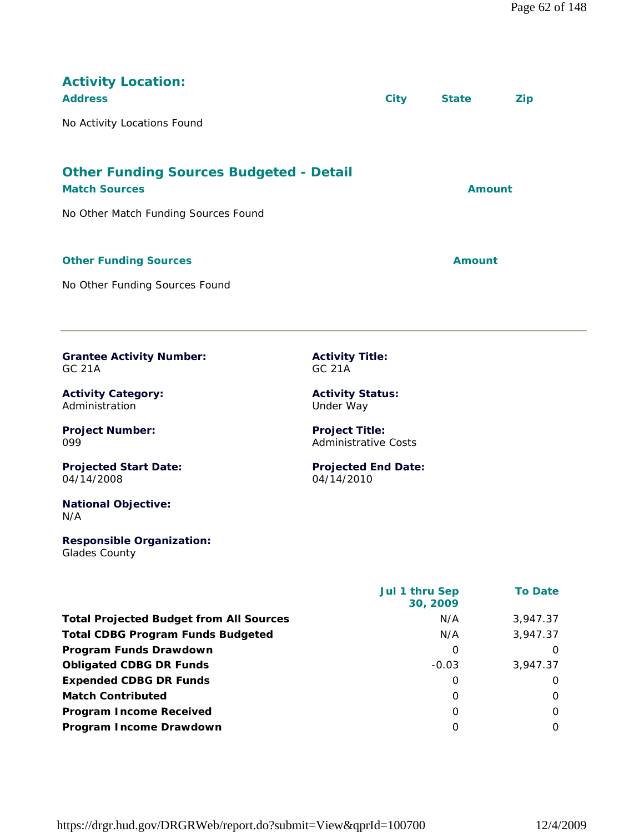| <b>Activity Location:</b><br><b>Address</b>                                                                    | <b>City</b> | <b>State</b>  | <b>Zip</b> |  |
|----------------------------------------------------------------------------------------------------------------|-------------|---------------|------------|--|
| No Activity Locations Found                                                                                    |             |               |            |  |
| <b>Other Funding Sources Budgeted - Detail</b><br><b>Match Sources</b><br>No Other Match Funding Sources Found |             | <b>Amount</b> |            |  |
| <b>Other Funding Sources</b><br>No Other Funding Sources Found                                                 |             | <b>Amount</b> |            |  |
|                                                                                                                |             |               |            |  |

**Grantee Activity Number:** GC 21A

**Activity Category:** Administration

**Project Number:** 099

**Projected Start Date:** 04/14/2008

**National Objective:** N/A

#### **Responsible Organization:** Glades County

**Activity Title:** GC 21A

**Activity Status:** Under Way

**Project Title:** Administrative Costs

**Projected End Date:** 04/14/2010

|                                                | <b>Jul 1 thru Sep</b><br>30, 2009 | <b>To Date</b> |
|------------------------------------------------|-----------------------------------|----------------|
| <b>Total Projected Budget from All Sources</b> | N/A                               | 3,947.37       |
| <b>Total CDBG Program Funds Budgeted</b>       | N/A                               | 3,947.37       |
| Program Funds Drawdown                         | 0                                 | $\Omega$       |
| <b>Obligated CDBG DR Funds</b>                 | $-0.03$                           | 3,947.37       |
| <b>Expended CDBG DR Funds</b>                  | O                                 | $\Omega$       |
| <b>Match Contributed</b>                       | 0                                 | $\Omega$       |
| <b>Program Income Received</b>                 | 0                                 | $\Omega$       |
| Program Income Drawdown                        | O                                 | $\Omega$       |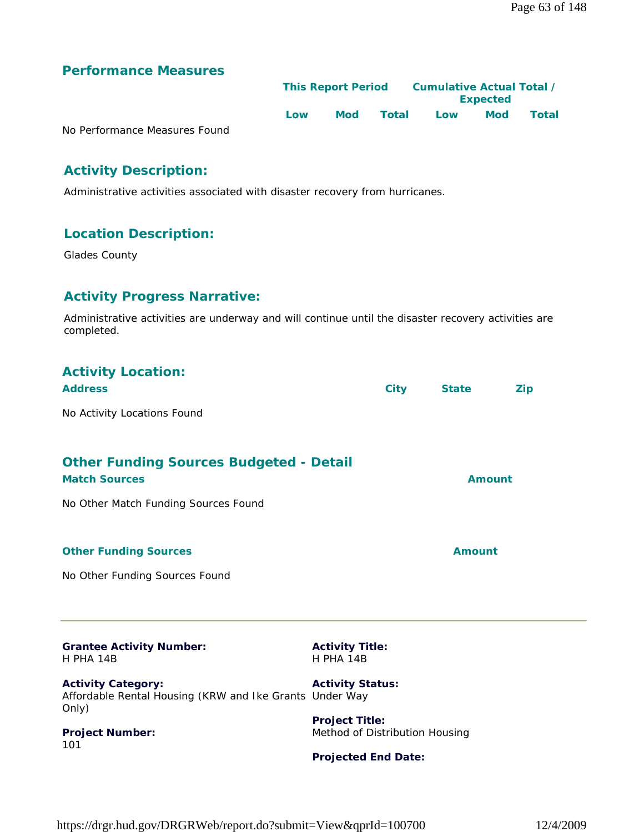|                               | <b>This Report Period</b> |     |       | Cumulative Actual Total /<br><b>Expected</b> |            |       |  |
|-------------------------------|---------------------------|-----|-------|----------------------------------------------|------------|-------|--|
|                               | Low                       | Mod | Total | Low                                          | <b>Mod</b> | Total |  |
| No Performance Measures Found |                           |     |       |                                              |            |       |  |

## **Activity Description:**

Administrative activities associated with disaster recovery from hurricanes.

## **Location Description:**

Glades County

## **Activity Progress Narrative:**

Administrative activities are underway and will continue until the disaster recovery activities are completed.

| <b>Activity Location:</b><br><b>Address</b>                                                   |                                                                                       | <b>City</b> | <b>State</b>  | <b>Zip</b> |
|-----------------------------------------------------------------------------------------------|---------------------------------------------------------------------------------------|-------------|---------------|------------|
| No Activity Locations Found                                                                   |                                                                                       |             |               |            |
| <b>Other Funding Sources Budgeted - Detail</b><br><b>Match Sources</b>                        |                                                                                       |             | <b>Amount</b> |            |
| No Other Match Funding Sources Found                                                          |                                                                                       |             |               |            |
| <b>Other Funding Sources</b>                                                                  |                                                                                       |             | <b>Amount</b> |            |
| No Other Funding Sources Found                                                                |                                                                                       |             |               |            |
| <b>Grantee Activity Number:</b><br>H PHA 14B                                                  | <b>Activity Title:</b><br>H PHA 14B                                                   |             |               |            |
| <b>Activity Category:</b><br>Affordable Rental Housing (KRW and Ike Grants Under Way<br>Only) | <b>Activity Status:</b>                                                               |             |               |            |
| Project Number:<br>101                                                                        | <b>Project Title:</b><br>Method of Distribution Housing<br><b>Projected End Date:</b> |             |               |            |
|                                                                                               |                                                                                       |             |               |            |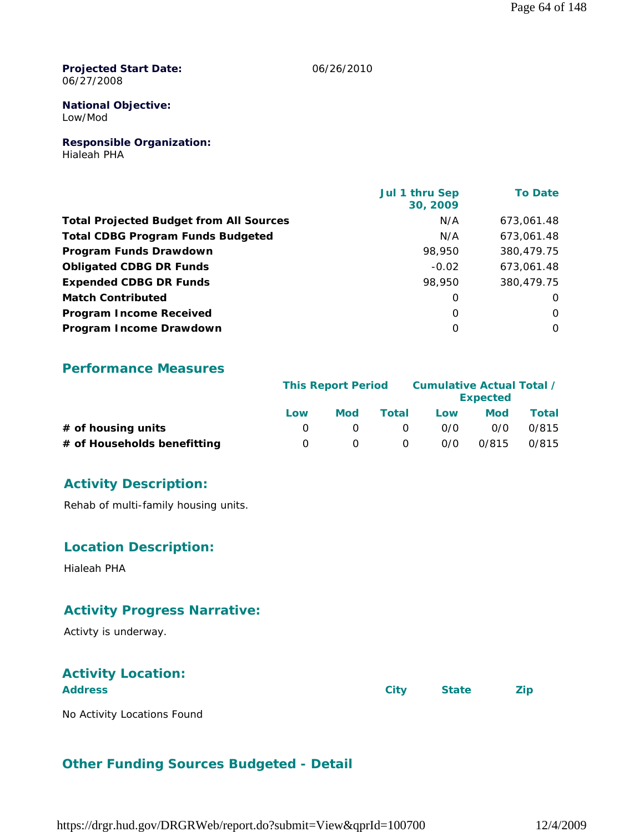**Projected Start Date:** 06/27/2008

06/26/2010

#### **National Objective:** Low/Mod

**Responsible Organization:**

Hialeah PHA

|                                                | Jul 1 thru Sep<br>30, 2009 | <b>To Date</b> |
|------------------------------------------------|----------------------------|----------------|
| <b>Total Projected Budget from All Sources</b> | N/A                        | 673.061.48     |
| <b>Total CDBG Program Funds Budgeted</b>       | N/A                        | 673,061.48     |
| Program Funds Drawdown                         | 98,950                     | 380.479.75     |
| <b>Obligated CDBG DR Funds</b>                 | $-0.02$                    | 673.061.48     |
| <b>Expended CDBG DR Funds</b>                  | 98,950                     | 380,479.75     |
| <b>Match Contributed</b>                       | 0                          | O              |
| <b>Program Income Received</b>                 | $\Omega$                   | $\Omega$       |
| Program Income Drawdown                        | $\Omega$                   | $\Omega$       |

### **Performance Measures**

|                             |     | <b>This Report Period</b> |          | Cumulative Actual Total /<br><b>Expected</b> |            |       |
|-----------------------------|-----|---------------------------|----------|----------------------------------------------|------------|-------|
|                             | Low | Mod                       | Total    | Low                                          | <b>Mod</b> | Total |
| $#$ of housing units        |     |                           | $\Omega$ | 0/0                                          | 0/0        | 0/815 |
| # of Households benefitting |     |                           | $\Omega$ | 0/0                                          | 0/815      | 0/815 |

## **Activity Description:**

Rehab of multi-family housing units.

## **Location Description:**

Hialeah PHA

## **Activity Progress Narrative:**

Activty is underway.

## **Activity Location:**

**Address City State Zip**

No Activity Locations Found

## **Other Funding Sources Budgeted - Detail**

https://drgr.hud.gov/DRGRWeb/report.do?submit=View&qprId=100700 12/4/2009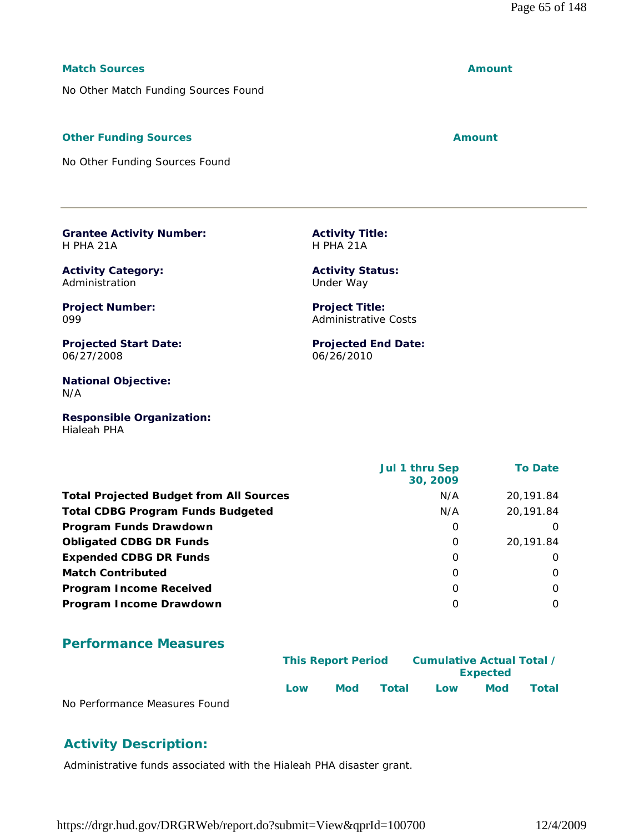#### **Match Sources Amount**

No Other Match Funding Sources Found

### **Other Funding Sources Amount**

No Other Funding Sources Found

**Grantee Activity Number:** H PHA 21A

**Activity Category:** Administration

**Project Number:** 099

**Projected Start Date:** 06/27/2008

**National Objective:** N/A

**Responsible Organization:** Hialeah PHA

**Activity Title:** H PHA 21A

**Activity Status:** Under Way

**Project Title:** Administrative Costs

**Projected End Date:** 06/26/2010

|                                                | <b>Jul 1 thru Sep</b><br>30, 2009 | <b>To Date</b> |
|------------------------------------------------|-----------------------------------|----------------|
| <b>Total Projected Budget from All Sources</b> | N/A                               | 20,191.84      |
| <b>Total CDBG Program Funds Budgeted</b>       | N/A                               | 20,191.84      |
| Program Funds Drawdown                         | 0                                 |                |
| <b>Obligated CDBG DR Funds</b>                 | 0                                 | 20,191.84      |
| <b>Expended CDBG DR Funds</b>                  | 0                                 | $\Omega$       |
| <b>Match Contributed</b>                       | $\Omega$                          | $\Omega$       |
| <b>Program Income Received</b>                 | $\Omega$                          | $\Omega$       |
| Program Income Drawdown                        | O                                 | $\Omega$       |

### **Performance Measures**

|                                |     | <b>This Report Period</b> |       | Cumulative Actual Total / |                 |              |
|--------------------------------|-----|---------------------------|-------|---------------------------|-----------------|--------------|
|                                |     |                           |       |                           | <b>Expected</b> |              |
|                                | Low | Mod                       | Total | Low                       | <b>Mod</b>      | <b>Total</b> |
| No Performance Measures Found. |     |                           |       |                           |                 |              |

No Performance Measures Found

## **Activity Description:**

Administrative funds associated with the Hialeah PHA disaster grant.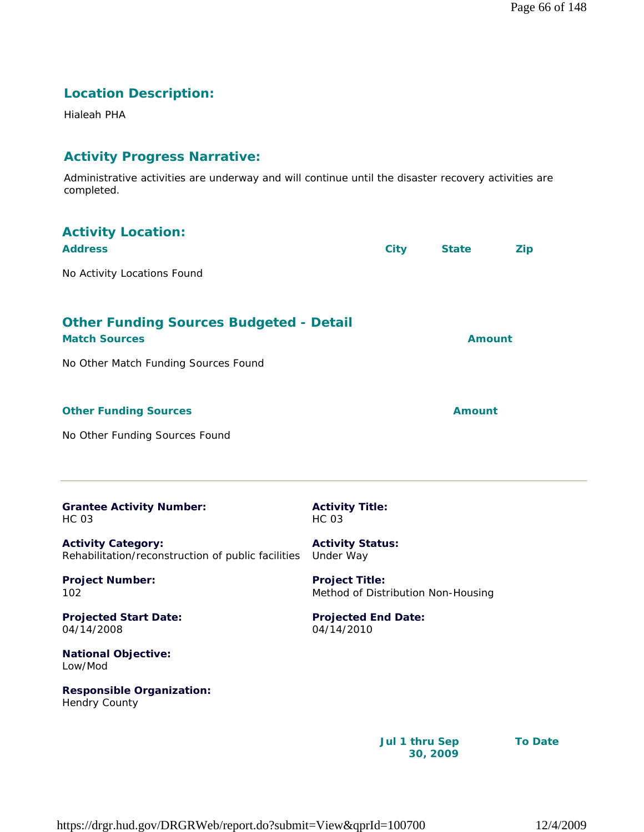## **Location Description:**

Hialeah PHA

## **Activity Progress Narrative:**

Administrative activities are underway and will continue until the disaster recovery activities are completed.

| <b>Activity Location:</b><br><b>Address</b>                                                                    |                                                             | <b>City</b>    | <b>State</b>  | <b>Zip</b>     |
|----------------------------------------------------------------------------------------------------------------|-------------------------------------------------------------|----------------|---------------|----------------|
| No Activity Locations Found                                                                                    |                                                             |                |               |                |
| <b>Other Funding Sources Budgeted - Detail</b><br><b>Match Sources</b><br>No Other Match Funding Sources Found |                                                             |                | <b>Amount</b> |                |
| <b>Other Funding Sources</b>                                                                                   |                                                             |                | <b>Amount</b> |                |
| No Other Funding Sources Found                                                                                 |                                                             |                |               |                |
| <b>Grantee Activity Number:</b><br><b>HC 03</b>                                                                | <b>Activity Title:</b><br><b>HC 03</b>                      |                |               |                |
| <b>Activity Category:</b><br>Rehabilitation/reconstruction of public facilities                                | <b>Activity Status:</b><br>Under Way                        |                |               |                |
| <b>Project Number:</b><br>102                                                                                  | <b>Project Title:</b><br>Method of Distribution Non-Housing |                |               |                |
| <b>Projected Start Date:</b><br>04/14/2008                                                                     | <b>Projected End Date:</b><br>04/14/2010                    |                |               |                |
| <b>National Objective:</b><br>Low/Mod                                                                          |                                                             |                |               |                |
| <b>Responsible Organization:</b><br><b>Hendry County</b>                                                       |                                                             |                |               |                |
|                                                                                                                |                                                             | Jul 1 thru Sep |               | <b>To Date</b> |

**30, 2009**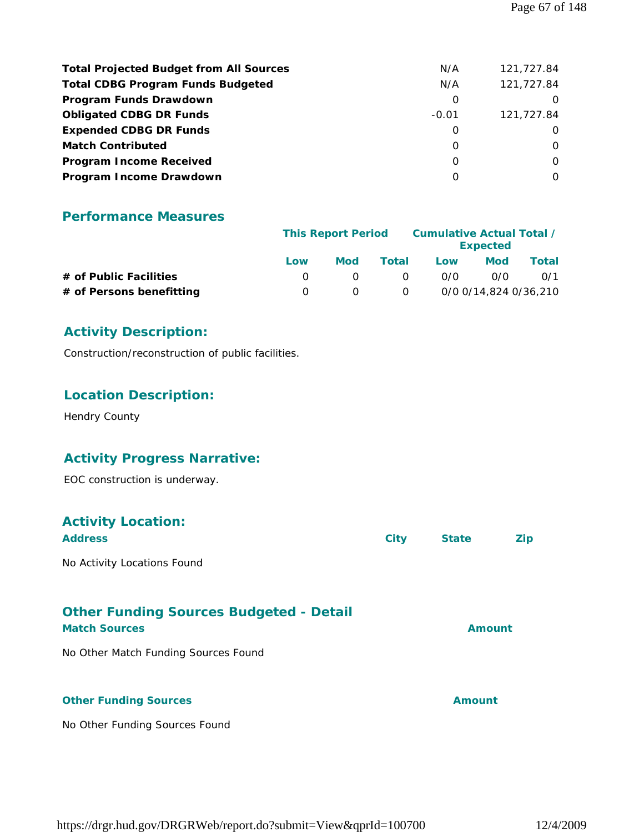| <b>Total Projected Budget from All Sources</b> | N/A     | 121,727.84 |
|------------------------------------------------|---------|------------|
| <b>Total CDBG Program Funds Budgeted</b>       | N/A     | 121,727.84 |
| Program Funds Drawdown                         | O       |            |
| <b>Obligated CDBG DR Funds</b>                 | $-0.01$ | 121,727.84 |
| <b>Expended CDBG DR Funds</b>                  | O       | $\Omega$   |
| <b>Match Contributed</b>                       | 0       | $\Omega$   |
| <b>Program Income Received</b>                 | 0       | $\Omega$   |
| Program Income Drawdown                        | O       | $\Omega$   |

|                          |     | <b>This Report Period</b> |          | Cumulative Actual Total /<br><b>Expected</b> |                       |       |
|--------------------------|-----|---------------------------|----------|----------------------------------------------|-----------------------|-------|
|                          | Low | Mod                       | Total    | Low                                          | <b>Mod</b>            | Total |
| # of Public Facilities   |     |                           | $\Omega$ | 0/0                                          | 0/0                   | 0/1   |
| # of Persons benefitting |     |                           | 0        |                                              | 0/0 0/14,824 0/36,210 |       |

## **Activity Description:**

Construction/reconstruction of public facilities.

## **Location Description:**

Hendry County

## **Activity Progress Narrative:**

EOC construction is underway.

## **Activity Location:**

| <b>Address</b>                                 | City | <b>State</b> | <b>Zip</b> |
|------------------------------------------------|------|--------------|------------|
| No Activity Locations Found                    |      |              |            |
| <b>Other Funding Sources Budgeted - Detail</b> |      |              |            |

# **Match Sources Amount** No Other Match Funding Sources Found **Other Funding Sources Amount**

No Other Funding Sources Found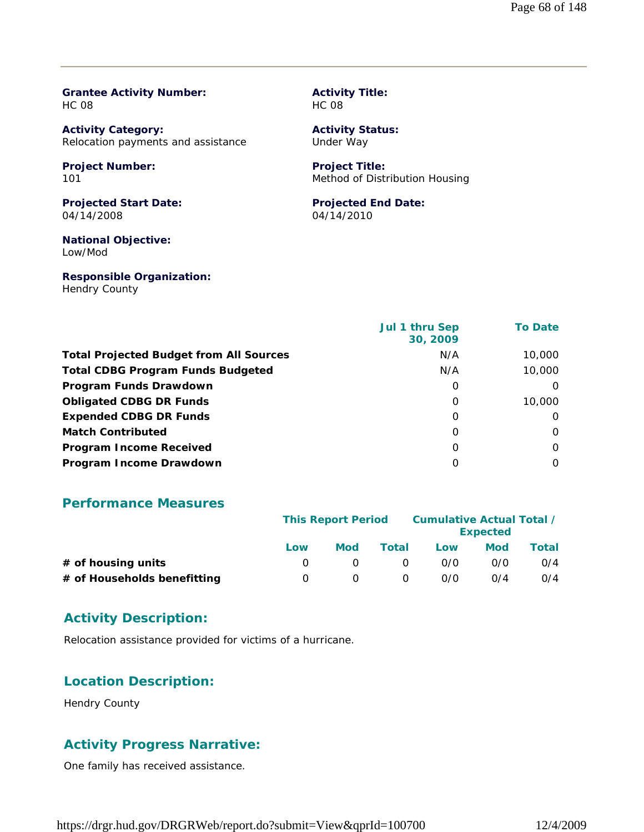#### **Grantee Activity Number:** HC 08

**Activity Category:** Relocation payments and assistance

#### **Project Number:** 101

**Projected Start Date:** 04/14/2008

**National Objective:** Low/Mod

**Responsible Organization:** Hendry County

#### **Activity Title:** HC 08

**Activity Status:** Under Way

#### **Project Title:** Method of Distribution Housing

## **Projected End Date:**

04/14/2010

|                                                | Jul 1 thru Sep<br>30, 2009 | <b>To Date</b> |
|------------------------------------------------|----------------------------|----------------|
| <b>Total Projected Budget from All Sources</b> | N/A                        | 10,000         |
| <b>Total CDBG Program Funds Budgeted</b>       | N/A                        | 10,000         |
| Program Funds Drawdown                         | 0                          | $\Omega$       |
| <b>Obligated CDBG DR Funds</b>                 | 0                          | 10,000         |
| <b>Expended CDBG DR Funds</b>                  | 0                          | $\Omega$       |
| <b>Match Contributed</b>                       | 0                          | $\Omega$       |
| <b>Program Income Received</b>                 | $\Omega$                   | $\Omega$       |
| Program Income Drawdown                        | O                          | $\Omega$       |

### **Performance Measures**

|                             | <b>This Report Period</b> |            |          | Cumulative Actual Total / | <b>Expected</b> |       |
|-----------------------------|---------------------------|------------|----------|---------------------------|-----------------|-------|
|                             | Low                       | <b>Mod</b> | Total    | Low                       | <b>Mod</b>      | Total |
| $#$ of housing units        |                           |            | $\Omega$ | 0/0                       | 0/0             | O/4   |
| # of Households benefitting | $\cup$                    |            | $\Omega$ | 0/0                       | 0/4             | O/4   |

### **Activity Description:**

Relocation assistance provided for victims of a hurricane.

## **Location Description:**

Hendry County

## **Activity Progress Narrative:**

One family has received assistance.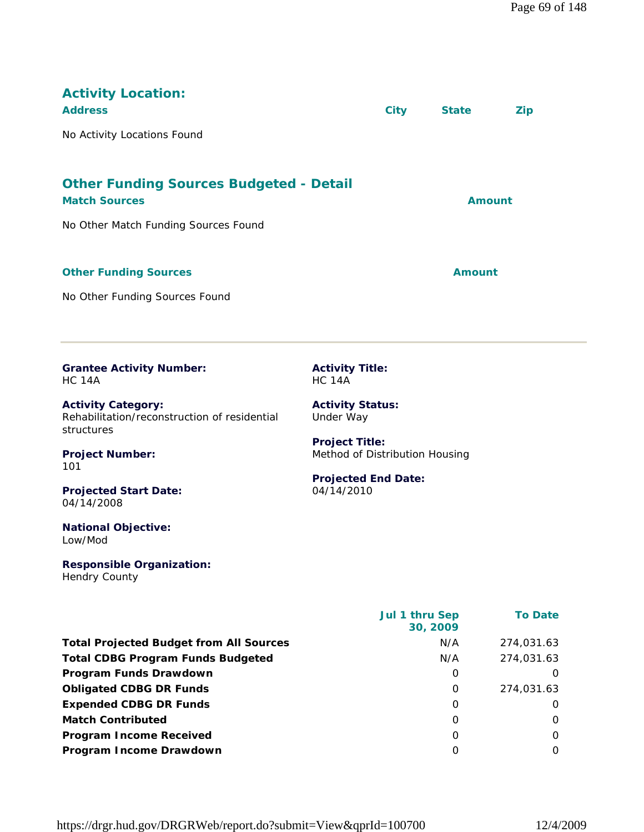| <b>Activity Location:</b><br><b>Address</b>                                             |                                                         | <b>City</b>    | <b>State</b>  | <b>Zip</b>     |
|-----------------------------------------------------------------------------------------|---------------------------------------------------------|----------------|---------------|----------------|
| No Activity Locations Found                                                             |                                                         |                |               |                |
| <b>Other Funding Sources Budgeted - Detail</b><br><b>Match Sources</b>                  |                                                         |                |               | <b>Amount</b>  |
| No Other Match Funding Sources Found                                                    |                                                         |                |               |                |
| <b>Other Funding Sources</b>                                                            |                                                         |                | <b>Amount</b> |                |
| No Other Funding Sources Found                                                          |                                                         |                |               |                |
| <b>Grantee Activity Number:</b><br><b>HC 14A</b>                                        | <b>Activity Title:</b><br><b>HC 14A</b>                 |                |               |                |
| <b>Activity Category:</b><br>Rehabilitation/reconstruction of residential<br>structures | <b>Activity Status:</b><br>Under Way                    |                |               |                |
| <b>Project Number:</b><br>101                                                           | <b>Project Title:</b><br>Method of Distribution Housing |                |               |                |
| <b>Projected Start Date:</b><br>04/14/2008                                              | <b>Projected End Date:</b><br>04/14/2010                |                |               |                |
| <b>National Objective:</b><br>Low/Mod                                                   |                                                         |                |               |                |
| <b>Responsible Organization:</b><br>Hendry County                                       |                                                         |                |               |                |
|                                                                                         |                                                         | Jul 1 thru Sep | 30, 2009      | <b>To Date</b> |
| <b>Total Projected Budget from All Sources</b>                                          |                                                         |                | N/A           | 274,031.63     |
| <b>Total CDBG Program Funds Budgeted</b>                                                |                                                         |                | N/A           | 274,031.63     |
| Program Funds Drawdown                                                                  |                                                         |                | 0             | 0              |
| <b>Obligated CDBG DR Funds</b>                                                          |                                                         |                | $\mathbf 0$   | 274,031.63     |
| <b>Expended CDBG DR Funds</b>                                                           |                                                         |                | 0             | 0              |

**Match Contributed** 0 0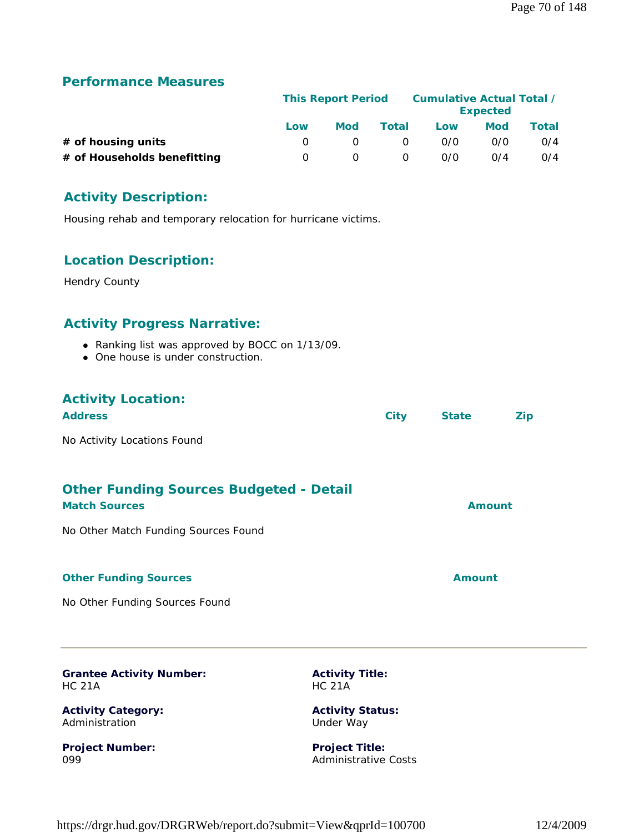|                             | <b>This Report Period</b> |            |          | Cumulative Actual Total / | <b>Expected</b> |       |
|-----------------------------|---------------------------|------------|----------|---------------------------|-----------------|-------|
|                             | Low                       | <b>Mod</b> | Total    | Low                       | <b>Mod</b>      | Total |
| # of housing units          |                           |            | $\Omega$ | 0/0                       | 0/0             | O/4   |
| # of Households benefitting | n.                        |            | $\Omega$ | 0/0                       | 0/4             | O/4   |

## **Activity Description:**

Housing rehab and temporary relocation for hurricane victims.

## **Location Description:**

Hendry County

## **Activity Progress Narrative:**

- Ranking list was approved by BOCC on 1/13/09.
- One house is under construction.

## **Activity Location:**

| <b>Address</b>              | City | <b>State</b> | Zip |
|-----------------------------|------|--------------|-----|
| No Activity Locations Found |      |              |     |

## **Other Funding Sources Budgeted - Detail**

| <b>Match Sources</b>                 | <b>Amount</b> |
|--------------------------------------|---------------|
| No Other Match Funding Sources Found |               |
| <b>Other Funding Sources</b>         | Amount        |

No Other Funding Sources Found

**Grantee Activity Number:** HC 21A

**Activity Category:** Administration

**Project Number:** 099

**Activity Title:** HC 21A

**Activity Status:** Under Way

**Project Title:** Administrative Costs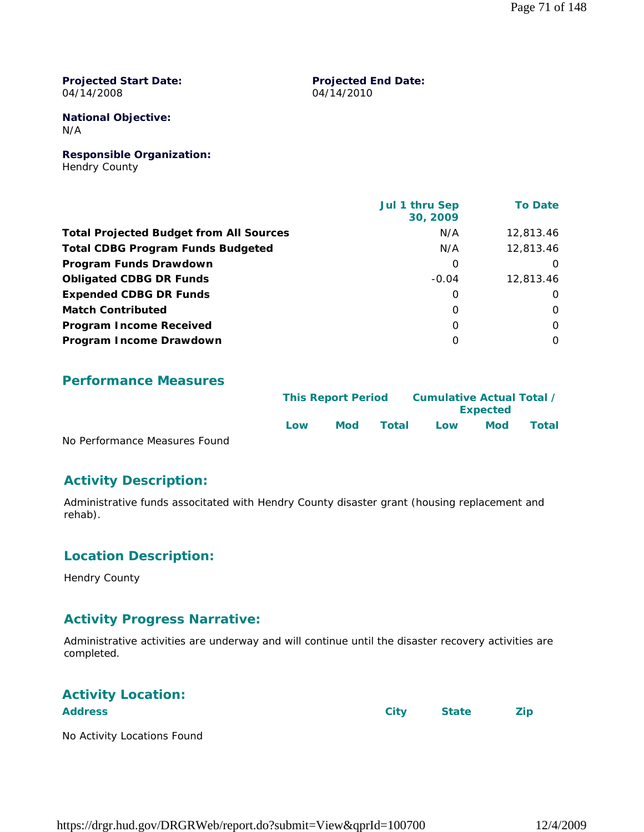#### **Projected Start Date:** 04/14/2008

#### **Projected End Date:** 04/14/2010

**National Objective:** N/A

**Responsible Organization:** Hendry County

|                                                | Jul 1 thru Sep<br>30, 2009 | <b>To Date</b> |
|------------------------------------------------|----------------------------|----------------|
| <b>Total Projected Budget from All Sources</b> | N/A                        | 12,813,46      |
| <b>Total CDBG Program Funds Budgeted</b>       | N/A                        | 12,813.46      |
| Program Funds Drawdown                         | 0                          | $\Omega$       |
| <b>Obligated CDBG DR Funds</b>                 | $-0.04$                    | 12,813,46      |
| <b>Expended CDBG DR Funds</b>                  | 0                          | $\Omega$       |
| <b>Match Contributed</b>                       | 0                          | $\Omega$       |
| <b>Program Income Received</b>                 | $\Omega$                   | $\Omega$       |
| Program Income Drawdown                        | 0                          | $\Omega$       |

## **Performance Measures**

|                               | <b>This Report Period</b> |            |       |     | <b>Expected</b> | Cumulative Actual Total / |  |
|-------------------------------|---------------------------|------------|-------|-----|-----------------|---------------------------|--|
| No Performance Measures Found | Low                       | <b>Mod</b> | Total | Low | Mod             | <b>Total</b>              |  |

No Performance Measures Found

## **Activity Description:**

Administrative funds associtated with Hendry County disaster grant (housing replacement and rehab).

## **Location Description:**

Hendry County

## **Activity Progress Narrative:**

Administrative activities are underway and will continue until the disaster recovery activities are completed.

## **Activity Location:**

| <b>Address</b> | City State Zip |
|----------------|----------------|
| .              |                |

No Activity Locations Found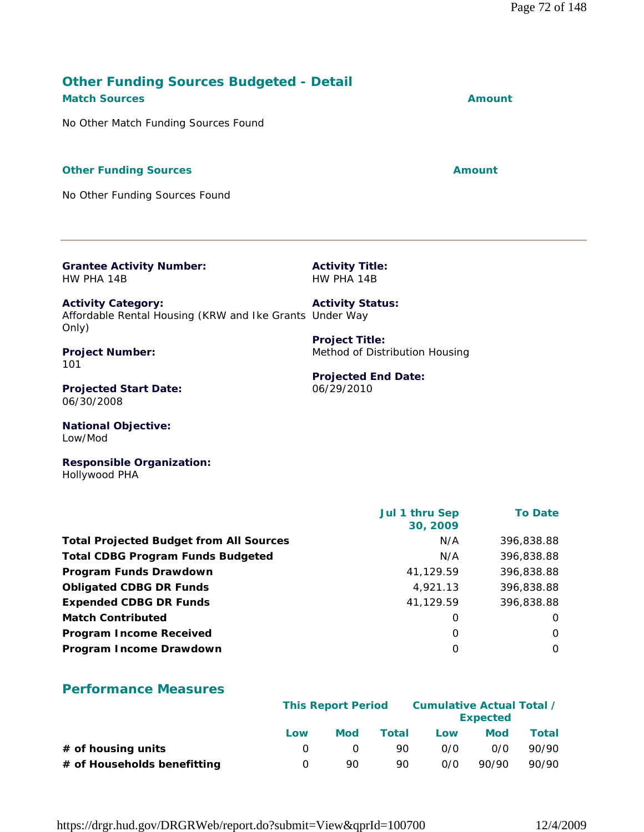## **Other Funding Sources Budgeted - Detail Match Sources Amount**

No Other Match Funding Sources Found

#### **Other Funding Sources Amount Amount Amount**

No Other Funding Sources Found

**Grantee Activity Number:** HW PHA 14B

**Activity Title:** HW PHA 14B

Method of Distribution Housing

**Projected End Date:**

06/29/2010

**Activity Category:** Affordable Rental Housing (KRW and Ike Grants Under Way Only) **Activity Status: Project Title:**

**Project Number:** 101

**Projected Start Date:** 06/30/2008

**National Objective:** Low/Mod

**Responsible Organization:** Hollywood PHA

|                                                | <b>Jul 1 thru Sep</b><br>30, 2009 | <b>To Date</b> |
|------------------------------------------------|-----------------------------------|----------------|
| <b>Total Projected Budget from All Sources</b> | N/A                               | 396,838.88     |
| <b>Total CDBG Program Funds Budgeted</b>       | N/A                               | 396,838.88     |
| Program Funds Drawdown                         | 41,129.59                         | 396,838.88     |
| <b>Obligated CDBG DR Funds</b>                 | 4,921.13                          | 396,838.88     |
| <b>Expended CDBG DR Funds</b>                  | 41,129.59                         | 396,838.88     |
| <b>Match Contributed</b>                       | 0                                 | $\Omega$       |
| <b>Program Income Received</b>                 | 0                                 | $\Omega$       |
| Program Income Drawdown                        | 0                                 | $\Omega$       |
|                                                |                                   |                |

### **Performance Measures**

|                             | <b>This Report Period</b> |     |       | Cumulative Actual Total / | <b>Expected</b> |       |
|-----------------------------|---------------------------|-----|-------|---------------------------|-----------------|-------|
|                             | Low                       | Mod | Total | Low                       | Mod             | Total |
| $#$ of housing units        |                           |     | 90.   | 0/0                       | 0/0             | 90/90 |
| # of Households benefitting | n                         | 90. | 90    | O/O                       | 90/90           | 90/90 |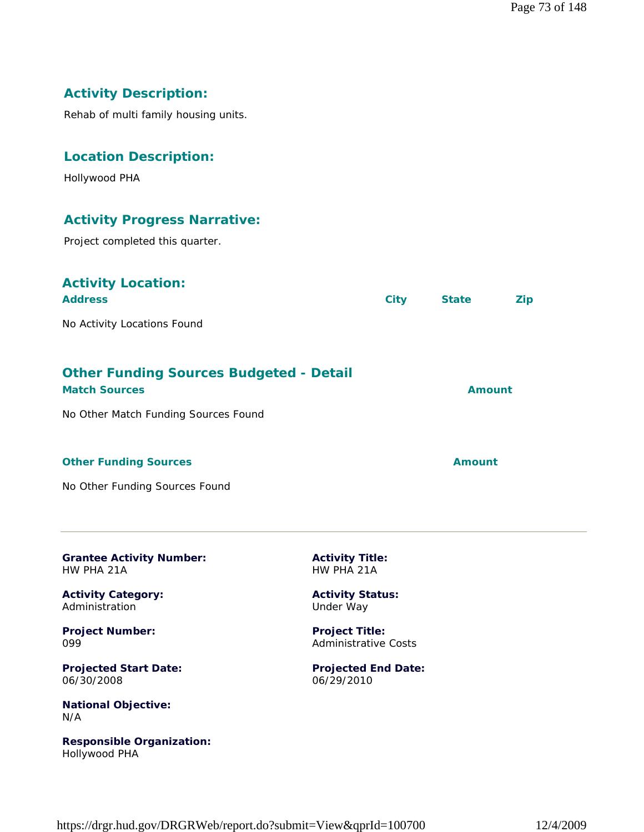# **Activity Description:**

Rehab of multi family housing units.

#### **Location Description:**

Hollywood PHA

## **Activity Progress Narrative:**

Project completed this quarter.

## **Activity Location:**

| <b>Address</b>              | City | <b>State</b> | <b>Zip</b> |
|-----------------------------|------|--------------|------------|
| No Activity Locations Found |      |              |            |

# **Other Funding Sources Budgeted - Detail**

| <b>Match Sources</b>                 | Amount |
|--------------------------------------|--------|
| No Other Match Funding Sources Found |        |
|                                      |        |

#### **Other Funding Sources Amount** 2008 2012 12:30 Amount

No Other Funding Sources Found

**Grantee Activity Number:** HW PHA 21A

**Activity Category:** Administration

**Project Number:** 099

**Projected Start Date:** 06/30/2008

**National Objective:** N/A

**Responsible Organization:** Hollywood PHA

**Activity Title:** HW PHA 21A

**Activity Status:** Under Way

**Project Title:** Administrative Costs

**Projected End Date:** 06/29/2010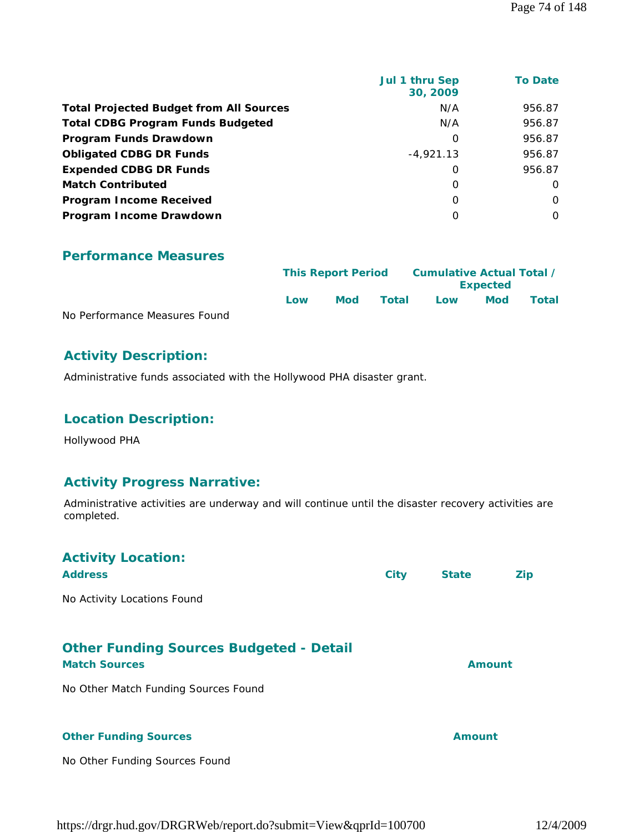|                                                | Jul 1 thru Sep<br>30, 2009 | <b>To Date</b> |
|------------------------------------------------|----------------------------|----------------|
| <b>Total Projected Budget from All Sources</b> | N/A                        | 956.87         |
| <b>Total CDBG Program Funds Budgeted</b>       | N/A                        | 956.87         |
| Program Funds Drawdown                         | 0                          | 956.87         |
| <b>Obligated CDBG DR Funds</b>                 | $-4,921.13$                | 956.87         |
| <b>Expended CDBG DR Funds</b>                  | $\Omega$                   | 956.87         |
| <b>Match Contributed</b>                       | 0                          | 0              |
| <b>Program Income Received</b>                 | $\Omega$                   | $\Omega$       |
| Program Income Drawdown                        | $\Omega$                   | $\Omega$       |

|                               |     | <b>This Report Period</b> |       |     | Cumulative Actual Total /<br><b>Expected</b> |       |
|-------------------------------|-----|---------------------------|-------|-----|----------------------------------------------|-------|
|                               | Low | <b>Mod</b>                | Total | Low | Mod                                          | Total |
| No Performance Measures Found |     |                           |       |     |                                              |       |

# **Activity Description:**

Administrative funds associated with the Hollywood PHA disaster grant.

# **Location Description:**

Hollywood PHA

# **Activity Progress Narrative:**

Administrative activities are underway and will continue until the disaster recovery activities are completed.

| <b>Activity Location:</b><br><b>Address</b>                            | <b>City</b> | <b>State</b>  | Zip |
|------------------------------------------------------------------------|-------------|---------------|-----|
| No Activity Locations Found                                            |             |               |     |
| <b>Other Funding Sources Budgeted - Detail</b><br><b>Match Sources</b> |             | <b>Amount</b> |     |
| No Other Match Funding Sources Found                                   |             |               |     |
| <b>Other Funding Sources</b>                                           |             | Amount        |     |
| No Other Funding Sources Found                                         |             |               |     |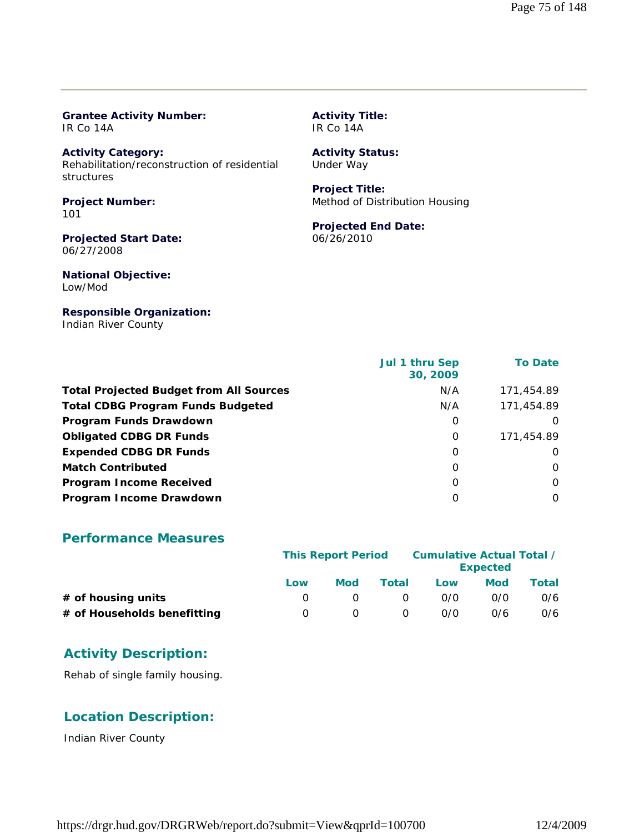#### **Grantee Activity Number:** IR Co 14A

**Activity Category:** Rehabilitation/reconstruction of residential structures

**Project Number:** 101

**Projected Start Date:** 06/27/2008

**National Objective:** Low/Mod

#### **Responsible Organization:**

Indian River County

#### **Activity Title:** IR Co 14A

## **Activity Status:**

Under Way

#### **Project Title:** Method of Distribution Housing

# **Projected End Date:**

06/26/2010

|                                                | Jul 1 thru Sep<br>30, 2009 | <b>To Date</b> |
|------------------------------------------------|----------------------------|----------------|
| <b>Total Projected Budget from All Sources</b> | N/A                        | 171,454.89     |
| <b>Total CDBG Program Funds Budgeted</b>       | N/A                        | 171,454.89     |
| Program Funds Drawdown                         | 0                          | $\Omega$       |
| <b>Obligated CDBG DR Funds</b>                 | 0                          | 171,454.89     |
| <b>Expended CDBG DR Funds</b>                  | 0                          | O              |
| <b>Match Contributed</b>                       | 0                          | $\Omega$       |
| <b>Program Income Received</b>                 | O                          | $\Omega$       |
| Program Income Drawdown                        | O                          | $\Omega$       |

#### **Performance Measures**

|                             | <b>This Report Period</b> |            |          | Cumulative Actual Total / | <b>Expected</b> |       |
|-----------------------------|---------------------------|------------|----------|---------------------------|-----------------|-------|
|                             | Low                       | <b>Mod</b> | Total    | Low                       | <b>Mod</b>      | Total |
| $#$ of housing units        |                           |            | $\Omega$ | 0/0                       | 0/0             | 0/6   |
| # of Households benefitting |                           |            | 0        | 0/0                       | 0/6             | 0/6   |

# **Activity Description:**

Rehab of single family housing.

## **Location Description:**

Indian River County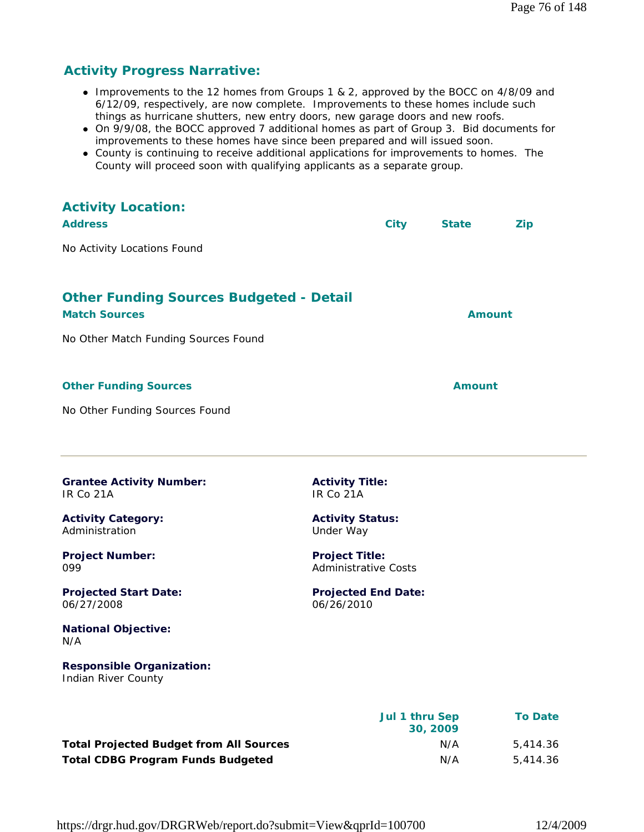# **Activity Progress Narrative:**

- Improvements to the 12 homes from Groups 1 & 2, approved by the BOCC on 4/8/09 and 6/12/09, respectively, are now complete. Improvements to these homes include such things as hurricane shutters, new entry doors, new garage doors and new roofs.
- On 9/9/08, the BOCC approved 7 additional homes as part of Group 3. Bid documents for improvements to these homes have since been prepared and will issued soon.
- County is continuing to receive additional applications for improvements to homes. The County will proceed soon with qualifying applicants as a separate group.

| <b>Activity Location:</b>                                              |                                                      |                |               |                |
|------------------------------------------------------------------------|------------------------------------------------------|----------------|---------------|----------------|
| <b>Address</b>                                                         |                                                      | <b>City</b>    | <b>State</b>  | <b>Zip</b>     |
| No Activity Locations Found                                            |                                                      |                |               |                |
|                                                                        |                                                      |                |               |                |
| <b>Other Funding Sources Budgeted - Detail</b><br><b>Match Sources</b> |                                                      |                | <b>Amount</b> |                |
| No Other Match Funding Sources Found                                   |                                                      |                |               |                |
| <b>Other Funding Sources</b>                                           |                                                      |                | <b>Amount</b> |                |
| No Other Funding Sources Found                                         |                                                      |                |               |                |
| <b>Grantee Activity Number:</b><br>IR Co 21A                           | <b>Activity Title:</b><br>IR Co 21A                  |                |               |                |
| <b>Activity Category:</b><br>Administration                            | <b>Activity Status:</b><br>Under Way                 |                |               |                |
| <b>Project Number:</b><br>099                                          | <b>Project Title:</b><br><b>Administrative Costs</b> |                |               |                |
| <b>Projected Start Date:</b><br>06/27/2008                             | <b>Projected End Date:</b><br>06/26/2010             |                |               |                |
| <b>National Objective:</b><br>N/A                                      |                                                      |                |               |                |
| <b>Responsible Organization:</b><br>Indian River County                |                                                      |                |               |                |
|                                                                        |                                                      | Jul 1 thru Sep | 30, 2009      | <b>To Date</b> |

**Total Projected Budget from All Sources** M/A 5,414.36 **Total CDBG Program Funds Budgeted N/A 5,414.36** 

https://drgr.hud.gov/DRGRWeb/report.do?submit=View&qprId=100700 12/4/2009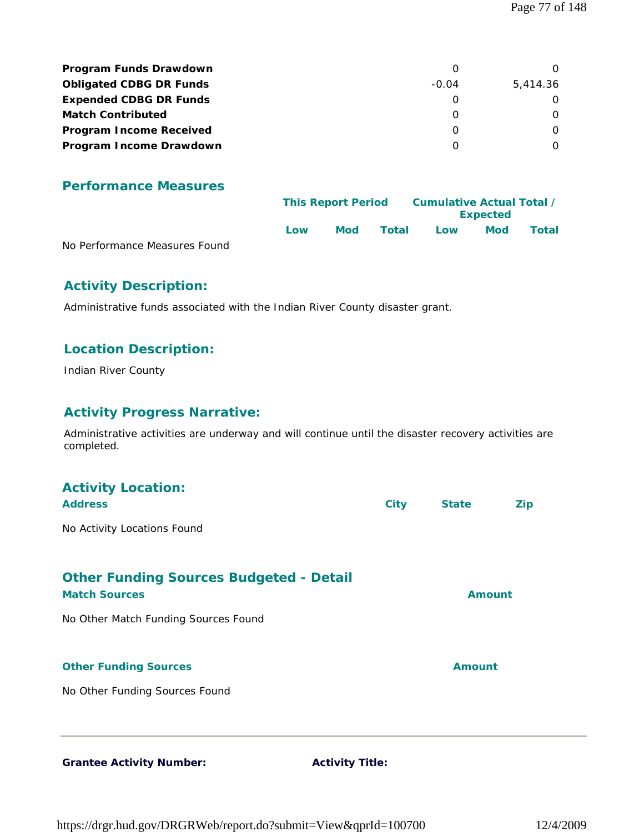| <b>Program Funds Drawdown</b>  |         |          |
|--------------------------------|---------|----------|
| <b>Obligated CDBG DR Funds</b> | $-0.04$ | 5.414.36 |
| <b>Expended CDBG DR Funds</b>  |         |          |
| <b>Match Contributed</b>       |         |          |
| <b>Program Income Received</b> |         |          |
| Program Income Drawdown        |         |          |

|                               |     | <b>This Report Period</b> |       | Cumulative Actual Total /<br><b>Expected</b> |            |       |  |
|-------------------------------|-----|---------------------------|-------|----------------------------------------------|------------|-------|--|
|                               | Low | <b>Mod</b>                | Total | Low                                          | <b>Mod</b> | Total |  |
| No Performance Measures Found |     |                           |       |                                              |            |       |  |

No Performance Measures Found

# **Activity Description:**

Administrative funds associated with the Indian River County disaster grant.

#### **Location Description:**

Indian River County

#### **Activity Progress Narrative:**

Administrative activities are underway and will continue until the disaster recovery activities are completed.

| <b>Activity Location:</b><br><b>Address</b>                            | <b>City</b> | <b>State</b>  | <b>Zip</b> |
|------------------------------------------------------------------------|-------------|---------------|------------|
| No Activity Locations Found                                            |             |               |            |
| <b>Other Funding Sources Budgeted - Detail</b><br><b>Match Sources</b> |             | <b>Amount</b> |            |
| No Other Match Funding Sources Found                                   |             |               |            |
| <b>Other Funding Sources</b>                                           |             | <b>Amount</b> |            |
| No Other Funding Sources Found                                         |             |               |            |
|                                                                        |             |               |            |

Grantee Activity Number: **Activity Title:**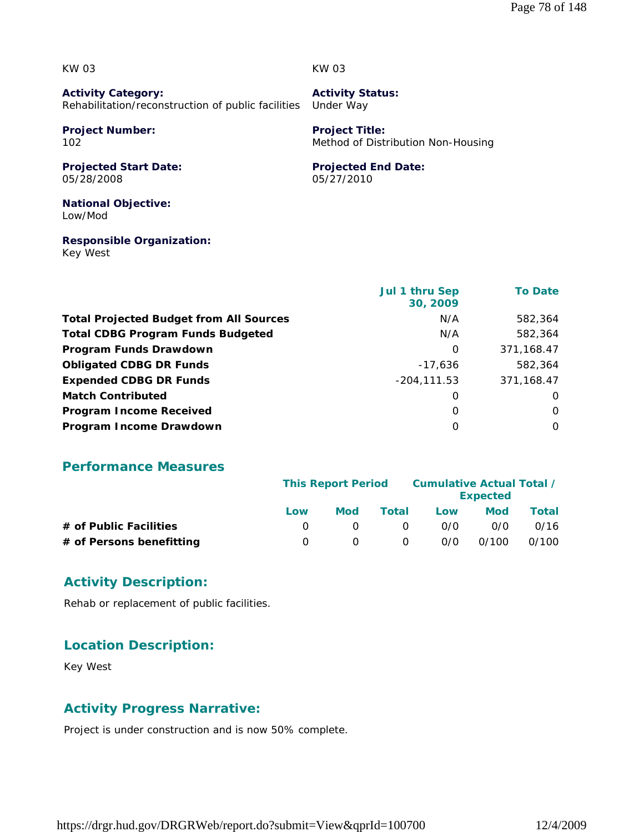KW 03

KW 03

**Activity Category:** Rehabilitation/reconstruction of public facilities

**Project Number:** 102

**Projected Start Date:** 05/28/2008

**Activity Status:** Under Way

**Project Title:** Method of Distribution Non-Housing

#### **Projected End Date:**

05/27/2010

**National Objective:** Low/Mod

**Responsible Organization:** Key West

|                                                | <b>Jul 1 thru Sep</b><br>30, 2009 | <b>To Date</b> |
|------------------------------------------------|-----------------------------------|----------------|
| <b>Total Projected Budget from All Sources</b> | N/A                               | 582,364        |
| <b>Total CDBG Program Funds Budgeted</b>       | N/A                               | 582,364        |
| Program Funds Drawdown                         | 0                                 | 371,168.47     |
| <b>Obligated CDBG DR Funds</b>                 | $-17,636$                         | 582,364        |
| <b>Expended CDBG DR Funds</b>                  | $-204, 111.53$                    | 371,168.47     |
| <b>Match Contributed</b>                       | O                                 | $\Omega$       |
| <b>Program Income Received</b>                 | 0                                 | O              |
| Program Income Drawdown                        | O                                 | $\Omega$       |

#### **Performance Measures**

|                          | <b>This Report Period</b> |     |          | <b>Cumulative Actual Total /</b> |                 |       |
|--------------------------|---------------------------|-----|----------|----------------------------------|-----------------|-------|
|                          |                           |     |          |                                  | <b>Expected</b> |       |
|                          | Low                       | Mod | Total    | Low                              | Mod             | Total |
| # of Public Facilities   |                           |     | $\Omega$ | 0/0                              | 0/0             | 0/16  |
| # of Persons benefitting |                           |     | 0        | 0/0                              | 0/100           | 0/100 |

#### **Activity Description:**

Rehab or replacement of public facilities.

#### **Location Description:**

Key West

#### **Activity Progress Narrative:**

Project is under construction and is now 50% complete.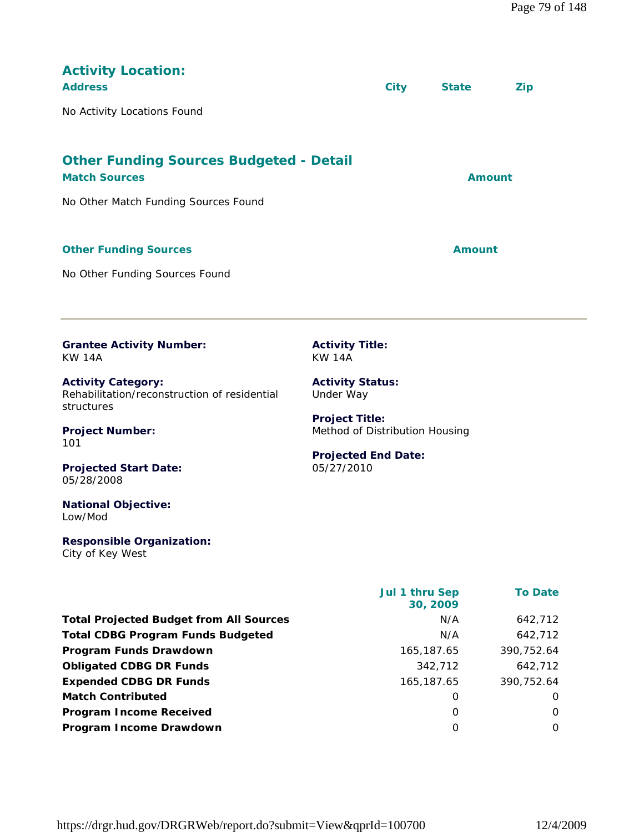| <b>Activity Location:</b><br><b>Address</b>                                             |                                                         | <b>City</b>                | <b>State</b>  | <b>Zip</b>     |
|-----------------------------------------------------------------------------------------|---------------------------------------------------------|----------------------------|---------------|----------------|
| No Activity Locations Found                                                             |                                                         |                            |               |                |
|                                                                                         |                                                         |                            |               |                |
| <b>Other Funding Sources Budgeted - Detail</b><br><b>Match Sources</b>                  |                                                         |                            | <b>Amount</b> |                |
| No Other Match Funding Sources Found                                                    |                                                         |                            |               |                |
|                                                                                         |                                                         |                            |               |                |
| <b>Other Funding Sources</b>                                                            |                                                         |                            | <b>Amount</b> |                |
| No Other Funding Sources Found                                                          |                                                         |                            |               |                |
|                                                                                         |                                                         |                            |               |                |
|                                                                                         |                                                         |                            |               |                |
| <b>Grantee Activity Number:</b><br><b>KW 14A</b>                                        | <b>Activity Title:</b><br><b>KW 14A</b>                 |                            |               |                |
| <b>Activity Category:</b><br>Rehabilitation/reconstruction of residential<br>structures | <b>Activity Status:</b><br>Under Way                    |                            |               |                |
| <b>Project Number:</b><br>101                                                           | <b>Project Title:</b><br>Method of Distribution Housing |                            |               |                |
| <b>Projected Start Date:</b><br>05/28/2008                                              | <b>Projected End Date:</b><br>05/27/2010                |                            |               |                |
| <b>National Objective:</b><br>Low/Mod                                                   |                                                         |                            |               |                |
| <b>Responsible Organization:</b><br>City of Key West                                    |                                                         |                            |               |                |
|                                                                                         |                                                         | Jul 1 thru Sep<br>30, 2009 |               | <b>To Date</b> |

Total Projected Budget from All Sources M/A 642,712 **Total CDBG Program Funds Budgeted** N/A 642,712 **Program Funds Drawdown** 165,187.65 390,752.64 **Obligated CDBG DR Funds** 342,712 642,712 **Expended CDBG DR Funds** 165,187.65 390,752.64 **Match Contributed** 0 0 **Program Income Received** 0 0 **Program Income Drawdown** 0 0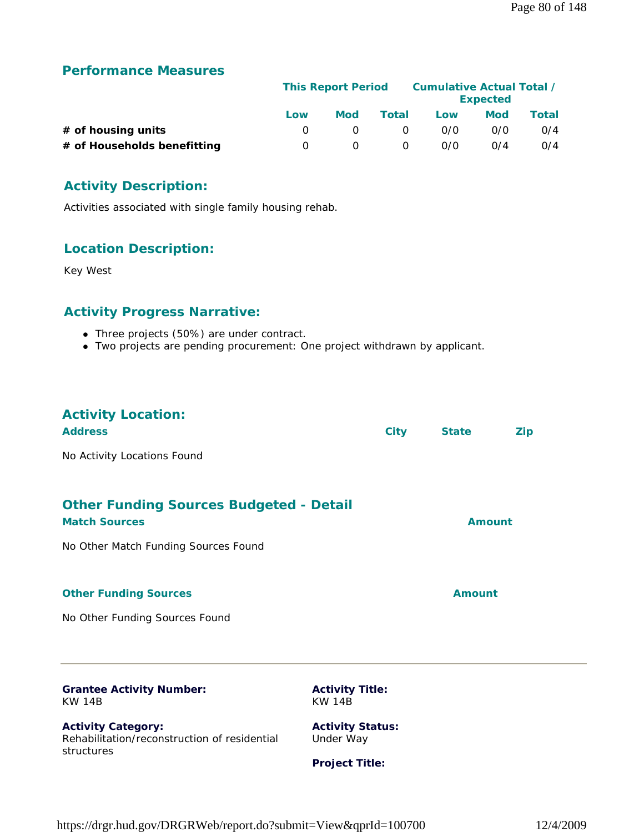|                             |     | <b>This Report Period</b> |          |     | Cumulative Actual Total /<br><b>Expected</b> |       |
|-----------------------------|-----|---------------------------|----------|-----|----------------------------------------------|-------|
|                             | Low | <b>Mod</b>                | Total    | Low | Mod                                          | Total |
| $#$ of housing units        |     |                           | $\Omega$ | 0/0 | 0/0                                          | O/4   |
| # of Households benefitting | - 0 |                           | 0        | 0/0 | 0/4                                          | O/4   |

# **Activity Description:**

Activities associated with single family housing rehab.

#### **Location Description:**

Key West

# **Activity Progress Narrative:**

- Three projects (50%) are under contract.
- Two projects are pending procurement: One project withdrawn by applicant.

| <b>Activity Location:</b><br><b>Address</b>                                                                    | <b>City</b> | <b>State</b>  | <b>Zip</b> |
|----------------------------------------------------------------------------------------------------------------|-------------|---------------|------------|
| No Activity Locations Found                                                                                    |             |               |            |
| <b>Other Funding Sources Budgeted - Detail</b><br><b>Match Sources</b><br>No Other Match Funding Sources Found |             | Amount        |            |
|                                                                                                                |             |               |            |
| <b>Other Funding Sources</b>                                                                                   |             | <b>Amount</b> |            |
| No Other Funding Sources Found                                                                                 |             |               |            |
|                                                                                                                |             |               |            |

#### **Grantee Activity Number:** KW 14B

**Activity Category:** Rehabilitation/reconstruction of residential structures

**Activity Title:** KW 14B

**Activity Status:** Under Way

**Project Title:**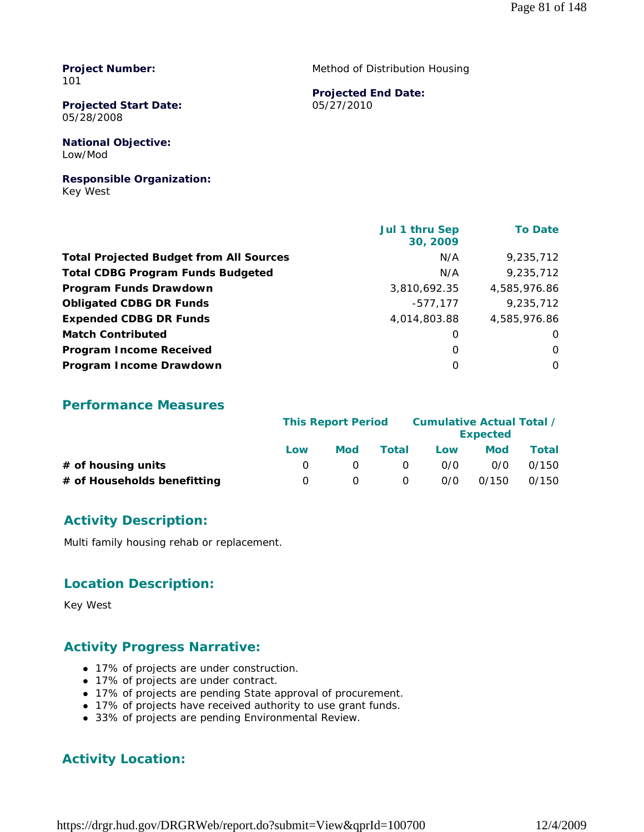**Project Number:** 101

**Projected Start Date:** 05/28/2008

**National Objective:** Low/Mod

**Responsible Organization:** Key West

Method of Distribution Housing

#### **Projected End Date:**

05/27/2010

|                                                | <b>Jul 1 thru Sep</b><br>30, 2009 | <b>To Date</b> |
|------------------------------------------------|-----------------------------------|----------------|
| <b>Total Projected Budget from All Sources</b> | N/A                               | 9,235,712      |
| <b>Total CDBG Program Funds Budgeted</b>       | N/A                               | 9,235,712      |
| Program Funds Drawdown                         | 3,810,692.35                      | 4,585,976.86   |
| <b>Obligated CDBG DR Funds</b>                 | $-577,177$                        | 9,235,712      |
| <b>Expended CDBG DR Funds</b>                  | 4,014,803.88                      | 4,585,976.86   |
| <b>Match Contributed</b>                       | 0                                 | 0              |
| <b>Program Income Received</b>                 | $\Omega$                          | $\Omega$       |
| Program Income Drawdown                        | 0                                 | 0              |

## **Performance Measures**

|                             | <b>This Report Period</b> |     |          | Cumulative Actual Total / | <b>Expected</b> |       |
|-----------------------------|---------------------------|-----|----------|---------------------------|-----------------|-------|
|                             | Low                       | Mod | Total    | Low                       | <b>Mod</b>      | Total |
| # of housing units          |                           |     | $\Omega$ | 0/0                       | 0/0             | 0/150 |
| # of Households benefitting | $\left( \right)$          |     | 0        | 0/0                       | 0/150           | 0/150 |

## **Activity Description:**

Multi family housing rehab or replacement.

#### **Location Description:**

Key West

## **Activity Progress Narrative:**

- 17% of projects are under construction.
- 17% of projects are under contract.
- 17% of projects are pending State approval of procurement.
- 17% of projects have received authority to use grant funds.
- 33% of projects are pending Environmental Review.

## **Activity Location:**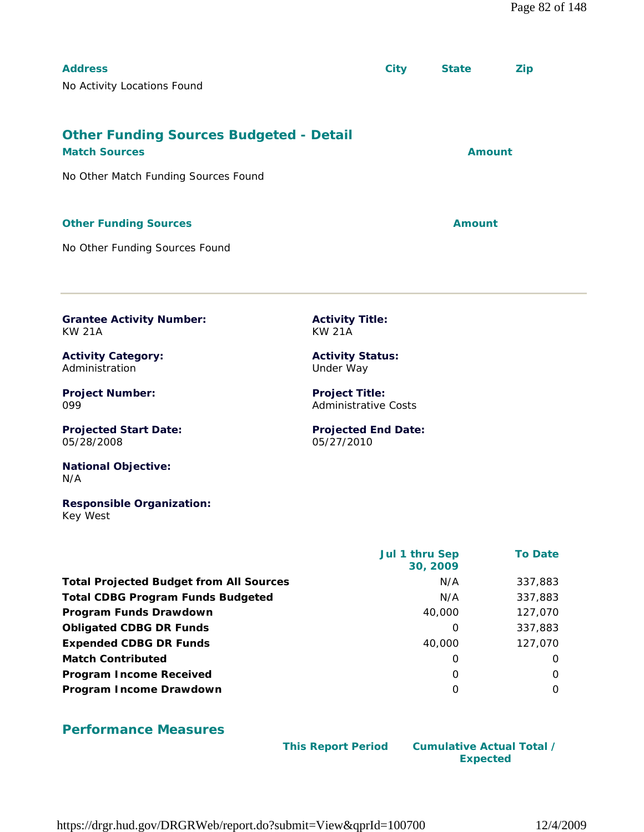| <b>Address</b>                                                         | <b>City</b> | <b>State</b> | <b>Zip</b> |
|------------------------------------------------------------------------|-------------|--------------|------------|
| No Activity Locations Found                                            |             |              |            |
|                                                                        |             |              |            |
| <b>Other Funding Sources Budgeted - Detail</b><br><b>Match Sources</b> |             | Amount       |            |
| No Other Match Funding Sources Found                                   |             |              |            |
|                                                                        |             |              |            |
| <b>Other Funding Sources</b>                                           |             | Amount       |            |

**Activity Title:** KW 21A

**Activity Status:** Under Way

**Project Title:** Administrative Costs

05/27/2010

**Projected End Date:**

No Other Funding Sources Found

**Grantee Activity Number:** KW 21A

**Activity Category:** Administration

**Project Number:** 099

**Projected Start Date:** 05/28/2008

**National Objective:** N/A

**Responsible Organization:** Key West

|                                                | Jul 1 thru Sep<br>30, 2009 | <b>To Date</b> |
|------------------------------------------------|----------------------------|----------------|
| <b>Total Projected Budget from All Sources</b> | N/A                        | 337,883        |
| <b>Total CDBG Program Funds Budgeted</b>       | N/A                        | 337,883        |
| Program Funds Drawdown                         | 40,000                     | 127,070        |
| <b>Obligated CDBG DR Funds</b>                 | O                          | 337,883        |
| <b>Expended CDBG DR Funds</b>                  | 40,000                     | 127,070        |
| <b>Match Contributed</b>                       | 0                          | $\Omega$       |
| <b>Program Income Received</b>                 | 0                          | $\Omega$       |
| Program Income Drawdown                        | O                          | $\Omega$       |

#### **Performance Measures**

 **This Report Period Cumulative Actual Total / Expected** 

https://drgr.hud.gov/DRGRWeb/report.do?submit=View&qprId=100700 12/4/2009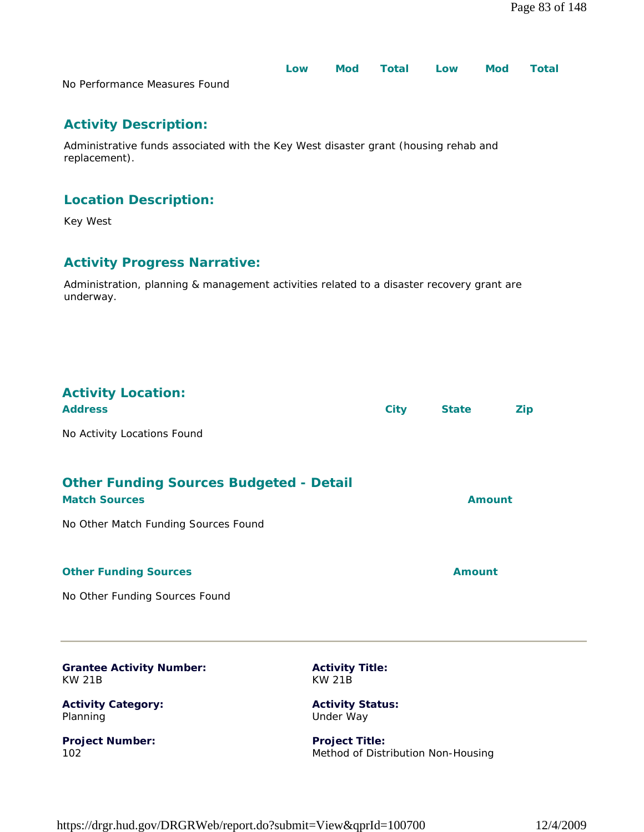|                               | Low | Mod Total Low | <b>Mod</b> | <b>Total</b> |
|-------------------------------|-----|---------------|------------|--------------|
| No Performance Measures Found |     |               |            |              |

# **Activity Description:**

Administrative funds associated with the Key West disaster grant (housing rehab and replacement).

## **Location Description:**

Key West

# **Activity Progress Narrative:**

Administration, planning & management activities related to a disaster recovery grant are underway.

# **Activity Location:**

| <b>Address</b>                                                         | <b>City</b> | <b>State</b>  | Zip |
|------------------------------------------------------------------------|-------------|---------------|-----|
| No Activity Locations Found                                            |             |               |     |
| <b>Other Funding Sources Budgeted - Detail</b><br><b>Match Sources</b> |             | <b>Amount</b> |     |
| No Other Match Funding Sources Found                                   |             |               |     |

#### **Other Funding Sources Amount** Amount

No Other Funding Sources Found

| <b>Grantee Activity Number:</b> | <b>Activity Title:</b>             |
|---------------------------------|------------------------------------|
| KW 21B                          | KW 21B                             |
| <b>Activity Category:</b>       | <b>Activity Status:</b>            |
| Planning                        | Under Way                          |
| <b>Project Number:</b>          | <b>Project Title:</b>              |
| 102                             | Method of Distribution Non-Housing |

Method of Distribution Non-Housing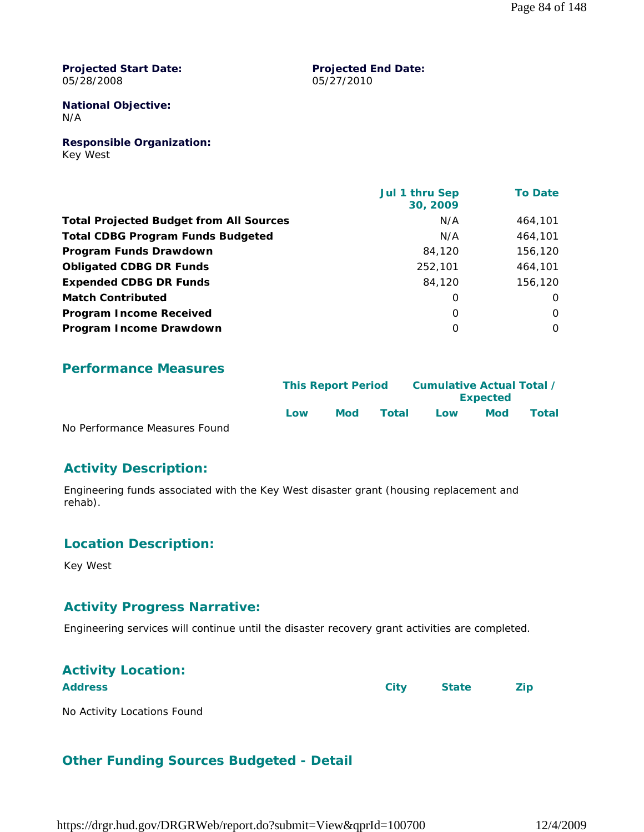**Projected Start Date:** 05/28/2008

#### **Projected End Date:** 05/27/2010

#### **National Objective:** N/A

**Responsible Organization:** Key West

|                                                | Jul 1 thru Sep<br>30, 2009 | <b>To Date</b> |
|------------------------------------------------|----------------------------|----------------|
| <b>Total Projected Budget from All Sources</b> | N/A                        | 464,101        |
| <b>Total CDBG Program Funds Budgeted</b>       | N/A                        | 464,101        |
| Program Funds Drawdown                         | 84,120                     | 156,120        |
| <b>Obligated CDBG DR Funds</b>                 | 252,101                    | 464,101        |
| <b>Expended CDBG DR Funds</b>                  | 84,120                     | 156,120        |
| <b>Match Contributed</b>                       | 0                          | $\Omega$       |
| <b>Program Income Received</b>                 | $\Omega$                   | $\Omega$       |
| Program Income Drawdown                        | $\Omega$                   | $\Omega$       |

#### **Performance Measures**

|                               |      | <b>This Report Period</b> |       | Cumulative Actual Total / |                 |       |
|-------------------------------|------|---------------------------|-------|---------------------------|-----------------|-------|
|                               |      |                           |       |                           | <b>Expected</b> |       |
|                               | l ow | Mod                       | Total | Low                       | <b>Mod</b>      | Total |
| No Dorformance Moacures Found |      |                           |       |                           |                 |       |

No Performance Measures Found

#### **Activity Description:**

Engineering funds associated with the Key West disaster grant (housing replacement and rehab).

#### **Location Description:**

Key West

#### **Activity Progress Narrative:**

Engineering services will continue until the disaster recovery grant activities are completed.

# **Activity Location:**

Address **City** State **Zip** 

No Activity Locations Found

## **Other Funding Sources Budgeted - Detail**

https://drgr.hud.gov/DRGRWeb/report.do?submit=View&qprId=100700 12/4/2009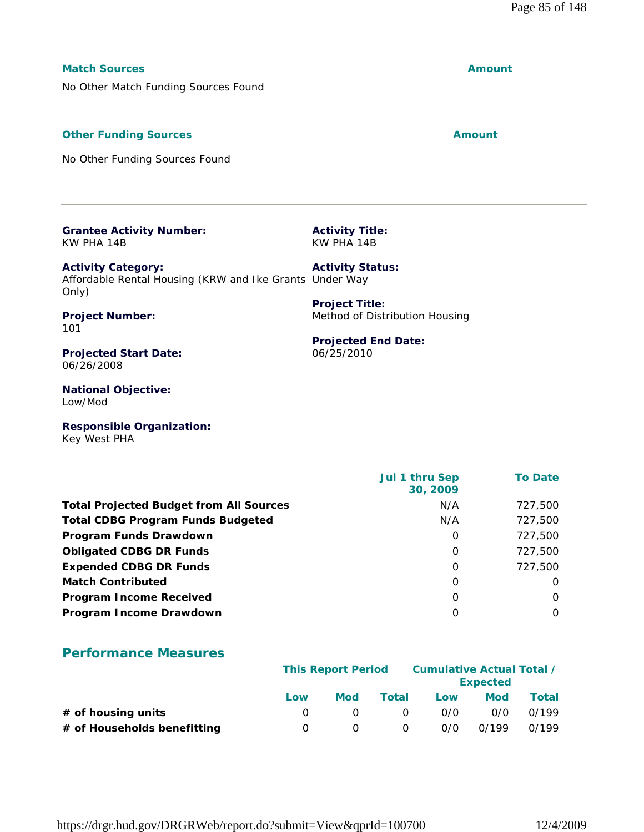#### **Match Sources Amount**

No Other Match Funding Sources Found

#### **Other Funding Sources Amount** Amount

No Other Funding Sources Found

| <b>Grantee Activity Number:</b> |  |
|---------------------------------|--|
| KW PHA 14B                      |  |

**Activity Title:** KW PHA 14B

**Project Title:**

06/25/2010

Method of Distribution Housing

**Projected End Date:**

**Activity Category:** Affordable Rental Housing (KRW and Ike Grants Under Way Only) **Activity Status:**

**Project Number:** 101

**Projected Start Date:** 06/26/2008

**National Objective:** Low/Mod

**Responsible Organization:** Key West PHA

|                                                | Jul 1 thru Sep<br>30, 2009 | <b>To Date</b> |
|------------------------------------------------|----------------------------|----------------|
| <b>Total Projected Budget from All Sources</b> | N/A                        | 727,500        |
| <b>Total CDBG Program Funds Budgeted</b>       | N/A                        | 727,500        |
| Program Funds Drawdown                         | 0                          | 727,500        |
| <b>Obligated CDBG DR Funds</b>                 | 0                          | 727,500        |
| <b>Expended CDBG DR Funds</b>                  | 0                          | 727.500        |
| <b>Match Contributed</b>                       | 0                          | 0              |
| <b>Program Income Received</b>                 | $\Omega$                   | 0              |
| Program Income Drawdown                        | O                          | $\Omega$       |

## **Performance Measures**

|                             | <b>This Report Period</b> |     |          | Cumulative Actual Total / | <b>Expected</b> |       |
|-----------------------------|---------------------------|-----|----------|---------------------------|-----------------|-------|
|                             | Low                       | Mod | Total    | Low                       | Mod             | Total |
| $#$ of housing units        |                           |     | $\Omega$ | 0/0                       | 0/0             | 0/199 |
| # of Households benefitting |                           |     | 0        | 0/0                       | 0/199           | 0/199 |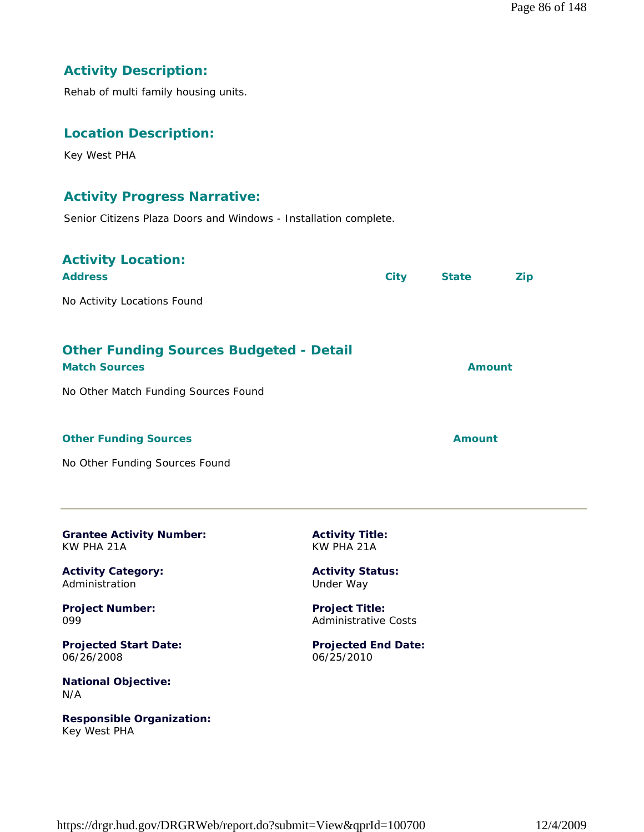### **Activity Description:**

Rehab of multi family housing units.

#### **Location Description:**

Key West PHA

#### **Activity Progress Narrative:**

Senior Citizens Plaza Doors and Windows - Installation complete.

# **Activity Location: Address City State Zip** No Activity Locations Found **Other Funding Sources Budgeted - Detail Match Sources Amount** No Other Match Funding Sources Found **Other Funding Sources Amount Amount Amount**

No Other Funding Sources Found

| <b>Grantee Activity Number:</b> |  |
|---------------------------------|--|
| KW PHA 21A                      |  |

**Activity Category:** Administration

**Project Number:** 099

**Projected Start Date:** 06/26/2008

**National Objective:** N/A

**Responsible Organization:** Key West PHA

**Activity Title:** KW PHA 21A

**Activity Status:** Under Way

**Project Title:** Administrative Costs

**Projected End Date:** 06/25/2010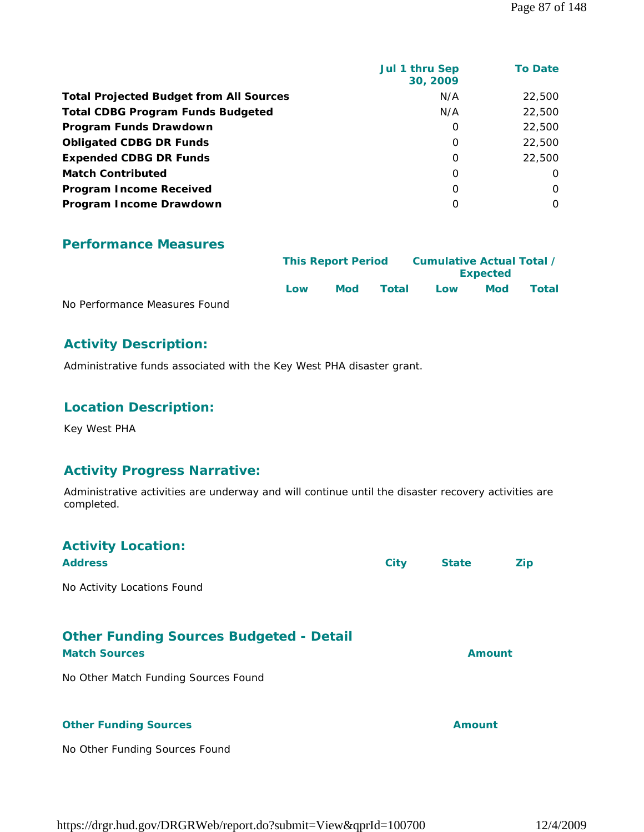| Jul 1 thru Sep<br>30, 2009 | <b>To Date</b> |
|----------------------------|----------------|
| N/A                        | 22,500         |
| N/A                        | 22,500         |
| 0                          | 22,500         |
| 0                          | 22,500         |
| 0                          | 22,500         |
| 0                          | $\Omega$       |
| $\Omega$                   | $\Omega$       |
| 0                          | $\Omega$       |
|                            |                |

|                               | <b>This Report Period</b> |            |       | Cumulative Actual Total /<br><b>Expected</b> |     |       |  |
|-------------------------------|---------------------------|------------|-------|----------------------------------------------|-----|-------|--|
|                               | Low                       | <b>Mod</b> | Total | Low                                          | Mod | Total |  |
| No Performance Measures Found |                           |            |       |                                              |     |       |  |

#### **Activity Description:**

Administrative funds associated with the Key West PHA disaster grant.

# **Location Description:**

Key West PHA

#### **Activity Progress Narrative:**

Administrative activities are underway and will continue until the disaster recovery activities are completed.

| <b>Activity Location:</b><br><b>Address</b>                                                                    | <b>City</b> | <b>State</b>  | <b>Zip</b> |
|----------------------------------------------------------------------------------------------------------------|-------------|---------------|------------|
| No Activity Locations Found                                                                                    |             |               |            |
| <b>Other Funding Sources Budgeted - Detail</b><br><b>Match Sources</b><br>No Other Match Funding Sources Found |             | Amount        |            |
| <b>Other Funding Sources</b><br>No Other Funding Sources Found                                                 |             | <b>Amount</b> |            |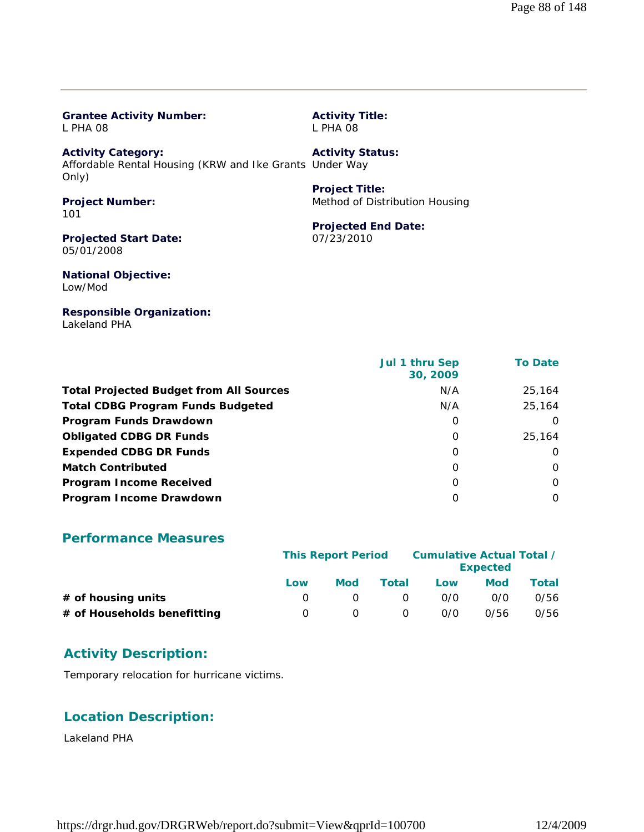| L PHA 08                                                                                      | L PHA 08                       |
|-----------------------------------------------------------------------------------------------|--------------------------------|
| <b>Activity Category:</b><br>Affordable Rental Housing (KRW and Ike Grants Under Way<br>Only) | <b>Activity Status:</b>        |
|                                                                                               | <b>Project Title:</b>          |
| <b>Project Number:</b><br>101                                                                 | Method of Distribution Housing |
|                                                                                               | <b>Projected End Date:</b>     |
| <b>Projected Start Date:</b><br>05/01/2008                                                    | 07/23/2010                     |
| <b>National Objective:</b><br>Low/Mod                                                         |                                |
| <b>Responsible Organization:</b>                                                              |                                |

**Activity Title:**

 **Jul 1 thru Sep 30, 2009 To Date Total Projected Budget from All Sources** M/A 25,164 **Total CDBG Program Funds Budgeted N/A** 25,164 **Program Funds Drawdown** 0 0 **Obligated CDBG DR Funds** 0 25,164 **Expended CDBG DR Funds** 0 0 **Match Contributed** 0 0 **Program Income Received** 0 0 **Program Income Drawdown** 0 0

#### **Performance Measures**

**Grantee Activity Number:**

Lakeland PHA

|                             | <b>This Report Period</b> |     |       | Cumulative Actual Total / | <b>Expected</b> |       |
|-----------------------------|---------------------------|-----|-------|---------------------------|-----------------|-------|
|                             | Low                       | Mod | Total | Low                       | <b>Mod</b>      | Total |
| # of housing units          | $\theta$                  |     |       | 0/0                       | 0/0             | 0/56  |
| # of Households benefitting | $\left( \right)$          |     |       | O/O                       | 0/56            | 0/56  |

#### **Activity Description:**

Temporary relocation for hurricane victims.

#### **Location Description:**

Lakeland PHA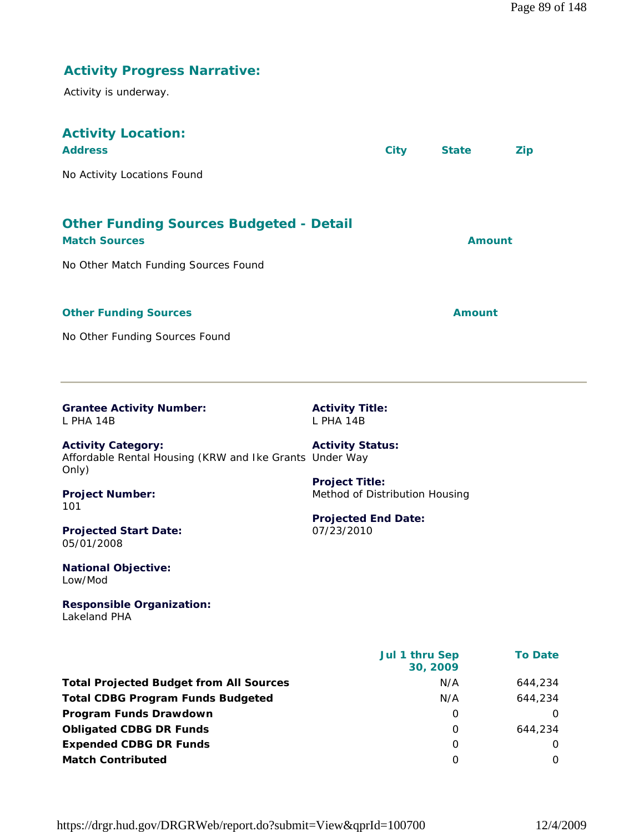| <b>Activity Progress Narrative:</b>                                                           |                                                         |                            |                |  |  |  |  |  |
|-----------------------------------------------------------------------------------------------|---------------------------------------------------------|----------------------------|----------------|--|--|--|--|--|
| Activity is underway.                                                                         |                                                         |                            |                |  |  |  |  |  |
| <b>Activity Location:</b>                                                                     |                                                         |                            |                |  |  |  |  |  |
| <b>Address</b>                                                                                | <b>City</b>                                             | <b>State</b><br><b>Zip</b> |                |  |  |  |  |  |
| No Activity Locations Found                                                                   |                                                         |                            |                |  |  |  |  |  |
| <b>Other Funding Sources Budgeted - Detail</b><br><b>Match Sources</b>                        |                                                         | <b>Amount</b>              |                |  |  |  |  |  |
| No Other Match Funding Sources Found                                                          |                                                         |                            |                |  |  |  |  |  |
| <b>Other Funding Sources</b>                                                                  |                                                         | <b>Amount</b>              |                |  |  |  |  |  |
| No Other Funding Sources Found                                                                |                                                         |                            |                |  |  |  |  |  |
|                                                                                               |                                                         |                            |                |  |  |  |  |  |
| <b>Grantee Activity Number:</b>                                                               | <b>Activity Title:</b>                                  |                            |                |  |  |  |  |  |
| L PHA 14B                                                                                     | L PHA 14B                                               |                            |                |  |  |  |  |  |
| <b>Activity Category:</b><br>Affordable Rental Housing (KRW and Ike Grants Under Way<br>Only) | <b>Activity Status:</b>                                 |                            |                |  |  |  |  |  |
| <b>Project Number:</b><br>101                                                                 | <b>Project Title:</b><br>Method of Distribution Housing |                            |                |  |  |  |  |  |
| <b>Projected Start Date:</b><br>05/01/2008                                                    | <b>Projected End Date:</b><br>07/23/2010                |                            |                |  |  |  |  |  |
| <b>National Objective:</b><br>Low/Mod                                                         |                                                         |                            |                |  |  |  |  |  |
| <b>Responsible Organization:</b><br>Lakeland PHA                                              |                                                         |                            |                |  |  |  |  |  |
|                                                                                               | Jul 1 thru Sep<br>30, 2009                              |                            | <b>To Date</b> |  |  |  |  |  |
| <b>Total Projected Budget from All Sources</b>                                                | N/A                                                     |                            | 644,234        |  |  |  |  |  |
| <b>Total CDBG Program Funds Budgeted</b>                                                      | N/A                                                     |                            | 644,234        |  |  |  |  |  |
| Program Funds Drawdown                                                                        |                                                         | 0                          | 0              |  |  |  |  |  |
| <b>Obligated CDBG DR Funds</b>                                                                |                                                         | 0                          | 644,234        |  |  |  |  |  |

**Expended CDBG DR Funds** 0 0 **Match Contributed** 0 0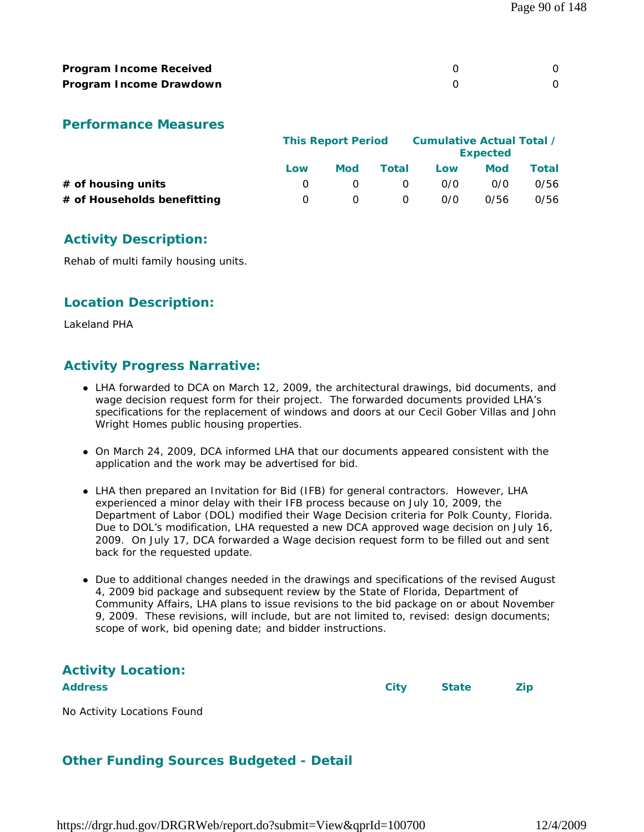| <b>Program Income Received</b> |  |
|--------------------------------|--|
| Program Income Drawdown        |  |

|                             |     | <b>This Report Period</b> |          | Cumulative Actual Total / | <b>Expected</b> |       |
|-----------------------------|-----|---------------------------|----------|---------------------------|-----------------|-------|
|                             | Low | <b>Mod</b>                | Total    | Low                       | Mod             | Total |
| $#$ of housing units        |     |                           | $\Omega$ | 0/0                       | 0/0             | 0/56  |
| # of Households benefitting |     |                           | 0        | 0/0                       | 0/56            | 0/56  |

## **Activity Description:**

Rehab of multi family housing units.

## **Location Description:**

Lakeland PHA

#### **Activity Progress Narrative:**

- LHA forwarded to DCA on March 12, 2009, the architectural drawings, bid documents, and wage decision request form for their project. The forwarded documents provided LHA's specifications for the replacement of windows and doors at our Cecil Gober Villas and John Wright Homes public housing properties.
- On March 24, 2009, DCA informed LHA that our documents appeared consistent with the application and the work may be advertised for bid.
- LHA then prepared an Invitation for Bid (IFB) for general contractors. However, LHA experienced a minor delay with their IFB process because on July 10, 2009, the Department of Labor (DOL) modified their Wage Decision criteria for Polk County, Florida. Due to DOL's modification, LHA requested a new DCA approved wage decision on July 16, 2009. On July 17, DCA forwarded a Wage decision request form to be filled out and sent back for the requested update.
- Due to additional changes needed in the drawings and specifications of the revised August 4, 2009 bid package and subsequent review by the State of Florida, Department of Community Affairs, LHA plans to issue revisions to the bid package on or about November 9, 2009. These revisions, will include, but are not limited to, revised: design documents; scope of work, bid opening date; and bidder instructions.

# **Activity Location:**

**Address City State Zip**

No Activity Locations Found

## **Other Funding Sources Budgeted - Detail**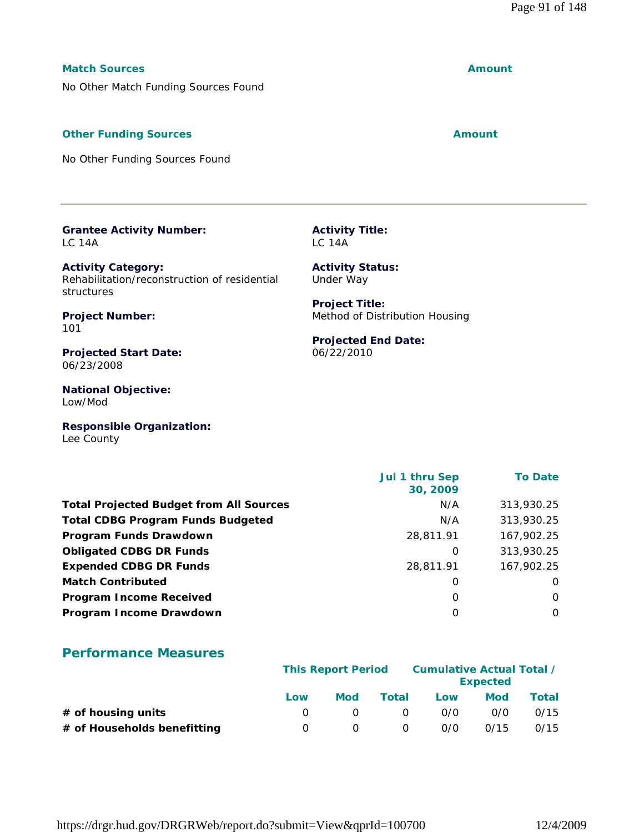#### **Match Sources Amount**

No Other Match Funding Sources Found

#### **Other Funding Sources Amount Amount Amount**

No Other Funding Sources Found

| <b>Grantee Activity Number:</b> |  |
|---------------------------------|--|
| LC 14A                          |  |

**Activity Category:** Rehabilitation/reconstruction of residential structures

**Project Number:** 101

**Projected Start Date:** 06/23/2008

**National Objective:** Low/Mod

**Responsible Organization:** Lee County

 **Jul 1 thru Sep 30, 2009 To Date Total Projected Budget from All Sources** M/A 313,930.25 **Total CDBG Program Funds Budgeted NA 313,930.25 Program Funds Drawdown** 28,811.91 167,902.25 **Obligated CDBG DR Funds** 0 313,930.25 **Expended CDBG DR Funds** 28,811.91 167,902.25 **Match Contributed** 0 0 **Program Income Received** 0 0 **Program Income Drawdown** 0 0

# **Performance Measures**

|                             | <b>This Report Period</b> |     |          | Cumulative Actual Total / | <b>Expected</b> |       |
|-----------------------------|---------------------------|-----|----------|---------------------------|-----------------|-------|
|                             | Low                       | Mod | Total    | Low                       | <b>Mod</b>      | Total |
| $#$ of housing units        |                           |     | $\Omega$ | 0/0                       | 0/0             | 0/15  |
| # of Households benefitting |                           |     | $\Omega$ | 0/0                       | 0/15            | 0/15  |

**Activity Status:** Under Way

**Activity Title:**

LC 14A

**Project Title:** Method of Distribution Housing

**Projected End Date:** 06/22/2010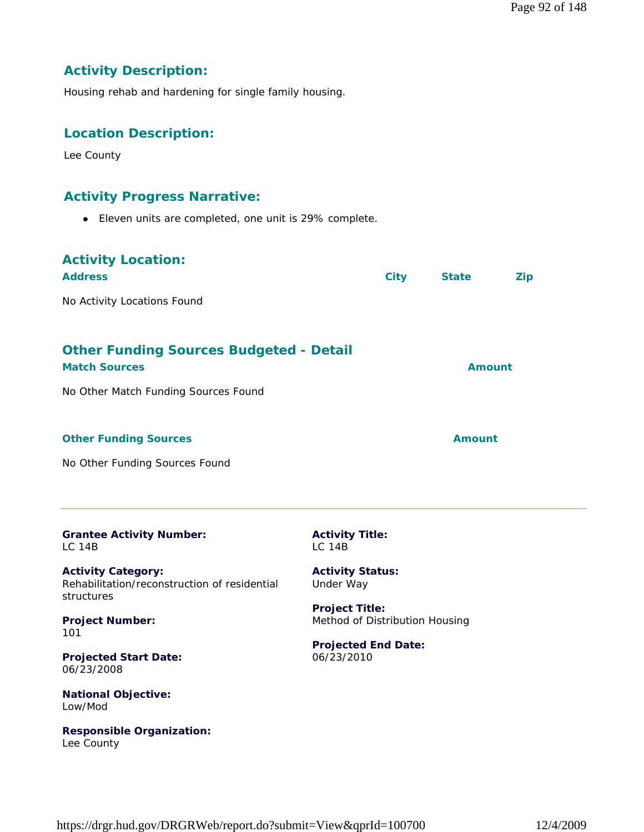# **Activity Description:**

Housing rehab and hardening for single family housing.

# **Location Description:**

Lee County

Low/Mod

Lee County

**Responsible Organization:**

#### **Activity Progress Narrative:**

Eleven units are completed, one unit is 29% complete.

| <b>Activity Location:</b><br><b>Address</b>                                                                    | <b>City</b> | <b>State</b>  | Zip |
|----------------------------------------------------------------------------------------------------------------|-------------|---------------|-----|
| No Activity Locations Found                                                                                    |             |               |     |
| <b>Other Funding Sources Budgeted - Detail</b><br><b>Match Sources</b><br>No Other Match Funding Sources Found |             | Amount        |     |
| <b>Other Funding Sources</b><br>No Other Funding Sources Found                                                 |             | <b>Amount</b> |     |

| <b>Grantee Activity Number:</b>                                                         | <b>Activity Title:</b>               |
|-----------------------------------------------------------------------------------------|--------------------------------------|
| I C. 14B                                                                                | IC <sub>14B</sub>                    |
| <b>Activity Category:</b><br>Rehabilitation/reconstruction of residential<br>structures | <b>Activity Status:</b><br>Under Way |
| <b>Project Number:</b>                                                                  | <b>Project Title:</b>                |
| 101                                                                                     | Method of Distribution Housing       |
| <b>Projected Start Date:</b>                                                            | <b>Projected End Date:</b>           |
| 06/23/2008                                                                              | 06/23/2010                           |

https://drgr.hud.gov/DRGRWeb/report.do?submit=View&qprId=100700 12/4/2009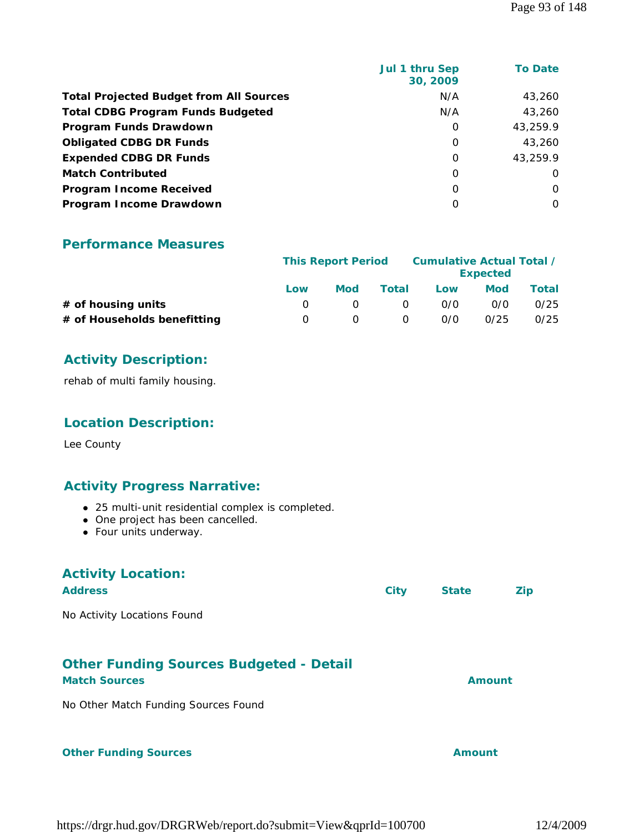|                                                | Jul 1 thru Sep<br>30, 2009 | <b>To Date</b> |
|------------------------------------------------|----------------------------|----------------|
| <b>Total Projected Budget from All Sources</b> | N/A                        | 43,260         |
| <b>Total CDBG Program Funds Budgeted</b>       | N/A                        | 43,260         |
| Program Funds Drawdown                         | 0                          | 43,259.9       |
| <b>Obligated CDBG DR Funds</b>                 | 0                          | 43,260         |
| <b>Expended CDBG DR Funds</b>                  | 0                          | 43,259.9       |
| <b>Match Contributed</b>                       | 0                          | $\Omega$       |
| <b>Program Income Received</b>                 | $\Omega$                   | $\Omega$       |
| Program Income Drawdown                        | 0                          | O              |
|                                                |                            |                |

|                             |     | <b>This Report Period</b> |              | Cumulative Actual Total / | <b>Expected</b> |       |
|-----------------------------|-----|---------------------------|--------------|---------------------------|-----------------|-------|
|                             | Low | Mod                       | <b>Total</b> | Low                       | <b>Mod</b>      | Total |
| # of housing units          |     |                           | $\Omega$     | 0/0                       | 0/0             | 0/25  |
| # of Households benefitting |     |                           | $\Omega$     | 0/0                       | 0/25            | 0/25  |

#### **Activity Description:**

rehab of multi family housing.

## **Location Description:**

Lee County

#### **Activity Progress Narrative:**

- 25 multi-unit residential complex is completed.
- One project has been cancelled.
- Four units underway.

# **Activity Location:**

| <b>Address</b>              | City | <b>State</b> | <b>Zip</b> |
|-----------------------------|------|--------------|------------|
| No Activity Locations Found |      |              |            |
|                             |      |              |            |

#### **Other Funding Sources Budgeted - Detail**

#### **Match Sources Amount**

No Other Match Funding Sources Found

#### **Other Funding Sources Amount** Amount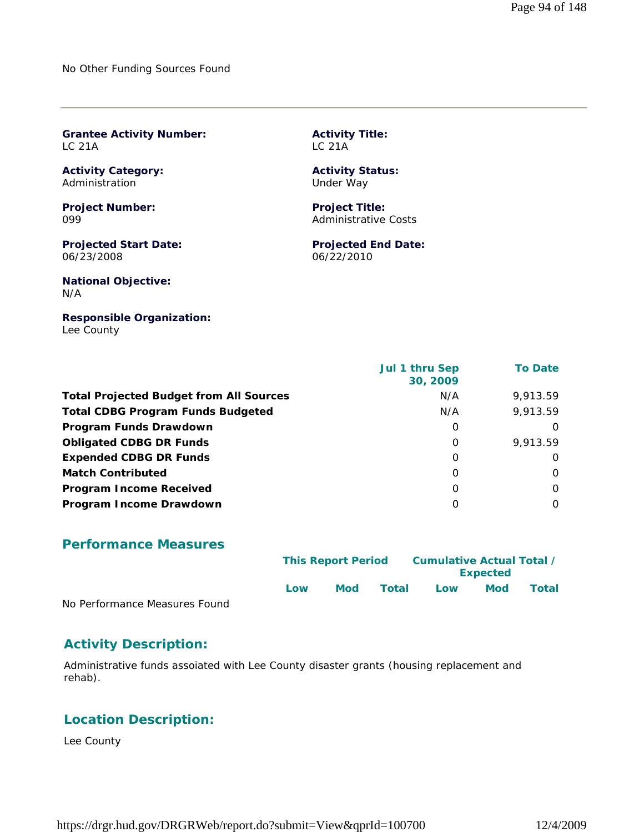No Other Funding Sources Found

**Grantee Activity Number:** LC 21A

**Activity Category:** Administration

**Project Number:** 099

**Projected Start Date:** 06/23/2008

**National Objective:** N/A

**Responsible Organization:** Lee County

 **Jul 1 thru Sep 30, 2009 To Date Total Projected Budget from All Sources** M/A 9,913.59 **Total CDBG Program Funds Budgeted** N/A 9,913.59 **Program Funds Drawdown** 0 0 **Obligated CDBG DR Funds** 0 9,913.59 **Expended CDBG DR Funds** 0 0 **Match Contributed** 0 0 **Program Income Received** 0 0 **Program Income Drawdown** 0 0

**Activity Title:**

**Activity Status:** Under Way

**Project Title:** Administrative Costs

06/22/2010

**Projected End Date:**

LC 21A

#### **Performance Measures**

|                               | <b>This Report Period</b> |     |       | Cumulative Actual Total / |                 |       |  |
|-------------------------------|---------------------------|-----|-------|---------------------------|-----------------|-------|--|
|                               |                           |     |       |                           | <b>Expected</b> |       |  |
|                               | l ow                      | Mod | Total | Low                       | <b>Mod</b>      | Total |  |
| No Performance Measures Found |                           |     |       |                           |                 |       |  |

#### **Activity Description:**

Administrative funds assoiated with Lee County disaster grants (housing replacement and rehab).

#### **Location Description:**

Lee County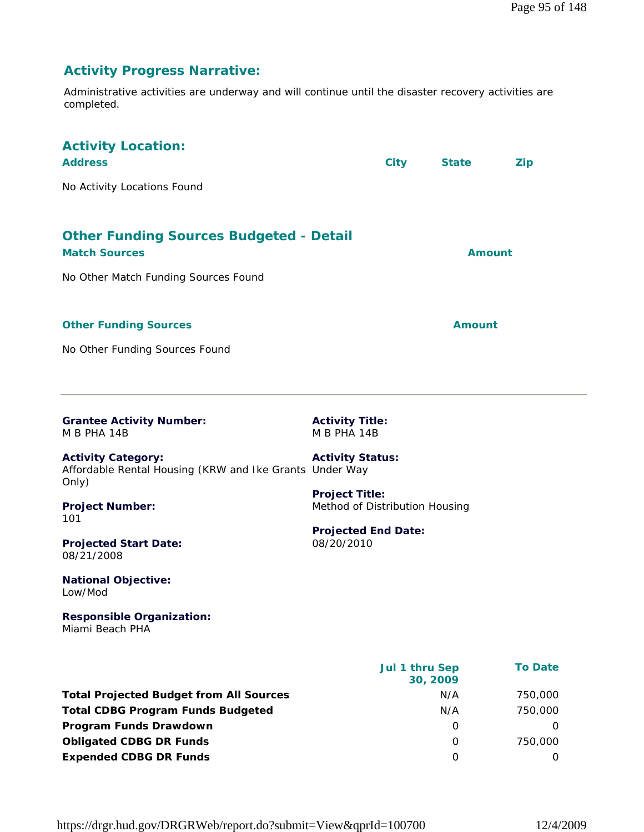# **Activity Progress Narrative:**

Administrative activities are underway and will continue until the disaster recovery activities are completed.

| <b>Activity Location:</b><br><b>Address</b><br>No Activity Locations Found                                                                                                                                                                                                                                                     |                                                                                                                                                                         | <b>City</b>                | <b>State</b>              | <b>Zip</b>                                |
|--------------------------------------------------------------------------------------------------------------------------------------------------------------------------------------------------------------------------------------------------------------------------------------------------------------------------------|-------------------------------------------------------------------------------------------------------------------------------------------------------------------------|----------------------------|---------------------------|-------------------------------------------|
| <b>Other Funding Sources Budgeted - Detail</b><br><b>Match Sources</b><br>No Other Match Funding Sources Found                                                                                                                                                                                                                 |                                                                                                                                                                         |                            | Amount                    |                                           |
| <b>Other Funding Sources</b><br>No Other Funding Sources Found                                                                                                                                                                                                                                                                 |                                                                                                                                                                         |                            | <b>Amount</b>             |                                           |
| <b>Grantee Activity Number:</b><br>M B PHA 14B<br><b>Activity Category:</b><br>Affordable Rental Housing (KRW and Ike Grants Under Way<br>Only)<br><b>Project Number:</b><br>101<br><b>Projected Start Date:</b><br>08/21/2008<br><b>National Objective:</b><br>Low/Mod<br><b>Responsible Organization:</b><br>Miami Beach PHA | <b>Activity Title:</b><br>M B PHA 14B<br><b>Activity Status:</b><br><b>Project Title:</b><br>Method of Distribution Housing<br><b>Projected End Date:</b><br>08/20/2010 |                            |                           |                                           |
| <b>Total Projected Budget from All Sources</b><br><b>Total CDBG Program Funds Budgeted</b><br>Program Funds Drawdown                                                                                                                                                                                                           |                                                                                                                                                                         | Jul 1 thru Sep<br>30, 2009 | N/A<br>N/A<br>$\mathbf 0$ | <b>To Date</b><br>750,000<br>750,000<br>0 |

**Obligated CDBG DR Funds 0** 750,000 **Expended CDBG DR Funds** 0 0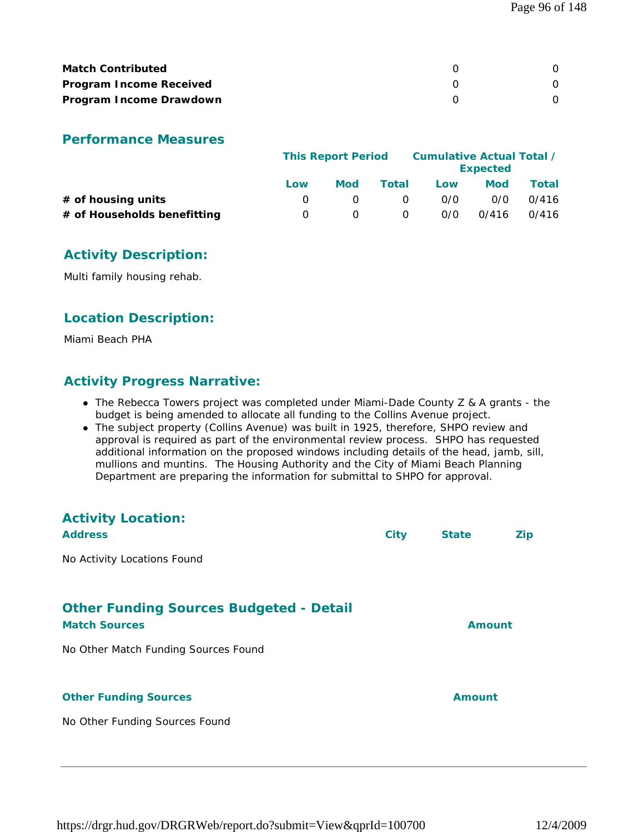| <b>Match Contributed</b>       |  |
|--------------------------------|--|
| <b>Program Income Received</b> |  |
| Program Income Drawdown        |  |

|                             | <b>This Report Period</b> |            |          | Cumulative Actual Total / | <b>Expected</b> |       |
|-----------------------------|---------------------------|------------|----------|---------------------------|-----------------|-------|
|                             | Low                       | <b>Mod</b> | Total    | Low                       | Mod             | Total |
| $#$ of housing units        |                           |            | $\Omega$ | 0/0                       | 0/0             | 0/416 |
| # of Households benefitting | $\left( \right)$          |            | 0        | 0/0                       | 0/416           | 0/416 |

## **Activity Description:**

Multi family housing rehab.

#### **Location Description:**

Miami Beach PHA

## **Activity Progress Narrative:**

- The Rebecca Towers project was completed under Miami-Dade County Z & A grants the budget is being amended to allocate all funding to the Collins Avenue project.
- The subject property (Collins Avenue) was built in 1925, therefore, SHPO review and approval is required as part of the environmental review process. SHPO has requested additional information on the proposed windows including details of the head, jamb, sill, mullions and muntins. The Housing Authority and the City of Miami Beach Planning Department are preparing the information for submittal to SHPO for approval.

| <b>Activity Location:</b><br><b>Address</b>                                                                    | <b>City</b> | <b>State</b>  | Zip |
|----------------------------------------------------------------------------------------------------------------|-------------|---------------|-----|
| No Activity Locations Found                                                                                    |             |               |     |
| <b>Other Funding Sources Budgeted - Detail</b><br><b>Match Sources</b><br>No Other Match Funding Sources Found |             | Amount        |     |
| <b>Other Funding Sources</b><br>No Other Funding Sources Found                                                 |             | <b>Amount</b> |     |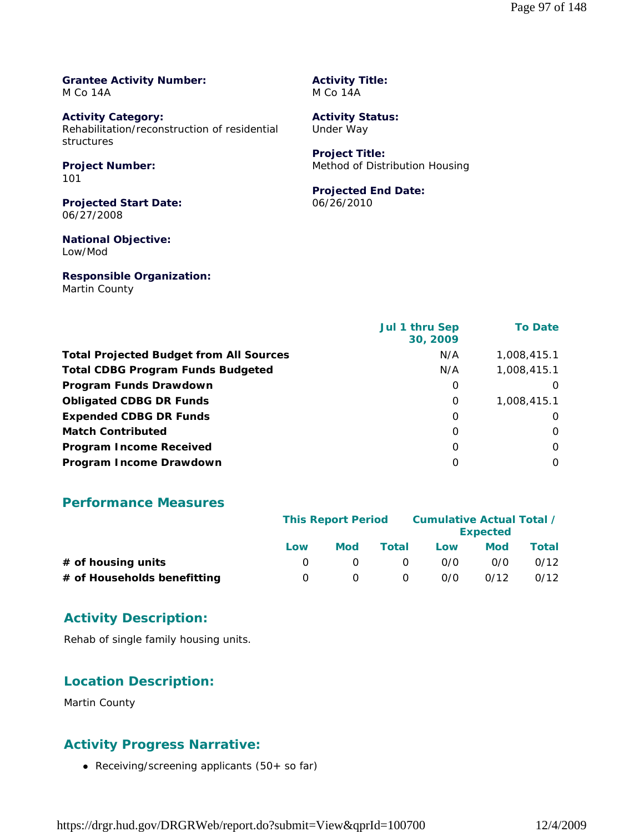#### **Grantee Activity Number:** M Co 14A

**Activity Category:** Rehabilitation/reconstruction of residential structures

#### **Project Number:** 101

**Projected Start Date:** 06/27/2008

#### **National Objective:** Low/Mod

**Responsible Organization:** Martin County

**Activity Title:** M Co 14A

**Activity Status:** Under Way

**Project Title:** Method of Distribution Housing

#### **Projected End Date:** 06/26/2010

|                                                | Jul 1 thru Sep<br>30, 2009 | <b>To Date</b> |
|------------------------------------------------|----------------------------|----------------|
| <b>Total Projected Budget from All Sources</b> | N/A                        | 1,008,415.1    |
| <b>Total CDBG Program Funds Budgeted</b>       | N/A                        | 1,008,415.1    |
| Program Funds Drawdown                         | 0                          | $\Omega$       |
| <b>Obligated CDBG DR Funds</b>                 | 0                          | 1,008,415.1    |
| <b>Expended CDBG DR Funds</b>                  | 0                          | 0              |
| <b>Match Contributed</b>                       | O                          | 0              |
| <b>Program Income Received</b>                 | O                          | $\Omega$       |
| Program Income Drawdown                        | $\Omega$                   | $\Omega$       |

#### **Performance Measures**

|                             | <b>This Report Period</b> |            |          | Cumulative Actual Total / | <b>Expected</b> |       |
|-----------------------------|---------------------------|------------|----------|---------------------------|-----------------|-------|
|                             | Low                       | <b>Mod</b> | Total    | Low                       | <b>Mod</b>      | Total |
| $#$ of housing units        |                           |            | $\Omega$ | 0/0                       | 0/0             | 0/12  |
| # of Households benefitting | $\cup$                    |            | 0        | 0/0                       | 0/12            | 0/12  |

## **Activity Description:**

Rehab of single family housing units.

## **Location Description:**

Martin County

## **Activity Progress Narrative:**

Receiving/screening applicants (50+ so far)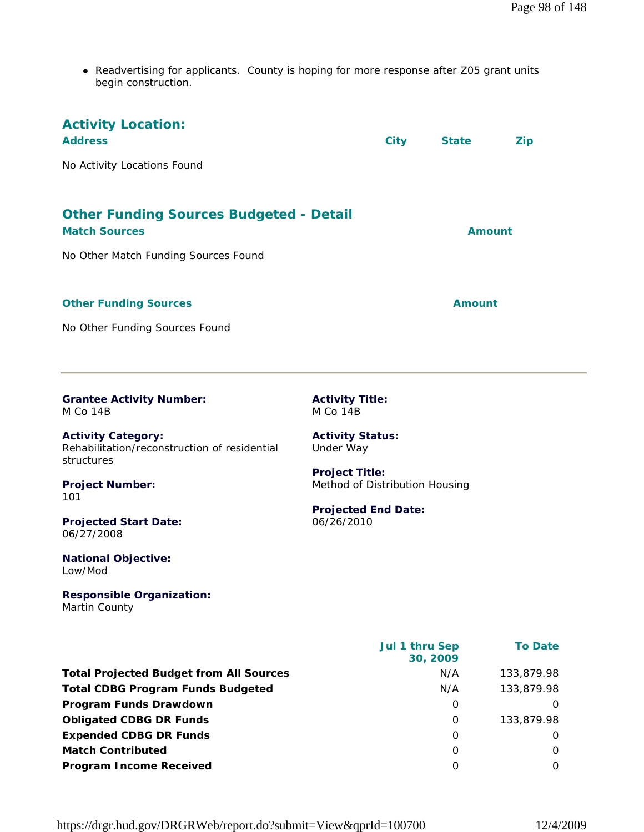Readvertising for applicants. County is hoping for more response after Z05 grant units begin construction.

| <b>Activity Location:</b><br><b>Address</b><br>No Activity Locations Found                                                                                                                                      | <b>City</b>                                                                                                                                 | <b>State</b>                | <b>Zip</b>                                      |
|-----------------------------------------------------------------------------------------------------------------------------------------------------------------------------------------------------------------|---------------------------------------------------------------------------------------------------------------------------------------------|-----------------------------|-------------------------------------------------|
| <b>Other Funding Sources Budgeted - Detail</b><br><b>Match Sources</b><br>No Other Match Funding Sources Found                                                                                                  |                                                                                                                                             |                             | <b>Amount</b>                                   |
| <b>Other Funding Sources</b><br>No Other Funding Sources Found                                                                                                                                                  |                                                                                                                                             | Amount                      |                                                 |
| <b>Grantee Activity Number:</b><br><b>M Co 14B</b>                                                                                                                                                              | <b>Activity Title:</b><br><b>M Co 14B</b>                                                                                                   |                             |                                                 |
| <b>Activity Category:</b><br>Rehabilitation/reconstruction of residential<br>structures<br><b>Project Number:</b><br>101<br><b>Projected Start Date:</b><br>06/27/2008<br><b>National Objective:</b><br>Low/Mod | <b>Activity Status:</b><br>Under Way<br><b>Project Title:</b><br>Method of Distribution Housing<br><b>Projected End Date:</b><br>06/26/2010 |                             |                                                 |
| <b>Responsible Organization:</b><br>Martin County                                                                                                                                                               |                                                                                                                                             |                             |                                                 |
| <b>Total Projected Budget from All Sources</b><br><b>Total CDBG Program Funds Budgeted</b><br>Program Funds Drawdown                                                                                            | Jul 1 thru Sep                                                                                                                              | 30, 2009<br>N/A<br>N/A<br>0 | <b>To Date</b><br>133,879.98<br>133,879.98<br>0 |
| <b>Obligated CDBG DR Funds</b><br><b>Expended CDBG DR Funds</b>                                                                                                                                                 |                                                                                                                                             | 0<br>0                      | 133,879.98<br>$\mathbf 0$                       |

**Match Contributed** 0 0 **Program Income Received** 0 0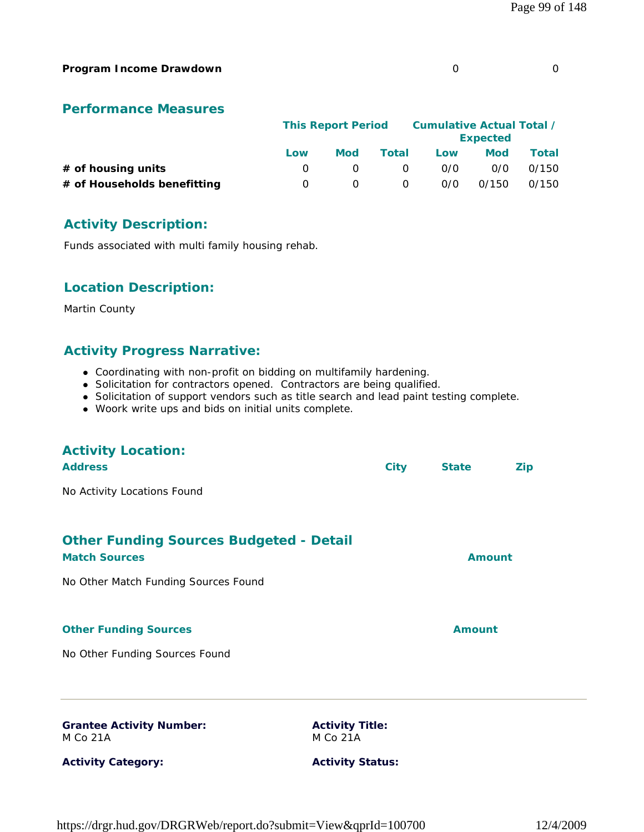#### **Program Income Drawdown** 0 0

#### **Performance Measures**

|                             |     | <b>This Report Period</b> |          |     | Cumulative Actual Total /<br><b>Expected</b> |       |
|-----------------------------|-----|---------------------------|----------|-----|----------------------------------------------|-------|
|                             | Low | Mod                       | Total    | Low | Mod                                          | Total |
| $#$ of housing units        |     |                           | $\Omega$ | 0/0 | 0/0                                          | 0/150 |
| # of Households benefitting |     |                           | $\Omega$ | 0/0 | 0/150                                        | 0/150 |

#### **Activity Description:**

Funds associated with multi family housing rehab.

#### **Location Description:**

Martin County

# **Activity Progress Narrative:**

- Coordinating with non-profit on bidding on multifamily hardening.
- Solicitation for contractors opened. Contractors are being qualified.
- Solicitation of support vendors such as title search and lead paint testing complete.
- Woork write ups and bids on initial units complete.

| <b>Activity Location:</b>                      |                         |      |               |            |
|------------------------------------------------|-------------------------|------|---------------|------------|
| <b>Address</b>                                 |                         | City | <b>State</b>  | <b>Zip</b> |
| No Activity Locations Found                    |                         |      |               |            |
|                                                |                         |      |               |            |
| <b>Other Funding Sources Budgeted - Detail</b> |                         |      |               |            |
| <b>Match Sources</b>                           |                         |      | <b>Amount</b> |            |
| No Other Match Funding Sources Found           |                         |      |               |            |
|                                                |                         |      |               |            |
| <b>Other Funding Sources</b>                   |                         |      | <b>Amount</b> |            |
| No Other Funding Sources Found                 |                         |      |               |            |
|                                                |                         |      |               |            |
| <b>Grantee Activity Number:</b>                | <b>Activity Title:</b>  |      |               |            |
| M Co 21A                                       | <b>M Co 21A</b>         |      |               |            |
| <b>Activity Category:</b>                      | <b>Activity Status:</b> |      |               |            |

#### https://drgr.hud.gov/DRGRWeb/report.do?submit=View&qprId=100700 12/4/2009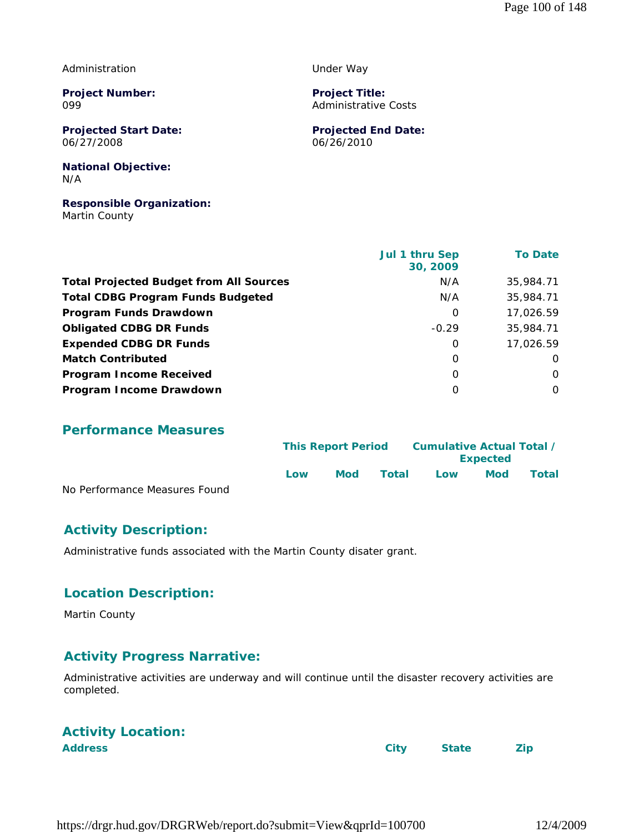#### Administration

**Project Number:** 099

**Projected Start Date:** 06/27/2008

Under Way

**Project Title:** Administrative Costs

**Projected End Date:** 06/26/2010

#### **National Objective:** N/A

# **Responsible Organization:**

Martin County

|                                                | Jul 1 thru Sep<br>30, 2009 | <b>To Date</b> |
|------------------------------------------------|----------------------------|----------------|
| <b>Total Projected Budget from All Sources</b> | N/A                        | 35,984.71      |
| <b>Total CDBG Program Funds Budgeted</b>       | N/A                        | 35,984.71      |
| Program Funds Drawdown                         | 0                          | 17,026.59      |
| <b>Obligated CDBG DR Funds</b>                 | $-0.29$                    | 35,984.71      |
| <b>Expended CDBG DR Funds</b>                  | $\Omega$                   | 17,026.59      |
| <b>Match Contributed</b>                       | $\Omega$                   | O              |
| <b>Program Income Received</b>                 | $\Omega$                   | $\Omega$       |
| Program Income Drawdown                        | $\Omega$                   | $\Omega$       |

#### **Performance Measures**

|                               |     | <b>This Report Period</b> |       |     | Cumulative Actual Total /<br><b>Expected</b> |       |  |  |
|-------------------------------|-----|---------------------------|-------|-----|----------------------------------------------|-------|--|--|
|                               | Low | <b>Mod</b>                | Total | Low | Mod                                          | Total |  |  |
| No Performance Measures Found |     |                           |       |     |                                              |       |  |  |

## **Activity Description:**

Administrative funds associated with the Martin County disater grant.

#### **Location Description:**

Martin County

## **Activity Progress Narrative:**

Administrative activities are underway and will continue until the disaster recovery activities are completed.

# **Activity Location:**

**Address City State Zip**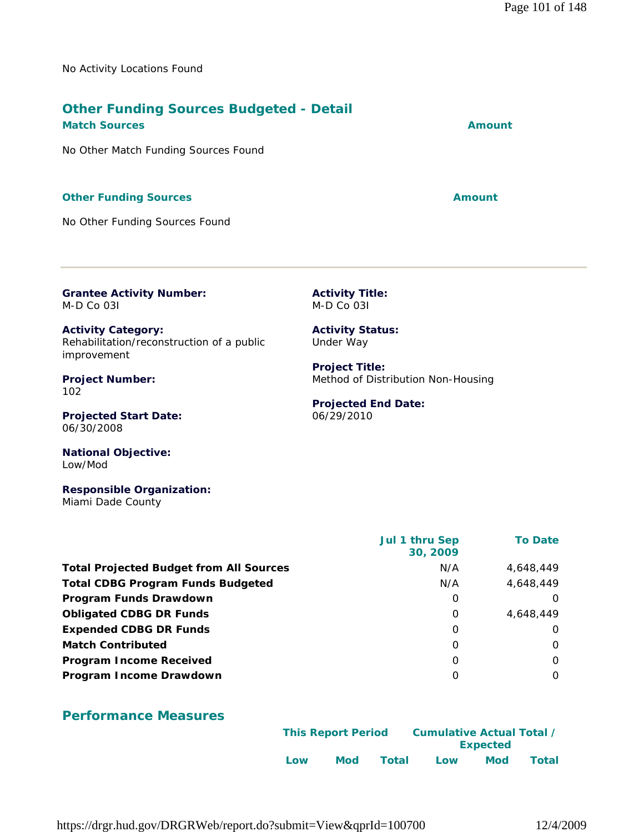No Activity Locations Found

# **Other Funding Sources Budgeted - Detail**

**Match Sources Amount Amount Amount Amount** 

No Other Match Funding Sources Found

#### **Other Funding Sources Amount Amount Amount**

No Other Funding Sources Found

**Grantee Activity Number:** M-D Co 03I

**Activity Title:** M-D Co 03I

**Project Title:**

06/29/2010

**Projected End Date:**

Method of Distribution Non-Housing

**Activity Status:** Under Way

**Activity Category:** Rehabilitation/reconstruction of a public improvement

**Project Number:** 102

**Projected Start Date:** 06/30/2008

**National Objective:** Low/Mod

**Responsible Organization:** Miami Dade County

|                                                | Jul 1 thru Sep<br>30, 2009 | <b>To Date</b> |
|------------------------------------------------|----------------------------|----------------|
| <b>Total Projected Budget from All Sources</b> | N/A                        | 4.648.449      |
| <b>Total CDBG Program Funds Budgeted</b>       | N/A                        | 4,648,449      |
| Program Funds Drawdown                         | 0                          | $\Omega$       |
| <b>Obligated CDBG DR Funds</b>                 | 0                          | 4,648,449      |
| <b>Expended CDBG DR Funds</b>                  | $\Omega$                   | $\Omega$       |
| <b>Match Contributed</b>                       | $\Omega$                   | $\Omega$       |
| <b>Program Income Received</b>                 | O                          | $\Omega$       |
| Program Income Drawdown                        | 0                          | 0              |

# **Performance Measures**

|     | <b>This Report Period</b> |       | Cumulative Actual Total / |                 |       |
|-----|---------------------------|-------|---------------------------|-----------------|-------|
|     |                           |       |                           | <b>Expected</b> |       |
| Low | Mod                       | Total | Low                       | Mod             | Total |

https://drgr.hud.gov/DRGRWeb/report.do?submit=View&qprId=100700 12/4/2009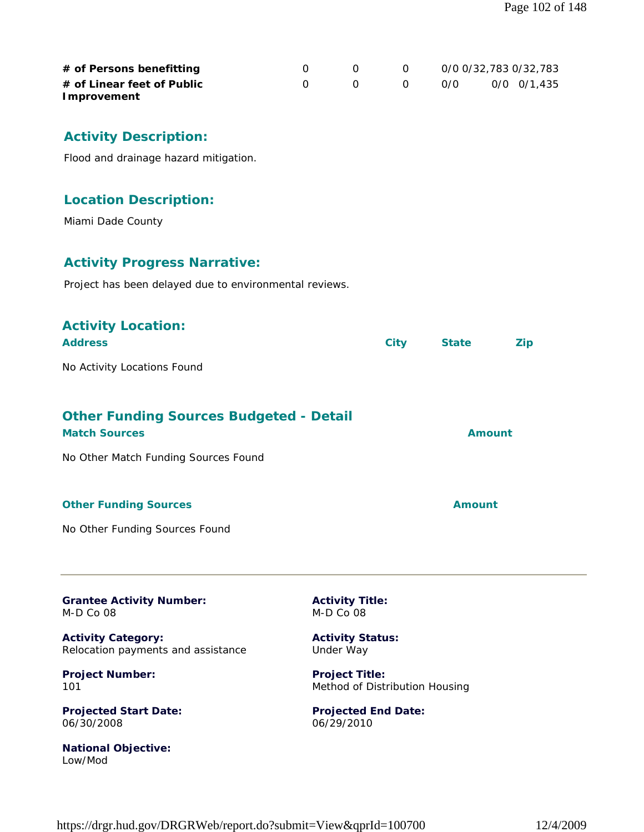| # of Persons benefitting<br># of Linear feet of Public<br><b>Improvement</b>                                   | $\mathbf 0$<br>0 | 0<br>0 | $\mathbf 0$<br>$\mathbf{O}$ | O/O           | 0/0 0/32,783 0/32,783<br>0/0 0/1,435 |
|----------------------------------------------------------------------------------------------------------------|------------------|--------|-----------------------------|---------------|--------------------------------------|
| <b>Activity Description:</b>                                                                                   |                  |        |                             |               |                                      |
| Flood and drainage hazard mitigation.                                                                          |                  |        |                             |               |                                      |
| <b>Location Description:</b>                                                                                   |                  |        |                             |               |                                      |
| Miami Dade County                                                                                              |                  |        |                             |               |                                      |
| <b>Activity Progress Narrative:</b><br>Project has been delayed due to environmental reviews.                  |                  |        |                             |               |                                      |
| <b>Activity Location:</b><br><b>Address</b>                                                                    |                  |        | <b>City</b>                 | <b>State</b>  | <b>Zip</b>                           |
| No Activity Locations Found                                                                                    |                  |        |                             |               |                                      |
| <b>Other Funding Sources Budgeted - Detail</b><br><b>Match Sources</b><br>No Other Match Funding Sources Found |                  |        |                             |               | <b>Amount</b>                        |
| <b>Other Funding Sources</b>                                                                                   |                  |        |                             | <b>Amount</b> |                                      |

**Grantee Activity Number:** M-D Co 08

**Activity Category:** Relocation payments and assistance

**Project Number:** 101

**Projected Start Date:** 06/30/2008

**National Objective:** Low/Mod

**Activity Title:** M-D Co 08

**Activity Status:** Under Way

**Project Title:** Method of Distribution Housing

**Projected End Date:** 06/29/2010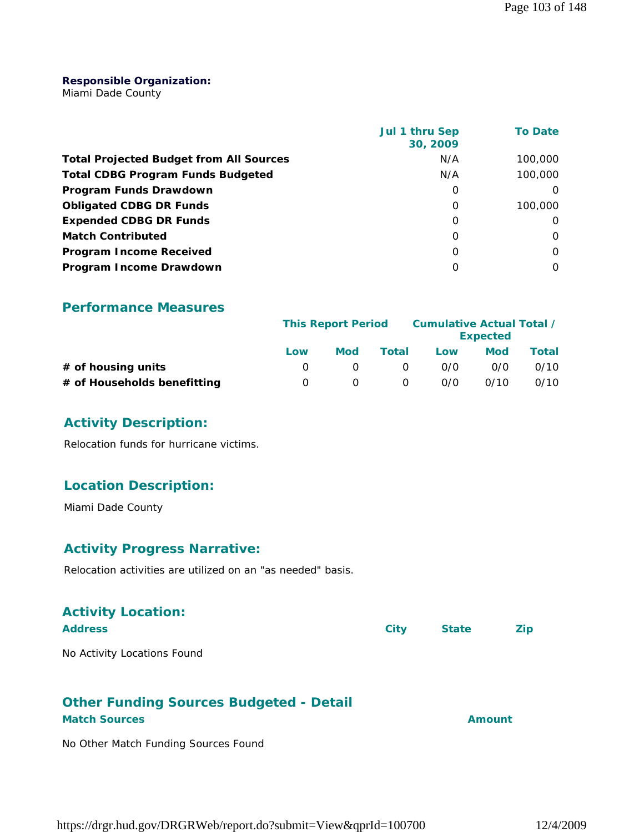#### **Responsible Organization:**

Miami Dade County

|                                                | Jul 1 thru Sep<br>30, 2009 | <b>To Date</b> |
|------------------------------------------------|----------------------------|----------------|
| <b>Total Projected Budget from All Sources</b> | N/A                        | 100,000        |
| <b>Total CDBG Program Funds Budgeted</b>       | N/A                        | 100,000        |
| Program Funds Drawdown                         | 0                          |                |
| <b>Obligated CDBG DR Funds</b>                 | 0                          | 100,000        |
| <b>Expended CDBG DR Funds</b>                  | O                          | Ω              |
| <b>Match Contributed</b>                       | 0                          | 0              |
| <b>Program Income Received</b>                 | O                          | $\Omega$       |
| Program Income Drawdown                        | O                          | 0              |

#### **Performance Measures**

|                             |                  | <b>This Report Period</b> |          |     | Cumulative Actual Total /<br><b>Expected</b> |       |
|-----------------------------|------------------|---------------------------|----------|-----|----------------------------------------------|-------|
|                             | Low              | Mod                       | Total    | Low | <b>Mod</b>                                   | Total |
| $#$ of housing units        |                  |                           | $\Omega$ | 0/0 | 0/0                                          | 0/10  |
| # of Households benefitting | $\left( \right)$ |                           | $\Omega$ | 0/0 | 0/10                                         | 0/10  |

#### **Activity Description:**

Relocation funds for hurricane victims.

#### **Location Description:**

Miami Dade County

#### **Activity Progress Narrative:**

Relocation activities are utilized on an "as needed" basis.

| <b>Activity Location:</b>   |      |              |            |
|-----------------------------|------|--------------|------------|
| <b>Address</b>              | City | <b>State</b> | <b>Zip</b> |
| No Activity Locations Found |      |              |            |

# **Other Funding Sources Budgeted - Detail**

# **Match Sources Amount**

No Other Match Funding Sources Found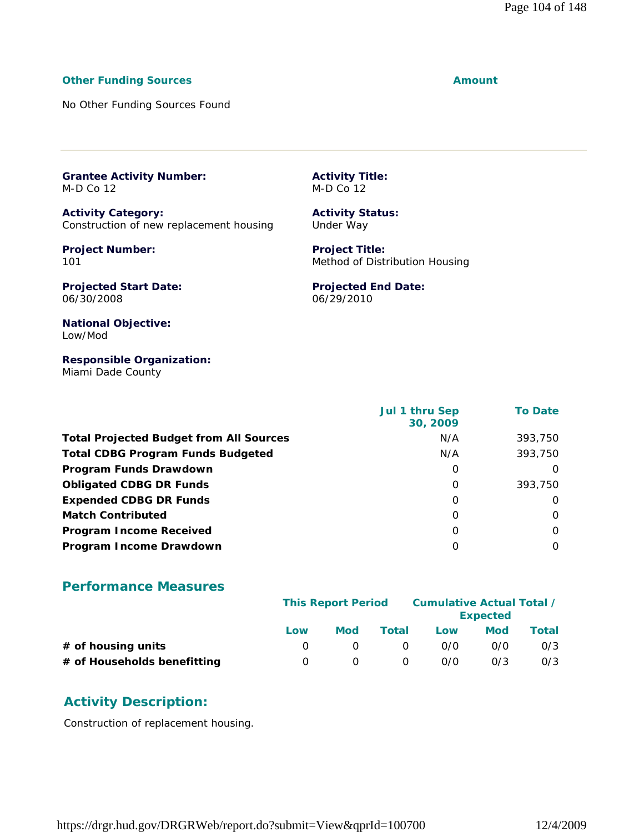#### **Other Funding Sources Amount**

No Other Funding Sources Found

**Grantee Activity Number:** M-D Co 12

**Activity Category:** Construction of new replacement housing

**Project Number:** 101

**Activity Title:** M-D Co 12

**Activity Status:** Under Way

**Project Title:** Method of Distribution Housing

**Projected Start Date:** 06/30/2008

**Projected End Date:** 06/29/2010

**National Objective:** Low/Mod

**Responsible Organization:** Miami Dade County

|                                                | Jul 1 thru Sep<br>30, 2009 | <b>To Date</b> |
|------------------------------------------------|----------------------------|----------------|
| <b>Total Projected Budget from All Sources</b> | N/A                        | 393,750        |
| <b>Total CDBG Program Funds Budgeted</b>       | N/A                        | 393,750        |
| Program Funds Drawdown                         | 0                          | O              |
| <b>Obligated CDBG DR Funds</b>                 | $\Omega$                   | 393,750        |
| <b>Expended CDBG DR Funds</b>                  | 0                          | $\Omega$       |
| <b>Match Contributed</b>                       | $\Omega$                   | $\Omega$       |
| <b>Program Income Received</b>                 | $\Omega$                   | $\Omega$       |
| Program Income Drawdown                        | O                          | $\Omega$       |

#### **Performance Measures**

|                             | <b>This Report Period</b> |     |              | Cumulative Actual Total / | <b>Expected</b> |       |
|-----------------------------|---------------------------|-----|--------------|---------------------------|-----------------|-------|
|                             | Low                       | Mod | Total        | Low                       | <b>Mod</b>      | Total |
| # of housing units          |                           |     | <sup>n</sup> | 0/0                       | 0/0             | 0/3   |
| # of Households benefitting | $\left( \right)$          |     | $\Omega$     | 0/0                       | 0/3             | 0/3   |

#### **Activity Description:**

Construction of replacement housing.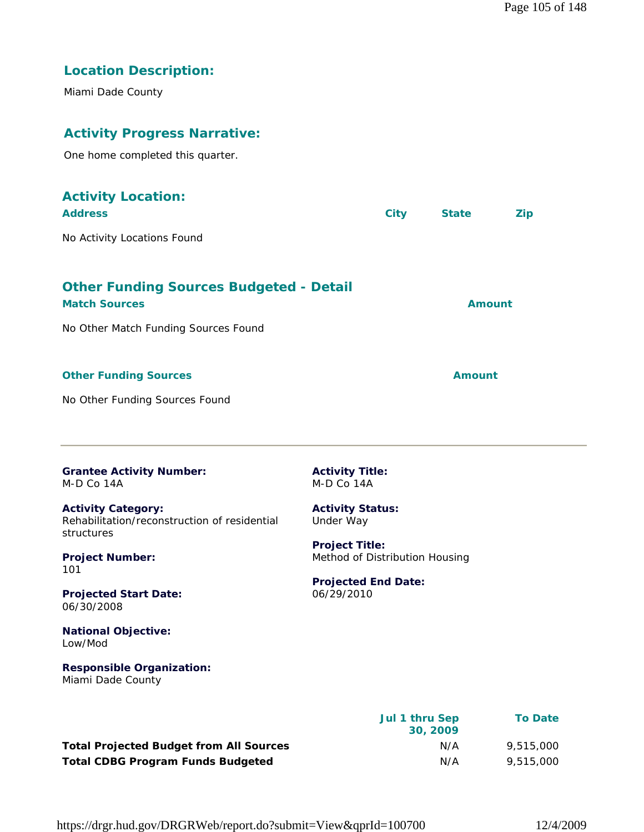# **Location Description:**

Miami Dade County

# **Activity Progress Narrative:**

One home completed this quarter.

| <b>Activity Location:</b><br><b>Address</b>                                                                    |                                                         | <b>City</b> | <b>State</b>  | <b>Zip</b> |
|----------------------------------------------------------------------------------------------------------------|---------------------------------------------------------|-------------|---------------|------------|
| No Activity Locations Found                                                                                    |                                                         |             |               |            |
| <b>Other Funding Sources Budgeted - Detail</b><br><b>Match Sources</b><br>No Other Match Funding Sources Found |                                                         |             | <b>Amount</b> |            |
| <b>Other Funding Sources</b>                                                                                   |                                                         |             | <b>Amount</b> |            |
| No Other Funding Sources Found                                                                                 |                                                         |             |               |            |
| <b>Grantee Activity Number:</b><br>M-D Co 14A                                                                  | <b>Activity Title:</b><br>M-D Co 14A                    |             |               |            |
| <b>Activity Category:</b><br>Rehabilitation/reconstruction of residential<br>structures                        | <b>Activity Status:</b><br>Under Way                    |             |               |            |
| <b>Project Number:</b><br>101                                                                                  | <b>Project Title:</b><br>Method of Distribution Housing |             |               |            |
| <b>Projected Start Date:</b><br>06/30/2008                                                                     | <b>Projected End Date:</b><br>06/29/2010                |             |               |            |
| <b>National Objective:</b><br>Low/Mod                                                                          |                                                         |             |               |            |
| <b>Responsible Organization:</b><br>Miami Dade County                                                          |                                                         |             |               |            |

|                                                | Jul 1 thru Sep<br>30, 2009 | <b>To Date</b> |
|------------------------------------------------|----------------------------|----------------|
| <b>Total Projected Budget from All Sources</b> | N/A                        | 9,515,000      |
| <b>Total CDBG Program Funds Budgeted</b>       | N/A                        | 9,515,000      |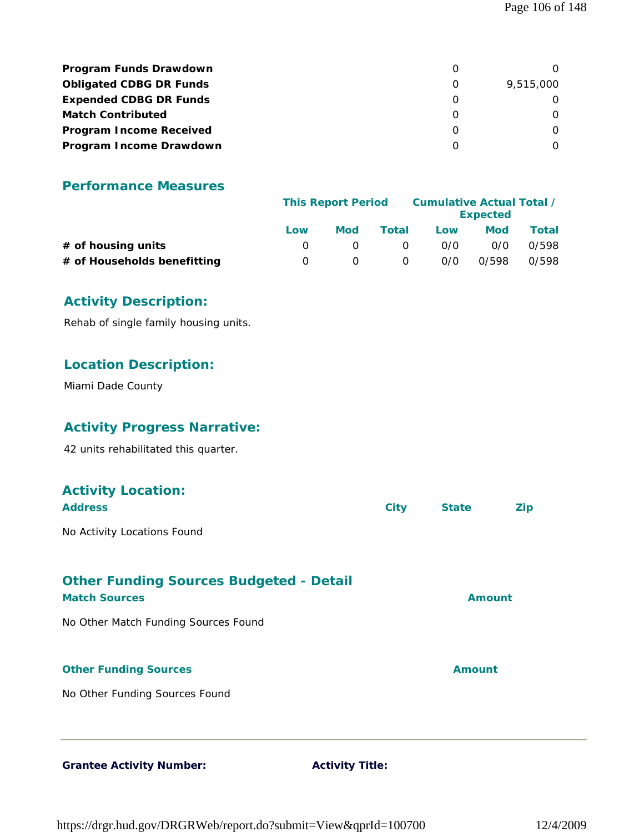| <b>Program Funds Drawdown</b>  |           |
|--------------------------------|-----------|
| <b>Obligated CDBG DR Funds</b> | 9,515,000 |
| <b>Expended CDBG DR Funds</b>  |           |
| <b>Match Contributed</b>       |           |
| <b>Program Income Received</b> |           |
| Program Income Drawdown        |           |

|                             |     | <b>This Report Period</b> |          |     | Cumulative Actual Total /<br><b>Expected</b> |       |
|-----------------------------|-----|---------------------------|----------|-----|----------------------------------------------|-------|
|                             | Low | Mod                       | Total    | Low | Mod                                          | Total |
| # of housing units          |     |                           | $\Omega$ | 0/0 | 0/0                                          | 0/598 |
| # of Households benefitting |     |                           | $\Omega$ | 0/0 | 0/598                                        | 0/598 |

## **Activity Description:**

Rehab of single family housing units.

#### **Location Description:**

Miami Dade County

## **Activity Progress Narrative:**

42 units rehabilitated this quarter.

# **Activity Location: Address City State Zip** No Activity Locations Found **Other Funding Sources Budgeted - Detail Match Sources Amount** No Other Match Funding Sources Found **Other Funding Sources Amount** No Other Funding Sources Found

Grantee Activity Number: **Activity Title:** 

https://drgr.hud.gov/DRGRWeb/report.do?submit=View&qprId=100700 12/4/2009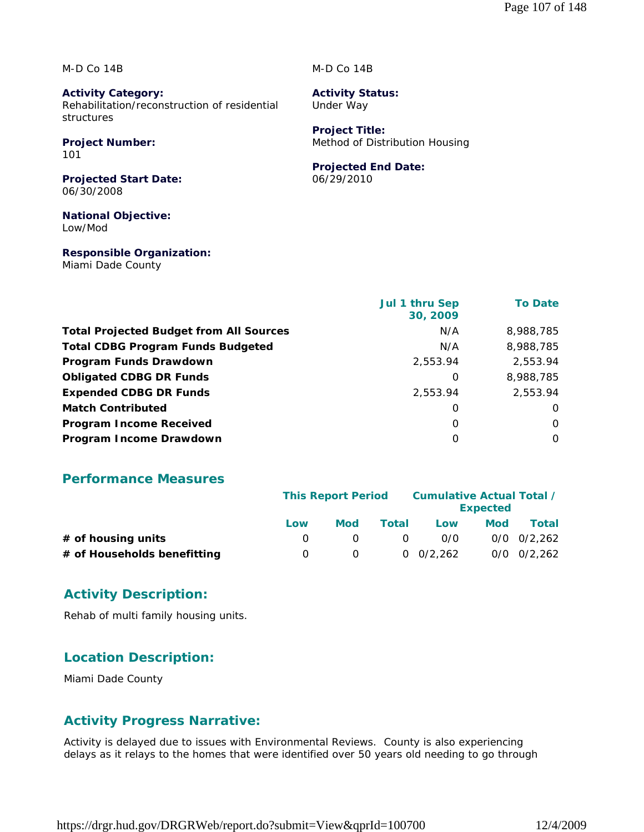M-D Co 14B

**Activity Category:** Rehabilitation/reconstruction of residential structures

# **Project Number:**

101

**Projected Start Date:** 06/30/2008

**National Objective:** Low/Mod

**Responsible Organization:** Miami Dade County

#### M-D Co 14B

**Activity Status:** Under Way

**Project Title:** Method of Distribution Housing

#### **Projected End Date:**

06/29/2010

|                                                | Jul 1 thru Sep<br>30, 2009 | <b>To Date</b> |
|------------------------------------------------|----------------------------|----------------|
| <b>Total Projected Budget from All Sources</b> | N/A                        | 8,988,785      |
| <b>Total CDBG Program Funds Budgeted</b>       | N/A                        | 8,988,785      |
| Program Funds Drawdown                         | 2,553.94                   | 2,553.94       |
| <b>Obligated CDBG DR Funds</b>                 | 0                          | 8,988,785      |
| <b>Expended CDBG DR Funds</b>                  | 2,553.94                   | 2,553.94       |
| <b>Match Contributed</b>                       | 0                          | $\Omega$       |
| <b>Program Income Received</b>                 | $\Omega$                   | $\Omega$       |
| Program Income Drawdown                        | $\Omega$                   | $\Omega$       |

#### **Performance Measures**

|                             | <b>This Report Period</b> |            |          | Cumulative Actual Total / | <b>Expected</b> |                 |
|-----------------------------|---------------------------|------------|----------|---------------------------|-----------------|-----------------|
|                             | Low                       | <b>Mod</b> | Total    | Low                       | <b>Mod</b>      | Total           |
| # of housing units          |                           |            | $\Omega$ | 0/0                       |                 | $0/0$ $0/2.262$ |
| # of Households benefitting | 0                         | $\Omega$   |          | $0 \quad 0/2.262$         |                 | $0/0$ $0/2.262$ |

## **Activity Description:**

Rehab of multi family housing units.

## **Location Description:**

Miami Dade County

## **Activity Progress Narrative:**

Activity is delayed due to issues with Environmental Reviews. County is also experiencing delays as it relays to the homes that were identified over 50 years old needing to go through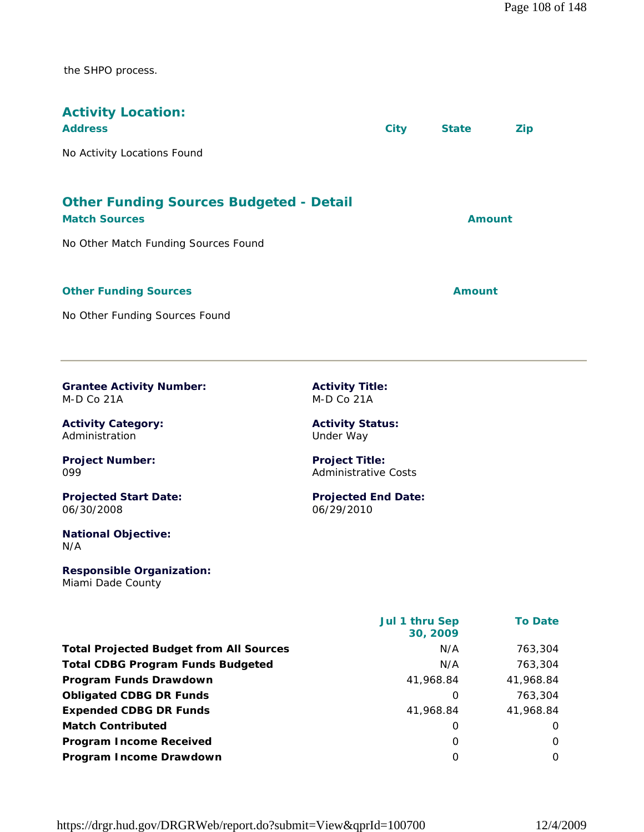the SHPO process.

| <b>Activity Location:</b><br><b>Address</b>                            | <b>City</b> | <b>State</b> | Zip |
|------------------------------------------------------------------------|-------------|--------------|-----|
| No Activity Locations Found                                            |             |              |     |
| <b>Other Funding Sources Budgeted - Detail</b><br><b>Match Sources</b> |             | Amount       |     |
| No Other Match Funding Sources Found                                   |             |              |     |
| <b>Other Funding Sources</b>                                           |             | Amount       |     |
| No Other Funding Sources Found                                         |             |              |     |

**Grantee Activity Number:** M-D Co 21A

**Activity Category:** Administration

**Project Number:** 099

**Projected Start Date:** 06/30/2008

**National Objective:** N/A

**Responsible Organization:** Miami Dade County

**Activity Title:** M-D Co 21A

**Activity Status:** Under Way

**Project Title:** Administrative Costs

**Projected End Date:** 06/29/2010

|                                                | Jul 1 thru Sep<br>30, 2009 | <b>To Date</b> |
|------------------------------------------------|----------------------------|----------------|
| <b>Total Projected Budget from All Sources</b> | N/A                        | 763,304        |
| <b>Total CDBG Program Funds Budgeted</b>       | N/A                        | 763,304        |
| Program Funds Drawdown                         | 41,968.84                  | 41,968.84      |
| <b>Obligated CDBG DR Funds</b>                 | O                          | 763,304        |
| <b>Expended CDBG DR Funds</b>                  | 41,968.84                  | 41,968.84      |
| <b>Match Contributed</b>                       | O                          | O              |
| <b>Program Income Received</b>                 | O                          | 0              |
| Program Income Drawdown                        | O                          | 0              |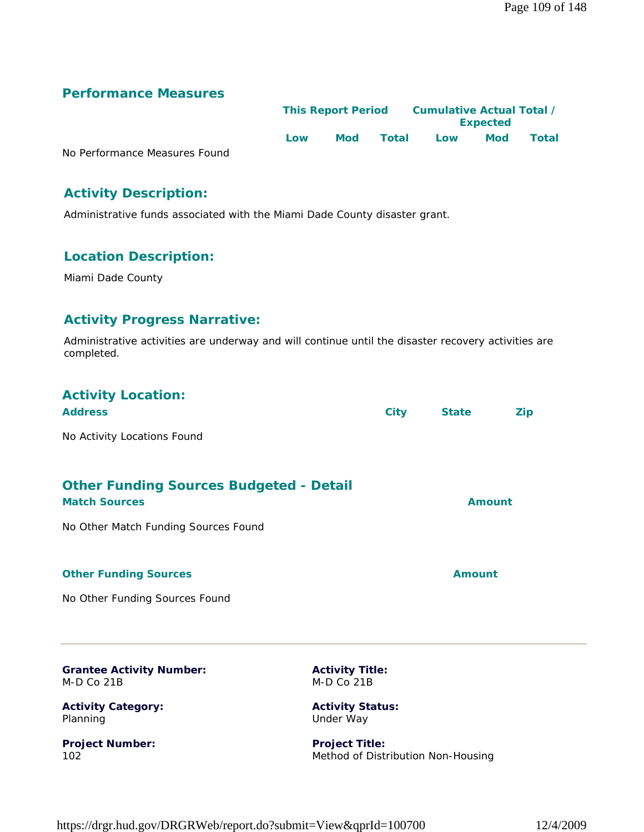# **Performance Measures**

|                               | <b>This Report Period</b> |     | <b>Cumulative Actual Total /</b> |     |                 |              |
|-------------------------------|---------------------------|-----|----------------------------------|-----|-----------------|--------------|
|                               |                           |     |                                  |     | <b>Expected</b> |              |
|                               | Low                       | Mod | Total                            | Low | <b>Mod</b>      | <b>Total</b> |
| No Performance Measures Found |                           |     |                                  |     |                 |              |

No Perfor

# **Activity Description:**

Administrative funds associated with the Miami Dade County disaster grant.

# **Location Description:**

Miami Dade County

#### **Activity Progress Narrative:**

Administrative activities are underway and will continue until the disaster recovery activities are completed.

# **Activity Location:**

| <b>Address</b>                          | City | <b>State</b> | Zip |
|-----------------------------------------|------|--------------|-----|
| No Activity Locations Found             |      |              |     |
| Other Funding Sources Budgeted - Detail |      |              |     |

| <b>Principle Mindship Country Dudgeton Dotail</b> |        |
|---------------------------------------------------|--------|
| <b>Match Sources</b>                              | Amount |
| No Other Match Funding Sources Found              |        |
| <b>Other Funding Sources</b>                      | Amount |

No Other Funding Sources Found

**Grantee Activity Number:** M-D Co 21B

**Activity Category:** Planning

**Project Number:** 102

**Activity Title:** M-D Co 21B

**Activity Status:** Under Way

**Project Title:** Method of Distribution Non-Housing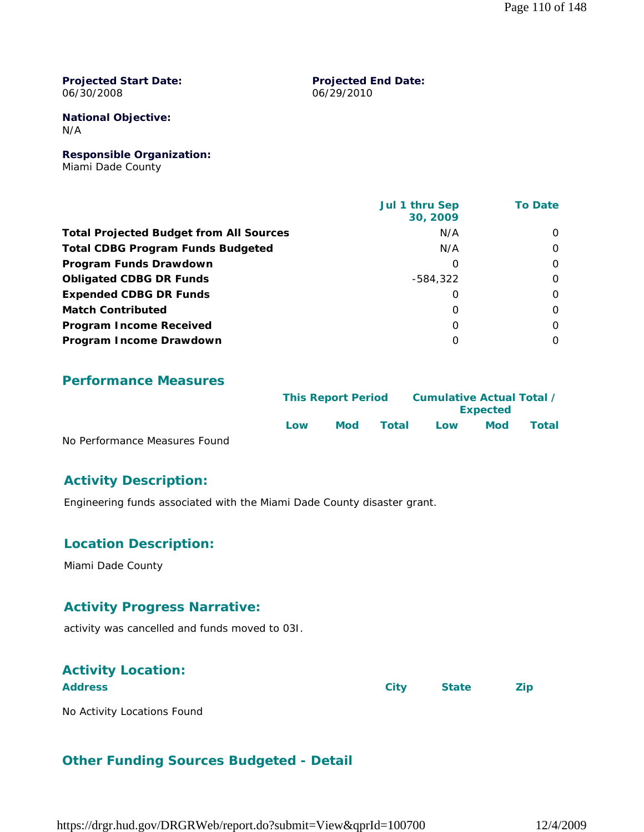#### **Projected Start Date:** 06/30/2008

#### **Projected End Date:** 06/29/2010

**National Objective:** N/A

**Responsible Organization:** Miami Dade County

|                                                | Jul 1 thru Sep<br>30, 2009 | <b>To Date</b> |
|------------------------------------------------|----------------------------|----------------|
| <b>Total Projected Budget from All Sources</b> | N/A                        | $\Omega$       |
| <b>Total CDBG Program Funds Budgeted</b>       | N/A                        | $\Omega$       |
| Program Funds Drawdown                         | 0                          | $\Omega$       |
| <b>Obligated CDBG DR Funds</b>                 | -584,322                   | $\Omega$       |
| <b>Expended CDBG DR Funds</b>                  | 0                          | $\Omega$       |
| <b>Match Contributed</b>                       | $\Omega$                   | $\Omega$       |
| <b>Program Income Received</b>                 | 0                          | $\Omega$       |
| Program Income Drawdown                        | $\Omega$                   | $\Omega$       |

#### **Performance Measures**

|                               | <b>This Report Period</b> |     |       | Cumulative Actual Total / | <b>Expected</b> |              |
|-------------------------------|---------------------------|-----|-------|---------------------------|-----------------|--------------|
|                               | Low                       | Mod | Total | l ow                      | <b>Mod</b>      | <b>Total</b> |
| No Performance Measures Found |                           |     |       |                           |                 |              |

### **Activity Description:**

Engineering funds associated with the Miami Dade County disaster grant.

### **Location Description:**

Miami Dade County

### **Activity Progress Narrative:**

activity was cancelled and funds moved to 03I.

# **Activity Location:**

**Address City State Zip**

No Activity Locations Found

### **Other Funding Sources Budgeted - Detail**

https://drgr.hud.gov/DRGRWeb/report.do?submit=View&qprId=100700 12/4/2009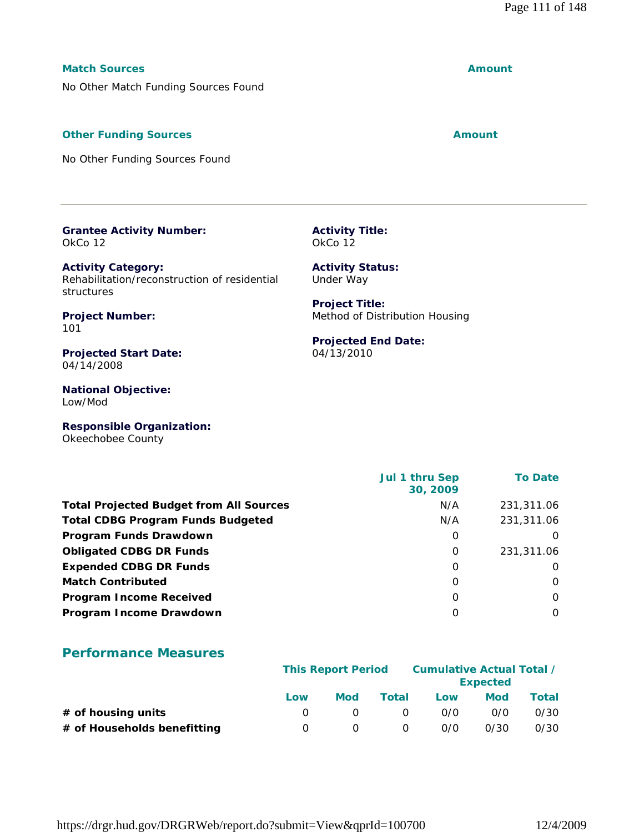#### **Match Sources Amount**

No Other Match Funding Sources Found

#### **Other Funding Sources Amount** Amount

No Other Funding Sources Found

#### **Grantee Activity Number:** OkCo 12

**Activity Category:** Rehabilitation/reconstruction of residential structures

**Project Number:** 101

**Projected Start Date:** 04/14/2008

**National Objective:** Low/Mod

**Responsible Organization:** Okeechobee County

|                                                | Jul 1 thru Sep<br>30, 2009 | <b>To Date</b> |
|------------------------------------------------|----------------------------|----------------|
| <b>Total Projected Budget from All Sources</b> | N/A                        | 231,311.06     |
| <b>Total CDBG Program Funds Budgeted</b>       | N/A                        | 231,311.06     |
| Program Funds Drawdown                         | 0                          | $\Omega$       |
| <b>Obligated CDBG DR Funds</b>                 | 0                          | 231,311.06     |
| <b>Expended CDBG DR Funds</b>                  | 0                          | $\Omega$       |
| <b>Match Contributed</b>                       | $\Omega$                   | $\Omega$       |
| <b>Program Income Received</b>                 | $\Omega$                   | $\Omega$       |
| Program Income Drawdown                        | 0                          | 0              |

#### **Performance Measures**

|                             |     | <b>This Report Period</b> |          |     | Cumulative Actual Total /<br><b>Expected</b> |       |
|-----------------------------|-----|---------------------------|----------|-----|----------------------------------------------|-------|
|                             | Low | Mod                       | Total    | Low | Mod                                          | Total |
| $#$ of housing units        |     |                           | $\Omega$ | 0/0 | 0/0                                          | 0/30  |
| # of Households benefitting |     |                           | 0        | 0/0 | 0/30                                         | 0/30  |

**Projected End Date:** 04/13/2010

Method of Distribution Housing

**Activity Title:** OkCo 12

**Activity Status:** Under Way

**Project Title:**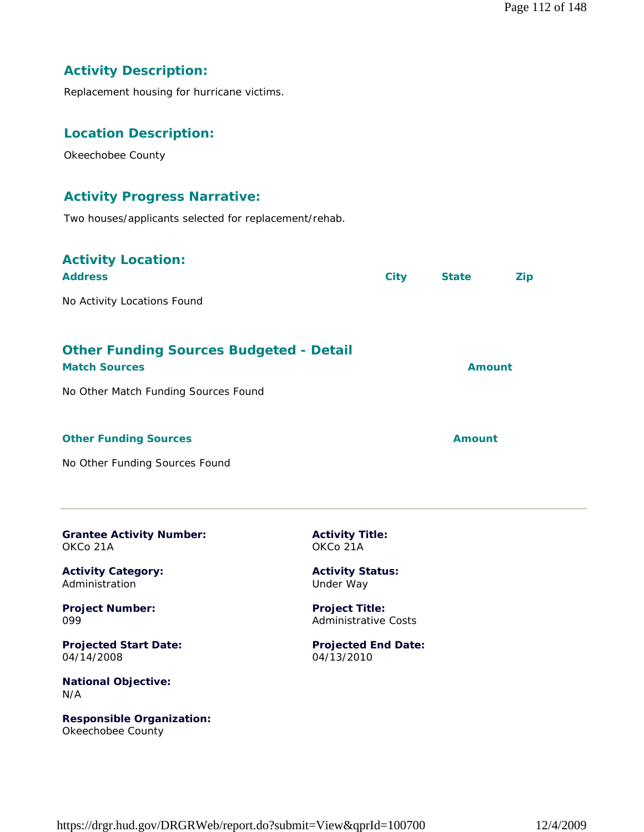# **Activity Description:**

Replacement housing for hurricane victims.

#### **Location Description:**

Okeechobee County

#### **Activity Progress Narrative:**

Two houses/applicants selected for replacement/rehab.

# **Activity Location:**

| <b>Address</b>                                                         | <b>City</b> | <b>State</b>  | Zip |
|------------------------------------------------------------------------|-------------|---------------|-----|
| No Activity Locations Found                                            |             |               |     |
| <b>Other Funding Sources Budgeted - Detail</b><br><b>Match Sources</b> |             | <b>Amount</b> |     |
| No Other Match Funding Sources Found                                   |             |               |     |
|                                                                        |             |               |     |

#### **Other Funding Sources Amount Amount Amount**

No Other Funding Sources Found

| <b>Grantee Activity Number:</b> |  |
|---------------------------------|--|
| OKCo 21A                        |  |

**Activity Category:** Administration

**Project Number:** 099

**Projected Start Date:** 04/14/2008

**National Objective:** N/A

**Responsible Organization:** Okeechobee County

**Activity Title:** OKCo 21A

**Activity Status:** Under Way

**Project Title:** Administrative Costs

**Projected End Date:** 04/13/2010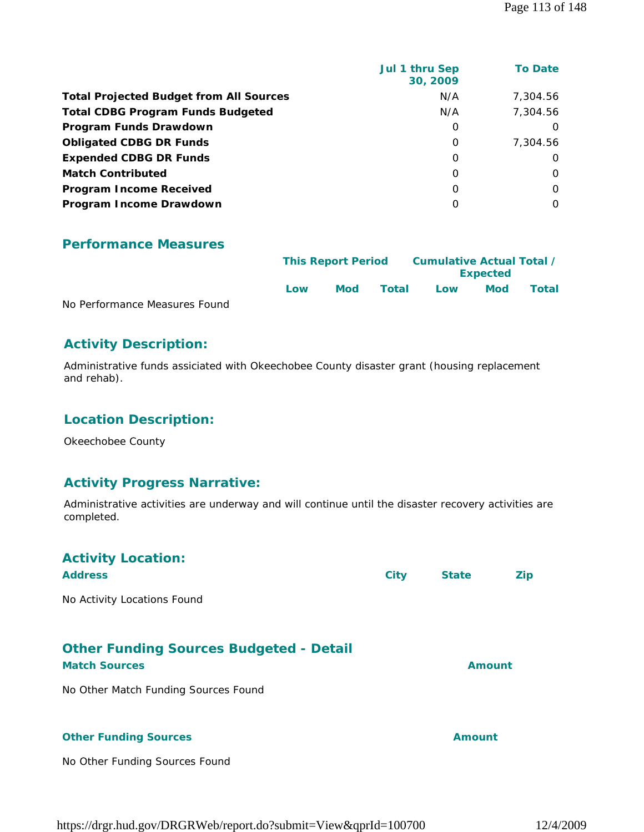|                                                | Jul 1 thru Sep<br>30, 2009 | <b>To Date</b> |
|------------------------------------------------|----------------------------|----------------|
| <b>Total Projected Budget from All Sources</b> | N/A                        | 7,304.56       |
| <b>Total CDBG Program Funds Budgeted</b>       | N/A                        | 7,304.56       |
| Program Funds Drawdown                         | 0                          | $\Omega$       |
| <b>Obligated CDBG DR Funds</b>                 | 0                          | 7,304.56       |
| <b>Expended CDBG DR Funds</b>                  | 0                          | O              |
| <b>Match Contributed</b>                       | $\Omega$                   | $\Omega$       |
| <b>Program Income Received</b>                 | $\Omega$                   | $\Omega$       |
| Program Income Drawdown                        | $\Omega$                   | $\Omega$       |
|                                                |                            |                |

#### **Performance Measures**

|                               | <b>This Report Period</b> |     |       | Cumulative Actual Total /<br><b>Expected</b> |     |       |
|-------------------------------|---------------------------|-----|-------|----------------------------------------------|-----|-------|
|                               | l ow                      | Mod | Total | Low                                          | Mod | Total |
| No Performance Measures Found |                           |     |       |                                              |     |       |

# **Activity Description:**

Administrative funds assiciated with Okeechobee County disaster grant (housing replacement and rehab).

# **Location Description:**

Okeechobee County

#### **Activity Progress Narrative:**

Administrative activities are underway and will continue until the disaster recovery activities are completed.

| <b>Activity Location:</b>                      |             |               |            |
|------------------------------------------------|-------------|---------------|------------|
| <b>Address</b>                                 | <b>City</b> | <b>State</b>  | <b>Zip</b> |
| No Activity Locations Found                    |             |               |            |
| <b>Other Funding Sources Budgeted - Detail</b> |             |               |            |
| <b>Match Sources</b>                           |             | <b>Amount</b> |            |
| No Other Match Funding Sources Found           |             |               |            |
| <b>Other Funding Sources</b>                   |             | <b>Amount</b> |            |
| No Other Funding Sources Found                 |             |               |            |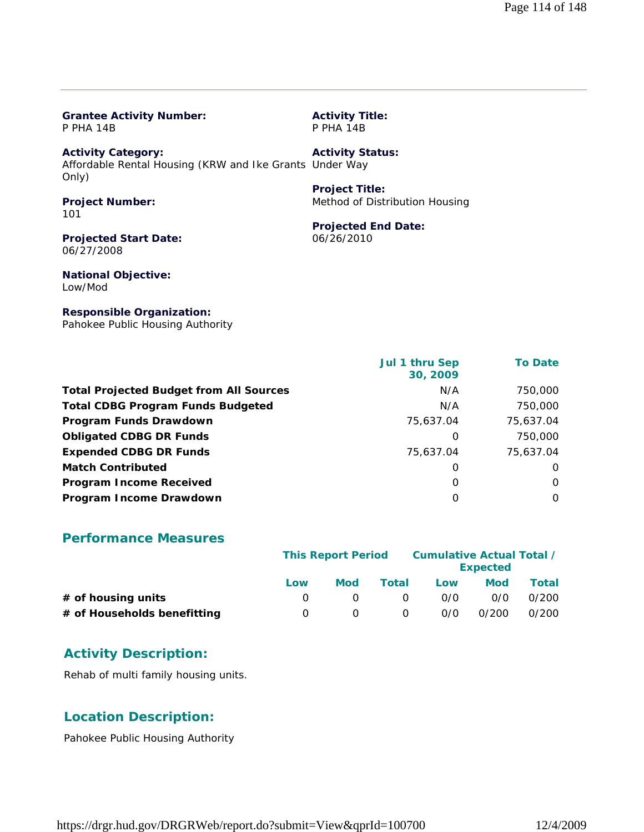| <b>P PHA 14B</b>                                                                              | <b>P PHA 14B</b>               |
|-----------------------------------------------------------------------------------------------|--------------------------------|
| <b>Activity Category:</b><br>Affordable Rental Housing (KRW and Ike Grants Under Way<br>Only) | <b>Activity Status:</b>        |
|                                                                                               | <b>Project Title:</b>          |
| <b>Project Number:</b><br>101                                                                 | Method of Distribution Housing |
|                                                                                               | <b>Projected End Date:</b>     |
| <b>Projected Start Date:</b><br>06/27/2008                                                    | 06/26/2010                     |
| <b>National Objective:</b><br>Low/Mod                                                         |                                |
|                                                                                               |                                |

**Activity Title:**

**Responsible Organization:** Pahokee Public Housing Authority

**Grantee Activity Number:**

|                                                | Jul 1 thru Sep<br>30, 2009 | <b>To Date</b> |
|------------------------------------------------|----------------------------|----------------|
| <b>Total Projected Budget from All Sources</b> | N/A                        | 750,000        |
| <b>Total CDBG Program Funds Budgeted</b>       | N/A                        | 750,000        |
| Program Funds Drawdown                         | 75,637.04                  | 75,637.04      |
| <b>Obligated CDBG DR Funds</b>                 | 0                          | 750,000        |
| <b>Expended CDBG DR Funds</b>                  | 75,637.04                  | 75,637.04      |
| <b>Match Contributed</b>                       | O                          | $\Omega$       |
| <b>Program Income Received</b>                 | 0                          | O              |
| Program Income Drawdown                        | O                          | $\Omega$       |

#### **Performance Measures**

|                             |          | <b>This Report Period</b> |          | Cumulative Actual Total / | <b>Expected</b> |       |
|-----------------------------|----------|---------------------------|----------|---------------------------|-----------------|-------|
|                             | Low      | <b>Mod</b>                | Total    | Low                       | <b>Mod</b>      | Total |
| $#$ of housing units        | $\theta$ |                           | $\Omega$ | 0/0                       | 0/0             | 0/200 |
| # of Households benefitting | $\Omega$ |                           | 0        | 0/0                       | 0/200           | 0/200 |

#### **Activity Description:**

Rehab of multi family housing units.

#### **Location Description:**

Pahokee Public Housing Authority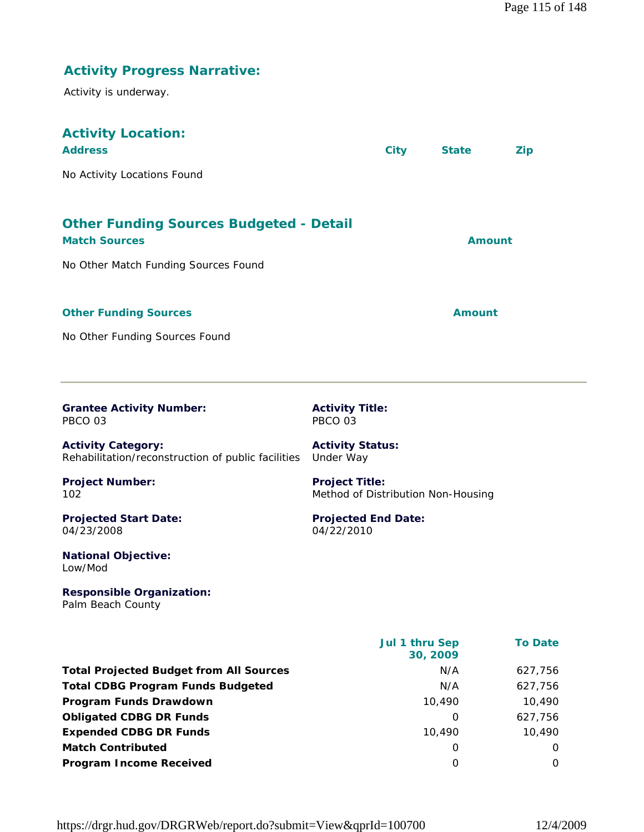| <b>Activity Progress Narrative:</b><br>Activity is underway.                    |                                                             |                            |               |                |
|---------------------------------------------------------------------------------|-------------------------------------------------------------|----------------------------|---------------|----------------|
| <b>Activity Location:</b><br><b>Address</b>                                     | <b>City</b>                                                 |                            | <b>State</b>  | <b>Zip</b>     |
| No Activity Locations Found                                                     |                                                             |                            |               |                |
| <b>Other Funding Sources Budgeted - Detail</b><br><b>Match Sources</b>          |                                                             |                            | <b>Amount</b> |                |
| No Other Match Funding Sources Found                                            |                                                             |                            |               |                |
| <b>Other Funding Sources</b><br>No Other Funding Sources Found                  |                                                             |                            | <b>Amount</b> |                |
|                                                                                 |                                                             |                            |               |                |
| <b>Grantee Activity Number:</b><br>PBCO 03                                      | <b>Activity Title:</b><br>PBCO 03                           |                            |               |                |
| <b>Activity Category:</b><br>Rehabilitation/reconstruction of public facilities | <b>Activity Status:</b><br>Under Way                        |                            |               |                |
| <b>Project Number:</b><br>102                                                   | <b>Project Title:</b><br>Method of Distribution Non-Housing |                            |               |                |
| <b>Projected Start Date:</b><br>04/23/2008                                      | <b>Projected End Date:</b><br>04/22/2010                    |                            |               |                |
| <b>National Objective:</b><br>Low/Mod                                           |                                                             |                            |               |                |
| <b>Responsible Organization:</b><br>Palm Beach County                           |                                                             |                            |               |                |
|                                                                                 |                                                             | Jul 1 thru Sep<br>30, 2009 |               | <b>To Date</b> |
| <b>Total Projected Budget from All Sources</b>                                  |                                                             |                            | N/A           | 627,756        |
| <b>Total CDBG Program Funds Budgeted</b>                                        |                                                             |                            | N/A           | 627,756        |

**Program Funds Drawdown 10,490** 10,490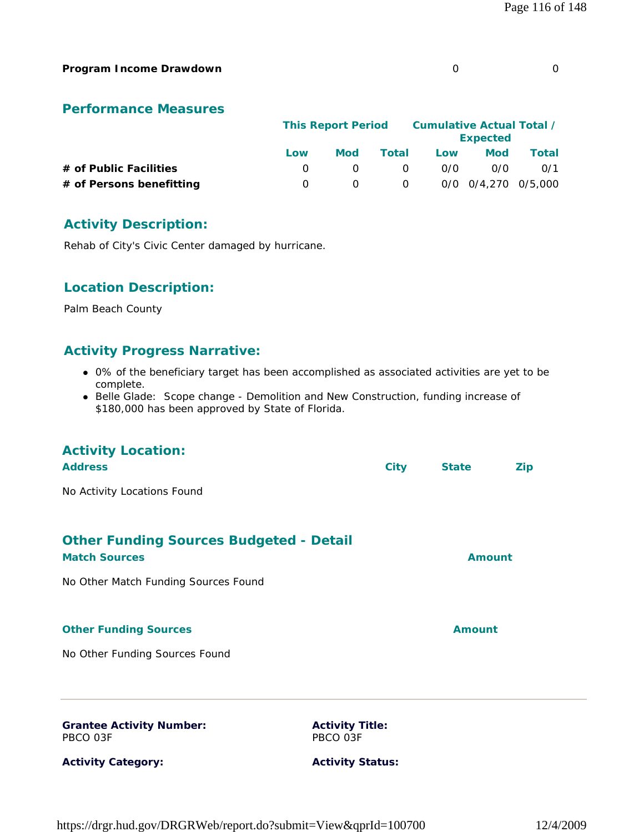#### **Program Income Drawdown** 0 0

#### **Performance Measures**

|                          |     |     | <b>This Report Period</b> |     | Cumulative Actual Total /<br><b>Expected</b> |       |
|--------------------------|-----|-----|---------------------------|-----|----------------------------------------------|-------|
|                          | Low | Mod | Total                     | Low | <b>Mod</b>                                   | Total |
| # of Public Facilities   |     |     | <u>n</u>                  | 0/0 | 0/0                                          | 0/1   |
| # of Persons benefitting |     |     | $\overline{O}$            |     | 0/0 0/4.270 0/5.000                          |       |

#### **Activity Description:**

Rehab of City's Civic Center damaged by hurricane.

#### **Location Description:**

Palm Beach County

#### **Activity Progress Narrative:**

- 0% of the beneficiary target has been accomplished as associated activities are yet to be complete.
- Belle Glade: Scope change Demolition and New Construction, funding increase of \$180,000 has been approved by State of Florida.

# **Activity Location: Address City State Zip** No Activity Locations Found **Other Funding Sources Budgeted - Detail Match Sources Amount Amount Amount Amount** No Other Match Funding Sources Found **Other Funding Sources Amount Amount Amount** No Other Funding Sources Found **Grantee Activity Number:** PBCO 03F **Activity Category: Activity Title:** PBCO 03F **Activity Status:**

https://drgr.hud.gov/DRGRWeb/report.do?submit=View&qprId=100700 12/4/2009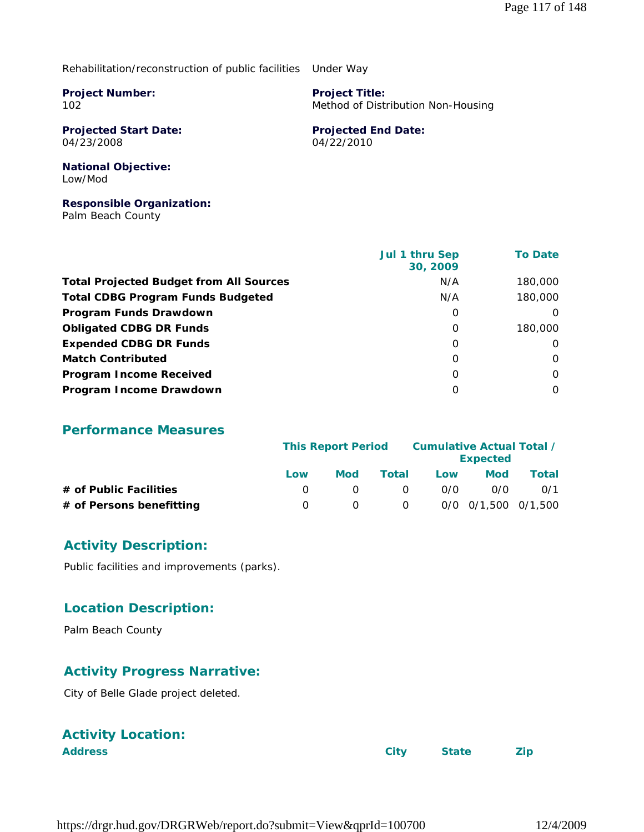#### Rehabilitation/reconstruction of public facilities Under Way

**Project Number:** 102

**Project Title:** Method of Distribution Non-Housing

**Projected Start Date:** 04/23/2008

**Projected End Date:** 04/22/2010

#### **National Objective:** Low/Mod

#### **Responsible Organization:**

Palm Beach County

|                                                | Jul 1 thru Sep<br>30, 2009 | <b>To Date</b> |
|------------------------------------------------|----------------------------|----------------|
| <b>Total Projected Budget from All Sources</b> | N/A                        | 180,000        |
| <b>Total CDBG Program Funds Budgeted</b>       | N/A                        | 180,000        |
| Program Funds Drawdown                         | O                          |                |
| <b>Obligated CDBG DR Funds</b>                 | $\Omega$                   | 180,000        |
| <b>Expended CDBG DR Funds</b>                  | 0                          | O              |
| <b>Match Contributed</b>                       | $\Omega$                   | $\Omega$       |
| <b>Program Income Received</b>                 | $\Omega$                   | $\Omega$       |
| Program Income Drawdown                        | O                          | 0              |

#### **Performance Measures**

|                          | <b>This Report Period</b> |            |          |     | Cumulative Actual Total / | <b>Expected</b> |  |
|--------------------------|---------------------------|------------|----------|-----|---------------------------|-----------------|--|
|                          | Low                       | <b>Mod</b> | Total    | Low | <b>Mod</b>                | Total           |  |
| # of Public Facilities   |                           |            | $\Omega$ | 0/0 | 0/0                       | 0/1             |  |
| # of Persons benefitting |                           | $\Omega$   | $\Omega$ |     | 0/0 0/1,500 0/1,500       |                 |  |

#### **Activity Description:**

Public facilities and improvements (parks).

#### **Location Description:**

Palm Beach County

### **Activity Progress Narrative:**

City of Belle Glade project deleted.

# **Activity Location:**

| <b>Address</b> | City State Zip |  |
|----------------|----------------|--|
|                |                |  |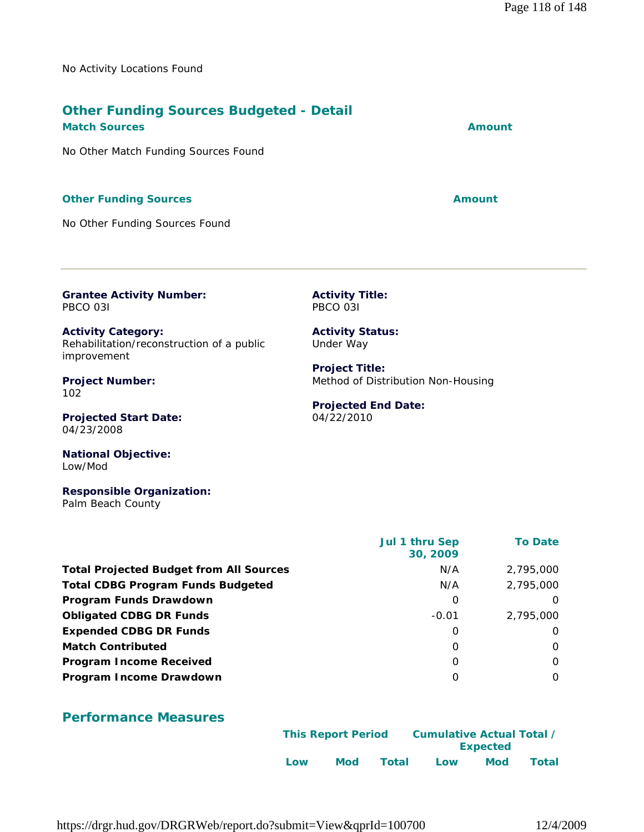No Activity Locations Found

# **Other Funding Sources Budgeted - Detail**

#### **Match Sources Amount Amount Amount Amount**

No Other Match Funding Sources Found

#### **Other Funding Sources Amount Amount Amount**

No Other Funding Sources Found

**Grantee Activity Number:** PBCO 03I

**Activity Title:** PBCO 03I

**Activity Category:** Rehabilitation/reconstruction of a public improvement

**Project Number:** 102

**Projected Start Date:** 04/23/2008

**National Objective:** Low/Mod

**Responsible Organization:** Palm Beach County

 **Jul 1 thru Sep 30, 2009 To Date Total Projected Budget from All Sources** M/A 2,795,000 **Total CDBG Program Funds Budgeted Network 2, 2,795,000 Program Funds Drawdown** 0 0 **Obligated CDBG DR Funds COMPUTE 2,795,000 CDBG DR Funds COMPUTE 2,795,000 Expended CDBG DR Funds** 0 0 **Match Contributed** 0 0 **Program Income Received** 0 0 **Program Income Drawdown** 0 0

#### **Performance Measures**

|     | <b>This Report Period</b> |       | Cumulative Actual Total / |                 |       |
|-----|---------------------------|-------|---------------------------|-----------------|-------|
|     |                           |       |                           | <b>Expected</b> |       |
| Low | Mod                       | Total | Low                       | Mod             | Total |

https://drgr.hud.gov/DRGRWeb/report.do?submit=View&qprId=100700 12/4/2009

**Activity Status:** Under Way

**Project Title:** Method of Distribution Non-Housing

#### **Projected End Date:** 04/22/2010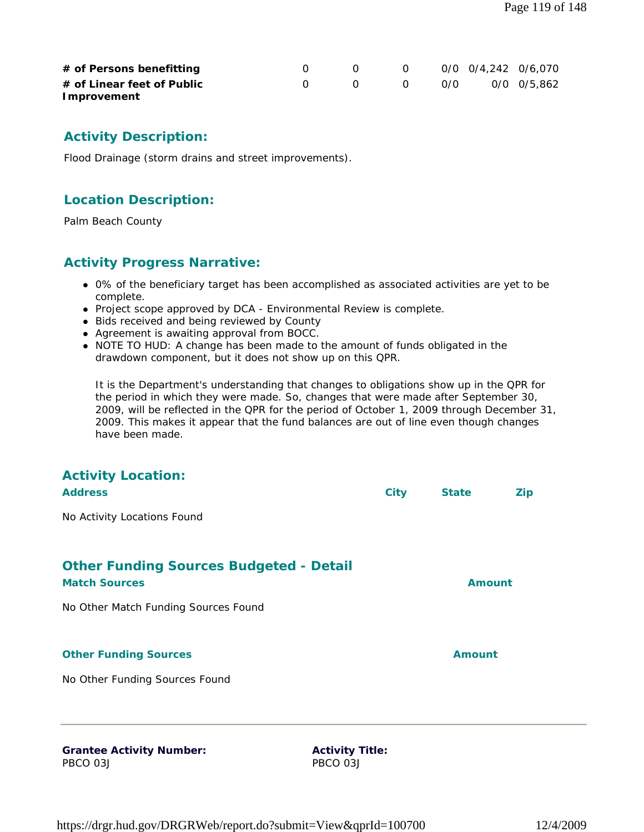| # of Persons benefitting   |  | $\overline{O}$ | 0/0 0/4,242 0/6,070 |  |
|----------------------------|--|----------------|---------------------|--|
| # of Linear feet of Public |  | $\overline{a}$ | 0/0 0/0 0/5,862     |  |
| Improvement                |  |                |                     |  |

#### **Activity Description:**

Flood Drainage (storm drains and street improvements).

#### **Location Description:**

Palm Beach County

#### **Activity Progress Narrative:**

- 0% of the beneficiary target has been accomplished as associated activities are yet to be complete.
- Project scope approved by DCA Environmental Review is complete.
- Bids received and being reviewed by County
- Agreement is awaiting approval from BOCC.
- NOTE TO HUD: A change has been made to the amount of funds obligated in the drawdown component, but it does not show up on this QPR.

It is the Department's understanding that changes to obligations show up in the QPR for the period in which they were made. So, changes that were made after September 30, 2009, will be reflected in the QPR for the period of October 1, 2009 through December 31, 2009. This makes it appear that the fund balances are out of line even though changes have been made.

| <b>Activity Location:</b><br><b>Address</b>                            | <b>City</b>            | <b>State</b>  | <b>Zip</b> |
|------------------------------------------------------------------------|------------------------|---------------|------------|
| No Activity Locations Found                                            |                        |               |            |
| <b>Other Funding Sources Budgeted - Detail</b><br><b>Match Sources</b> |                        | <b>Amount</b> |            |
| No Other Match Funding Sources Found                                   |                        |               |            |
| <b>Other Funding Sources</b>                                           |                        | <b>Amount</b> |            |
| No Other Funding Sources Found                                         |                        |               |            |
|                                                                        |                        |               |            |
| <b>Grantee Activity Number:</b>                                        | <b>Activity Title:</b> |               |            |

PBCO 03J

**Activity Title:** PBCO 03J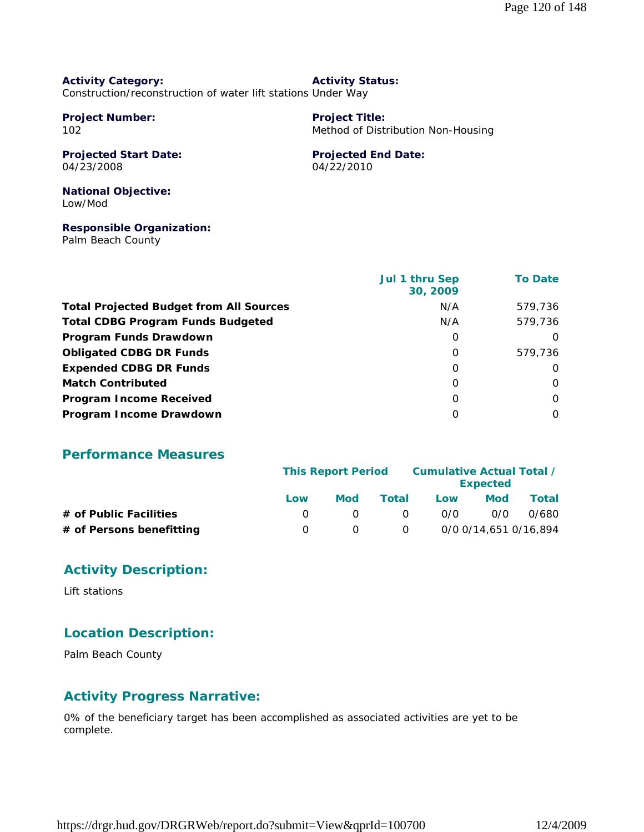#### **Activity Category:** Construction/reconstruction of water lift stations Under Way **Activity Status:**

**Project Number:** 102

# **Project Title:**

Method of Distribution Non-Housing

#### **Projected Start Date:** 04/23/2008

**Projected End Date:** 04/22/2010

#### **National Objective:** Low/Mod

#### **Responsible Organization:**

Palm Beach County

|                                                | Jul 1 thru Sep<br>30, 2009 | <b>To Date</b> |
|------------------------------------------------|----------------------------|----------------|
| <b>Total Projected Budget from All Sources</b> | N/A                        | 579,736        |
| <b>Total CDBG Program Funds Budgeted</b>       | N/A                        | 579,736        |
| Program Funds Drawdown                         | $\Omega$                   | $\Omega$       |
| <b>Obligated CDBG DR Funds</b>                 | $\Omega$                   | 579,736        |
| <b>Expended CDBG DR Funds</b>                  | $\Omega$                   | $\Omega$       |
| <b>Match Contributed</b>                       | 0                          | $\Omega$       |
| <b>Program Income Received</b>                 | $\Omega$                   | 0              |
| Program Income Drawdown                        | $\Omega$                   | $\Omega$       |

#### **Performance Measures**

|                          | <b>This Report Period</b> |     |                | Cumulative Actual Total / | <b>Expected</b> |                       |
|--------------------------|---------------------------|-----|----------------|---------------------------|-----------------|-----------------------|
|                          | Low                       | Mod | Total          | Low                       | <b>Mod</b>      | Total                 |
| # of Public Facilities   |                           |     | $\Omega$       | 0/0                       | 0/0             | 0/680                 |
| # of Persons benefitting |                           |     | $\overline{O}$ |                           |                 | 0/0 0/14,651 0/16,894 |

### **Activity Description:**

Lift stations

# **Location Description:**

Palm Beach County

# **Activity Progress Narrative:**

0% of the beneficiary target has been accomplished as associated activities are yet to be complete.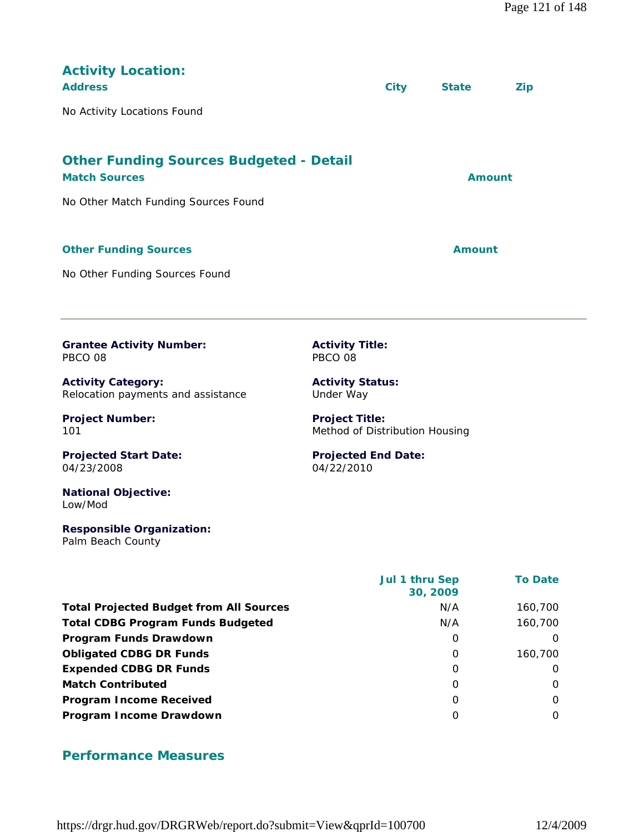| <b>Activity Location:</b><br><b>Address</b><br>No Activity Locations Found                                     |                                                                           | <b>City</b> | <b>State</b>  | <b>Zip</b> |
|----------------------------------------------------------------------------------------------------------------|---------------------------------------------------------------------------|-------------|---------------|------------|
| <b>Other Funding Sources Budgeted - Detail</b><br><b>Match Sources</b><br>No Other Match Funding Sources Found |                                                                           |             | Amount        |            |
| <b>Other Funding Sources</b><br>No Other Funding Sources Found                                                 |                                                                           |             | <b>Amount</b> |            |
| <b>Grantee Activity Number:</b><br>PBCO 08<br><b>Activity Category:</b><br>Relocation payments and assistance  | <b>Activity Title:</b><br>PBCO 08<br><b>Activity Status:</b><br>Under Way |             |               |            |
| <b>Project Number:</b><br>101                                                                                  | <b>Project Title:</b><br>Method of Distribution Housing                   |             |               |            |
| <b>Projected Start Date:</b><br>04/23/2008<br><b>National Objective:</b><br>Low/Mod                            | <b>Projected End Date:</b><br>04/22/2010                                  |             |               |            |
| <b>Responsible Organization:</b>                                                                               |                                                                           |             |               |            |

Palm Beach County

|                                                | Jul 1 thru Sep<br>30, 2009 | <b>To Date</b> |
|------------------------------------------------|----------------------------|----------------|
| <b>Total Projected Budget from All Sources</b> | N/A                        | 160,700        |
| <b>Total CDBG Program Funds Budgeted</b>       | N/A                        | 160,700        |
| Program Funds Drawdown                         | 0                          | $\Omega$       |
| <b>Obligated CDBG DR Funds</b>                 | $\Omega$                   | 160,700        |
| <b>Expended CDBG DR Funds</b>                  | $\Omega$                   | $\Omega$       |
| <b>Match Contributed</b>                       | $\Omega$                   | $\Omega$       |
| <b>Program Income Received</b>                 | 0                          | $\Omega$       |
| Program Income Drawdown                        | $\Omega$                   | $\Omega$       |

# **Performance Measures**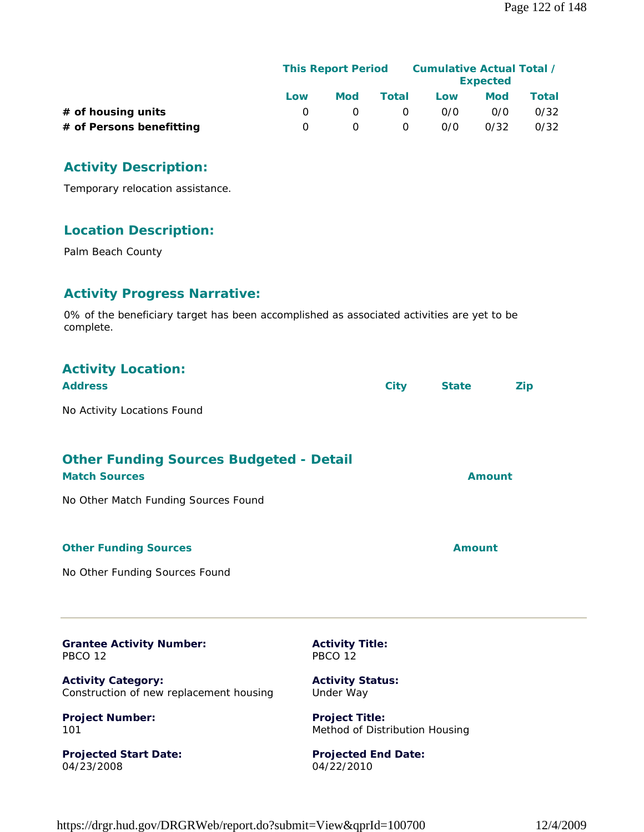|                          | <b>This Report Period</b> |     |          | Cumulative Actual Total / | <b>Expected</b> |       |
|--------------------------|---------------------------|-----|----------|---------------------------|-----------------|-------|
|                          | Low                       | Mod | Total    | Low                       | Mod             | Total |
| # of housing units       |                           |     | $\Omega$ | 0/0                       | 0/0             | 0/32  |
| # of Persons benefitting |                           |     | 0        | 0/0                       | 0/32            | 0/32  |

#### **Activity Description:**

Temporary relocation assistance.

#### **Location Description:**

Palm Beach County

# **Activity Progress Narrative:**

0% of the beneficiary target has been accomplished as associated activities are yet to be complete.

| <b>Activity Location:</b><br><b>Address</b>                            | <b>City</b> | <b>State</b>  | <b>Zip</b> |
|------------------------------------------------------------------------|-------------|---------------|------------|
| No Activity Locations Found                                            |             |               |            |
| <b>Other Funding Sources Budgeted - Detail</b><br><b>Match Sources</b> |             | <b>Amount</b> |            |
| No Other Match Funding Sources Found                                   |             |               |            |
| <b>Other Funding Sources</b>                                           |             | <b>Amount</b> |            |
| No Other Funding Sources Found                                         |             |               |            |
|                                                                        |             |               |            |

**Grantee Activity Number:** PBCO 12

**Activity Category:** Construction of new replacement housing

**Project Number:** 101

**Projected Start Date:** 04/23/2008

**Activity Title:** PBCO 12

**Activity Status:** Under Way

**Project Title:** Method of Distribution Housing

**Projected End Date:** 04/22/2010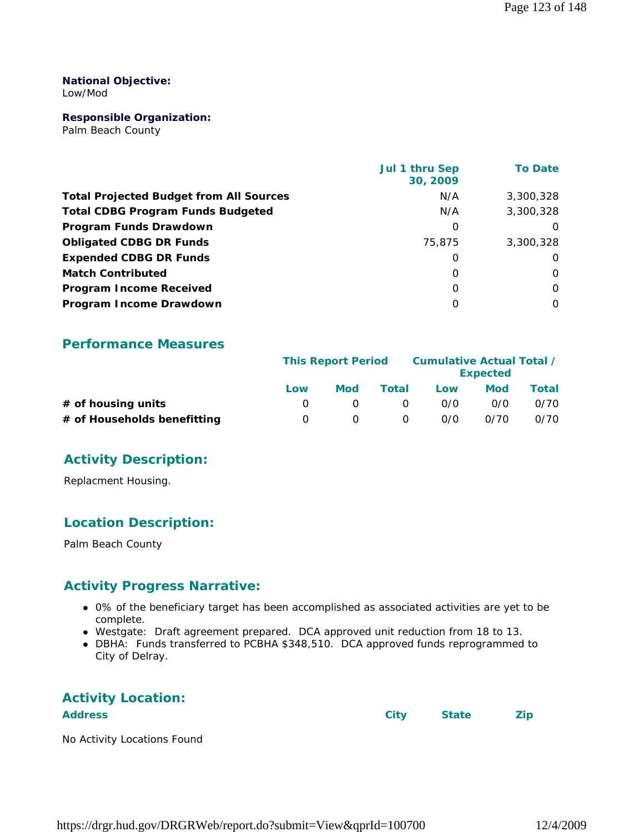#### **National Objective:**

Low/Mod

#### **Responsible Organization:**

Palm Beach County

|                                                | Jul 1 thru Sep<br>30, 2009 | <b>To Date</b> |
|------------------------------------------------|----------------------------|----------------|
| <b>Total Projected Budget from All Sources</b> | N/A                        | 3,300,328      |
| <b>Total CDBG Program Funds Budgeted</b>       | N/A                        | 3,300,328      |
| Program Funds Drawdown                         | $\Omega$                   | $\Omega$       |
| <b>Obligated CDBG DR Funds</b>                 | 75,875                     | 3,300,328      |
| <b>Expended CDBG DR Funds</b>                  | 0                          | $\Omega$       |
| <b>Match Contributed</b>                       | $\Omega$                   | $\Omega$       |
| <b>Program Income Received</b>                 | $\Omega$                   | $\Omega$       |
| Program Income Drawdown                        | $\Omega$                   | 0              |

#### **Performance Measures**

|                             | <b>This Report Period</b> |     |          | Cumulative Actual Total / | <b>Expected</b> |       |
|-----------------------------|---------------------------|-----|----------|---------------------------|-----------------|-------|
|                             | Low                       | Mod | Total    | Low                       | Mod             | Total |
| $#$ of housing units        |                           |     | $\Omega$ | 0/0                       | 0/0             | 0/70  |
| # of Households benefitting |                           |     | 0        | 0/0                       | 0/70            | 0/70  |

### **Activity Description:**

Replacment Housing.

### **Location Description:**

Palm Beach County

### **Activity Progress Narrative:**

- 0% of the beneficiary target has been accomplished as associated activities are yet to be complete.
- Westgate: Draft agreement prepared. DCA approved unit reduction from 18 to 13.
- DBHA: Funds transferred to PCBHA \$348,510. DCA approved funds reprogrammed to City of Delray.

# **Activity Location:**

Address **City** State **Zip** 

No Activity Locations Found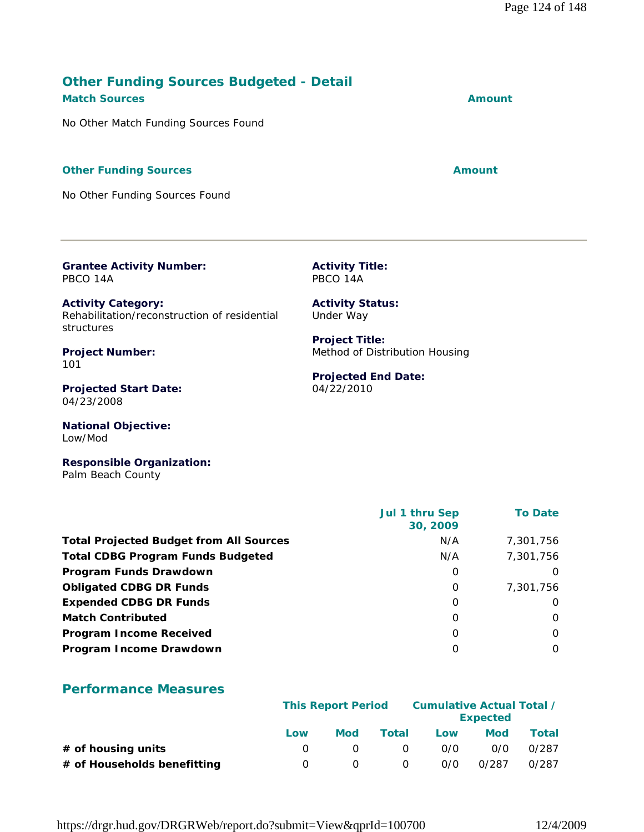|                                                |            |              |                           |                            | <b>To Date</b>                                      |
|------------------------------------------------|------------|--------------|---------------------------|----------------------------|-----------------------------------------------------|
| <b>Total Projected Budget from All Sources</b> |            |              | N/A                       |                            | 7,301,756                                           |
|                                                |            |              | N/A                       |                            | 7,301,756                                           |
|                                                |            |              | 0                         |                            | O                                                   |
|                                                |            |              | 0                         |                            | 7,301,756                                           |
|                                                |            |              | 0                         |                            | 0                                                   |
|                                                |            |              | $\Omega$                  |                            | $\Omega$                                            |
|                                                |            |              | 0                         |                            | $\Omega$                                            |
|                                                |            |              | 0                         |                            | 0                                                   |
|                                                |            |              |                           |                            |                                                     |
|                                                |            |              |                           |                            |                                                     |
| Low                                            | <b>Mod</b> | <b>Total</b> | Low                       | <b>Mod</b>                 | <b>Total</b>                                        |
| $\Omega$                                       | 0          | $\Omega$     | 0/0                       | 0/0                        | 0/287                                               |
| 0                                              | 0          | $\Omega$     | 0/0                       | 0/287                      | 0/287                                               |
|                                                |            |              | <b>This Report Period</b> | Jul 1 thru Sep<br>30, 2009 | <b>Cumulative Actual Total /</b><br><b>Expected</b> |

**Activity Title:** PBCO 14A

**Activity Status:** Under Way

**Project Title:**

04/22/2010

Method of Distribution Housing

**Projected End Date:**

# **Match Sources Amount**

**Other Funding Sources Budgeted - Detail** 

No Other Match Funding Sources Found

#### **Other Funding Sources Amount** Amount

No Other Funding Sources Found

**Grantee Activity Number:**

Rehabilitation/reconstruction of residential

**Activity Category:**

**Project Number:**

**Projected Start Date:**

**National Objective:**

PBCO 14A

structures

04/23/2008

Low/Mod

101

https://drgr.hud.gov/DRGRWeb/report.do?submit=View&qprId=100700 12/4/2009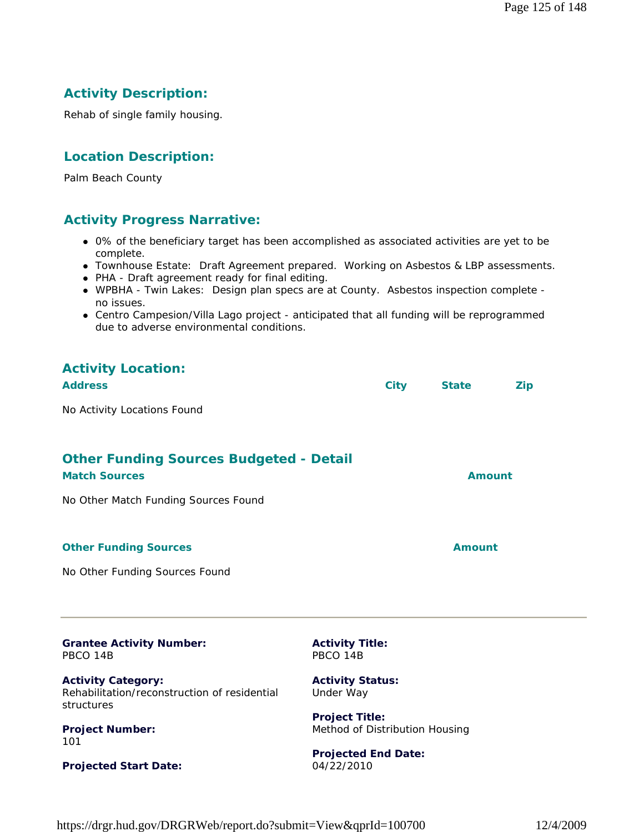# **Activity Description:**

Rehab of single family housing.

#### **Location Description:**

Palm Beach County

#### **Activity Progress Narrative:**

- 0% of the beneficiary target has been accomplished as associated activities are yet to be complete.
- Townhouse Estate: Draft Agreement prepared. Working on Asbestos & LBP assessments.
- PHA Draft agreement ready for final editing.
- WPBHA Twin Lakes: Design plan specs are at County. Asbestos inspection complete no issues.
- Centro Campesion/Villa Lago project anticipated that all funding will be reprogrammed due to adverse environmental conditions.

| <b>Activity Location:</b><br><b>Address</b>                            | <b>City</b> | <b>State</b>  | <b>Zip</b> |
|------------------------------------------------------------------------|-------------|---------------|------------|
| No Activity Locations Found                                            |             |               |            |
| <b>Other Funding Sources Budgeted - Detail</b><br><b>Match Sources</b> |             | Amount        |            |
| No Other Match Funding Sources Found                                   |             |               |            |
| <b>Other Funding Sources</b>                                           |             | <b>Amount</b> |            |
| No Other Funding Sources Found                                         |             |               |            |
|                                                                        |             |               |            |

| <b>Grantee Activity Number:</b> |  |
|---------------------------------|--|
| PBCO 14B                        |  |

**Activity Category:** Rehabilitation/reconstruction of residential structures

**Project Number:** 101

**Projected Start Date:**

**Activity Title:** PBCO 14B

**Activity Status:** Under Way

**Project Title:** Method of Distribution Housing

**Projected End Date:** 04/22/2010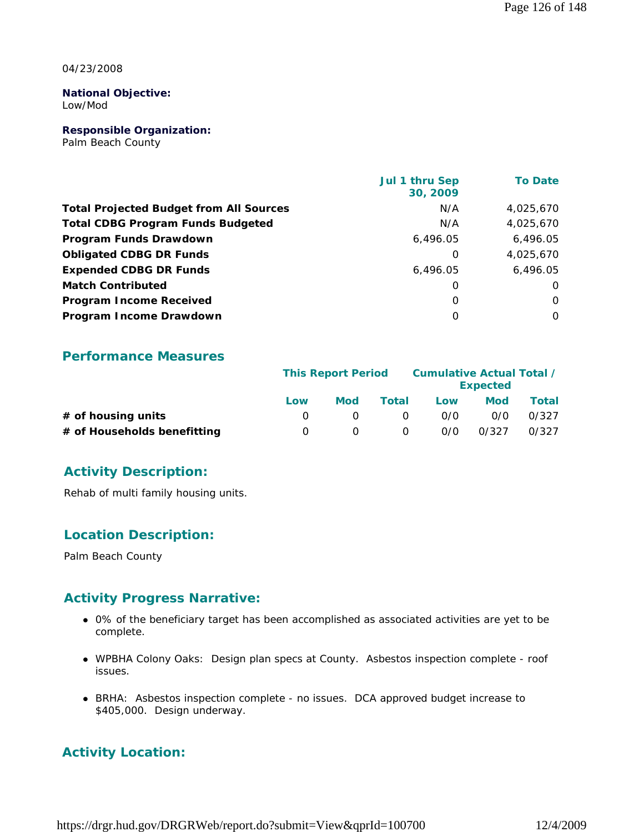04/23/2008

#### **National Objective:** Low/Mod

**Responsible Organization:**

Palm Beach County

|                                                | <b>Jul 1 thru Sep</b><br>30, 2009 | <b>To Date</b> |
|------------------------------------------------|-----------------------------------|----------------|
| <b>Total Projected Budget from All Sources</b> | N/A                               | 4,025,670      |
| <b>Total CDBG Program Funds Budgeted</b>       | N/A                               | 4,025,670      |
| Program Funds Drawdown                         | 6,496.05                          | 6,496.05       |
| <b>Obligated CDBG DR Funds</b>                 | 0                                 | 4,025,670      |
| <b>Expended CDBG DR Funds</b>                  | 6.496.05                          | 6.496.05       |
| <b>Match Contributed</b>                       | 0                                 | O              |
| <b>Program Income Received</b>                 | $\Omega$                          | O              |
| Program Income Drawdown                        | O                                 | 0              |

#### **Performance Measures**

|                             | <b>This Report Period</b> |     |          | Cumulative Actual Total / | <b>Expected</b> |       |
|-----------------------------|---------------------------|-----|----------|---------------------------|-----------------|-------|
|                             | Low                       | Mod | Total    | Low                       | Mod             | Total |
| # of housing units          |                           |     | $\Omega$ | 0/0                       | 0/0             | 0/327 |
| # of Households benefitting | O                         |     | $\Omega$ | 0/0                       | 0/327           | 0/327 |

### **Activity Description:**

Rehab of multi family housing units.

### **Location Description:**

Palm Beach County

### **Activity Progress Narrative:**

- 0% of the beneficiary target has been accomplished as associated activities are yet to be complete.
- WPBHA Colony Oaks: Design plan specs at County. Asbestos inspection complete roof issues.
- BRHA: Asbestos inspection complete no issues. DCA approved budget increase to \$405,000. Design underway.

# **Activity Location:**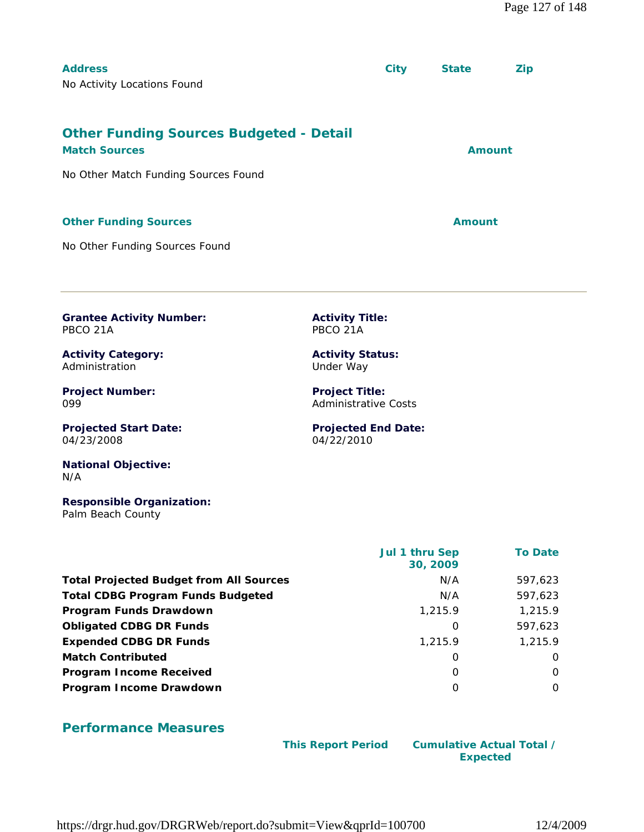| <b>Address</b>                                 | <b>City</b> | <b>State</b>  | <b>Zip</b> |
|------------------------------------------------|-------------|---------------|------------|
| No Activity Locations Found                    |             |               |            |
|                                                |             |               |            |
|                                                |             |               |            |
| <b>Other Funding Sources Budgeted - Detail</b> |             |               |            |
| <b>Match Sources</b>                           |             | <b>Amount</b> |            |
| No Other Match Funding Sources Found           |             |               |            |
|                                                |             |               |            |
|                                                |             |               |            |
| <b>Other Funding Sources</b>                   |             | Amount        |            |
|                                                |             |               |            |

**Activity Title:** PBCO 21A

**Activity Status:** Under Way

**Project Title:** Administrative Costs

04/22/2010

**Projected End Date:**

No Other Funding Sources Found

**Grantee Activity Number:** PBCO 21A

**Activity Category:** Administration

**Project Number:** 099

**Projected Start Date:** 04/23/2008

**National Objective:** N/A

**Responsible Organization:** Palm Beach County

|                                                | <b>Jul 1 thru Sep</b><br>30, 2009 | <b>To Date</b> |
|------------------------------------------------|-----------------------------------|----------------|
| <b>Total Projected Budget from All Sources</b> | N/A                               | 597,623        |
| <b>Total CDBG Program Funds Budgeted</b>       | N/A                               | 597,623        |
| Program Funds Drawdown                         | 1,215.9                           | 1,215.9        |
| <b>Obligated CDBG DR Funds</b>                 | 0                                 | 597,623        |
| <b>Expended CDBG DR Funds</b>                  | 1,215.9                           | 1,215.9        |
| <b>Match Contributed</b>                       | 0                                 | $\Omega$       |
| <b>Program Income Received</b>                 | $\Omega$                          | $\Omega$       |
| Program Income Drawdown                        | O                                 | $\Omega$       |

#### **Performance Measures**

 **This Report Period Cumulative Actual Total / Expected** 

https://drgr.hud.gov/DRGRWeb/report.do?submit=View&qprId=100700 12/4/2009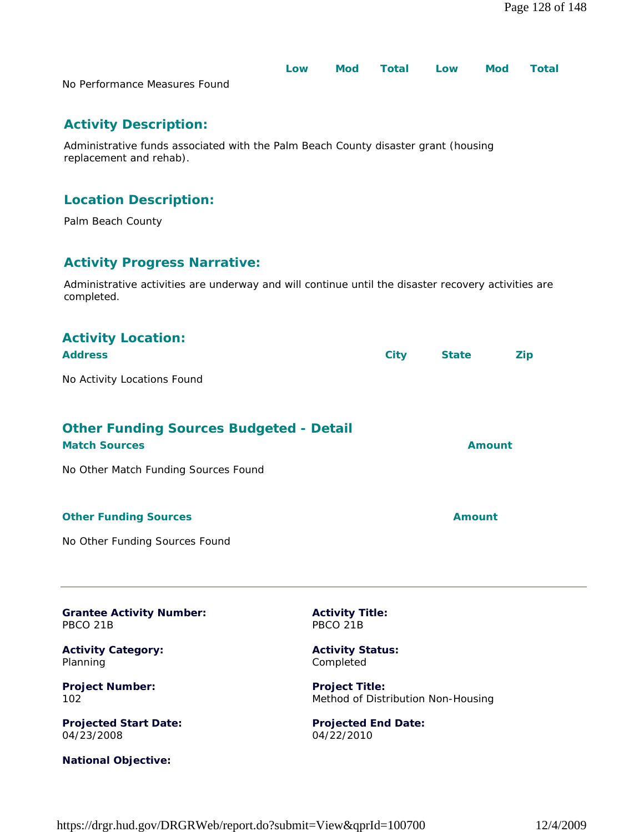|                               | Low | Mod Total Low | Mod | <b>Total</b> |
|-------------------------------|-----|---------------|-----|--------------|
| No Performance Measures Found |     |               |     |              |

# **Activity Description:**

Administrative funds associated with the Palm Beach County disaster grant (housing replacement and rehab).

# **Location Description:**

Palm Beach County

**National Objective:**

# **Activity Progress Narrative:**

Administrative activities are underway and will continue until the disaster recovery activities are completed.

| <b>Activity Location:</b><br><b>Address</b>                            |                                          | <b>City</b> | <b>State</b>                       | Zip |
|------------------------------------------------------------------------|------------------------------------------|-------------|------------------------------------|-----|
| No Activity Locations Found                                            |                                          |             |                                    |     |
| <b>Other Funding Sources Budgeted - Detail</b><br><b>Match Sources</b> |                                          |             | <b>Amount</b>                      |     |
| No Other Match Funding Sources Found                                   |                                          |             |                                    |     |
| <b>Other Funding Sources</b>                                           |                                          |             | <b>Amount</b>                      |     |
| No Other Funding Sources Found                                         |                                          |             |                                    |     |
| <b>Grantee Activity Number:</b><br>PBCO <sub>21B</sub>                 | <b>Activity Title:</b><br>PBCO 21B       |             |                                    |     |
| <b>Activity Category:</b><br>Planning                                  | <b>Activity Status:</b><br>Completed     |             |                                    |     |
| <b>Project Number:</b><br>102                                          | <b>Project Title:</b>                    |             | Method of Distribution Non-Housing |     |
| <b>Projected Start Date:</b><br>04/23/2008                             | <b>Projected End Date:</b><br>04/22/2010 |             |                                    |     |

#### https://drgr.hud.gov/DRGRWeb/report.do?submit=View&qprId=100700 12/4/2009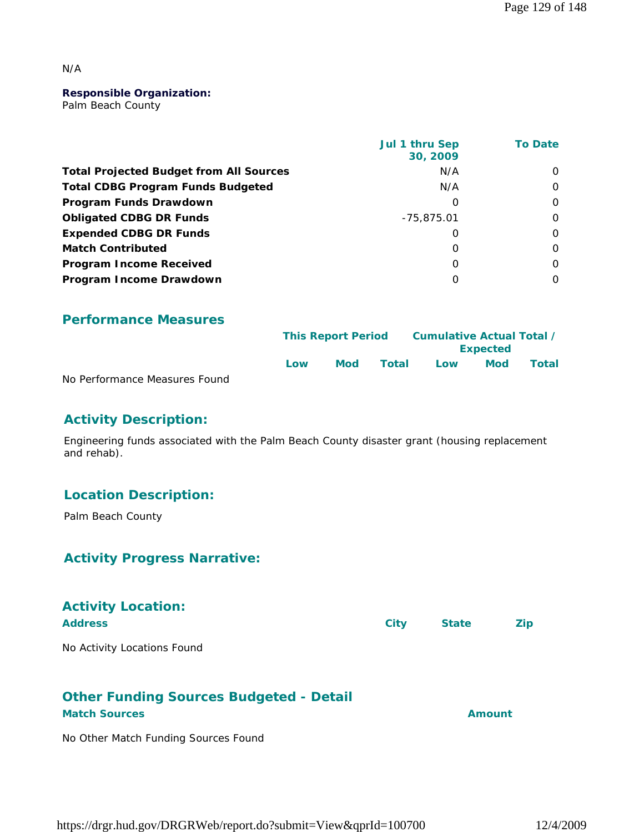#### N/A

#### **Responsible Organization:**

Palm Beach County

|                                                | Jul 1 thru Sep<br>30, 2009 | <b>To Date</b> |
|------------------------------------------------|----------------------------|----------------|
| <b>Total Projected Budget from All Sources</b> | N/A                        | $\Omega$       |
| <b>Total CDBG Program Funds Budgeted</b>       | N/A                        | $\Omega$       |
| Program Funds Drawdown                         | O                          | 0              |
| <b>Obligated CDBG DR Funds</b>                 | $-75,875.01$               | $\Omega$       |
| <b>Expended CDBG DR Funds</b>                  | O                          | O              |
| <b>Match Contributed</b>                       | O                          | $\Omega$       |
| <b>Program Income Received</b>                 | $\Omega$                   | $\Omega$       |
| Program Income Drawdown                        | O                          | 0              |

#### **Performance Measures**

|                               |     | <b>This Report Period</b> |       |     | Cumulative Actual Total /<br><b>Expected</b> |       |  |
|-------------------------------|-----|---------------------------|-------|-----|----------------------------------------------|-------|--|
|                               | Low | <b>Mod</b>                | Total | Low | Mod                                          | Total |  |
| No Performance Measures Found |     |                           |       |     |                                              |       |  |

# **Activity Description:**

Engineering funds associated with the Palm Beach County disaster grant (housing replacement and rehab).

#### **Location Description:**

Palm Beach County

#### **Activity Progress Narrative:**

| <b>Activity Location:</b><br><b>Address</b> | <b>City</b> | <b>State</b> | <b>Zip</b> |
|---------------------------------------------|-------------|--------------|------------|
| No Activity Locations Found                 |             |              |            |

#### **Other Funding Sources Budgeted - Detail Match Sources Amount**

No Other Match Funding Sources Found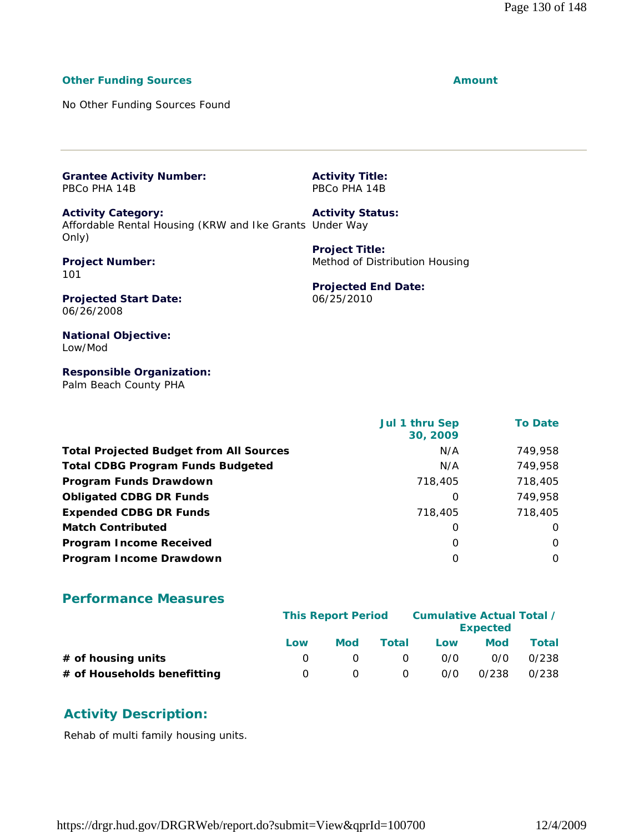#### **Other Funding Sources Amount**

No Other Funding Sources Found

**Grantee Activity Number:** PBCo PHA 14B

**Activity Category:** Affordable Rental Housing (KRW and Ike Grants Under Way Only) **Activity Status:**

**Project Number:** 101

PBCo PHA 14B

**Activity Title:**

**Project Title:** Method of Distribution Housing

**Projected End Date:**

06/25/2010

**Projected Start Date:** 06/26/2008

**National Objective:** Low/Mod

**Responsible Organization:** Palm Beach County PHA

|                                                | Jul 1 thru Sep<br>30, 2009 | <b>To Date</b> |
|------------------------------------------------|----------------------------|----------------|
| <b>Total Projected Budget from All Sources</b> | N/A                        | 749,958        |
| <b>Total CDBG Program Funds Budgeted</b>       | N/A                        | 749,958        |
| Program Funds Drawdown                         | 718,405                    | 718,405        |
| <b>Obligated CDBG DR Funds</b>                 | $\Omega$                   | 749,958        |
| <b>Expended CDBG DR Funds</b>                  | 718,405                    | 718,405        |
| <b>Match Contributed</b>                       | O                          | $\Omega$       |
| <b>Program Income Received</b>                 | $\Omega$                   | $\Omega$       |
| Program Income Drawdown                        | O                          | $\Omega$       |

#### **Performance Measures**

|                             |     | <b>This Report Period</b> |          | Cumulative Actual Total / |                 |       |
|-----------------------------|-----|---------------------------|----------|---------------------------|-----------------|-------|
|                             |     |                           |          |                           | <b>Expected</b> |       |
|                             | Low | Mod                       | Total    | Low                       | <b>Mod</b>      | Total |
| $#$ of housing units        |     |                           | $\Omega$ | 0/0                       | 0/0             | 0/238 |
| # of Households benefitting |     |                           | 0        | 0/0                       | 0/238           | 0/238 |

### **Activity Description:**

Rehab of multi family housing units.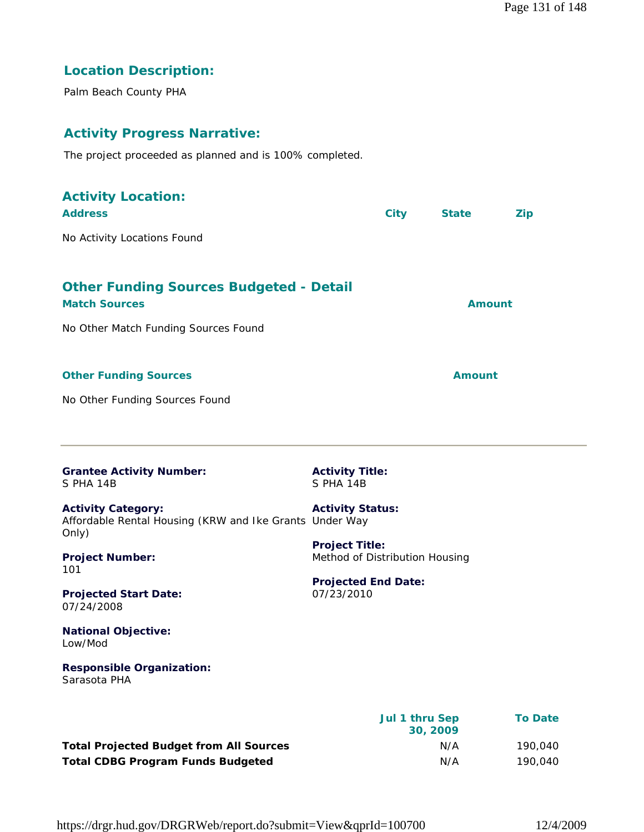# **Location Description:**

Palm Beach County PHA

# **Activity Progress Narrative:**

The project proceeded as planned and is 100% completed.

| <b>Activity Location:</b><br><b>Address</b>                                                   |                                                         | <b>City</b>               | <b>State</b>  | Zip            |
|-----------------------------------------------------------------------------------------------|---------------------------------------------------------|---------------------------|---------------|----------------|
| No Activity Locations Found                                                                   |                                                         |                           |               |                |
| <b>Other Funding Sources Budgeted - Detail</b><br><b>Match Sources</b>                        |                                                         |                           | <b>Amount</b> |                |
| No Other Match Funding Sources Found                                                          |                                                         |                           |               |                |
| <b>Other Funding Sources</b>                                                                  |                                                         |                           | <b>Amount</b> |                |
| No Other Funding Sources Found                                                                |                                                         |                           |               |                |
| <b>Grantee Activity Number:</b><br>S PHA 14B                                                  | <b>Activity Title:</b><br>S PHA 14B                     |                           |               |                |
| <b>Activity Category:</b><br>Affordable Rental Housing (KRW and Ike Grants Under Way<br>Only) | <b>Activity Status:</b>                                 |                           |               |                |
| <b>Project Number:</b><br>101                                                                 | <b>Project Title:</b><br>Method of Distribution Housing |                           |               |                |
| <b>Projected Start Date:</b><br>07/24/2008                                                    | <b>Projected End Date:</b><br>07/23/2010                |                           |               |                |
| <b>National Objective:</b><br>Low/Mod                                                         |                                                         |                           |               |                |
| <b>Responsible Organization:</b><br>Sarasota PHA                                              |                                                         |                           |               |                |
|                                                                                               |                                                         | Jul 1 thru Sep<br>20 2000 |               | <b>To Date</b> |

**30, 2009 Total Projected Budget from All Sources** N/A 190,040 **Total CDBG Program Funds Budgeted N/A** 190,040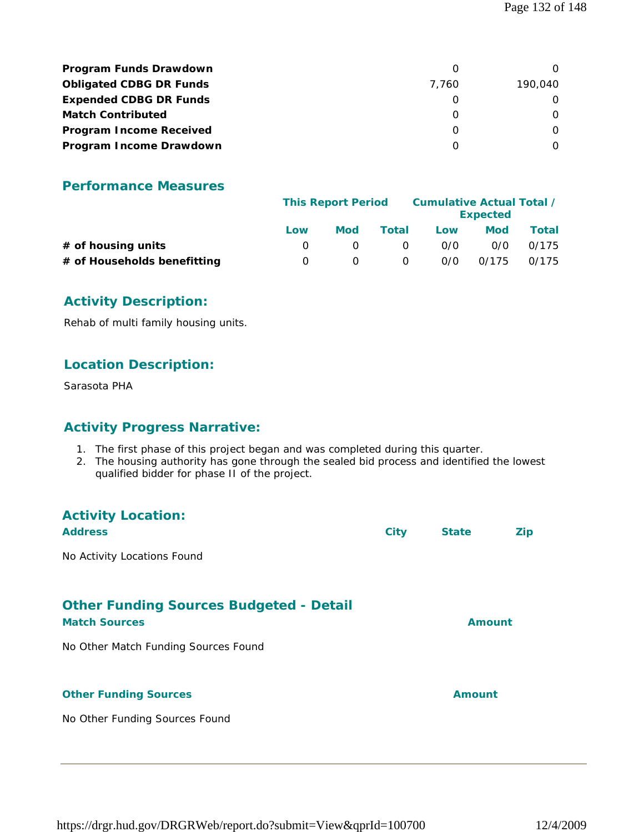| <b>Program Funds Drawdown</b>  |       |         |
|--------------------------------|-------|---------|
| <b>Obligated CDBG DR Funds</b> | 7.760 | 190,040 |
| <b>Expended CDBG DR Funds</b>  |       |         |
| <b>Match Contributed</b>       |       |         |
| <b>Program Income Received</b> |       |         |
| Program Income Drawdown        |       |         |

#### **Performance Measures**

|                             | <b>This Report Period</b> |            |          | Cumulative Actual Total / | <b>Expected</b> |       |
|-----------------------------|---------------------------|------------|----------|---------------------------|-----------------|-------|
|                             | Low                       | <b>Mod</b> | Total    | Low                       | Mod             | Total |
| # of housing units          |                           |            | $\Omega$ | 0/0                       | 0/0             | 0/175 |
| # of Households benefitting |                           |            | 0        | 0/0                       | 0/175           | 0/175 |

### **Activity Description:**

Rehab of multi family housing units.

### **Location Description:**

Sarasota PHA

### **Activity Progress Narrative:**

- 1. The first phase of this project began and was completed during this quarter.
- 2. The housing authority has gone through the sealed bid process and identified the lowest qualified bidder for phase II of the project.

| <b>Activity Location:</b><br><b>Address</b>                            | <b>City</b> | <b>State</b>  | Zip |
|------------------------------------------------------------------------|-------------|---------------|-----|
| No Activity Locations Found                                            |             |               |     |
| <b>Other Funding Sources Budgeted - Detail</b><br><b>Match Sources</b> |             | <b>Amount</b> |     |
| No Other Match Funding Sources Found                                   |             |               |     |
| <b>Other Funding Sources</b>                                           |             | Amount        |     |
| No Other Funding Sources Found                                         |             |               |     |
|                                                                        |             |               |     |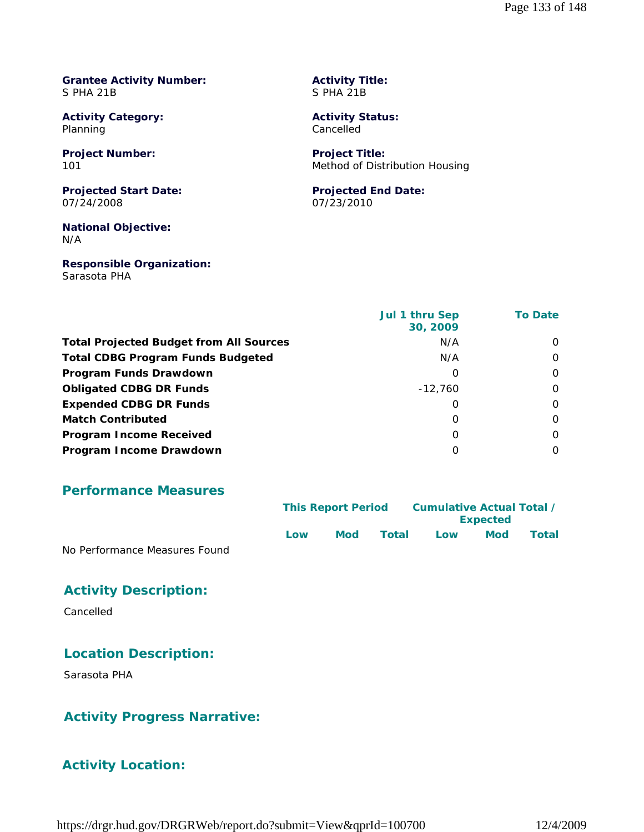#### **Grantee Activity Number:** S PHA 21B

**Activity Category:** Planning

**Project Number:** 101

**Projected Start Date:** 07/24/2008

**National Objective:** N/A

**Responsible Organization:** Sarasota PHA

**Activity Title:** S PHA 21B

**Activity Status:** Cancelled

**Project Title:** Method of Distribution Housing

#### **Projected End Date:** 07/23/2010

|                                                | Jul 1 thru Sep<br>30, 2009 | <b>To Date</b> |
|------------------------------------------------|----------------------------|----------------|
| <b>Total Projected Budget from All Sources</b> | N/A                        | $\Omega$       |
| <b>Total CDBG Program Funds Budgeted</b>       | N/A                        | $\Omega$       |
| Program Funds Drawdown                         | Ω                          | $\Omega$       |
| <b>Obligated CDBG DR Funds</b>                 | $-12,760$                  | $\Omega$       |
| <b>Expended CDBG DR Funds</b>                  | O                          | $\Omega$       |
| <b>Match Contributed</b>                       | O                          | $\Omega$       |
| <b>Program Income Received</b>                 | O                          | O              |
| Program Income Drawdown                        | 0                          | $\Omega$       |

#### **Performance Measures**

|                               |     | <b>This Report Period</b> |       | Cumulative Actual Total /<br><b>Expected</b> |     |       |
|-------------------------------|-----|---------------------------|-------|----------------------------------------------|-----|-------|
|                               | Low | Mod                       | Total | Low                                          | Mod | Total |
| No Performance Measures Found |     |                           |       |                                              |     |       |

#### **Activity Description:**

Cancelled

#### **Location Description:**

Sarasota PHA

#### **Activity Progress Narrative:**

### **Activity Location:**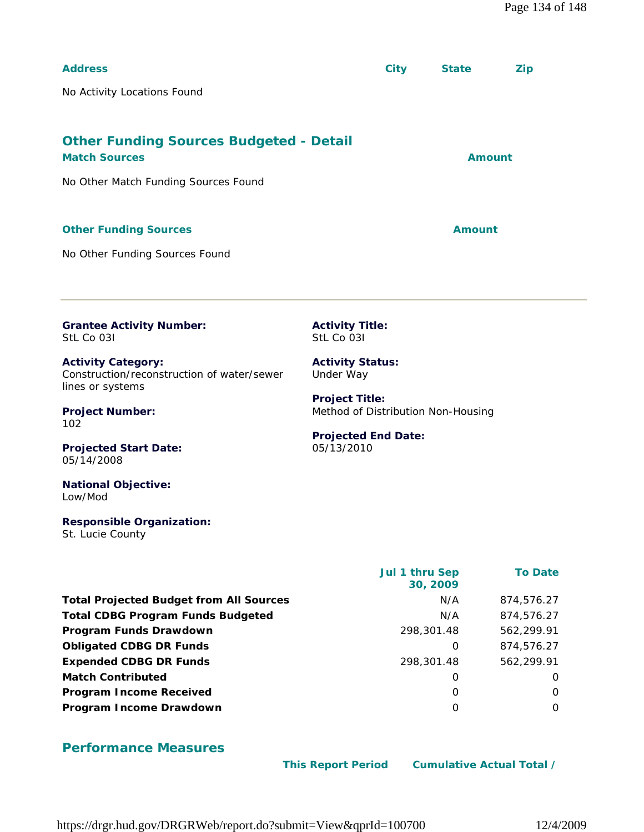| <b>Address</b>                                                                              |                                                             | <b>City</b>    | <b>State</b>  | <b>Zip</b>     |  |
|---------------------------------------------------------------------------------------------|-------------------------------------------------------------|----------------|---------------|----------------|--|
| No Activity Locations Found                                                                 |                                                             |                |               |                |  |
|                                                                                             |                                                             |                |               |                |  |
| <b>Other Funding Sources Budgeted - Detail</b><br><b>Match Sources</b>                      |                                                             |                |               | <b>Amount</b>  |  |
| No Other Match Funding Sources Found                                                        |                                                             |                |               |                |  |
| <b>Other Funding Sources</b>                                                                |                                                             |                | <b>Amount</b> |                |  |
| No Other Funding Sources Found                                                              |                                                             |                |               |                |  |
| <b>Grantee Activity Number:</b><br>StL Co 031                                               | <b>Activity Title:</b><br>StL Co 031                        |                |               |                |  |
| <b>Activity Category:</b><br>Construction/reconstruction of water/sewer<br>lines or systems | <b>Activity Status:</b><br>Under Way                        |                |               |                |  |
| <b>Project Number:</b><br>102                                                               | <b>Project Title:</b><br>Method of Distribution Non-Housing |                |               |                |  |
| <b>Projected Start Date:</b><br>05/14/2008                                                  | <b>Projected End Date:</b><br>05/13/2010                    |                |               |                |  |
| <b>National Objective:</b><br>Low/Mod                                                       |                                                             |                |               |                |  |
| <b>Responsible Organization:</b><br>St. Lucie County                                        |                                                             |                |               |                |  |
|                                                                                             |                                                             | Jul 1 thru Sep | 30, 2009      | <b>To Date</b> |  |
| <b>Total Projected Budget from All Sources</b>                                              |                                                             |                | N/A           | 874,576.27     |  |
| <b>Total CDBG Program Funds Budgeted</b>                                                    |                                                             |                | N/A           | 874,576.27     |  |
| Program Funds Drawdown                                                                      |                                                             | 298,301.48     |               | 562,299.91     |  |
| <b>Obligated CDBG DR Funds</b>                                                              |                                                             |                | $\mathbf 0$   | 874,576.27     |  |
| <b>Expended CDBG DR Funds</b>                                                               |                                                             | 298,301.48     |               | 562,299.91     |  |
| <b>Match Contributed</b>                                                                    | 0<br>0                                                      |                |               |                |  |

#### **Performance Measures**

**Program Income Received** 0 0 **Program Income Drawdown** 0 0

 **This Report Period Cumulative Actual Total /**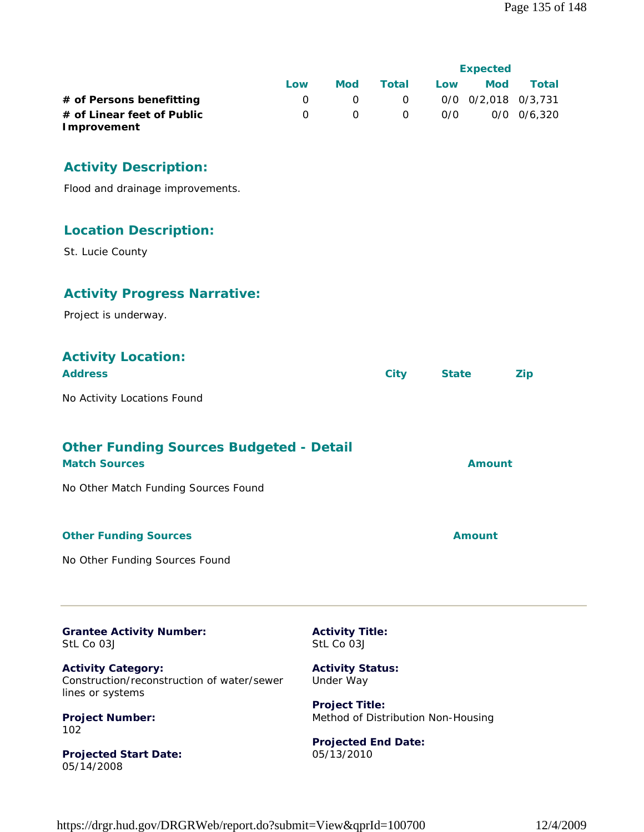|                                           |     |     |          | <b>Expected</b> |                     |                 |  |
|-------------------------------------------|-----|-----|----------|-----------------|---------------------|-----------------|--|
|                                           | Low | Mod | Total    | Low             | <b>Mod</b>          | Total           |  |
| # of Persons benefitting                  |     |     | $\Omega$ |                 | 0/0 0/2.018 0/3.731 |                 |  |
| # of Linear feet of Public<br>Improvement |     |     | $\Omega$ | 0/0             |                     | $0/0$ $0/6,320$ |  |

### **Activity Description:**

Flood and drainage improvements.

#### **Location Description:**

St. Lucie County

#### **Activity Progress Narrative:**

Project is underway.

# **Activity Location:**

| <b>Address</b>              | City | <b>State</b> | Zip |
|-----------------------------|------|--------------|-----|
| No Activity Locations Found |      |              |     |

# **Other Funding Sources Budgeted - Detail**

**Match Sources Amount** No Other Match Funding Sources Found

#### **Other Funding Sources Amount** 2008 2012 12:30 Amount

No Other Funding Sources Found

**Grantee Activity Number:** StL Co 03J

**Activity Category:** Construction/reconstruction of water/sewer lines or systems

**Project Number:** 102

**Projected Start Date:** 05/14/2008

**Activity Title:** StL Co 03J

**Activity Status:** Under Way

**Project Title:** Method of Distribution Non-Housing

**Projected End Date:** 05/13/2010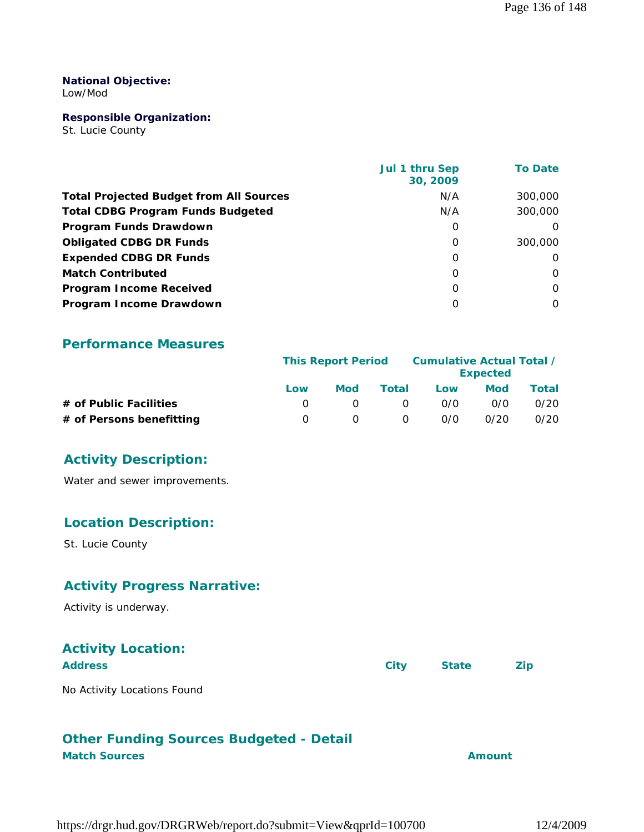#### **National Objective:**

Low/Mod

#### **Responsible Organization:**

St. Lucie County

|                                                | Jul 1 thru Sep<br>30, 2009 | <b>To Date</b> |
|------------------------------------------------|----------------------------|----------------|
| <b>Total Projected Budget from All Sources</b> | N/A                        | 300,000        |
| <b>Total CDBG Program Funds Budgeted</b>       | N/A                        | 300,000        |
| Program Funds Drawdown                         | 0                          | $\Omega$       |
| <b>Obligated CDBG DR Funds</b>                 | 0                          | 300,000        |
| <b>Expended CDBG DR Funds</b>                  | $\Omega$                   | $\Omega$       |
| <b>Match Contributed</b>                       | $\Omega$                   | $\Omega$       |
| <b>Program Income Received</b>                 | 0                          | $\Omega$       |
| Program Income Drawdown                        | O                          | $\Omega$       |

#### **Performance Measures**

|                          | <b>This Report Period</b> |     | Cumulative Actual Total / | <b>Expected</b> |      |       |
|--------------------------|---------------------------|-----|---------------------------|-----------------|------|-------|
|                          | Low                       | Mod | Total                     | Low             | Mod  | Total |
| # of Public Facilities   |                           |     | $\Omega$                  | 0/0             | 0/0  | 0/20  |
| # of Persons benefitting |                           |     | 0                         | 0/0             | 0/20 | 0/20  |

#### **Activity Description:**

Water and sewer improvements.

#### **Location Description:**

St. Lucie County

#### **Activity Progress Narrative:**

Activity is underway.

# **Activity Location:**

| <b>Address</b>              | City | <b>State</b> | <b>Zip</b> |
|-----------------------------|------|--------------|------------|
| No Activity Locations Found |      |              |            |

#### **Other Funding Sources Budgeted - Detail Match Sources Amount**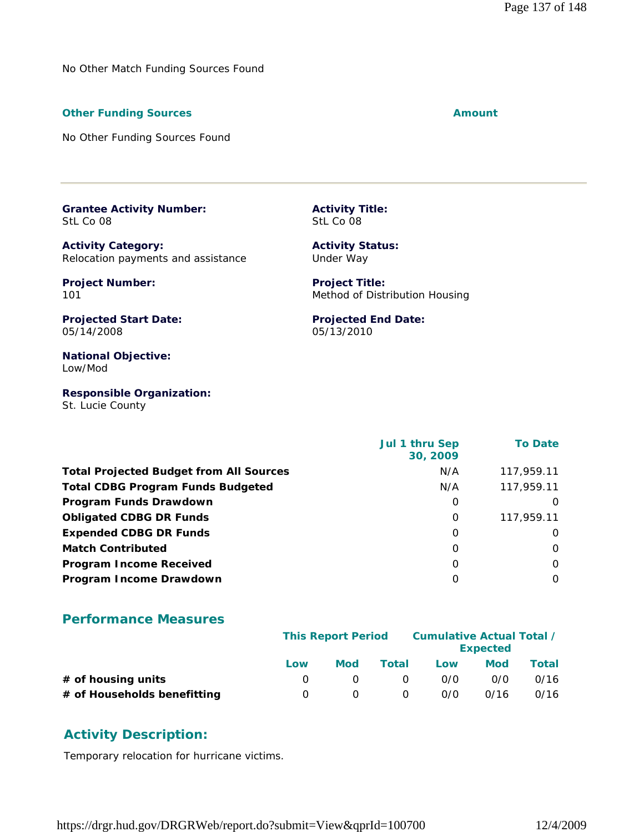No Other Match Funding Sources Found

#### **Other Funding Sources Amount Amount Amount**

No Other Funding Sources Found

**Grantee Activity Number:** StL Co 08

**Activity Category:** Relocation payments and assistance

**Project Number:** 101

**Activity Title:** StL Co 08

**Activity Status:** Under Way

**Projected End Date:**

05/13/2010

**Project Title:** Method of Distribution Housing

**Projected Start Date:** 05/14/2008

**National Objective:** Low/Mod

**Responsible Organization:** St. Lucie County

 **Jul 1 thru Sep 30, 2009 To Date Total Projected Budget from All Sources** M/A 117,959.11 **Total CDBG Program Funds Budgeted N/A 117,959.11 Program Funds Drawdown** and the contract of the contract of the contract of the contract of the contract of the contract of the contract of the contract of the contract of the contract of the contract of the contract of t **Obligated CDBG DR Funds 117,959.11 0** 117,959.11 **Expended CDBG DR Funds** 0 0 **Match Contributed** 0 0 **Program Income Received** 0 0 **Program Income Drawdown** 0 0

#### **Performance Measures**

|                             | <b>This Report Period</b> |     | Cumulative Actual Total / | <b>Expected</b> |            |       |
|-----------------------------|---------------------------|-----|---------------------------|-----------------|------------|-------|
|                             | Low                       | Mod | Total                     | Low             | <b>Mod</b> | Total |
| $#$ of housing units        |                           |     | $\Omega$                  | 0/0             | 0/0        | 0/16  |
| # of Households benefitting |                           |     | $\Omega$                  | 0/0             | 0/16       | 0/16  |

#### **Activity Description:**

Temporary relocation for hurricane victims.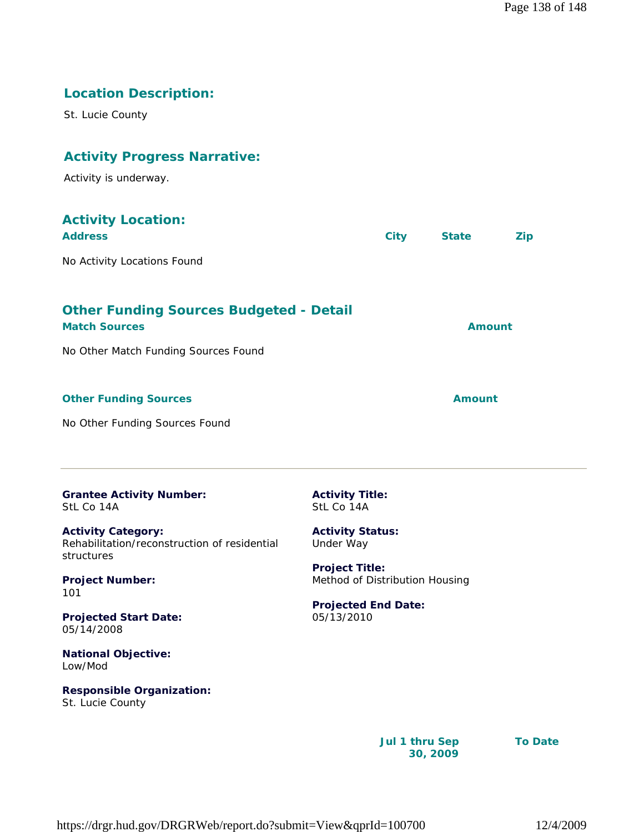# **Location Description:**

St. Lucie County

# **Activity Progress Narrative:**

Activity is underway.

| <b>Activity Location:</b><br><b>Address</b>                                                                    | <b>City</b> | <b>State</b>  | <b>Zip</b> |
|----------------------------------------------------------------------------------------------------------------|-------------|---------------|------------|
| No Activity Locations Found                                                                                    |             |               |            |
| <b>Other Funding Sources Budgeted - Detail</b><br><b>Match Sources</b><br>No Other Match Funding Sources Found |             | <b>Amount</b> |            |
| <b>Other Funding Sources</b><br>No Other Funding Sources Found                                                 |             | Amount        |            |
|                                                                                                                |             |               |            |

| <b>Grantee Activity Number:</b> |  |
|---------------------------------|--|
| StL Co 14A                      |  |

**Activity Category:** Rehabilitation/reconstruction of residential structures

**Project Number:** 101

**Projected Start Date:** 05/14/2008

**National Objective:** Low/Mod

**Responsible Organization:** St. Lucie County

**Activity Title:** StL Co 14A

**Activity Status:** Under Way

**Project Title:** Method of Distribution Housing

**Projected End Date:** 05/13/2010

> **Jul 1 thru Sep 30, 2009**

**To Date**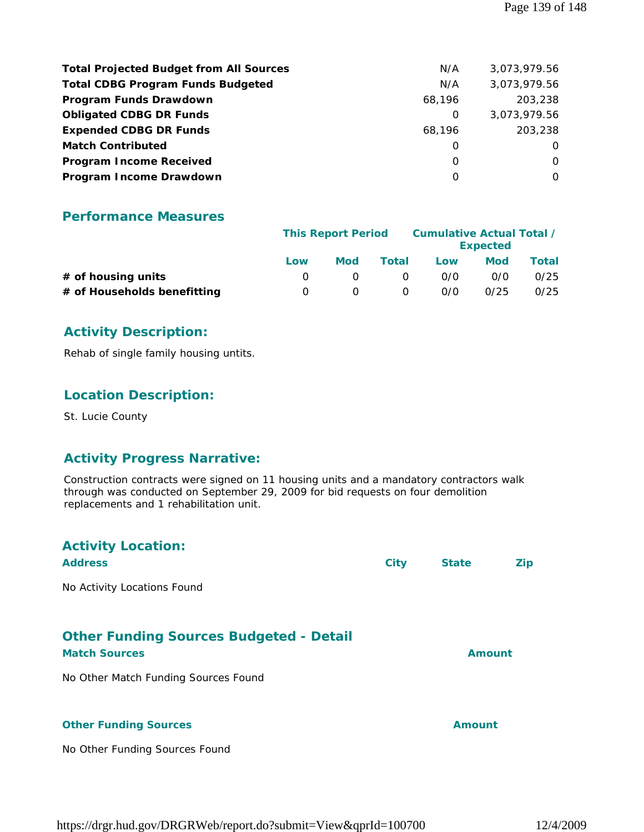| <b>Total Projected Budget from All Sources</b> | N/A    | 3,073,979.56 |
|------------------------------------------------|--------|--------------|
| <b>Total CDBG Program Funds Budgeted</b>       | N/A    | 3,073,979.56 |
| Program Funds Drawdown                         | 68,196 | 203,238      |
| <b>Obligated CDBG DR Funds</b>                 | 0      | 3,073,979.56 |
| <b>Expended CDBG DR Funds</b>                  | 68.196 | 203,238      |
| <b>Match Contributed</b>                       | O      | $\Omega$     |
| <b>Program Income Received</b>                 | O      | $\Omega$     |
| Program Income Drawdown                        | O      | $\Omega$     |

#### **Performance Measures**

|                             | <b>This Report Period</b> |     |          | Cumulative Actual Total / | <b>Expected</b> |       |
|-----------------------------|---------------------------|-----|----------|---------------------------|-----------------|-------|
|                             | Low                       | Mod | Total    | Low                       | <b>Mod</b>      | Total |
| $#$ of housing units        |                           |     | $\Omega$ | 0/0                       | 0/0             | 0/25  |
| # of Households benefitting |                           |     | $\Omega$ | 0/0                       | 0/25            | 0/25  |

### **Activity Description:**

Rehab of single family housing untits.

#### **Location Description:**

St. Lucie County

#### **Activity Progress Narrative:**

Construction contracts were signed on 11 housing units and a mandatory contractors walk through was conducted on September 29, 2009 for bid requests on four demolition replacements and 1 rehabilitation unit.

| <b>Activity Location:</b><br><b>Address</b>                            | <b>City</b> | <b>State</b>  | <b>Zip</b> |
|------------------------------------------------------------------------|-------------|---------------|------------|
| No Activity Locations Found                                            |             |               |            |
| <b>Other Funding Sources Budgeted - Detail</b><br><b>Match Sources</b> |             | <b>Amount</b> |            |
| No Other Match Funding Sources Found                                   |             |               |            |
| <b>Other Funding Sources</b>                                           |             | <b>Amount</b> |            |
| No Other Funding Sources Found                                         |             |               |            |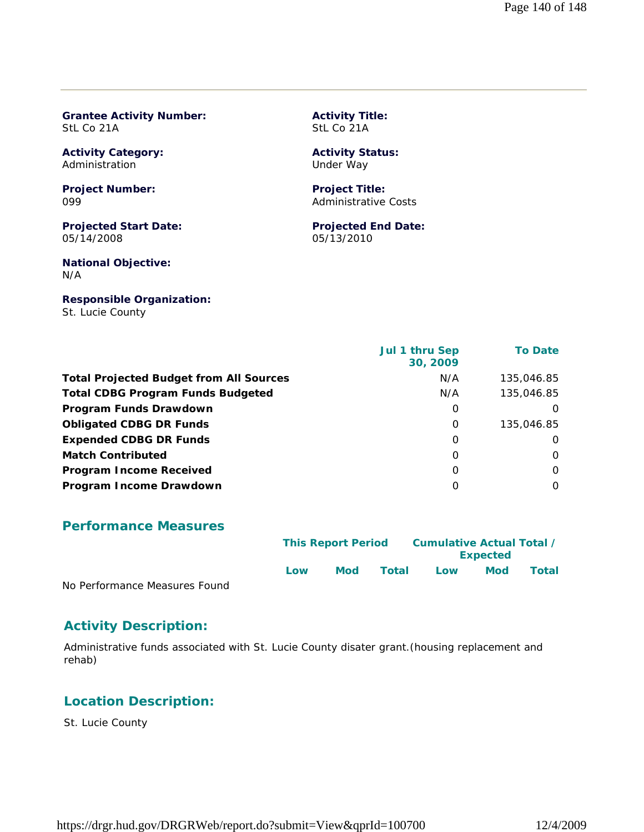#### **Grantee Activity Number:** StL Co 21A

**Activity Category:** Administration

**Project Number:** 099

**Projected Start Date:** 05/14/2008

**National Objective:** N/A

**Responsible Organization:** St. Lucie County

**Activity Title:** StL Co 21A

#### **Activity Status:** Under Way

**Project Title:** Administrative Costs

**Projected End Date:** 05/13/2010

|                                                | Jul 1 thru Sep<br>30, 2009 | <b>To Date</b> |
|------------------------------------------------|----------------------------|----------------|
| <b>Total Projected Budget from All Sources</b> | N/A                        | 135,046.85     |
| <b>Total CDBG Program Funds Budgeted</b>       | N/A                        | 135,046.85     |
| Program Funds Drawdown                         | 0                          | 0              |
| <b>Obligated CDBG DR Funds</b>                 | 0                          | 135,046.85     |
| <b>Expended CDBG DR Funds</b>                  | 0                          | $\Omega$       |
| <b>Match Contributed</b>                       | O                          | $\Omega$       |
| <b>Program Income Received</b>                 | O                          | $\Omega$       |
| Program Income Drawdown                        | 0                          | $\Omega$       |

#### **Performance Measures**

|                               |     | <b>This Report Period</b> |       | Cumulative Actual Total /<br><b>Expected</b> |            |       |
|-------------------------------|-----|---------------------------|-------|----------------------------------------------|------------|-------|
| No Performance Measures Found | Low | Mod                       | Total | Low                                          | <b>Mod</b> | Total |

No Performance Measures Found

#### **Activity Description:**

Administrative funds associated with St. Lucie County disater grant.(housing replacement and rehab)

#### **Location Description:**

St. Lucie County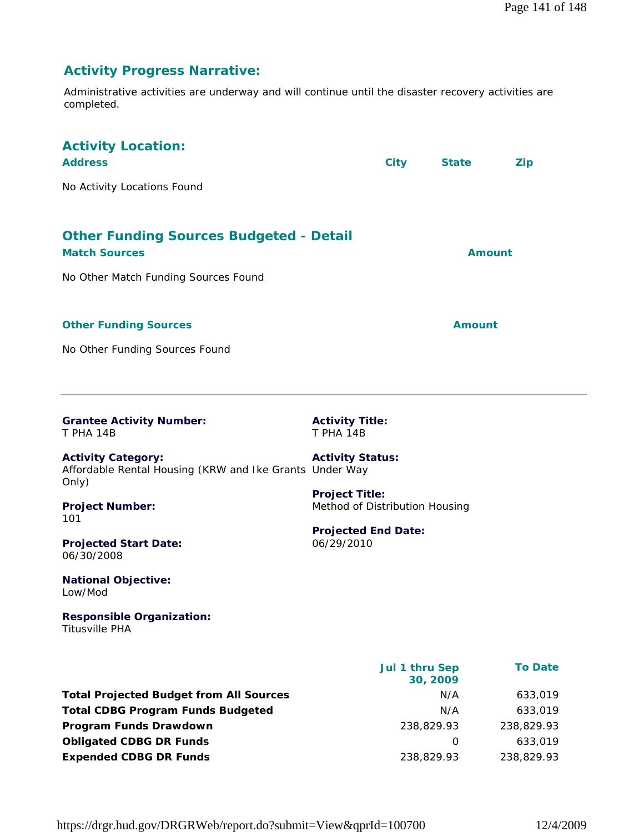# **Activity Progress Narrative:**

Administrative activities are underway and will continue until the disaster recovery activities are completed.

| <b>Activity Location:</b><br><b>Address</b><br>No Activity Locations Found                                                                                                                                                                                                                                                         |                                                                                                                                                                              | <b>City</b>                              | <b>State</b>              | <b>Zip</b>                                                    |
|------------------------------------------------------------------------------------------------------------------------------------------------------------------------------------------------------------------------------------------------------------------------------------------------------------------------------------|------------------------------------------------------------------------------------------------------------------------------------------------------------------------------|------------------------------------------|---------------------------|---------------------------------------------------------------|
| <b>Other Funding Sources Budgeted - Detail</b><br><b>Match Sources</b><br>No Other Match Funding Sources Found                                                                                                                                                                                                                     |                                                                                                                                                                              |                                          | <b>Amount</b>             |                                                               |
| <b>Other Funding Sources</b><br>No Other Funding Sources Found                                                                                                                                                                                                                                                                     |                                                                                                                                                                              |                                          | <b>Amount</b>             |                                                               |
| <b>Grantee Activity Number:</b><br>T PHA 14B<br><b>Activity Category:</b><br>Affordable Rental Housing (KRW and Ike Grants Under Way<br>Only)<br><b>Project Number:</b><br>101<br><b>Projected Start Date:</b><br>06/30/2008<br><b>National Objective:</b><br>Low/Mod<br><b>Responsible Organization:</b><br><b>Titusville PHA</b> | <b>Activity Title:</b><br><b>T PHA 14B</b><br><b>Activity Status:</b><br><b>Project Title:</b><br>Method of Distribution Housing<br><b>Projected End Date:</b><br>06/29/2010 |                                          |                           |                                                               |
| <b>Total Projected Budget from All Sources</b><br><b>Total CDBG Program Funds Budgeted</b><br>Program Funds Drawdown<br><b>Obligated CDBG DR Funds</b>                                                                                                                                                                             |                                                                                                                                                                              | Jul 1 thru Sep<br>30, 2009<br>238,829.93 | N/A<br>N/A<br>$\mathbf 0$ | <b>To Date</b><br>633,019<br>633,019<br>238,829.93<br>633,019 |

**Expended CDBG DR Funds** 238,829.93 238,829.93

https://drgr.hud.gov/DRGRWeb/report.do?submit=View&qprId=100700 12/4/2009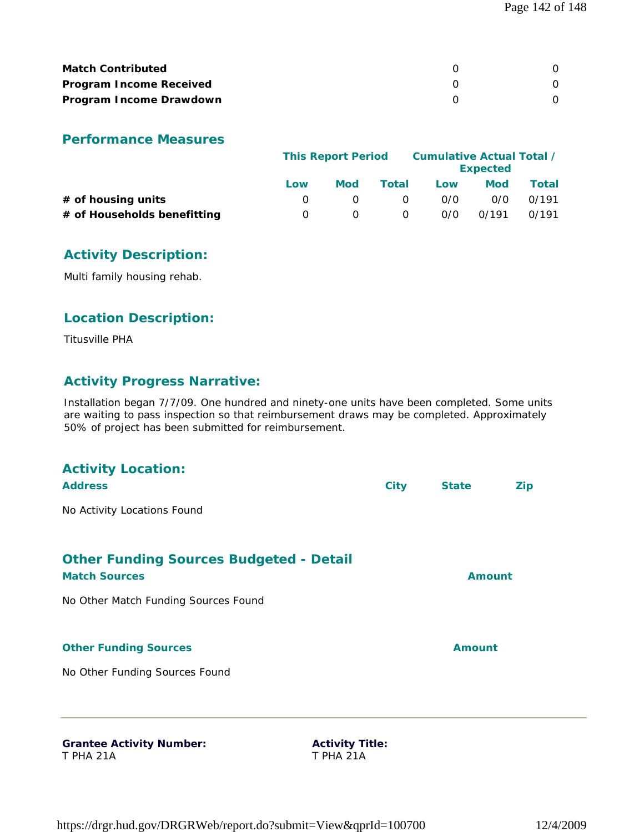| <b>Match Contributed</b>       |  |
|--------------------------------|--|
| <b>Program Income Received</b> |  |
| Program Income Drawdown        |  |

#### **Performance Measures**

|                             | <b>This Report Period</b> |     |          | Cumulative Actual Total /<br><b>Expected</b> |       |       |  |
|-----------------------------|---------------------------|-----|----------|----------------------------------------------|-------|-------|--|
|                             | Low                       | Mod | Total    | Low                                          | Mod   | Total |  |
| $#$ of housing units        |                           |     | 0        | 0/0                                          | 0/0   | 0/191 |  |
| # of Households benefitting | $\Omega$                  |     | $\Omega$ | 0/0                                          | 0/191 | 0/191 |  |

# **Activity Description:**

Multi family housing rehab.

#### **Location Description:**

Titusville PHA

#### **Activity Progress Narrative:**

Installation began 7/7/09. One hundred and ninety-one units have been completed. Some units are waiting to pass inspection so that reimbursement draws may be completed. Approximately 50% of project has been submitted for reimbursement.

| <b>Grantee Activity Number:</b>                                        | <b>Activity Title:</b> |               |            |
|------------------------------------------------------------------------|------------------------|---------------|------------|
| No Other Funding Sources Found                                         |                        |               |            |
| <b>Other Funding Sources</b>                                           |                        | <b>Amount</b> |            |
| No Other Match Funding Sources Found                                   |                        |               |            |
| <b>Other Funding Sources Budgeted - Detail</b><br><b>Match Sources</b> |                        | <b>Amount</b> |            |
| No Activity Locations Found                                            |                        |               |            |
| <b>Activity Location:</b><br><b>Address</b>                            | <b>City</b>            | <b>State</b>  | <b>Zip</b> |

T PHA 21A

**Activity Title:** T PHA 21A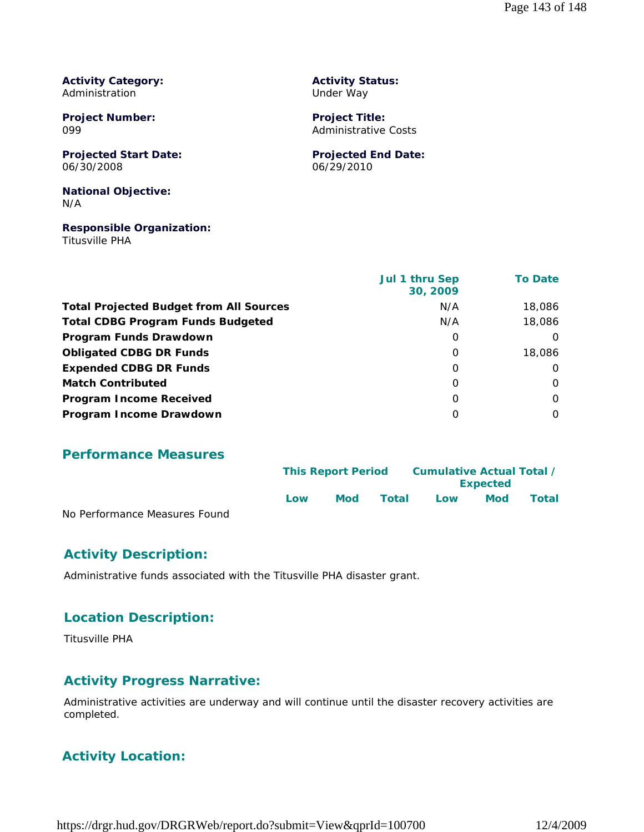**Activity Category:** Administration

**Project Number:** 099

**Projected Start Date:** 06/30/2008

**National Objective:** N/A

**Responsible Organization:** Titusville PHA

**Activity Status:** Under Way

**Project Title:** Administrative Costs

**Projected End Date:** 06/29/2010

|                                                | Jul 1 thru Sep<br>30, 2009 | <b>To Date</b> |
|------------------------------------------------|----------------------------|----------------|
| <b>Total Projected Budget from All Sources</b> | N/A                        | 18,086         |
| <b>Total CDBG Program Funds Budgeted</b>       | N/A                        | 18,086         |
| Program Funds Drawdown                         | 0                          | $\Omega$       |
| <b>Obligated CDBG DR Funds</b>                 | O                          | 18,086         |
| <b>Expended CDBG DR Funds</b>                  | O                          | $\Omega$       |
| <b>Match Contributed</b>                       | O                          | O              |
| <b>Program Income Received</b>                 | O                          | O              |
| Program Income Drawdown                        | O                          | $\Omega$       |

**Performance Measures**

|                               | <b>This Report Period</b> |     | Cumulative Actual Total / |     |                 |              |
|-------------------------------|---------------------------|-----|---------------------------|-----|-----------------|--------------|
|                               |                           |     |                           |     | <b>Expected</b> |              |
|                               | Low                       | Mod | Total                     | Low | <b>Mod</b>      | <b>Total</b> |
| No Performance Measures Found |                           |     |                           |     |                 |              |

#### **Activity Description:**

Administrative funds associated with the Titusville PHA disaster grant.

#### **Location Description:**

Titusville PHA

#### **Activity Progress Narrative:**

Administrative activities are underway and will continue until the disaster recovery activities are completed.

### **Activity Location:**

https://drgr.hud.gov/DRGRWeb/report.do?submit=View&qprId=100700 12/4/2009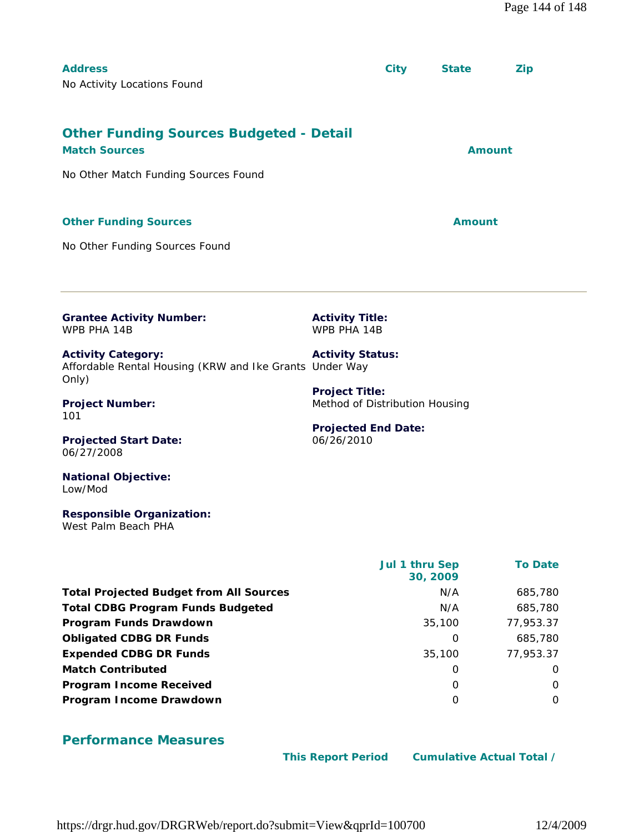| <b>Address</b><br>No Activity Locations Found                                                                  |                                                                                       | <b>City</b>                | <b>State</b>  | <b>Zip</b>     |  |
|----------------------------------------------------------------------------------------------------------------|---------------------------------------------------------------------------------------|----------------------------|---------------|----------------|--|
| <b>Other Funding Sources Budgeted - Detail</b><br><b>Match Sources</b><br>No Other Match Funding Sources Found |                                                                                       |                            | <b>Amount</b> |                |  |
| <b>Other Funding Sources</b><br>No Other Funding Sources Found                                                 |                                                                                       |                            | <b>Amount</b> |                |  |
| <b>Grantee Activity Number:</b><br>WPB PHA 14B                                                                 | <b>Activity Title:</b><br>WPB PHA 14B                                                 |                            |               |                |  |
| <b>Activity Category:</b><br>Affordable Rental Housing (KRW and Ike Grants Under Way<br>Only)                  | <b>Activity Status:</b>                                                               |                            |               |                |  |
| <b>Project Number:</b><br>101                                                                                  | <b>Project Title:</b><br>Method of Distribution Housing<br><b>Projected End Date:</b> |                            |               |                |  |
| <b>Projected Start Date:</b><br>06/27/2008<br><b>National Objective:</b>                                       | 06/26/2010                                                                            |                            |               |                |  |
| Low/Mod<br><b>Responsible Organization:</b><br>West Palm Beach PHA                                             |                                                                                       |                            |               |                |  |
|                                                                                                                |                                                                                       | Jul 1 thru Sep<br>30, 2009 |               | <b>To Date</b> |  |

Total Projected Budget from All Sources **N/A** 685,780 **Total CDBG Program Funds Budgeted** N/A 685,780 **Program Funds Drawdown** 25,100 77,953.37 **Obligated CDBG DR Funds 0** 685,780 **Expended CDBG DR Funds** 35,100 77,953.37 **Match Contributed** 0 0 **Program Income Received** 0 0 **Program Income Drawdown** 0 0

# **Performance Measures**

 **This Report Period Cumulative Actual Total /**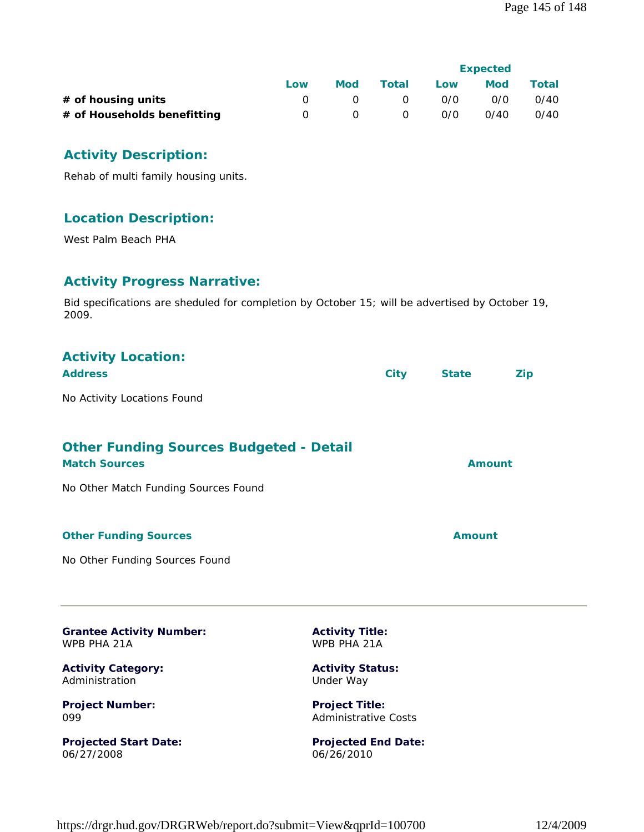|                             |     |     |          | <b>Expected</b> |            |              |
|-----------------------------|-----|-----|----------|-----------------|------------|--------------|
|                             | Low | Mod | Total    | Low             | <b>Mod</b> | <b>Total</b> |
| $#$ of housing units        |     |     | $\Omega$ | 0/0             | 0/0        | 0/40         |
| # of Households benefitting |     |     | $\Omega$ | 0/0             | 0/40       | 0/40         |

#### **Activity Description:**

Rehab of multi family housing units.

## **Location Description:**

West Palm Beach PHA

## **Activity Progress Narrative:**

Bid specifications are sheduled for completion by October 15; will be advertised by October 19, 2009.

| <b>Activity Location:</b><br><b>Address</b>                                                                    | <b>City</b> | <b>State</b>  | Zip |
|----------------------------------------------------------------------------------------------------------------|-------------|---------------|-----|
| No Activity Locations Found                                                                                    |             |               |     |
| <b>Other Funding Sources Budgeted - Detail</b><br><b>Match Sources</b><br>No Other Match Funding Sources Found |             | <b>Amount</b> |     |
| <b>Other Funding Sources</b>                                                                                   |             | Amount        |     |
| No Other Funding Sources Found                                                                                 |             |               |     |

**Grantee Activity Number:** WPB PHA 21A

**Activity Category:** Administration

**Project Number:** 099

**Projected Start Date:** 06/27/2008

**Activity Title:** WPB PHA 21A

**Activity Status:** Under Way

**Project Title:** Administrative Costs

**Projected End Date:** 06/26/2010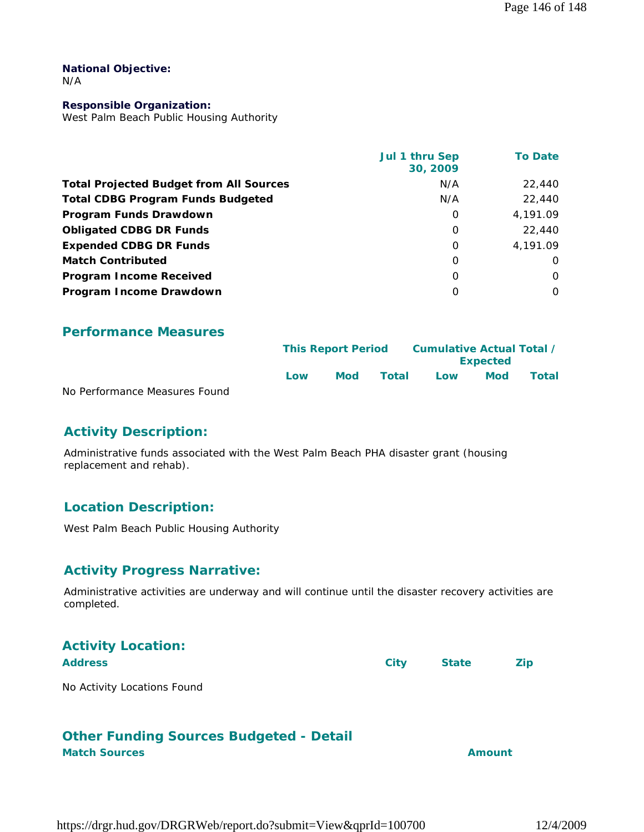#### **National Objective:** N/A

#### **Responsible Organization:**

West Palm Beach Public Housing Authority

|                                                | Jul 1 thru Sep<br>30, 2009 | <b>To Date</b> |
|------------------------------------------------|----------------------------|----------------|
| <b>Total Projected Budget from All Sources</b> | N/A                        | 22,440         |
| <b>Total CDBG Program Funds Budgeted</b>       | N/A                        | 22,440         |
| Program Funds Drawdown                         | 0                          | 4,191.09       |
| <b>Obligated CDBG DR Funds</b>                 | $\Omega$                   | 22,440         |
| <b>Expended CDBG DR Funds</b>                  | $\Omega$                   | 4.191.09       |
| <b>Match Contributed</b>                       | $\Omega$                   | O              |
| <b>Program Income Received</b>                 | $\Omega$                   | O              |
| Program Income Drawdown                        | O                          | 0              |

## **Performance Measures**

|                               |      | <b>This Report Period</b> |       |     | Cumulative Actual Total /<br><b>Expected</b> |       |  |
|-------------------------------|------|---------------------------|-------|-----|----------------------------------------------|-------|--|
|                               | l ow | Mod                       | Total | Low | <b>Mod</b>                                   | Total |  |
| No Porformanco Moasuros Found |      |                           |       |     |                                              |       |  |

No Performance Measures Found

# **Activity Description:**

Administrative funds associated with the West Palm Beach PHA disaster grant (housing replacement and rehab).

# **Location Description:**

West Palm Beach Public Housing Authority

## **Activity Progress Narrative:**

Administrative activities are underway and will continue until the disaster recovery activities are completed.

| <b>Activity Location:</b>   |      |              |            |
|-----------------------------|------|--------------|------------|
| <b>Address</b>              | City | <b>State</b> | <b>Zip</b> |
| No Activity Locations Found |      |              |            |

# **Other Funding Sources Budgeted - Detail Match Sources Amount**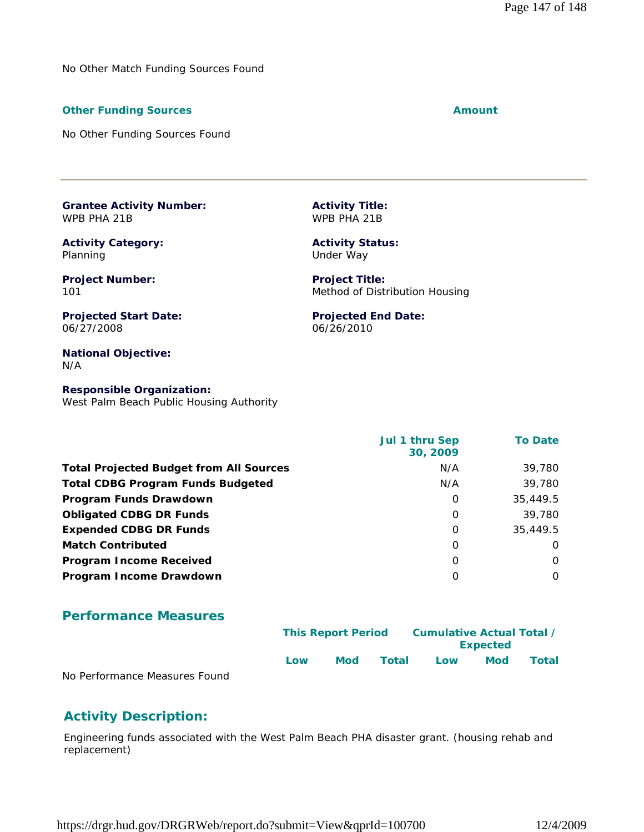No Other Match Funding Sources Found

#### **Other Funding Sources Amount Amount Amount**

No Other Funding Sources Found

**Grantee Activity Number:** WPB PHA 21B

**Activity Category:** Planning

**Project Number:** 101

**Projected Start Date:** 06/27/2008

**National Objective:** N/A

**Responsible Organization:** West Palm Beach Public Housing Authority

|                                                | Jul 1 thru Sep<br>30, 2009 | <b>To Date</b> |
|------------------------------------------------|----------------------------|----------------|
| <b>Total Projected Budget from All Sources</b> | N/A                        | 39,780         |
| <b>Total CDBG Program Funds Budgeted</b>       | N/A                        | 39,780         |
| Program Funds Drawdown                         | $\Omega$                   | 35,449.5       |
| <b>Obligated CDBG DR Funds</b>                 | $\Omega$                   | 39,780         |
| <b>Expended CDBG DR Funds</b>                  | $\Omega$                   | 35,449.5       |
| <b>Match Contributed</b>                       | $\Omega$                   | O              |
| <b>Program Income Received</b>                 | O                          | $\Omega$       |
| Program Income Drawdown                        | O                          | $\Omega$       |

#### **Performance Measures**

|                               |     | <b>This Report Period</b> |       |     | Cumulative Actual Total /<br><b>Expected</b> |       |  |  |
|-------------------------------|-----|---------------------------|-------|-----|----------------------------------------------|-------|--|--|
|                               | Low | <b>Mod</b>                | Total | Low | <b>Mod</b>                                   | Total |  |  |
| No Performance Measures Found |     |                           |       |     |                                              |       |  |  |

nance *weasu* 

# **Activity Description:**

Engineering funds associated with the West Palm Beach PHA disaster grant. (housing rehab and replacement)

**Activity Title:** WPB PHA 21B

> **Activity Status:** Under Way

**Project Title:** Method of Distribution Housing

**Projected End Date:** 06/26/2010